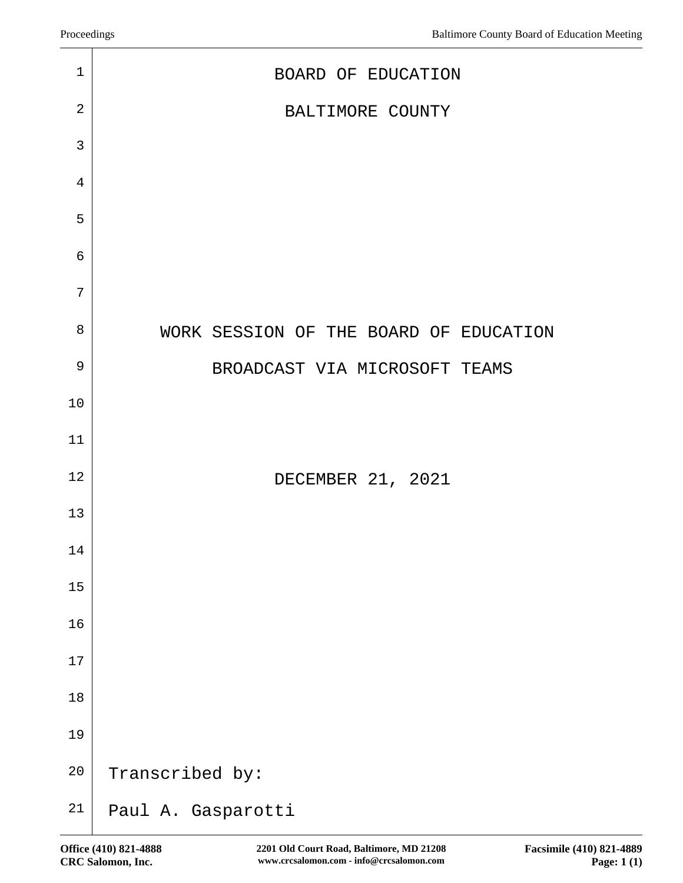| $\mathbf 1$    | BOARD OF EDUCATION                     |
|----------------|----------------------------------------|
| $\sqrt{2}$     | BALTIMORE COUNTY                       |
| 3              |                                        |
| $\overline{4}$ |                                        |
| 5              |                                        |
| 6              |                                        |
| 7              |                                        |
| 8              | WORK SESSION OF THE BOARD OF EDUCATION |
| $\mathsf 9$    | BROADCAST VIA MICROSOFT TEAMS          |
| 10             |                                        |
| 11             |                                        |
| 12             | DECEMBER 21, 2021                      |
| 13             |                                        |
| 14             |                                        |
| $15$           |                                        |
| 16             |                                        |
| 17             |                                        |
| 18             |                                        |
| 19             |                                        |
| $20\,$         | Transcribed by:                        |
| 21             | Paul A. Gasparotti                     |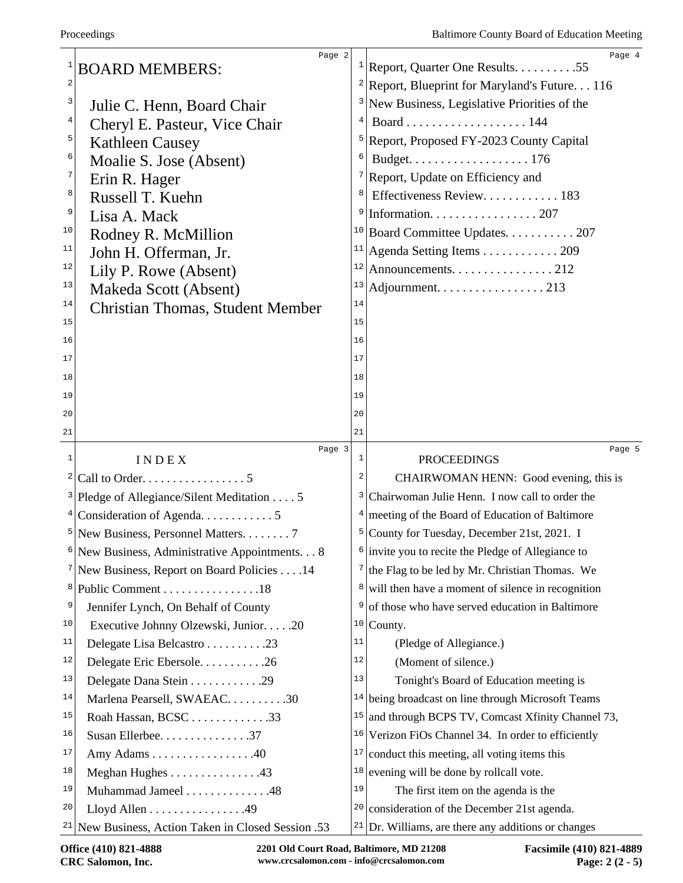|    | Page 2<br><b>BOARD MEMBERS:</b>                        |                         | Page 4<br><sup>1</sup> Report, Quarter One Results. 55                                   |
|----|--------------------------------------------------------|-------------------------|------------------------------------------------------------------------------------------|
| 2  |                                                        |                         | <sup>2</sup> Report, Blueprint for Maryland's Future. 116                                |
| 3  | Julie C. Henn, Board Chair                             | 3                       | New Business, Legislative Priorities of the                                              |
| 4  | Cheryl E. Pasteur, Vice Chair                          | 4                       |                                                                                          |
| 5  | <b>Kathleen Causey</b>                                 | 5                       | Report, Proposed FY-2023 County Capital                                                  |
| 6  | Moalie S. Jose (Absent)                                | 6                       |                                                                                          |
| 7  | Erin R. Hager                                          | 7                       | Report, Update on Efficiency and                                                         |
| 8  | Russell T. Kuehn                                       | 8                       | Effectiveness Review 183                                                                 |
| 9  | Lisa A. Mack                                           | 9                       | Information. 207                                                                         |
| 10 | Rodney R. McMillion                                    |                         | <sup>10</sup> Board Committee Updates. 207                                               |
| 11 | John H. Offerman, Jr.                                  | 11                      | Agenda Setting Items 209                                                                 |
| 12 | Lily P. Rowe (Absent)                                  | 12                      | Announcements. 212                                                                       |
| 13 | Makeda Scott (Absent)                                  | 13                      | Adjournment. 213                                                                         |
| 14 | <b>Christian Thomas, Student Member</b>                | 14                      |                                                                                          |
| 15 |                                                        | 15                      |                                                                                          |
| 16 |                                                        | 16                      |                                                                                          |
| 17 |                                                        | 17                      |                                                                                          |
| 18 |                                                        | 18                      |                                                                                          |
| 19 |                                                        | 19                      |                                                                                          |
| 20 |                                                        | 20                      |                                                                                          |
| 21 |                                                        | 21                      |                                                                                          |
|    | Page 3                                                 |                         | Page 5                                                                                   |
| 1  |                                                        | 1                       |                                                                                          |
|    | INDEX                                                  | $\overline{\mathbf{c}}$ | <b>PROCEEDINGS</b>                                                                       |
|    | Call to Order. 5                                       | 3                       | CHAIRWOMAN HENN: Good evening, this is<br>Chairwoman Julie Henn. I now call to order the |
|    | <sup>3</sup> Pledge of Allegiance/Silent Meditation 5  |                         | $4$ meeting of the Board of Education of Baltimore                                       |
|    |                                                        | 5                       | County for Tuesday, December 21st, 2021. I                                               |
|    | New Business, Administrative Appointments. 8           |                         | $\frac{1}{2}$ invite you to recite the Pledge of Allegiance to                           |
|    | <sup>7</sup> New Business, Report on Board Policies 14 |                         | $7$ the Flag to be led by Mr. Christian Thomas. We                                       |
| 8  | Public Comment 18                                      | 8                       | will then have a moment of silence in recognition                                        |
| 9  | Jennifer Lynch, On Behalf of County                    | 9                       | of those who have served education in Baltimore                                          |
| 10 | Executive Johnny Olzewski, Junior. 20                  | 10                      | County.                                                                                  |
| 11 | Delegate Lisa Belcastro 23                             | 11                      | (Pledge of Allegiance.)                                                                  |
| 12 | Delegate Eric Ebersole26                               | 12                      | (Moment of silence.)                                                                     |
| 13 | Delegate Dana Stein 29                                 | 13                      | Tonight's Board of Education meeting is                                                  |
| 14 | Marlena Pearsell, SWAEAC30                             |                         | $14$ being broadcast on line through Microsoft Teams                                     |
| 15 | Roah Hassan, BCSC33                                    | 15                      | and through BCPS TV, Comcast Xfinity Channel 73,                                         |
| 16 | Susan Ellerbee. 37                                     |                         | $16$ Verizon FiOs Channel 34. In order to efficiently                                    |
| 17 | Amy Adams 40                                           | 17                      | conduct this meeting, all voting items this                                              |
| 18 | Meghan Hughes 43                                       | 18                      | evening will be done by rollcall vote.                                                   |
| 19 | Muhammad Jameel 48                                     | 19                      | The first item on the agenda is the                                                      |
| 20 | Lloyd Allen $\dots \dots \dots \dots \dots$ .49        |                         | $20$ consideration of the December 21st agenda.                                          |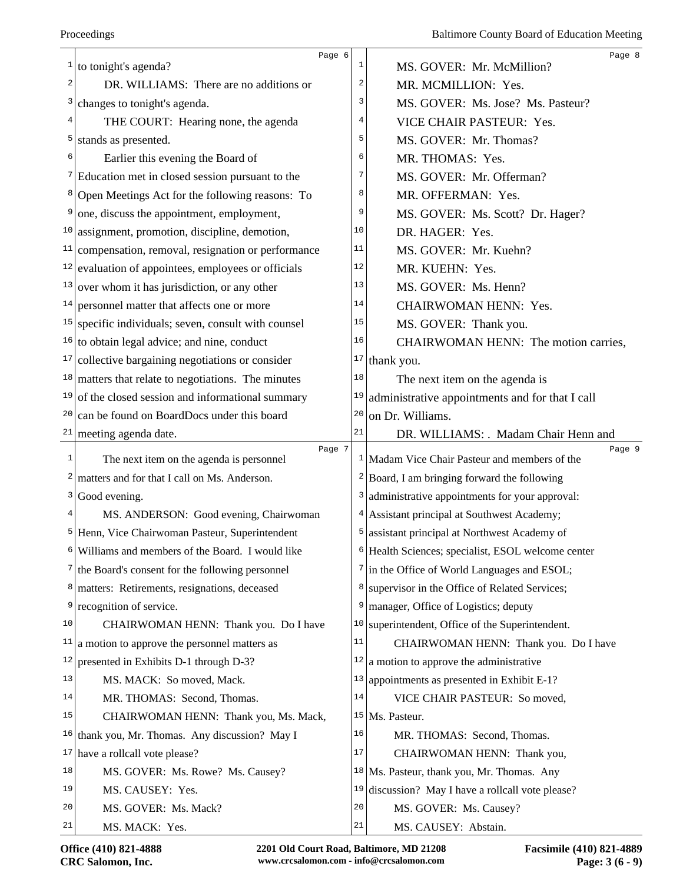|                         | Page 6                                                       |    | Page 8                                                        |
|-------------------------|--------------------------------------------------------------|----|---------------------------------------------------------------|
| 1                       | to tonight's agenda?                                         | 1  | MS. GOVER: Mr. McMillion?                                     |
| $\overline{\mathbf{c}}$ | DR. WILLIAMS: There are no additions or                      | 2  | MR. MCMILLION: Yes.                                           |
| 3                       | changes to tonight's agenda.                                 | 3  | MS. GOVER: Ms. Jose? Ms. Pasteur?                             |
| 4                       | THE COURT: Hearing none, the agenda                          | 4  | VICE CHAIR PASTEUR: Yes.                                      |
| 5                       | stands as presented.                                         | 5  | MS. GOVER: Mr. Thomas?                                        |
| 6                       | Earlier this evening the Board of                            | 6  | MR. THOMAS: Yes.                                              |
|                         | <sup>7</sup> Education met in closed session pursuant to the | 7  | MS. GOVER: Mr. Offerman?                                      |
| 8                       | Open Meetings Act for the following reasons: To              | 8  | MR. OFFERMAN: Yes.                                            |
| 9                       | one, discuss the appointment, employment,                    | 9  | MS. GOVER: Ms. Scott? Dr. Hager?                              |
|                         | $10$ assignment, promotion, discipline, demotion,            | 10 | DR. HAGER: Yes.                                               |
| 11                      | compensation, removal, resignation or performance            | 11 | MS. GOVER: Mr. Kuehn?                                         |
|                         | $12$ evaluation of appointees, employees or officials        | 12 | MR. KUEHN: Yes.                                               |
| 13                      | over whom it has jurisdiction, or any other                  | 13 | MS. GOVER: Ms. Henn?                                          |
| 14                      | personnel matter that affects one or more                    | 14 | CHAIRWOMAN HENN: Yes.                                         |
| 15                      | specific individuals; seven, consult with counsel            | 15 | MS. GOVER: Thank you.                                         |
| 16                      | to obtain legal advice; and nine, conduct                    | 16 | CHAIRWOMAN HENN: The motion carries,                          |
| 17                      | collective bargaining negotiations or consider               | 17 | thank you.                                                    |
|                         | $18$ matters that relate to negotiations. The minutes        | 18 | The next item on the agenda is                                |
| 19                      | of the closed session and informational summary              | 19 | administrative appointments and for that I call               |
| 20                      | can be found on BoardDocs under this board                   | 20 | on Dr. Williams.                                              |
|                         | $21$ meeting agenda date.                                    | 21 | DR. WILLIAMS: . Madam Chair Henn and                          |
| 1                       | Page 7<br>The next item on the agenda is personnel           |    | Page 9<br>$1$ Madam Vice Chair Pasteur and members of the     |
| 2                       | matters and for that I call on Ms. Anderson.                 |    | $2$ Board, I am bringing forward the following                |
| 3                       | Good evening.                                                | 3  | administrative appointments for your approval:                |
| 4                       | MS. ANDERSON: Good evening, Chairwoman                       | 4  | Assistant principal at Southwest Academy;                     |
|                         | <sup>5</sup> Henn, Vice Chairwoman Pasteur, Superintendent   | 5  | assistant principal at Northwest Academy of                   |
| 6                       | Williams and members of the Board. I would like              |    | <sup>6</sup> Health Sciences; specialist, ESOL welcome center |
| 7 <sub>1</sub>          | the Board's consent for the following personnel              | 7  | in the Office of World Languages and ESOL;                    |
|                         |                                                              | 8  | supervisor in the Office of Related Services;                 |
| 9                       | <sup>8</sup>   matters: Retirements, resignations, deceased  | 9  |                                                               |
| 10                      | recognition of service.                                      | 10 | manager, Office of Logistics; deputy                          |
| 11                      | CHAIRWOMAN HENN: Thank you. Do I have                        | 11 | superintendent, Office of the Superintendent.                 |
|                         | a motion to approve the personnel matters as                 |    | CHAIRWOMAN HENN: Thank you. Do I have                         |
| 12                      | presented in Exhibits D-1 through D-3?                       | 12 | a motion to approve the administrative                        |
| 13                      | MS. MACK: So moved, Mack.                                    | 13 | appointments as presented in Exhibit E-1?                     |
| 14                      | MR. THOMAS: Second, Thomas.                                  | 14 | VICE CHAIR PASTEUR: So moved,                                 |
| 15                      | CHAIRWOMAN HENN: Thank you, Ms. Mack,                        |    | $15$ Ms. Pasteur.                                             |
| 16                      | thank you, Mr. Thomas. Any discussion? May I                 | 16 | MR. THOMAS: Second, Thomas.                                   |
| 17                      | have a rollcall vote please?                                 | 17 | CHAIRWOMAN HENN: Thank you,                                   |
| 18                      | MS. GOVER: Ms. Rowe? Ms. Causey?                             | 18 | Ms. Pasteur, thank you, Mr. Thomas. Any                       |
| 19                      | MS. CAUSEY: Yes.                                             | 19 | discussion? May I have a rollcall vote please?                |
| 20                      | MS. GOVER: Ms. Mack?                                         | 20 | MS. GOVER: Ms. Causey?                                        |
| 21                      | MS. MACK: Yes.                                               | 21 | MS. CAUSEY: Abstain.                                          |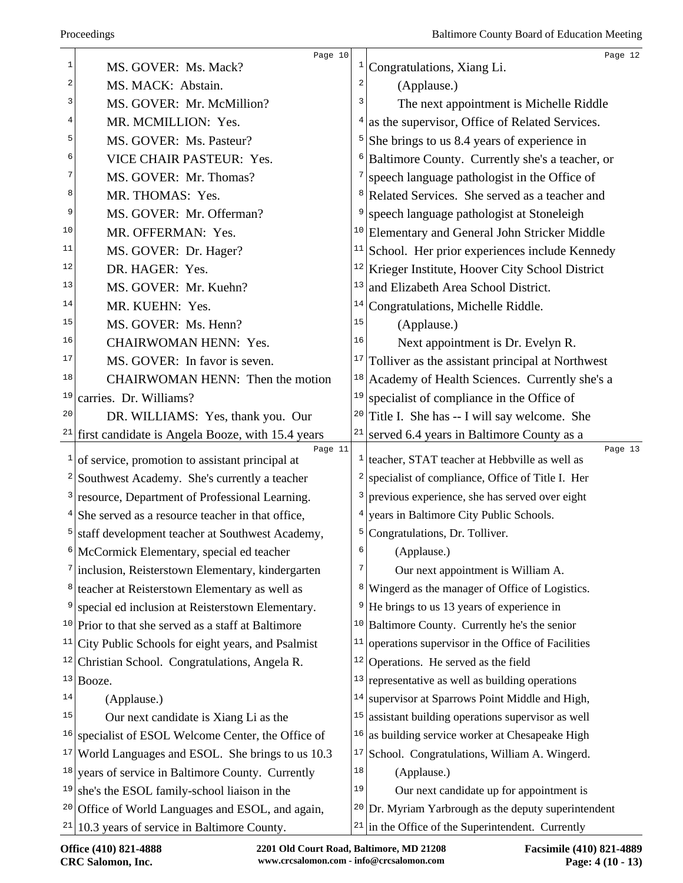|    | Page 10                                                      |                         | Page 12                                                                |
|----|--------------------------------------------------------------|-------------------------|------------------------------------------------------------------------|
| 1  | MS. GOVER: Ms. Mack?                                         | $\vert$                 | Congratulations, Xiang Li.                                             |
| 2  | MS. MACK: Abstain.                                           | $\overline{\mathbf{c}}$ | (Applause.)                                                            |
| 3  | MS. GOVER: Mr. McMillion?                                    | 3                       | The next appointment is Michelle Riddle                                |
| 4  | MR. MCMILLION: Yes.                                          |                         | as the supervisor, Office of Related Services.                         |
| 5  | MS. GOVER: Ms. Pasteur?                                      |                         | She brings to us 8.4 years of experience in                            |
| 6  | VICE CHAIR PASTEUR: Yes.                                     | 6                       | Baltimore County. Currently she's a teacher, or                        |
| 7  | MS. GOVER: Mr. Thomas?                                       | 7                       | speech language pathologist in the Office of                           |
| 8  | MR. THOMAS: Yes.                                             |                         | Related Services. She served as a teacher and                          |
| 9  | MS. GOVER: Mr. Offerman?                                     |                         | speech language pathologist at Stoneleigh                              |
| 10 | MR. OFFERMAN: Yes.                                           | 10                      | Elementary and General John Stricker Middle                            |
| 11 | MS. GOVER: Dr. Hager?                                        | 11                      | School. Her prior experiences include Kennedy                          |
| 12 | DR. HAGER: Yes.                                              |                         | <sup>12</sup> Krieger Institute, Hoover City School District           |
| 13 | MS. GOVER: Mr. Kuehn?                                        | 13                      | and Elizabeth Area School District.                                    |
| 14 | MR. KUEHN: Yes.                                              | 14                      | Congratulations, Michelle Riddle.                                      |
| 15 | MS. GOVER: Ms. Henn?                                         | 15                      | (Applause.)                                                            |
| 16 | <b>CHAIRWOMAN HENN: Yes.</b>                                 | 16                      | Next appointment is Dr. Evelyn R.                                      |
| 17 | MS. GOVER: In favor is seven.                                | 17                      | Tolliver as the assistant principal at Northwest                       |
| 18 | CHAIRWOMAN HENN: Then the motion                             | 18                      | Academy of Health Sciences. Currently she's a                          |
| 19 | carries. Dr. Williams?                                       | 19                      | specialist of compliance in the Office of                              |
| 20 | DR. WILLIAMS: Yes, thank you. Our                            | 20                      | Title I. She has -- I will say welcome. She                            |
| 21 | first candidate is Angela Booze, with 15.4 years             | 21                      | served 6.4 years in Baltimore County as a                              |
| 1  | Page 11<br>of service, promotion to assistant principal at   |                         | Page 13<br>$\frac{1}{1}$ teacher, STAT teacher at Hebbville as well as |
| 2  | Southwest Academy. She's currently a teacher                 | 2                       | specialist of compliance, Office of Title I. Her                       |
|    | resource, Department of Professional Learning.               | 3                       | previous experience, she has served over eight                         |
|    | She served as a resource teacher in that office,             |                         | years in Baltimore City Public Schools.                                |
| 5  | staff development teacher at Southwest Academy,              | 5 <sup>1</sup>          | Congratulations, Dr. Tolliver.                                         |
|    | <sup>6</sup> McCormick Elementary, special ed teacher        | 6                       | (Applause.)                                                            |
| 7  | inclusion, Reisterstown Elementary, kindergarten             | 7                       | Our next appointment is William A.                                     |
| 8  | teacher at Reisterstown Elementary as well as                | 8 <sup>1</sup>          | Wingerd as the manager of Office of Logistics.                         |
| 9  | special ed inclusion at Reisterstown Elementary.             | 9                       | He brings to us 13 years of experience in                              |
|    | $10$ Prior to that she served as a staff at Baltimore        | 10                      | Baltimore County. Currently he's the senior                            |
| 11 | City Public Schools for eight years, and Psalmist            | 11                      | operations supervisor in the Office of Facilities                      |
| 12 | Christian School. Congratulations, Angela R.                 | 12                      | Operations. He served as the field                                     |
| 13 | Booze.                                                       | 13                      | representative as well as building operations                          |
| 14 | (Applause.)                                                  | 14                      | supervisor at Sparrows Point Middle and High,                          |
| 15 | Our next candidate is Xiang Li as the                        | 15                      | assistant building operations supervisor as well                       |
| 16 | specialist of ESOL Welcome Center, the Office of             | 16                      | as building service worker at Chesapeake High                          |
| 17 | World Languages and ESOL. She brings to us 10.3              | 17                      | School. Congratulations, William A. Wingerd.                           |
| 18 | years of service in Baltimore County. Currently              | 18                      | (Applause.)                                                            |
|    | $19$ she's the ESOL family-school liaison in the             | 19                      | Our next candidate up for appointment is                               |
|    | <sup>20</sup> Office of World Languages and ESOL, and again, | 20                      | Dr. Myriam Yarbrough as the deputy superintendent                      |
|    | $21$   10.3 years of service in Baltimore County.            | 21                      | in the Office of the Superintendent. Currently                         |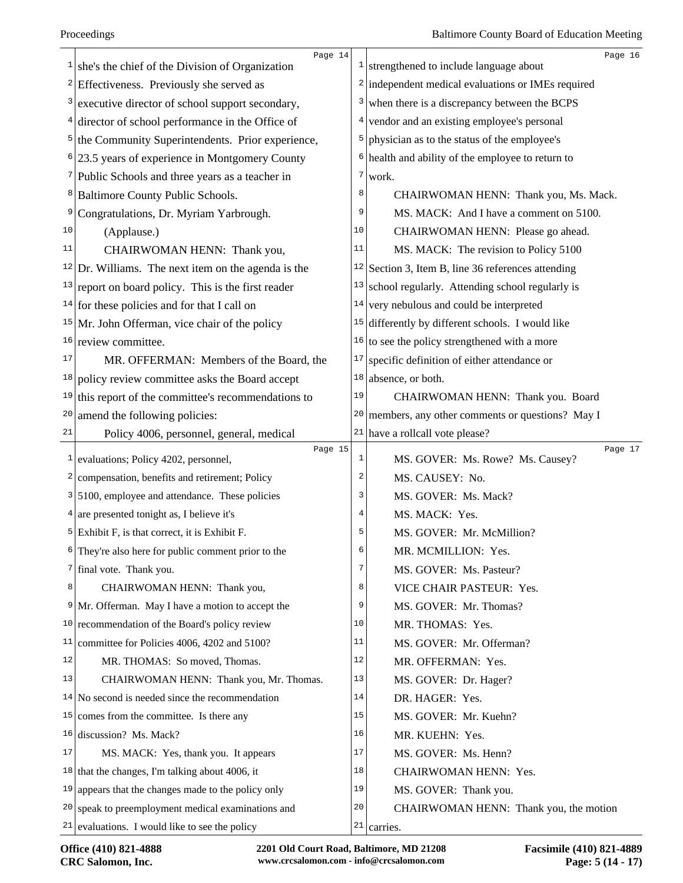|              | Page 14                                               |                         | Page 16                                              |
|--------------|-------------------------------------------------------|-------------------------|------------------------------------------------------|
| 1            | she's the chief of the Division of Organization       |                         | $\frac{1}{2}$ strengthened to include language about |
| $\mathbf{2}$ | Effectiveness. Previously she served as               |                         | $2$ independent medical evaluations or IMEs required |
| 3            | executive director of school support secondary,       | 3                       | when there is a discrepancy between the BCPS         |
| 4            | director of school performance in the Office of       | 4                       | vendor and an existing employee's personal           |
| 5            | the Community Superintendents. Prior experience,      | 5                       | physician as to the status of the employee's         |
| 6            | 23.5 years of experience in Montgomery County         |                         | $6$ health and ability of the employee to return to  |
| 7            | Public Schools and three years as a teacher in        | 7                       | work.                                                |
| 8            | Baltimore County Public Schools.                      | 8                       | CHAIRWOMAN HENN: Thank you, Ms. Mack.                |
| 9            | Congratulations, Dr. Myriam Yarbrough.                | 9                       | MS. MACK: And I have a comment on 5100.              |
| 10           | (Applause.)                                           | 10                      | CHAIRWOMAN HENN: Please go ahead.                    |
| 11           | CHAIRWOMAN HENN: Thank you,                           | 11                      | MS. MACK: The revision to Policy 5100                |
|              | $12$ Dr. Williams. The next item on the agenda is the |                         | $12$ Section 3, Item B, line 36 references attending |
|              | $13$ report on board policy. This is the first reader | 13                      | school regularly. Attending school regularly is      |
|              | $14$ for these policies and for that I call on        | 14                      | very nebulous and could be interpreted               |
|              | $15$ Mr. John Offerman, vice chair of the policy      | 15                      | differently by different schools. I would like       |
| 16           | review committee.                                     | 16                      | to see the policy strengthened with a more           |
| 17           | MR. OFFERMAN: Members of the Board, the               | 17                      | specific definition of either attendance or          |
| 18           | policy review committee asks the Board accept         | 18                      | absence, or both.                                    |
| 19           | this report of the committee's recommendations to     | 19                      | CHAIRWOMAN HENN: Thank you. Board                    |
| $20\,$       | amend the following policies:                         | 20                      | members, any other comments or questions? May I      |
| 21           | Policy 4006, personnel, general, medical              |                         | $21$ have a rollcall vote please?                    |
| $\mathbf{1}$ | Page 15<br>evaluations; Policy 4202, personnel,       | $\mathbf 1$             | Page 17<br>MS. GOVER: Ms. Rowe? Ms. Causey?          |
| 2            | compensation, benefits and retirement; Policy         | $\overline{\mathbf{c}}$ | MS. CAUSEY: No.                                      |
| 3            | 5100, employee and attendance. These policies         | 3                       | MS. GOVER: Ms. Mack?                                 |
|              | $4$ are presented tonight as, I believe it's          | 4                       | MS. MACK: Yes.                                       |
| 5            | Exhibit F, is that correct, it is Exhibit F.          | 5                       | MS. GOVER: Mr. McMillion?                            |
| 6            | They're also here for public comment prior to the     | 6                       | MR. MCMILLION: Yes.                                  |
| 7            | final vote. Thank you.                                | 7                       | MS. GOVER: Ms. Pasteur?                              |
| 8            | CHAIRWOMAN HENN: Thank you,                           | 8                       | VICE CHAIR PASTEUR: Yes.                             |
| 9            | Mr. Offerman. May I have a motion to accept the       | 9                       | MS. GOVER: Mr. Thomas?                               |
| 10           | recommendation of the Board's policy review           | 10                      | MR. THOMAS: Yes.                                     |
| 11           | committee for Policies 4006, 4202 and 5100?           | 11                      | MS. GOVER: Mr. Offerman?                             |
| 12           | MR. THOMAS: So moved, Thomas.                         | 12                      | MR. OFFERMAN: Yes.                                   |
| 13           | CHAIRWOMAN HENN: Thank you, Mr. Thomas.               | 13                      | MS. GOVER: Dr. Hager?                                |
|              | $14$ No second is needed since the recommendation     | 14                      | DR. HAGER: Yes.                                      |
| 15           | comes from the committee. Is there any                | 15                      | MS. GOVER: Mr. Kuehn?                                |
|              | $16$ discussion? Ms. Mack?                            | 16                      | MR. KUEHN: Yes.                                      |
| 17           | MS. MACK: Yes, thank you. It appears                  | 17                      | MS. GOVER: Ms. Henn?                                 |
|              | $18$ that the changes, I'm talking about 4006, it     | 18                      | CHAIRWOMAN HENN: Yes.                                |
| 19           | appears that the changes made to the policy only      | 19                      | MS. GOVER: Thank you.                                |
| 20           | speak to preemployment medical examinations and       | 20                      |                                                      |
| 21 I         |                                                       | 21                      | CHAIRWOMAN HENN: Thank you, the motion               |
|              | evaluations. I would like to see the policy           |                         | carries.                                             |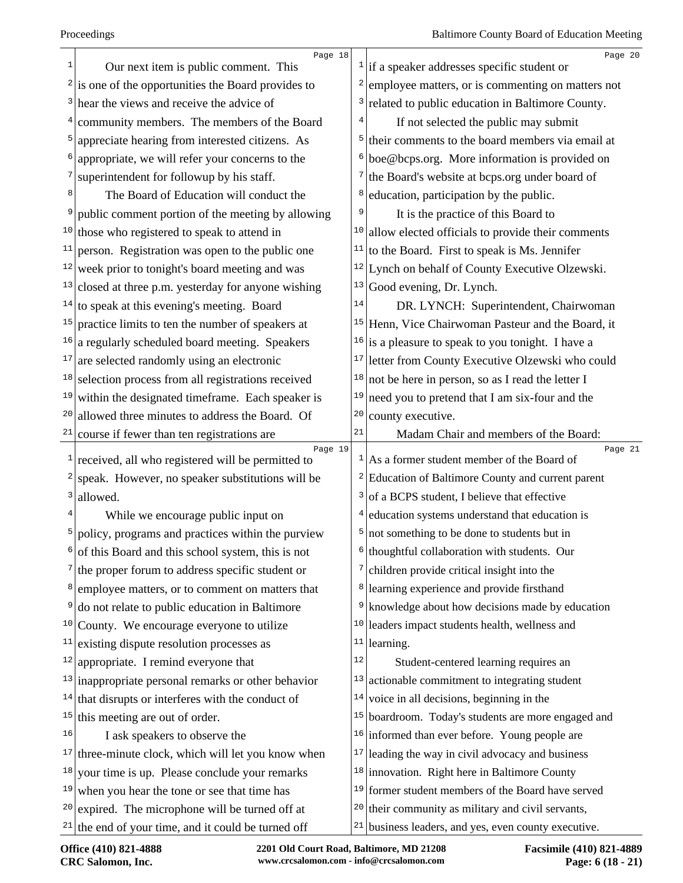|                   | Page 18                                                                    |                         | Page 20                                                                                              |
|-------------------|----------------------------------------------------------------------------|-------------------------|------------------------------------------------------------------------------------------------------|
| 1                 | Our next item is public comment. This                                      |                         | $\frac{1}{1}$ if a speaker addresses specific student or                                             |
|                   | $2$ is one of the opportunities the Board provides to                      | $\overline{\mathbf{c}}$ | employee matters, or is commenting on matters not                                                    |
|                   | <sup>3</sup> hear the views and receive the advice of                      | 3                       | related to public education in Baltimore County.                                                     |
| 4                 | community members. The members of the Board                                |                         | If not selected the public may submit                                                                |
| 5                 | appreciate hearing from interested citizens. As                            | 5                       | their comments to the board members via email at                                                     |
| 6                 | appropriate, we will refer your concerns to the                            | 6                       | boe@bcps.org. More information is provided on                                                        |
| 7                 | superintendent for followup by his staff.                                  | 7                       | the Board's website at bcps.org under board of                                                       |
| 8                 | The Board of Education will conduct the                                    | 8                       | education, participation by the public.                                                              |
|                   | public comment portion of the meeting by allowing                          | 9                       | It is the practice of this Board to                                                                  |
|                   | $10$ those who registered to speak to attend in                            | 10                      | allow elected officials to provide their comments                                                    |
|                   | $11$ person. Registration was open to the public one                       | 11                      | to the Board. First to speak is Ms. Jennifer                                                         |
|                   | $12$ week prior to tonight's board meeting and was                         | 12                      | Lynch on behalf of County Executive Olzewski.                                                        |
|                   | $13$ closed at three p.m. yesterday for anyone wishing                     | 13                      | Good evening, Dr. Lynch.                                                                             |
|                   | $14$ to speak at this evening's meeting. Board                             | 14                      | DR. LYNCH: Superintendent, Chairwoman                                                                |
| 15                | practice limits to ten the number of speakers at                           | 15                      | Henn, Vice Chairwoman Pasteur and the Board, it                                                      |
|                   | $16$ a regularly scheduled board meeting. Speakers                         | 16                      | is a pleasure to speak to you tonight. I have a                                                      |
| 17                | are selected randomly using an electronic                                  | 17                      | letter from County Executive Olzewski who could                                                      |
|                   | $18$ selection process from all registrations received                     | 18                      | not be here in person, so as I read the letter I                                                     |
| 19                | within the designated timeframe. Each speaker is                           | 19                      | need you to pretend that I am six-four and the                                                       |
| 20                | allowed three minutes to address the Board. Of                             | 20                      | county executive.                                                                                    |
|                   | $21$ course if fewer than ten registrations are                            | 21                      | Madam Chair and members of the Board:                                                                |
|                   | Page 19<br>$\frac{1}{2}$ received, all who registered will be permitted to |                         | Page 21<br>$\frac{1}{1}$ As a former student member of the Board of                                  |
| $\mathbf{2} \mid$ | speak. However, no speaker substitutions will be                           | $\frac{2}{ }$           | Education of Baltimore County and current parent                                                     |
| 3                 | allowed.                                                                   | 3                       | of a BCPS student, I believe that effective                                                          |
|                   |                                                                            | 4                       | education systems understand that education is                                                       |
| 5                 | While we encourage public input on                                         | 5                       |                                                                                                      |
|                   | policy, programs and practices within the purview                          |                         | not something to be done to students but in                                                          |
|                   | of this Board and this school system, this is not                          | 6<br>7                  | thoughtful collaboration with students. Our                                                          |
|                   | $\frac{7}{1}$ the proper forum to address specific student or              |                         | children provide critical insight into the                                                           |
|                   | <sup>8</sup> employee matters, or to comment on matters that               | 8                       | learning experience and provide firsthand                                                            |
| 9                 | do not relate to public education in Baltimore                             | 9                       | knowledge about how decisions made by education                                                      |
|                   | $10$ County. We encourage everyone to utilize                              | 10                      | leaders impact students health, wellness and                                                         |
| 11                | existing dispute resolution processes as                                   | $11\,$                  | learning.                                                                                            |
| 12                | appropriate. I remind everyone that                                        | $1\,2$                  | Student-centered learning requires an                                                                |
|                   | $13$ inappropriate personal remarks or other behavior                      | 13                      | actionable commitment to integrating student                                                         |
|                   |                                                                            |                         |                                                                                                      |
| 15                | $14$ that disrupts or interferes with the conduct of                       |                         | $14$ voice in all decisions, beginning in the                                                        |
|                   | this meeting are out of order.                                             | 15                      | boardroom. Today's students are more engaged and                                                     |
| 16                | I ask speakers to observe the                                              | 16                      | informed than ever before. Young people are                                                          |
|                   | $17$ three-minute clock, which will let you know when                      | 17                      | leading the way in civil advocacy and business                                                       |
|                   | $18$ your time is up. Please conclude your remarks                         |                         | $18$ innovation. Right here in Baltimore County                                                      |
| 19                | when you hear the tone or see that time has                                | 19                      | former student members of the Board have served                                                      |
|                   | $20$ expired. The microphone will be turned off at                         | 20                      | their community as military and civil servants,<br>business leaders, and yes, even county executive. |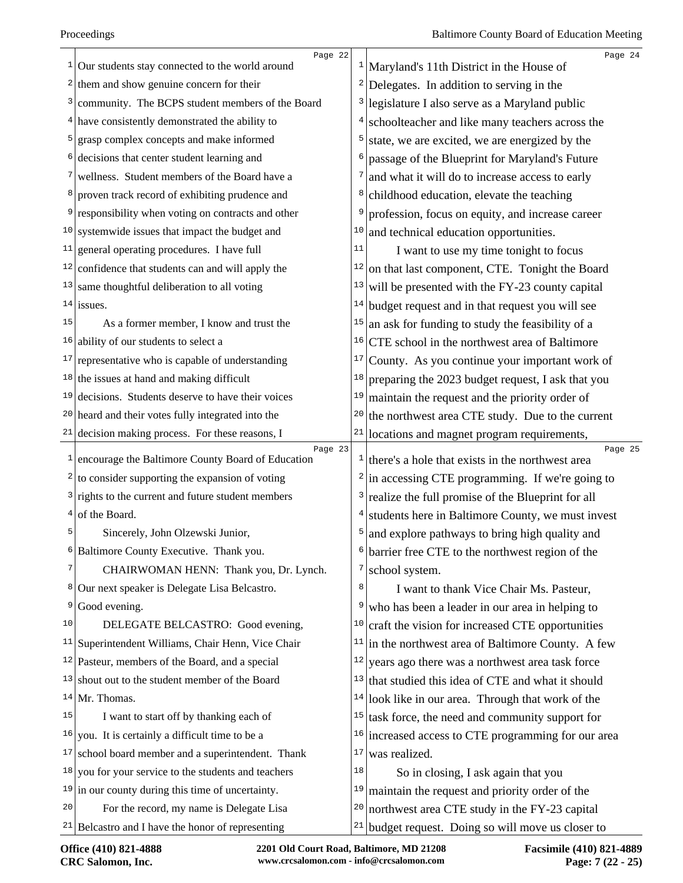|    | Page 22                                                                                         |           | Page 24                                                                                          |
|----|-------------------------------------------------------------------------------------------------|-----------|--------------------------------------------------------------------------------------------------|
|    | $\frac{1}{2}$ Our students stay connected to the world around                                   |           | Maryland's 11th District in the House of                                                         |
|    | $2$ them and show genuine concern for their                                                     |           | $2$ Delegates. In addition to serving in the                                                     |
|    | <sup>3</sup> community. The BCPS student members of the Board                                   | $\vert$ 3 | legislature I also serve as a Maryland public                                                    |
|    | $4$ have consistently demonstrated the ability to                                               | 4         | schoolteacher and like many teachers across the                                                  |
|    | <sup>5</sup> grasp complex concepts and make informed                                           | 5         | state, we are excited, we are energized by the                                                   |
| 6  | decisions that center student learning and                                                      | 6         | passage of the Blueprint for Maryland's Future                                                   |
| 7  | wellness. Student members of the Board have a                                                   | 7         | and what it will do to increase access to early                                                  |
|    | proven track record of exhibiting prudence and                                                  | 8         | childhood education, elevate the teaching                                                        |
|    | <sup>9</sup> responsibility when voting on contracts and other                                  | 9         | profession, focus on equity, and increase career                                                 |
|    | $10$ systemwide issues that impact the budget and                                               | 10        | and technical education opportunities.                                                           |
|    | $11$ general operating procedures. I have full                                                  | 11        | I want to use my time tonight to focus                                                           |
| 12 | confidence that students can and will apply the                                                 | 12        | on that last component, CTE. Tonight the Board                                                   |
|    | $13$ same thoughtful deliberation to all voting                                                 | 13        | will be presented with the FY-23 county capital                                                  |
|    | $14$ issues.                                                                                    | 14        | budget request and in that request you will see                                                  |
| 15 | As a former member, I know and trust the                                                        | 15        | an ask for funding to study the feasibility of a                                                 |
|    | $16$ ability of our students to select a                                                        | 16        | CTE school in the northwest area of Baltimore                                                    |
|    | $17$ representative who is capable of understanding                                             | 17        | County. As you continue your important work of                                                   |
|    | $18$ the issues at hand and making difficult                                                    | 18        | preparing the 2023 budget request, I ask that you                                                |
| 19 | decisions. Students deserve to have their voices                                                | 19        | maintain the request and the priority order of                                                   |
|    | $20$ heard and their votes fully integrated into the                                            | 20        | the northwest area CTE study. Due to the current                                                 |
|    | $21$ decision making process. For these reasons, I                                              |           | $21$ locations and magnet program requirements,                                                  |
|    |                                                                                                 |           |                                                                                                  |
| 1  | Page 23                                                                                         |           | Page 25                                                                                          |
|    | encourage the Baltimore County Board of Education                                               |           | $\frac{1}{1}$ there's a hole that exists in the northwest area                                   |
|    | $2 \mid$ to consider supporting the expansion of voting                                         |           | $2 \vert$ in accessing CTE programming. If we're going to                                        |
|    | $3$ rights to the current and future student members                                            | 3         | realize the full promise of the Blueprint for all                                                |
| 5  | $4$ of the Board.                                                                               | 4<br>5    | students here in Baltimore County, we must invest                                                |
|    | Sincerely, John Olzewski Junior,                                                                |           | and explore pathways to bring high quality and                                                   |
| 6  | Baltimore County Executive. Thank you.                                                          | 6         | barrier free CTE to the northwest region of the                                                  |
| 7  | CHAIRWOMAN HENN: Thank you, Dr. Lynch.                                                          | 7<br>8    | school system.                                                                                   |
|    | <sup>8</sup> Our next speaker is Delegate Lisa Belcastro.                                       | 9         | I want to thank Vice Chair Ms. Pasteur,                                                          |
| 9  | Good evening.                                                                                   |           | who has been a leader in our area in helping to                                                  |
| 10 | DELEGATE BELCASTRO: Good evening,                                                               | 10        | craft the vision for increased CTE opportunities                                                 |
|    | <sup>11</sup> Superintendent Williams, Chair Henn, Vice Chair                                   | 11        | in the northwest area of Baltimore County. A few                                                 |
|    | $12$ Pasteur, members of the Board, and a special                                               | 12        | years ago there was a northwest area task force                                                  |
|    | $13$ shout out to the student member of the Board                                               | 13        | that studied this idea of CTE and what it should                                                 |
|    | $14$ Mr. Thomas.                                                                                | 14        | look like in our area. Through that work of the                                                  |
| 15 | I want to start off by thanking each of                                                         | 15        | task force, the need and community support for                                                   |
|    | $16$ you. It is certainly a difficult time to be a                                              | 16        | increased access to CTE programming for our area                                                 |
| 17 | school board member and a superintendent. Thank                                                 | 17        | was realized.                                                                                    |
|    | $18$ you for your service to the students and teachers                                          | 18        | So in closing, I ask again that you                                                              |
|    | $19$ in our county during this time of uncertainty.                                             | 19        | maintain the request and priority order of the                                                   |
| 20 | For the record, my name is Delegate Lisa<br>$21$ Belcastro and I have the honor of representing | 20<br>21  | northwest area CTE study in the FY-23 capital<br>budget request. Doing so will move us closer to |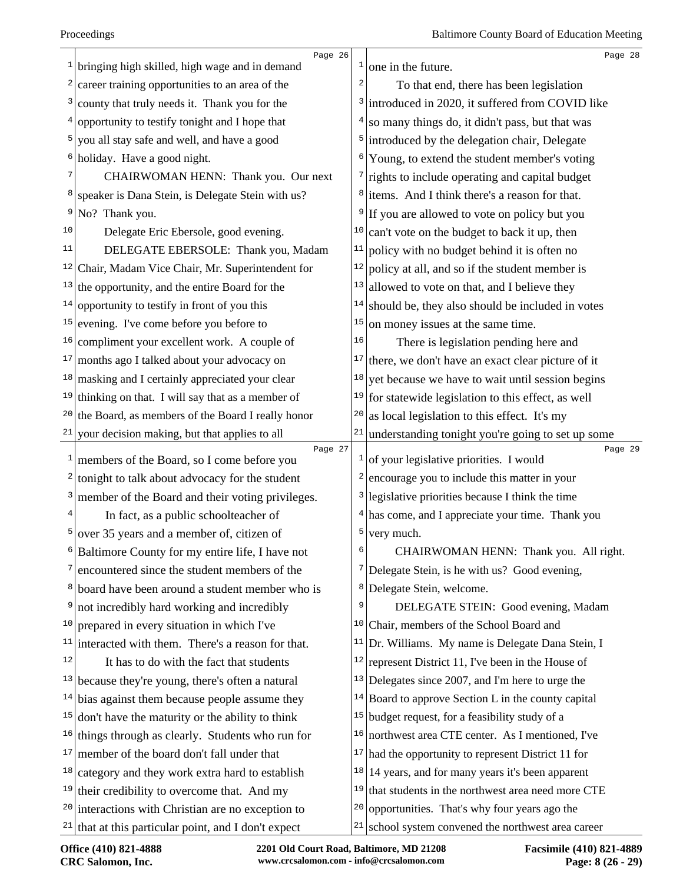|              | Page 26                                               |    | Page 28                                               |
|--------------|-------------------------------------------------------|----|-------------------------------------------------------|
| $\mathbf{1}$ | bringing high skilled, high wage and in demand        |    | one in the future.                                    |
| 2            | career training opportunities to an area of the       | 2  | To that end, there has been legislation               |
| 3            | county that truly needs it. Thank you for the         | 3  | introduced in 2020, it suffered from COVID like       |
| 4            | opportunity to testify tonight and I hope that        | 4  | so many things do, it didn't pass, but that was       |
| 5            | you all stay safe and well, and have a good           | 5  | introduced by the delegation chair, Delegate          |
| 6            | holiday. Have a good night.                           | 6  | Young, to extend the student member's voting          |
| 7            | CHAIRWOMAN HENN: Thank you. Our next                  | 7  | rights to include operating and capital budget        |
| 8            | speaker is Dana Stein, is Delegate Stein with us?     | 8  | items. And I think there's a reason for that.         |
| 9            | No? Thank you.                                        | 9  | If you are allowed to vote on policy but you          |
| 10           | Delegate Eric Ebersole, good evening.                 | 10 | can't vote on the budget to back it up, then          |
| 11           | DELEGATE EBERSOLE: Thank you, Madam                   | 11 | policy with no budget behind it is often no           |
| 12           | Chair, Madam Vice Chair, Mr. Superintendent for       | 12 | policy at all, and so if the student member is        |
| 13           | the opportunity, and the entire Board for the         | 13 | allowed to vote on that, and I believe they           |
| 14           | opportunity to testify in front of you this           | 14 | should be, they also should be included in votes      |
| 15           | evening. I've come before you before to               | 15 | on money issues at the same time.                     |
| 16           | compliment your excellent work. A couple of           | 16 | There is legislation pending here and                 |
| 17           | months ago I talked about your advocacy on            | 17 | there, we don't have an exact clear picture of it     |
|              | $18$ masking and I certainly appreciated your clear   | 18 | yet because we have to wait until session begins      |
|              | $19$ thinking on that. I will say that as a member of | 19 | for statewide legislation to this effect, as well     |
| 20           | the Board, as members of the Board I really honor     | 20 | as local legislation to this effect. It's my          |
| 21           | your decision making, but that applies to all         | 21 | understanding tonight you're going to set up some     |
| $\mathbf{1}$ | Page 27<br>members of the Board, so I come before you | 1  | Page 29<br>of your legislative priorities. I would    |
| 2            | tonight to talk about advocacy for the student        | 2  | encourage you to include this matter in your          |
| 3            | member of the Board and their voting privileges.      | 3  | legislative priorities because I think the time       |
| 4            | In fact, as a public schoolteacher of                 |    | $4$ has come, and I appreciate your time. Thank you   |
| 5            | over 35 years and a member of, citizen of             | 5  | very much.                                            |
|              | Baltimore County for my entire life, I have not       | р  | CHAIRWOMAN HENN: Thank you. All right.                |
| 7            | encountered since the student members of the          | 7  | Delegate Stein, is he with us? Good evening,          |
| 8            | board have been around a student member who is        | 8  | Delegate Stein, welcome.                              |
| 9            | not incredibly hard working and incredibly            | 9  | DELEGATE STEIN: Good evening, Madam                   |
| 10           | prepared in every situation in which I've             | 10 | Chair, members of the School Board and                |
| 11           | interacted with them. There's a reason for that.      | 11 | Dr. Williams. My name is Delegate Dana Stein, I       |
| 12           | It has to do with the fact that students              | 12 | represent District 11, I've been in the House of      |
| 13           | because they're young, there's often a natural        | 13 | Delegates since 2007, and I'm here to urge the        |
| 14           | bias against them because people assume they          |    | $14$ Board to approve Section L in the county capital |
| 15           | don't have the maturity or the ability to think       |    | $15$ budget request, for a feasibility study of a     |
| 16           | things through as clearly. Students who run for       | 16 | northwest area CTE center. As I mentioned, I've       |
| 17           | member of the board don't fall under that             | 17 | had the opportunity to represent District 11 for      |
| 18           | category and they work extra hard to establish        | 18 | 14 years, and for many years it's been apparent       |
| 19           | their credibility to overcome that. And my            | 19 | that students in the northwest area need more CTE     |
| 20           | interactions with Christian are no exception to       | 20 | opportunities. That's why four years ago the          |
| 21           | that at this particular point, and I don't expect     | 21 | school system convened the northwest area career      |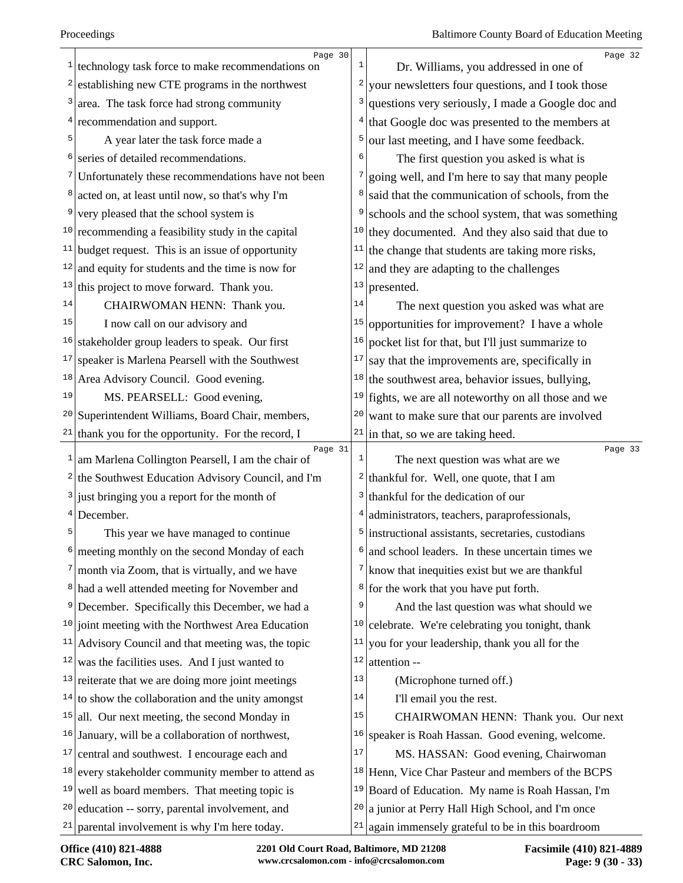|              | Page 30                                                                                                   |              | Page 32                                                          |
|--------------|-----------------------------------------------------------------------------------------------------------|--------------|------------------------------------------------------------------|
| 1            | technology task force to make recommendations on                                                          | 1            | Dr. Williams, you addressed in one of                            |
| 2            | establishing new CTE programs in the northwest                                                            | 2            | your newsletters four questions, and I took those                |
| 3            | area. The task force had strong community                                                                 | 3            | questions very seriously, I made a Google doc and                |
|              | recommendation and support.                                                                               | 4            | that Google doc was presented to the members at                  |
|              | A year later the task force made a                                                                        | 5            | our last meeting, and I have some feedback.                      |
| 6            | series of detailed recommendations.                                                                       | 6            | The first question you asked is what is                          |
| 7            | Unfortunately these recommendations have not been                                                         |              | going well, and I'm here to say that many people                 |
|              | acted on, at least until now, so that's why I'm                                                           | 8            | said that the communication of schools, from the                 |
| 9            | very pleased that the school system is                                                                    | 9            | schools and the school system, that was something                |
| 10           | recommending a feasibility study in the capital                                                           | 10           | they documented. And they also said that due to                  |
|              | $11$ budget request. This is an issue of opportunity                                                      | 11           | the change that students are taking more risks,                  |
| 12           | and equity for students and the time is now for                                                           | 12           | and they are adapting to the challenges                          |
|              | $13$ this project to move forward. Thank you.                                                             | 13           | presented.                                                       |
| 14           | CHAIRWOMAN HENN: Thank you.                                                                               | 14           | The next question you asked was what are                         |
| 15           | I now call on our advisory and                                                                            | 15           | opportunities for improvement? I have a whole                    |
| 16           | stakeholder group leaders to speak. Our first                                                             | 16           | pocket list for that, but I'll just summarize to                 |
| 17           | speaker is Marlena Pearsell with the Southwest                                                            | 17           | say that the improvements are, specifically in                   |
| 18           | Area Advisory Council. Good evening.                                                                      | 18           | the southwest area, behavior issues, bullying,                   |
| 19           | MS. PEARSELL: Good evening,                                                                               | 19           | fights, we are all noteworthy on all those and we                |
| 20           | Superintendent Williams, Board Chair, members,                                                            | 20           | want to make sure that our parents are involved                  |
|              | thank you for the opportunity. For the record, I                                                          | 21           | in that, so we are taking heed.                                  |
| 21           |                                                                                                           |              |                                                                  |
| $\mathbf{1}$ | Page 31                                                                                                   | $\mathbf{1}$ | Page 33                                                          |
|              | am Marlena Collington Pearsell, I am the chair of                                                         |              | The next question was what are we                                |
|              | $2$ the Southwest Education Advisory Council, and I'm                                                     | 3            | <sup>2</sup> thankful for. Well, one quote, that I am            |
| 4            | just bringing you a report for the month of                                                               | 4            | thankful for the dedication of our                               |
| 5            | December.                                                                                                 | 5            | administrators, teachers, paraprofessionals,                     |
|              | This year we have managed to continue                                                                     | 6            | instructional assistants, secretaries, custodians                |
|              | meeting monthly on the second Monday of each                                                              |              | and school leaders. In these uncertain times we                  |
|              | $\frac{7}{2}$ month via Zoom, that is virtually, and we have                                              |              | $7$ know that inequities exist but we are thankful               |
| 9            | <sup>8</sup> had a well attended meeting for November and                                                 | 9            | $\frac{8}{10}$ for the work that you have put forth.             |
| 10           | December. Specifically this December, we had a                                                            | 10           | And the last question was what should we                         |
| 11           | joint meeting with the Northwest Area Education                                                           | 11           | celebrate. We're celebrating you tonight, thank                  |
| 12           | Advisory Council and that meeting was, the topic                                                          | 12           | you for your leadership, thank you all for the<br>attention --   |
| 13           | was the facilities uses. And I just wanted to<br>reiterate that we are doing more joint meetings          | 13           |                                                                  |
|              |                                                                                                           | 14           | (Microphone turned off.)                                         |
|              | $14$ to show the collaboration and the unity amongst<br>$15$  all. Our next meeting, the second Monday in | 15           | I'll email you the rest.<br>CHAIRWOMAN HENN: Thank you. Our next |
| 16           | January, will be a collaboration of northwest,                                                            | 16           | speaker is Roah Hassan. Good evening, welcome.                   |
| 17           | central and southwest. I encourage each and                                                               | $17\,$       | MS. HASSAN: Good evening, Chairwoman                             |
| 18           | every stakeholder community member to attend as                                                           | 18           | Henn, Vice Char Pasteur and members of the BCPS                  |
| 19           | well as board members. That meeting topic is                                                              | 19           | Board of Education. My name is Roah Hassan, I'm                  |
| 20           | education -- sorry, parental involvement, and                                                             | 20           | a junior at Perry Hall High School, and I'm once                 |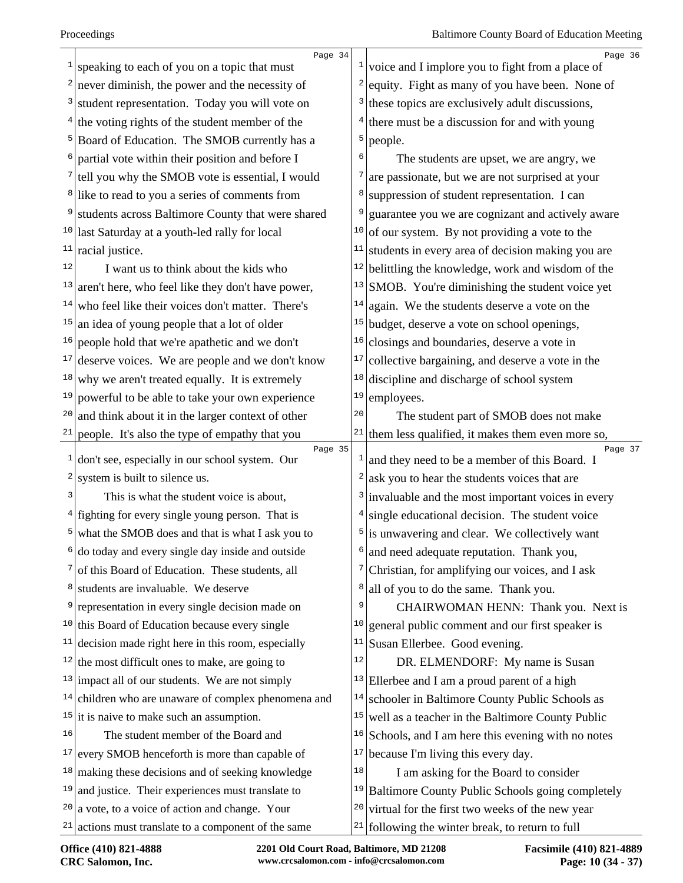| $\mathbf{1}$ | Page 34<br>speaking to each of you on a topic that must    | $\mathbf{1}$   | Page 36<br>voice and I implore you to fight from a place of    |
|--------------|------------------------------------------------------------|----------------|----------------------------------------------------------------|
| 2            | never diminish, the power and the necessity of             | 2              | equity. Fight as many of you have been. None of                |
| 3            | student representation. Today you will vote on             | 3              | these topics are exclusively adult discussions,                |
| 4            | the voting rights of the student member of the             | 4              | there must be a discussion for and with young                  |
| 5            | Board of Education. The SMOB currently has a               | 5              | people.                                                        |
| 6            | partial vote within their position and before I            | 6              | The students are upset, we are angry, we                       |
| 7            | tell you why the SMOB vote is essential, I would           | 7              | are passionate, but we are not surprised at your               |
| 8            | like to read to you a series of comments from              | 8              | suppression of student representation. I can                   |
| 9            | students across Baltimore County that were shared          | 9              | guarantee you we are cognizant and actively aware              |
|              | <sup>10</sup> last Saturday at a youth-led rally for local | 10             | of our system. By not providing a vote to the                  |
| 11           | racial justice.                                            | 11             | students in every area of decision making you are              |
| 12           | I want us to think about the kids who                      | 12             | belittling the knowledge, work and wisdom of the               |
| 13           | aren't here, who feel like they don't have power,          |                | $13$ SMOB. You're diminishing the student voice yet            |
| 14           | who feel like their voices don't matter. There's           | 14             | again. We the students deserve a vote on the                   |
| 15           | an idea of young people that a lot of older                |                | $15$ budget, deserve a vote on school openings,                |
| 16           | people hold that we're apathetic and we don't              | 16             | closings and boundaries, deserve a vote in                     |
| 17           | deserve voices. We are people and we don't know            | 17             | collective bargaining, and deserve a vote in the               |
| 18           | why we aren't treated equally. It is extremely             | 18             | discipline and discharge of school system                      |
| 19           | powerful to be able to take your own experience            | 19             | employees.                                                     |
| 20           | and think about it in the larger context of other          | 20             | The student part of SMOB does not make                         |
| 21           | people. It's also the type of empathy that you             |                | <sup>21</sup> them less qualified, it makes them even more so, |
| $\mathbf{1}$ | Page 35<br>don't see, especially in our school system. Our |                | Page 37<br>$1$ and they need to be a member of this Board. I   |
| 2            | system is built to silence us.                             | 2              | ask you to hear the students voices that are                   |
| 3            | This is what the student voice is about,                   |                | $3$ invaluable and the most important voices in every          |
| 4            | fighting for every single young person. That is            | 4              | single educational decision. The student voice                 |
| 5            | what the SMOB does and that is what I ask you to           | 5 <sup>1</sup> | is unwavering and clear. We collectively want                  |
| 6            | do today and every single day inside and outside           |                | and need adequate reputation. Thank you,                       |
| 7            | of this Board of Education. These students, all            |                | $\frac{7}{7}$ Christian, for amplifying our voices, and I ask  |
| 8            | students are invaluable. We deserve                        | 8              | all of you to do the same. Thank you.                          |
| 9            | representation in every single decision made on            | 9              | CHAIRWOMAN HENN: Thank you. Next is                            |
|              | $10$ this Board of Education because every single          | 10             | general public comment and our first speaker is                |
| 11           | decision made right here in this room, especially          | 11             | Susan Ellerbee. Good evening.                                  |
|              | $12$ the most difficult ones to make, are going to         | 12             | DR. ELMENDORF: My name is Susan                                |
|              | $13$ impact all of our students. We are not simply         | 13             | Ellerbee and I am a proud parent of a high                     |
|              | $14$ children who are unaware of complex phenomena and     | 14             | schooler in Baltimore County Public Schools as                 |
|              | $15$ it is naive to make such an assumption.               | 15             | well as a teacher in the Baltimore County Public               |
| 16           | The student member of the Board and                        | 16             | Schools, and I am here this evening with no notes              |
| 17           | every SMOB henceforth is more than capable of              | 17             | because I'm living this every day.                             |
| 18           | making these decisions and of seeking knowledge            | 18             | I am asking for the Board to consider                          |
| 19           | and justice. Their experiences must translate to           |                | <sup>19</sup> Baltimore County Public Schools going completely |
| 20           | a vote, to a voice of action and change. Your              |                | $20$ virtual for the first two weeks of the new year           |
|              | $21$ actions must translate to a component of the same     |                | $21$ following the winter break, to return to full             |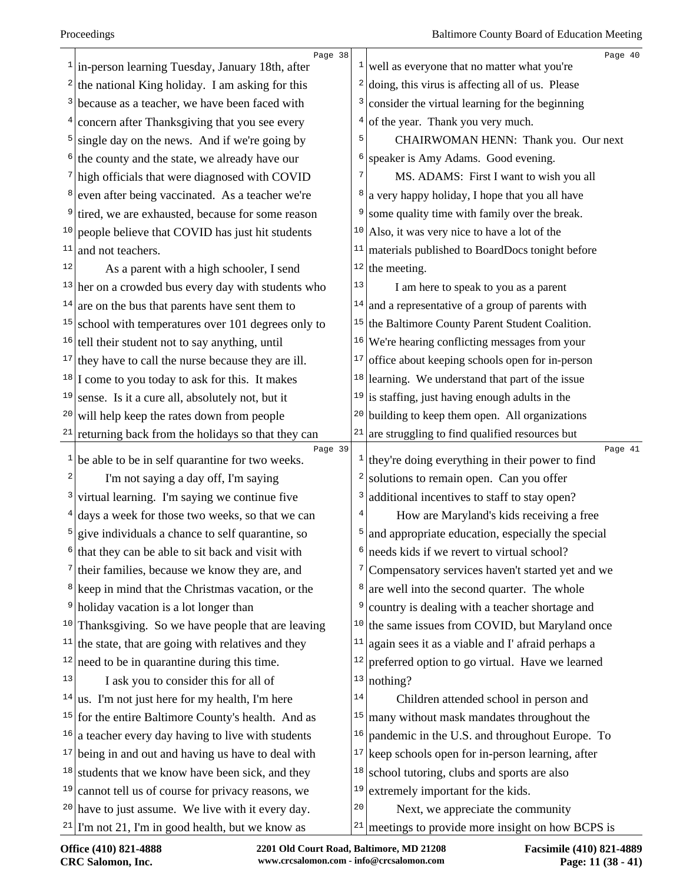|              | Page 38                                                        |           | Page 40                                                                  |
|--------------|----------------------------------------------------------------|-----------|--------------------------------------------------------------------------|
|              | $1$  in-person learning Tuesday, January 18th, after           |           | $\frac{1}{x}$ well as everyone that no matter what you're                |
|              | <sup>2</sup> the national King holiday. I am asking for this   |           | $2   \text{doing, this virus is affecting all of us. Please}$            |
|              | $3$ because as a teacher, we have been faced with              | $\vert$ 3 | consider the virtual learning for the beginning                          |
|              | <sup>4</sup> concern after Thanksgiving that you see every     |           | $4$ of the year. Thank you very much.                                    |
|              | $5$ single day on the news. And if we're going by              | 5         | CHAIRWOMAN HENN: Thank you. Our next                                     |
|              | $\frac{1}{2}$ the county and the state, we already have our    | 6         | speaker is Amy Adams. Good evening.                                      |
|              | $7$ high officials that were diagnosed with COVID              | 7         | MS. ADAMS: First I want to wish you all                                  |
|              | <sup>8</sup> even after being vaccinated. As a teacher we're   |           | <sup>8</sup> a very happy holiday, I hope that you all have              |
| 9            | tired, we are exhausted, because for some reason               | 9         | some quality time with family over the break.                            |
|              | $10$ people believe that COVID has just hit students           |           | <sup>10</sup> Also, it was very nice to have a lot of the                |
| 11           | and not teachers.                                              | 11        | materials published to BoardDocs tonight before                          |
| 12           | As a parent with a high schooler, I send                       |           | $12$ the meeting.                                                        |
|              | $13$ her on a crowded bus every day with students who          | 13        | I am here to speak to you as a parent                                    |
|              | $14$ are on the bus that parents have sent them to             |           | $14$ and a representative of a group of parents with                     |
|              | $15$ school with temperatures over 101 degrees only to         |           | <sup>15</sup> the Baltimore County Parent Student Coalition.             |
|              | $16$ tell their student not to say anything, until             |           | $16$ We're hearing conflicting messages from your                        |
|              | $17$ they have to call the nurse because they are ill.         |           | $17$ office about keeping schools open for in-person                     |
|              | $18$ I come to you today to ask for this. It makes             |           | $18$ learning. We understand that part of the issue                      |
|              | $19$ sense. Is it a cure all, absolutely not, but it           |           | $19$ is staffing, just having enough adults in the                       |
| 20           | will help keep the rates down from people                      |           | $20$ building to keep them open. All organizations                       |
|              | $21$ returning back from the holidays so that they can         | 21        | are struggling to find qualified resources but                           |
| $\mathbf{1}$ | Page 39<br>be able to be in self quarantine for two weeks.     |           | Page 41<br>$\frac{1}{1}$ they're doing everything in their power to find |
| 2            | I'm not saying a day off, I'm saying                           | 2         | solutions to remain open. Can you offer                                  |
|              |                                                                | 3         | additional incentives to staff to stay open?                             |
|              | $3$ virtual learning. I'm saying we continue five              |           |                                                                          |
|              | $4$ days a week for those two weeks, so that we can            |           | How are Maryland's kids receiving a free                                 |
| 6            | $\frac{5}{2}$ give individuals a chance to self quarantine, so |           | $\frac{1}{2}$ and appropriate education, especially the special          |
|              | that they can be able to sit back and visit with               |           | $\frac{1}{2}$ needs kids if we revert to virtual school?                 |
|              | $\frac{7}{1}$ their families, because we know they are, and    |           | <sup>7</sup> Compensatory services haven't started yet and we            |
|              | <sup>8</sup> keep in mind that the Christmas vacation, or the  | 8         | are well into the second quarter. The whole                              |
|              | <sup>9</sup> holiday vacation is a lot longer than             | 9         | country is dealing with a teacher shortage and                           |
|              | $10$ Thanksgiving. So we have people that are leaving          | 10        | the same issues from COVID, but Maryland once                            |
|              | $11$ the state, that are going with relatives and they         | 11        | again sees it as a viable and I' afraid perhaps a                        |
|              | $12$ need to be in quarantine during this time.                | $12\,$    | preferred option to go virtual. Have we learned                          |
| 13           | I ask you to consider this for all of                          | 13        | nothing?                                                                 |
|              | $14$ us. I'm not just here for my health, I'm here             | 14        | Children attended school in person and                                   |
|              | $15$ for the entire Baltimore County's health. And as          | 15        | many without mask mandates throughout the                                |
|              | $16$ a teacher every day having to live with students          | 16        | pandemic in the U.S. and throughout Europe. To                           |
|              | $17$ being in and out and having us have to deal with          |           | $17$ keep schools open for in-person learning, after                     |
|              | $18$ students that we know have been sick, and they            | 18        | school tutoring, clubs and sports are also                               |
|              | $19$ cannot tell us of course for privacy reasons, we          | 19        | extremely important for the kids.                                        |
|              | $20$ have to just assume. We live with it every day.           | 20        | Next, we appreciate the community                                        |
|              | $21$ I'm not 21, I'm in good health, but we know as            |           | $21$ meetings to provide more insight on how BCPS is                     |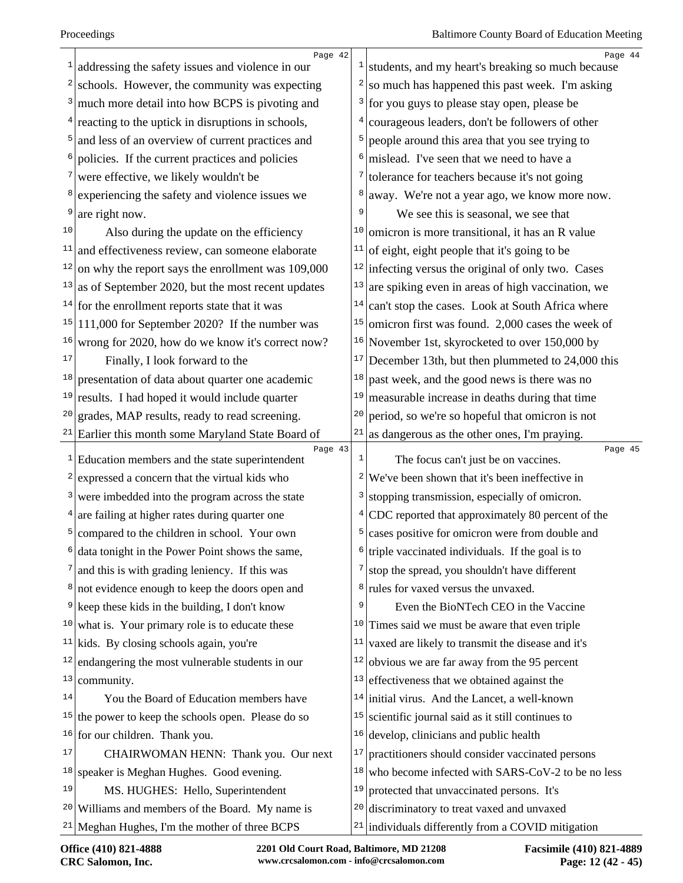| 1            | Page 42<br>addressing the safety issues and violence in our |               | Page 44<br>$\frac{1}{1}$ students, and my heart's breaking so much because |
|--------------|-------------------------------------------------------------|---------------|----------------------------------------------------------------------------|
| 2            | schools. However, the community was expecting               |               | so much has happened this past week. I'm asking                            |
| 3            | much more detail into how BCPS is pivoting and              | $\frac{3}{ }$ | for you guys to please stay open, please be                                |
|              | reacting to the uptick in disruptions in schools,           | 4             | courageous leaders, don't be followers of other                            |
| 5            | and less of an overview of current practices and            |               | people around this area that you see trying to                             |
| 6            | policies. If the current practices and policies             | 6             | mislead. I've seen that we need to have a                                  |
| 7            | were effective, we likely wouldn't be                       |               | $\frac{7}{1}$ tolerance for teachers because it's not going                |
| 8            | experiencing the safety and violence issues we              | 8             | away. We're not a year ago, we know more now.                              |
| 9            | are right now.                                              | 9             | We see this is seasonal, we see that                                       |
| 10           | Also during the update on the efficiency                    | 10            | omicron is more transitional, it has an R value                            |
| 11           | and effectiveness review, can someone elaborate             | 11            | of eight, eight people that it's going to be                               |
| 12           | on why the report says the enrollment was 109,000           |               | $12$ infecting versus the original of only two. Cases                      |
| 13           | as of September 2020, but the most recent updates           | 13            | are spiking even in areas of high vaccination, we                          |
|              | $14$ for the enrollment reports state that it was           | 14            | can't stop the cases. Look at South Africa where                           |
|              | $15$  111,000 for September 2020? If the number was         | 15            | omicron first was found. 2,000 cases the week of                           |
| 16           | wrong for 2020, how do we know it's correct now?            |               | $16$ November 1st, skyrocketed to over 150,000 by                          |
| 17           | Finally, I look forward to the                              | 17            | December 13th, but then plummeted to 24,000 this                           |
| 18           | presentation of data about quarter one academic             | 18            | past week, and the good news is there was no                               |
| 19           | results. I had hoped it would include quarter               | 19            | measurable increase in deaths during that time                             |
| 20           | grades, MAP results, ready to read screening.               | 20            | period, so we're so hopeful that omicron is not                            |
|              | $21$ Earlier this month some Maryland State Board of        | 21            | as dangerous as the other ones, I'm praying.                               |
| $\mathbf{1}$ | Page 43<br>Education members and the state superintendent   | 1             | Page 45<br>The focus can't just be on vaccines.                            |
| 2            | expressed a concern that the virtual kids who               |               | $2$ We've been shown that it's been ineffective in                         |
| 3            | were imbedded into the program across the state             | 3             | stopping transmission, especially of omicron.                              |
| 4            | are failing at higher rates during quarter one              |               | $4$ CDC reported that approximately 80 percent of the                      |
| 5            | compared to the children in school. Your own                | 5             | cases positive for omicron were from double and                            |
| б            | data tonight in the Power Point shows the same,             |               | $\frac{1}{2}$ (triple vaccinated individuals. If the goal is to            |
| 7            | and this is with grading leniency. If this was              | 7             | stop the spread, you shouldn't have different                              |
| 8            | not evidence enough to keep the doors open and              | 8             | rules for vaxed versus the unvaxed.                                        |
| 9            | keep these kids in the building, I don't know               | 9             | Even the BioNTech CEO in the Vaccine                                       |
| 10           | what is. Your primary role is to educate these              | 10            | Times said we must be aware that even triple                               |
| 11           | kids. By closing schools again, you're                      | 11            | vaxed are likely to transmit the disease and it's                          |
| 12           | endangering the most vulnerable students in our             | 12            | obvious we are far away from the 95 percent                                |
| 13           | community.                                                  | 13            | effectiveness that we obtained against the                                 |
| 14           | You the Board of Education members have                     |               | $14$ initial virus. And the Lancet, a well-known                           |
|              | $15$ the power to keep the schools open. Please do so       | 15            | scientific journal said as it still continues to                           |
| 16           | for our children. Thank you.                                | 16            | develop, clinicians and public health                                      |
| 17           | CHAIRWOMAN HENN: Thank you. Our next                        | 17            | practitioners should consider vaccinated persons                           |
| 18           | speaker is Meghan Hughes. Good evening.                     | 18            | who become infected with SARS-CoV-2 to be no less                          |
| 19           | MS. HUGHES: Hello, Superintendent                           | 19            | protected that unvaccinated persons. It's                                  |
| 20           | Williams and members of the Board. My name is               | 20            | discriminatory to treat vaxed and unvaxed                                  |
|              | $21$ Meghan Hughes, I'm the mother of three BCPS            |               | $21$ individuals differently from a COVID mitigation                       |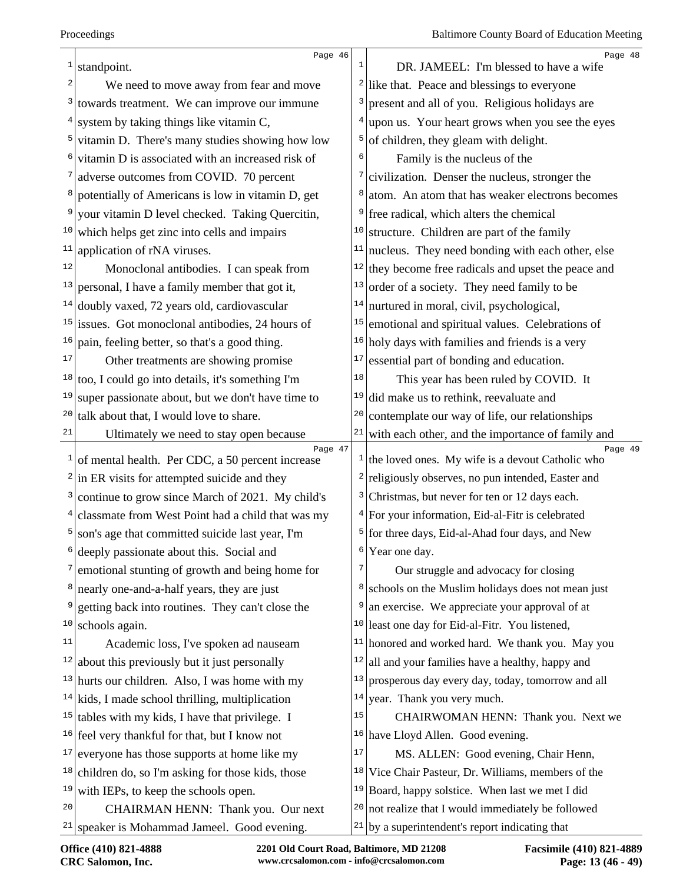| 1                       | Page 46                                                       |                | Page 48<br>DR. JAMEEL: I'm blessed to have a wife                           |
|-------------------------|---------------------------------------------------------------|----------------|-----------------------------------------------------------------------------|
| $\overline{\mathbf{c}}$ | standpoint.                                                   |                |                                                                             |
|                         | We need to move away from fear and move                       |                | $2$ like that. Peace and blessings to everyone                              |
| $\frac{3}{2}$           | towards treatment. We can improve our immune                  | 3              | present and all of you. Religious holidays are                              |
| 4                       | system by taking things like vitamin C,                       | $\overline{4}$ | upon us. Your heart grows when you see the eyes                             |
| 5 <sup>1</sup>          | vitamin D. There's many studies showing how low               | 5              | of children, they gleam with delight.                                       |
|                         | vitamin D is associated with an increased risk of             | 6              | Family is the nucleus of the                                                |
|                         | adverse outcomes from COVID. 70 percent                       | 7              | civilization. Denser the nucleus, stronger the                              |
| 8                       | potentially of Americans is low in vitamin D, get             |                | atom. An atom that has weaker electrons becomes                             |
| 9                       | your vitamin D level checked. Taking Quercitin,               |                | free radical, which alters the chemical                                     |
| 10                      | which helps get zinc into cells and impairs                   |                | $10$ structure. Children are part of the family                             |
| 11                      | application of rNA viruses.                                   | 11             | nucleus. They need bonding with each other, else                            |
| 12                      | Monoclonal antibodies. I can speak from                       |                | $12$ they become free radicals and upset the peace and                      |
| 13                      | personal, I have a family member that got it,                 | 13             | order of a society. They need family to be                                  |
| 14                      | doubly vaxed, 72 years old, cardiovascular                    | 14             | nurtured in moral, civil, psychological,                                    |
| 15                      | issues. Got monoclonal antibodies, 24 hours of                | 15             | emotional and spiritual values. Celebrations of                             |
| 16                      | pain, feeling better, so that's a good thing.                 |                | $16$ holy days with families and friends is a very                          |
| 17                      | Other treatments are showing promise                          | 17             | essential part of bonding and education.                                    |
| 18                      | too, I could go into details, it's something I'm              | 18             | This year has been ruled by COVID. It                                       |
| 19                      | super passionate about, but we don't have time to             | 19             | did make us to rethink, reevaluate and                                      |
| 20                      | talk about that, I would love to share.                       | 20             | contemplate our way of life, our relationships                              |
| 21                      | Ultimately we need to stay open because                       | 21             | with each other, and the importance of family and                           |
|                         | Page 47<br>of mental health. Per CDC, a 50 percent increase   |                | Page 49<br>$\frac{1}{\pi}$ the loved ones. My wife is a devout Catholic who |
|                         | $2 \sin$ ER visits for attempted suicide and they             |                | $2$ religiously observes, no pun intended, Easter and                       |
|                         | <sup>3</sup> continue to grow since March of 2021. My child's |                | <sup>3</sup> Christmas, but never for ten or 12 days each.                  |
|                         | $4 $ classmate from West Point had a child that was my        |                | <sup>4</sup> For your information, Eid-al-Fitr is celebrated                |
| 5                       | son's age that committed suicide last year, I'm               |                | <sup>5</sup> for three days, Eid-al-Ahad four days, and New                 |
|                         | deeply passionate about this. Social and                      | 6              | Year one day.                                                               |
|                         | emotional stunting of growth and being home for               | 7              | Our struggle and advocacy for closing                                       |
| 8                       | nearly one-and-a-half years, they are just                    |                | <sup>8</sup> schools on the Muslim holidays does not mean just              |
| 9                       | getting back into routines. They can't close the              | 9              | an exercise. We appreciate your approval of at                              |
| 10                      | schools again.                                                | 10             | least one day for Eid-al-Fitr. You listened,                                |
| 11                      | Academic loss, I've spoken ad nauseam                         | 11             | honored and worked hard. We thank you. May you                              |
| 12                      | about this previously but it just personally                  | 12             | all and your families have a healthy, happy and                             |
|                         | $13$ hurts our children. Also, I was home with my             | 13             | prosperous day every day, today, tomorrow and all                           |
| 14                      | kids, I made school thrilling, multiplication                 |                | $14$ year. Thank you very much.                                             |
| 15                      | tables with my kids, I have that privilege. I                 | 15             | CHAIRWOMAN HENN: Thank you. Next we                                         |
| 16                      | feel very thankful for that, but I know not                   |                | <sup>16</sup> have Lloyd Allen. Good evening.                               |
| 17                      | everyone has those supports at home like my                   | 17             | MS. ALLEN: Good evening, Chair Henn,                                        |
| 18                      | children do, so I'm asking for those kids, those              |                | <sup>18</sup> Vice Chair Pasteur, Dr. Williams, members of the              |
| 19                      | with IEPs, to keep the schools open.                          |                | $19$ Board, happy solstice. When last we met I did                          |
| 20                      | CHAIRMAN HENN: Thank you. Our next                            |                | $20$ not realize that I would immediately be followed                       |
| 21                      | speaker is Mohammad Jameel. Good evening.                     |                | $21$ by a superintendent's report indicating that                           |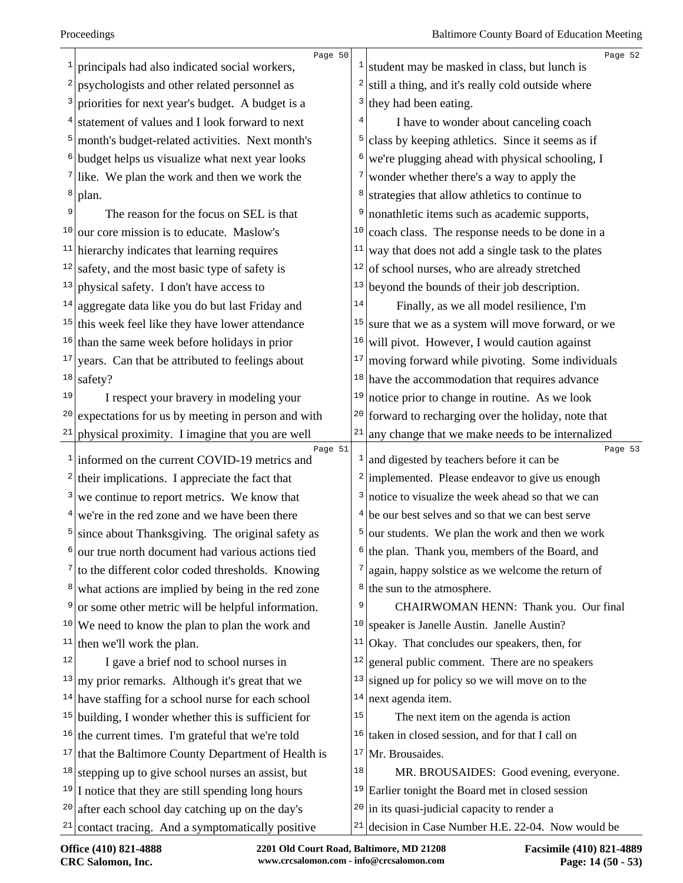| 1                       | Page 50<br>principals had also indicated social workers,       | $\frac{1}{2}$ | Page 52<br>student may be masked in class, but lunch is            |
|-------------------------|----------------------------------------------------------------|---------------|--------------------------------------------------------------------|
| 2                       | psychologists and other related personnel as                   | 2             | still a thing, and it's really cold outside where                  |
|                         | priorities for next year's budget. A budget is a               | 3             | they had been eating.                                              |
|                         | statement of values and I look forward to next                 |               | I have to wonder about canceling coach                             |
| 5                       | month's budget-related activities. Next month's                | 5             | class by keeping athletics. Since it seems as if                   |
| 6                       | budget helps us visualize what next year looks                 | 6             | we're plugging ahead with physical schooling, I                    |
|                         | like. We plan the work and then we work the                    | 7             | wonder whether there's a way to apply the                          |
| 8                       | plan.                                                          | 8             | strategies that allow athletics to continue to                     |
| 9                       | The reason for the focus on SEL is that                        | 9             | nonathletic items such as academic supports,                       |
| 10                      | our core mission is to educate. Maslow's                       | 10            | coach class. The response needs to be done in a                    |
|                         | $11$ hierarchy indicates that learning requires                | 11            | way that does not add a single task to the plates                  |
|                         | $12$ safety, and the most basic type of safety is              | 12            | of school nurses, who are already stretched                        |
| 13                      | physical safety. I don't have access to                        | 13            | beyond the bounds of their job description.                        |
|                         | $14$ aggregate data like you do but last Friday and            | 14            | Finally, as we all model resilience, I'm                           |
|                         | $15$ this week feel like they have lower attendance            | 15            | sure that we as a system will move forward, or we                  |
|                         | $16$ than the same week before holidays in prior               | 16            | will pivot. However, I would caution against                       |
| 17                      | years. Can that be attributed to feelings about                | 17            | moving forward while pivoting. Some individuals                    |
| 18                      | safety?                                                        |               | $18$ have the accommodation that requires advance                  |
| 19                      | I respect your bravery in modeling your                        | 19            | notice prior to change in routine. As we look                      |
| 20                      | expectations for us by meeting in person and with              |               | $20$ forward to recharging over the holiday, note that             |
| 21                      | physical proximity. I imagine that you are well                | 21            | any change that we make needs to be internalized                   |
|                         | Page 51<br>$1$ informed on the current COVID-19 metrics and    |               | Page 53<br>$\frac{1}{2}$ and digested by teachers before it can be |
| $\overline{\mathbf{c}}$ | their implications. I appreciate the fact that                 |               | $2$ implemented. Please endeavor to give us enough                 |
|                         | we continue to report metrics. We know that                    | 3             | notice to visualize the week ahead so that we can                  |
|                         | we're in the red zone and we have been there                   | 4             | be our best selves and so that we can best serve                   |
|                         | since about Thanksgiving. The original safety as               | 5             | our students. We plan the work and then we work                    |
| 6                       | our true north document had various actions tied               |               | $6$ the plan. Thank you, members of the Board, and                 |
|                         | $\frac{7}{1}$ to the different color coded thresholds. Knowing | 7             | again, happy solstice as we welcome the return of                  |
| 8                       | what actions are implied by being in the red zone              | 8             | the sun to the atmosphere.                                         |
| 9                       | or some other metric will be helpful information.              | 9             | CHAIRWOMAN HENN: Thank you. Our final                              |
| 10                      | We need to know the plan to plan the work and                  | 10            | speaker is Janelle Austin. Janelle Austin?                         |
|                         | $11$ then we'll work the plan.                                 | $11\,$        | Okay. That concludes our speakers, then, for                       |
| 12                      | I gave a brief nod to school nurses in                         | 12            | general public comment. There are no speakers                      |
| 13                      | my prior remarks. Although it's great that we                  | 13            | signed up for policy so we will move on to the                     |
|                         | $14$ have staffing for a school nurse for each school          | 14            | next agenda item.                                                  |
|                         | $15$ building, I wonder whether this is sufficient for         | 15            | The next item on the agenda is action                              |
|                         | $16$ the current times. I'm grateful that we're told           | 16            | taken in closed session, and for that I call on                    |
|                         | $17$ that the Baltimore County Department of Health is         | 17            | Mr. Brousaides.                                                    |
|                         | $18$ stepping up to give school nurses an assist, but          | 18            | MR. BROUSAIDES: Good evening, everyone.                            |
|                         | $19$ I notice that they are still spending long hours          |               | $19$ Earlier tonight the Board met in closed session               |
|                         | $20$ after each school day catching up on the day's            |               | $20$ in its quasi-judicial capacity to render a                    |
| 21                      | contact tracing. And a symptomatically positive                | 21            | decision in Case Number H.E. 22-04. Now would be                   |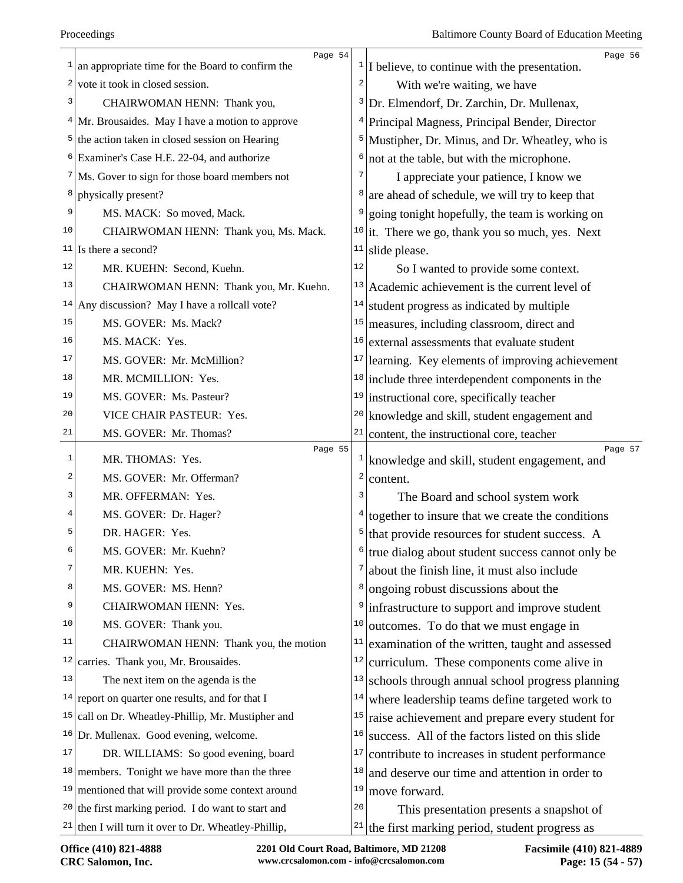|    | Page 54                                                                                                    |                         | Page 56                                                                                   |
|----|------------------------------------------------------------------------------------------------------------|-------------------------|-------------------------------------------------------------------------------------------|
| 1  | an appropriate time for the Board to confirm the                                                           |                         | $\frac{1}{1}$ believe, to continue with the presentation.                                 |
|    | $2$ vote it took in closed session.                                                                        | $\overline{\mathbf{c}}$ | With we're waiting, we have                                                               |
| 3  | CHAIRWOMAN HENN: Thank you,                                                                                | 3                       | Dr. Elmendorf, Dr. Zarchin, Dr. Mullenax,                                                 |
|    | $4$ Mr. Brousaides. May I have a motion to approve                                                         | 4                       | Principal Magness, Principal Bender, Director                                             |
|    | $5$ the action taken in closed session on Hearing                                                          |                         | <sup>5</sup> Mustipher, Dr. Minus, and Dr. Wheatley, who is                               |
|    | <sup>6</sup> Examiner's Case H.E. 22-04, and authorize                                                     | 6                       | not at the table, but with the microphone.                                                |
|    | $7$ Ms. Gover to sign for those board members not                                                          | 7                       | I appreciate your patience, I know we                                                     |
| 8  | physically present?                                                                                        | 8                       | are ahead of schedule, we will try to keep that                                           |
| 9  | MS. MACK: So moved, Mack.                                                                                  | 9                       | going tonight hopefully, the team is working on                                           |
| 10 | CHAIRWOMAN HENN: Thank you, Ms. Mack.                                                                      |                         | $10$ it. There we go, thank you so much, yes. Next                                        |
| 11 | Is there a second?                                                                                         | 11                      | slide please.                                                                             |
| 12 | MR. KUEHN: Second, Kuehn.                                                                                  | $1\,2$                  | So I wanted to provide some context.                                                      |
| 13 | CHAIRWOMAN HENN: Thank you, Mr. Kuehn.                                                                     |                         | $13$ Academic achievement is the current level of                                         |
|    | $14$ Any discussion? May I have a rollcall vote?                                                           | 14                      | student progress as indicated by multiple                                                 |
| 15 | MS. GOVER: Ms. Mack?                                                                                       |                         | $15$ measures, including classroom, direct and                                            |
| 16 | MS. MACK: Yes.                                                                                             | 16                      | external assessments that evaluate student                                                |
| 17 | MS. GOVER: Mr. McMillion?                                                                                  | 17                      | learning. Key elements of improving achievement                                           |
| 18 | MR. MCMILLION: Yes.                                                                                        |                         | $18$ include three interdependent components in the                                       |
| 19 | MS. GOVER: Ms. Pasteur?                                                                                    |                         | $19$ instructional core, specifically teacher                                             |
| 20 | VICE CHAIR PASTEUR: Yes.                                                                                   | 20                      | knowledge and skill, student engagement and                                               |
| 21 | MS. GOVER: Mr. Thomas?                                                                                     |                         | $21$ content, the instructional core, teacher                                             |
|    |                                                                                                            |                         |                                                                                           |
|    | Page 55                                                                                                    |                         | Page 57                                                                                   |
| 1  | MR. THOMAS: Yes.                                                                                           |                         | $\frac{1}{2}$ knowledge and skill, student engagement, and                                |
| 2  | MS. GOVER: Mr. Offerman?                                                                                   | $\overline{\mathbf{c}}$ | content.                                                                                  |
| 3  | MR. OFFERMAN: Yes.                                                                                         | 3                       | The Board and school system work                                                          |
| 4  | MS. GOVER: Dr. Hager?                                                                                      | 4                       | together to insure that we create the conditions                                          |
| 5  | DR. HAGER: Yes.                                                                                            |                         | $5$ that provide resources for student success. A                                         |
| 6  | MS. GOVER: Mr. Kuehn?                                                                                      | б.                      | true dialog about student success cannot only be                                          |
| 7  | MR. KUEHN: Yes.                                                                                            | 7                       | about the finish line, it must also include                                               |
| 8  | MS. GOVER: MS. Henn?                                                                                       | 8                       | ongoing robust discussions about the                                                      |
| 9  | CHAIRWOMAN HENN: Yes.                                                                                      | 9                       | infrastructure to support and improve student                                             |
| 10 | MS. GOVER: Thank you.                                                                                      | 10                      | outcomes. To do that we must engage in                                                    |
| 11 | CHAIRWOMAN HENN: Thank you, the motion                                                                     | 11                      | examination of the written, taught and assessed                                           |
| 12 | carries. Thank you, Mr. Brousaides.                                                                        | 12                      | curriculum. These components come alive in                                                |
| 13 | The next item on the agenda is the                                                                         | 13                      | schools through annual school progress planning                                           |
| 14 | report on quarter one results, and for that I                                                              | 14                      | where leadership teams define targeted work to                                            |
| 15 | call on Dr. Wheatley-Phillip, Mr. Mustipher and                                                            | 15                      | raise achievement and prepare every student for                                           |
|    | <sup>16</sup> Dr. Mullenax. Good evening, welcome.                                                         | 16                      | success. All of the factors listed on this slide                                          |
| 17 | DR. WILLIAMS: So good evening, board                                                                       | 17                      | contribute to increases in student performance                                            |
| 18 | members. Tonight we have more than the three                                                               | 18                      | and deserve our time and attention in order to                                            |
| 19 | mentioned that will provide some context around                                                            | 19                      | move forward.                                                                             |
| 20 | the first marking period. I do want to start and<br>$21$ then I will turn it over to Dr. Wheatley-Phillip, | 20<br>21                | This presentation presents a snapshot of<br>the first marking period, student progress as |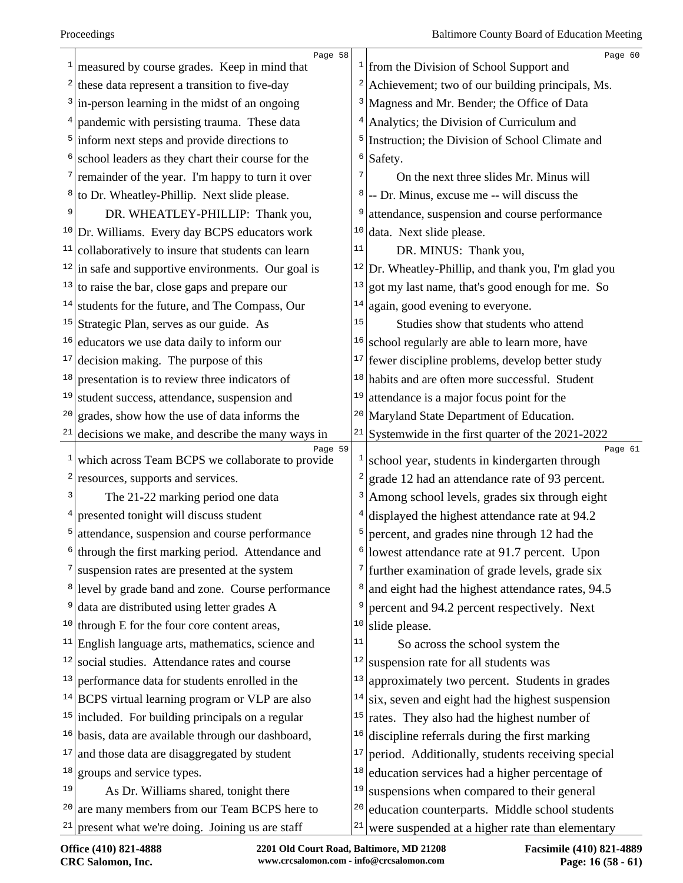|    | Page 58                                                               |          | Page 60                                                  |
|----|-----------------------------------------------------------------------|----------|----------------------------------------------------------|
|    | measured by course grades. Keep in mind that                          |          | $\frac{1}{2}$ from the Division of School Support and    |
| 2  | these data represent a transition to five-day                         | 2        | Achievement; two of our building principals, Ms.         |
| 3  | in-person learning in the midst of an ongoing                         |          | <sup>3</sup> Magness and Mr. Bender; the Office of Data  |
|    | pandemic with persisting trauma. These data                           | 4        | Analytics; the Division of Curriculum and                |
| 5  | inform next steps and provide directions to                           | 5        | Instruction; the Division of School Climate and          |
|    | school leaders as they chart their course for the                     | $6 \mid$ | Safety.                                                  |
|    | remainder of the year. I'm happy to turn it over                      | 7        | On the next three slides Mr. Minus will                  |
| 8  | to Dr. Wheatley-Phillip. Next slide please.                           | 8        | -- Dr. Minus, excuse me -- will discuss the              |
| 9  | DR. WHEATLEY-PHILLIP: Thank you,                                      | 9        | attendance, suspension and course performance            |
|    | <sup>10</sup> Dr. Williams. Every day BCPS educators work             | 10       | data. Next slide please.                                 |
| 11 | collaboratively to insure that students can learn                     | 11       | DR. MINUS: Thank you,                                    |
|    | $\frac{12}{\ln \text{safe}}$ and supportive environments. Our goal is | 12       | Dr. Wheatley-Phillip, and thank you, I'm glad you        |
|    | $13$ to raise the bar, close gaps and prepare our                     | 13       | got my last name, that's good enough for me. So          |
|    | $14$ students for the future, and The Compass, Our                    | 14       | again, good evening to everyone.                         |
| 15 | Strategic Plan, serves as our guide. As                               | 15       | Studies show that students who attend                    |
| 16 | educators we use data daily to inform our                             | 16       | school regularly are able to learn more, have            |
| 17 | decision making. The purpose of this                                  | 17       | fewer discipline problems, develop better study          |
| 18 | presentation is to review three indicators of                         | 18       | habits and are often more successful. Student            |
| 19 | student success, attendance, suspension and                           | 19       | attendance is a major focus point for the                |
| 20 | grades, show how the use of data informs the                          | 20       | Maryland State Department of Education.                  |
| 21 | decisions we make, and describe the many ways in                      | 21       | Systemwide in the first quarter of the 2021-2022         |
| 1  | Page 59<br>which across Team BCPS we collaborate to provide           |          | Page 61<br>school year, students in kindergarten through |
| 2  | resources, supports and services.                                     | 2        | grade 12 had an attendance rate of 93 percent.           |
| 3  | The 21-22 marking period one data                                     | 3        | Among school levels, grades six through eight            |
|    | presented tonight will discuss student                                |          | displayed the highest attendance rate at 94.2            |
| 5  | attendance, suspension and course performance                         | 5        | percent, and grades nine through 12 had the              |
| 6  | through the first marking period. Attendance and                      |          | $6$  lowest attendance rate at 91.7 percent. Upon        |
|    | suspension rates are presented at the system                          | 7        | further examination of grade levels, grade six           |
|    | <sup>8</sup> level by grade band and zone. Course performance         | 8        | and eight had the highest attendance rates, 94.5         |
| 9  | data are distributed using letter grades A                            | 9        | percent and 94.2 percent respectively. Next              |
|    | $10$ through E for the four core content areas,                       | 10       | slide please.                                            |
|    | $11$ English language arts, mathematics, science and                  | 11       | So across the school system the                          |
| 12 | social studies. Attendance rates and course                           | 12       | suspension rate for all students was                     |
| 13 | performance data for students enrolled in the                         | 13       | approximately two percent. Students in grades            |
|    | $14$ BCPS virtual learning program or VLP are also                    | 14       | six, seven and eight had the highest suspension          |
|    | $15$ included. For building principals on a regular                   | 15       | rates. They also had the highest number of               |
|    | <sup>16</sup> basis, data are available through our dashboard,        | 16       | discipline referrals during the first marking            |
| 17 | and those data are disaggregated by student                           | 17       | period. Additionally, students receiving special         |
| 18 | groups and service types.                                             | 18       | education services had a higher percentage of            |
| 19 | As Dr. Williams shared, tonight there                                 | 19       | suspensions when compared to their general               |
| 20 | are many members from our Team BCPS here to                           | 20       | education counterparts. Middle school students           |
| 21 | present what we're doing. Joining us are staff                        | 21       | were suspended at a higher rate than elementary          |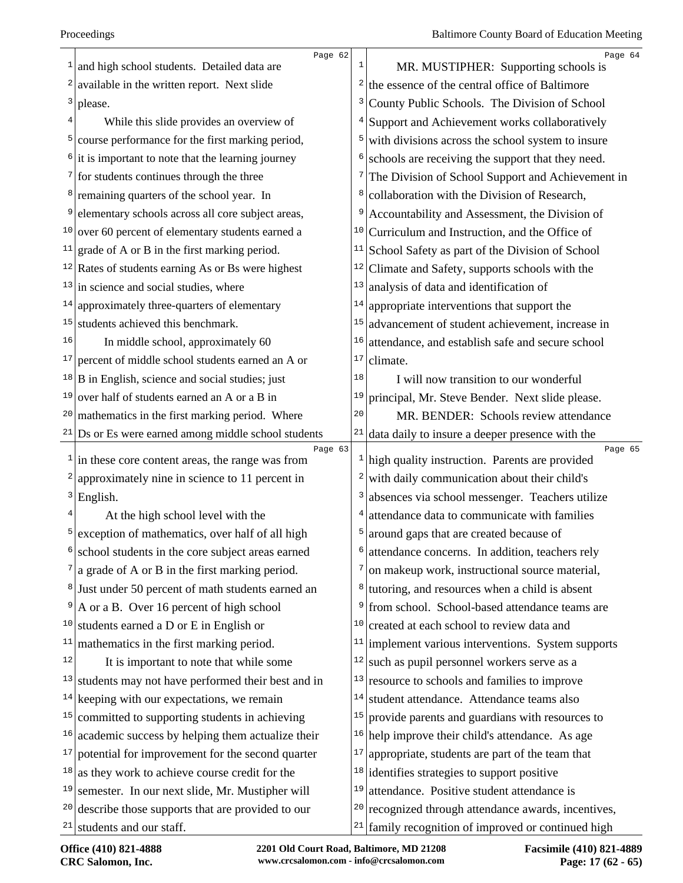| $\mathbf{1}$  | Page 62<br>and high school students. Detailed data are                       |        | Page 64<br>MR. MUSTIPHER: Supporting schools is                 |
|---------------|------------------------------------------------------------------------------|--------|-----------------------------------------------------------------|
|               | $2$ available in the written report. Next slide                              | 2      | the essence of the central office of Baltimore                  |
| 3             |                                                                              |        |                                                                 |
|               | please.                                                                      |        | County Public Schools. The Division of School                   |
| 5             | While this slide provides an overview of                                     |        | Support and Achievement works collaboratively                   |
|               | course performance for the first marking period,                             | 6      | with divisions across the school system to insure               |
|               | $\frac{1}{2}$ it is important to note that the learning journey              | 7      | schools are receiving the support that they need.               |
|               | $\frac{7}{1}$ for students continues through the three                       | 8      | The Division of School Support and Achievement in               |
|               | <sup>8</sup> remaining quarters of the school year. In                       |        | collaboration with the Division of Research,                    |
| 9             | elementary schools across all core subject areas,                            |        | Accountability and Assessment, the Division of                  |
|               | $10$ over 60 percent of elementary students earned a                         | 10     | Curriculum and Instruction, and the Office of                   |
| $11$          | grade of A or B in the first marking period.                                 | 11     | School Safety as part of the Division of School                 |
|               | $12$ Rates of students earning As or Bs were highest                         | 12     | Climate and Safety, supports schools with the                   |
| 13            | in science and social studies, where                                         | 13     | analysis of data and identification of                          |
| 14            | approximately three-quarters of elementary                                   | 14     | appropriate interventions that support the                      |
| 15            | students achieved this benchmark.                                            | 15     | advancement of student achievement, increase in                 |
| 16            | In middle school, approximately 60                                           | 16     | attendance, and establish safe and secure school                |
| 17            | percent of middle school students earned an A or                             | 17     | climate.                                                        |
|               | $18 \mid B$ in English, science and social studies; just                     | 18     | I will now transition to our wonderful                          |
| 19            | over half of students earned an A or a B in                                  | 19     | principal, Mr. Steve Bender. Next slide please.                 |
|               | $20$ mathematics in the first marking period. Where                          | 20     | MR. BENDER: Schools review attendance                           |
|               | $21$ Ds or Es were earned among middle school students                       | $21\,$ | data daily to insure a deeper presence with the                 |
|               | Page 63<br>$\frac{1}{\ln n}$ in these core content areas, the range was from |        | Page 65<br>$1$ high quality instruction. Parents are provided   |
|               | approximately nine in science to 11 percent in                               |        | with daily communication about their child's                    |
| $\frac{3}{ }$ | English.                                                                     |        | absences via school messenger. Teachers utilize                 |
| 4             | At the high school level with the                                            |        | attendance data to communicate with families                    |
| 5             | exception of mathematics, over half of all high                              |        | around gaps that are created because of                         |
| 6             | school students in the core subject areas earned                             |        | attendance concerns. In addition, teachers rely                 |
|               | $\frac{7}{a}$ a grade of A or B in the first marking period.                 |        | on makeup work, instructional source material,                  |
|               | <sup>8</sup> Just under 50 percent of math students earned an                | 8      | tutoring, and resources when a child is absent                  |
| 9             | A or a B. Over 16 percent of high school                                     | 9      | from school. School-based attendance teams are                  |
| 10            | students earned a D or E in English or                                       | 10     | created at each school to review data and                       |
| 11            | mathematics in the first marking period.                                     | 11     | implement various interventions. System supports                |
| 12            | It is important to note that while some                                      | 12     | such as pupil personnel workers serve as a                      |
| 13            | students may not have performed their best and in                            | 13     | resource to schools and families to improve                     |
| 14            | keeping with our expectations, we remain                                     |        | $14$ student attendance. Attendance teams also                  |
| 15            | committed to supporting students in achieving                                | 15     | provide parents and guardians with resources to                 |
| 16            | academic success by helping them actualize their                             |        | $16$ help improve their child's attendance. As age              |
| 17            | potential for improvement for the second quarter                             | 17     | appropriate, students are part of the team that                 |
| 18            | as they work to achieve course credit for the                                |        | $18$ identifies strategies to support positive                  |
| 19            | semester. In our next slide, Mr. Mustipher will                              | 19     | attendance. Positive student attendance is                      |
| 20            | describe those supports that are provided to our                             |        | <sup>20</sup> recognized through attendance awards, incentives, |
|               | $21$ students and our staff.                                                 |        | $21$ family recognition of improved or continued high           |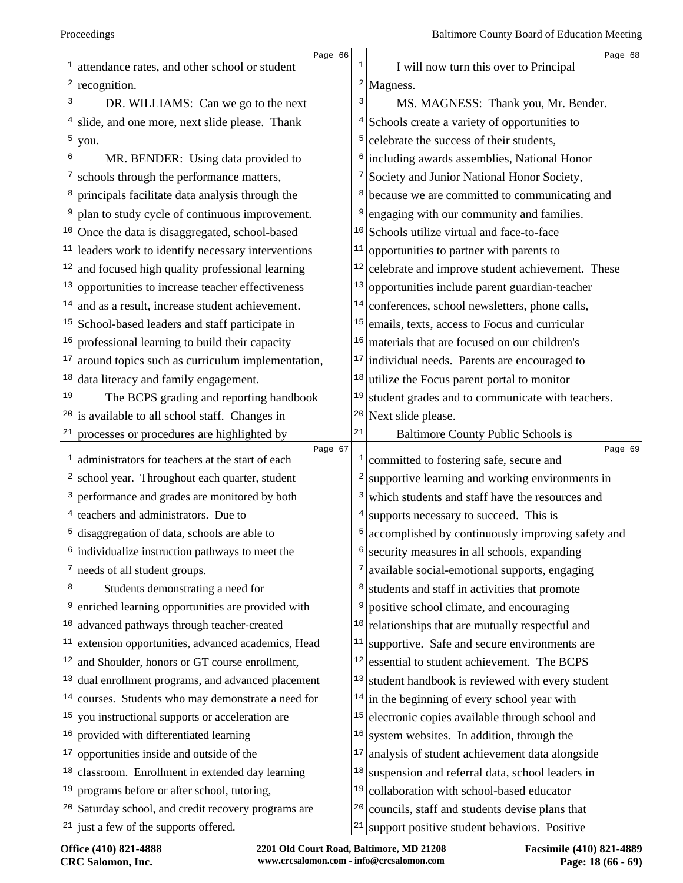|    | Page 66                                                         |              | Page 68                                            |
|----|-----------------------------------------------------------------|--------------|----------------------------------------------------|
| 1  | attendance rates, and other school or student                   | 1            | I will now turn this over to Principal             |
| 2  | recognition.                                                    |              | $2$  Magness.                                      |
| 3  | DR. WILLIAMS: Can we go to the next                             | 3            | MS. MAGNESS: Thank you, Mr. Bender.                |
| 4  | slide, and one more, next slide please. Thank                   | 4            | Schools create a variety of opportunities to       |
| 5  | you.                                                            | 5            | celebrate the success of their students,           |
| 6  | MR. BENDER: Using data provided to                              | 6            | including awards assemblies, National Honor        |
|    | schools through the performance matters,                        | 7            | Society and Junior National Honor Society,         |
| 8  | principals facilitate data analysis through the                 | 8            | because we are committed to communicating and      |
| 9  | plan to study cycle of continuous improvement.                  | 9            | engaging with our community and families.          |
|    | <sup>10</sup> Once the data is disaggregated, school-based      | 10           | Schools utilize virtual and face-to-face           |
| 11 | leaders work to identify necessary interventions                | 11           | opportunities to partner with parents to           |
| 12 | and focused high quality professional learning                  | 12           | celebrate and improve student achievement. These   |
| 13 | opportunities to increase teacher effectiveness                 | 13           | opportunities include parent guardian-teacher      |
| 14 | and as a result, increase student achievement.                  | 14           | conferences, school newsletters, phone calls,      |
| 15 | School-based leaders and staff participate in                   | 15           | emails, texts, access to Focus and curricular      |
| 16 | professional learning to build their capacity                   | 16           | materials that are focused on our children's       |
| 17 | around topics such as curriculum implementation,                | 17           | individual needs. Parents are encouraged to        |
| 18 | data literacy and family engagement.                            | 18           | utilize the Focus parent portal to monitor         |
| 19 | The BCPS grading and reporting handbook                         | 19           | student grades and to communicate with teachers.   |
| 20 | is available to all school staff. Changes in                    | 20           | Next slide please.                                 |
|    | $21$ processes or procedures are highlighted by                 | 21           | Baltimore County Public Schools is                 |
| 1  | Page 67<br>administrators for teachers at the start of each     | $\mathbf{1}$ | Page 69<br>committed to fostering safe, secure and |
|    | <sup>2</sup> school year. Throughout each quarter, student      |              | supportive learning and working environments in    |
|    |                                                                 | 2            |                                                    |
|    | <sup>3</sup> performance and grades are monitored by both       | 3            | which students and staff have the resources and    |
|    | $4$ teachers and administrators. Due to                         | 4            | supports necessary to succeed. This is             |
| 5  | disaggregation of data, schools are able to                     | 5            | accomplished by continuously improving safety and  |
|    | individualize instruction pathways to meet the                  |              | security measures in all schools, expanding        |
|    | $\frac{7}{2}$ needs of all student groups.                      | 7            | available social-emotional supports, engaging      |
| 8  | Students demonstrating a need for                               | 8            | students and staff in activities that promote      |
| 9  | enriched learning opportunities are provided with               | 9            | positive school climate, and encouraging           |
| 10 | advanced pathways through teacher-created                       | 10           | relationships that are mutually respectful and     |
| 11 | extension opportunities, advanced academics, Head               | 11           | supportive. Safe and secure environments are       |
| 12 | and Shoulder, honors or GT course enrollment,                   | 12           | essential to student achievement. The BCPS         |
| 13 | dual enrollment programs, and advanced placement                | 13           | student handbook is reviewed with every student    |
| 14 | courses. Students who may demonstrate a need for                | 14           | in the beginning of every school year with         |
| 15 | you instructional supports or acceleration are                  | 15           | electronic copies available through school and     |
| 16 | provided with differentiated learning                           | 16           | system websites. In addition, through the          |
| 17 | opportunities inside and outside of the                         | 17           | analysis of student achievement data alongside     |
| 18 | classroom. Enrollment in extended day learning                  | 18           | suspension and referral data, school leaders in    |
| 19 | programs before or after school, tutoring,                      | 19           | collaboration with school-based educator           |
|    | <sup>20</sup> Saturday school, and credit recovery programs are | 20           | councils, staff and students devise plans that     |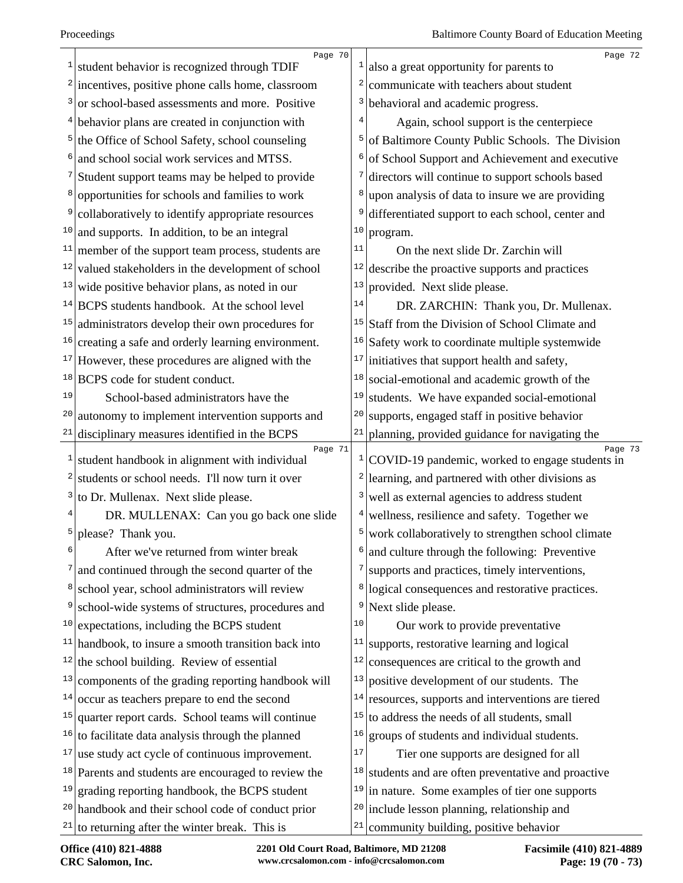|    | Page 70                                                  |    | Page 72                                                    |
|----|----------------------------------------------------------|----|------------------------------------------------------------|
| 1  | student behavior is recognized through TDIF              |    | also a great opportunity for parents to                    |
| 2  | incentives, positive phone calls home, classroom         |    | communicate with teachers about student                    |
| 3  | or school-based assessments and more. Positive           | 3  | behavioral and academic progress.                          |
| 4  | behavior plans are created in conjunction with           |    | Again, school support is the centerpiece                   |
| 5  | the Office of School Safety, school counseling           | 5  | of Baltimore County Public Schools. The Division           |
| 6  | and school social work services and MTSS.                | 6  | of School Support and Achievement and executive            |
|    | Student support teams may be helped to provide           |    | directors will continue to support schools based           |
| 8  | opportunities for schools and families to work           | 8  | upon analysis of data to insure we are providing           |
| 9  | collaboratively to identify appropriate resources        | 9  | differentiated support to each school, center and          |
| 10 | and supports. In addition, to be an integral             | 10 | program.                                                   |
| 11 | member of the support team process, students are         | 11 | On the next slide Dr. Zarchin will                         |
| 12 | valued stakeholders in the development of school         | 12 | describe the proactive supports and practices              |
|    | $13$ wide positive behavior plans, as noted in our       | 13 | provided. Next slide please.                               |
|    | $14$ BCPS students handbook. At the school level         | 14 | DR. ZARCHIN: Thank you, Dr. Mullenax.                      |
| 15 | administrators develop their own procedures for          | 15 | Staff from the Division of School Climate and              |
| 16 | creating a safe and orderly learning environment.        | 16 | Safety work to coordinate multiple systemwide              |
| 17 | However, these procedures are aligned with the           | 17 | initiatives that support health and safety,                |
| 18 | BCPS code for student conduct.                           | 18 | social-emotional and academic growth of the                |
| 19 | School-based administrators have the                     | 19 | students. We have expanded social-emotional                |
| 20 | autonomy to implement intervention supports and          | 20 | supports, engaged staff in positive behavior               |
| 21 | disciplinary measures identified in the BCPS             | 21 | planning, provided guidance for navigating the             |
| 1  | Page 71<br>student handbook in alignment with individual | 1  | Page 73<br>COVID-19 pandemic, worked to engage students in |
| 2  | students or school needs. I'll now turn it over          | 2  | learning, and partnered with other divisions as            |
| 3  | to Dr. Mullenax. Next slide please.                      | 3  | well as external agencies to address student               |
|    |                                                          |    |                                                            |
| 5  | DR. MULLENAX: Can you go back one slide                  |    | wellness, resilience and safety. Together we               |
| 6  | please? Thank you.                                       |    | work collaboratively to strengthen school climate          |
|    | After we've returned from winter break                   | 7  | and culture through the following: Preventive              |
| 8  | and continued through the second quarter of the          |    | supports and practices, timely interventions,              |
| 9  | school year, school administrators will review           | 8  | logical consequences and restorative practices.            |
|    | school-wide systems of structures, procedures and        | 9  | Next slide please.                                         |
| 10 | expectations, including the BCPS student                 | 10 | Our work to provide preventative                           |
| 11 | handbook, to insure a smooth transition back into        | 11 | supports, restorative learning and logical                 |
| 12 | the school building. Review of essential                 | 12 | consequences are critical to the growth and                |
| 13 | components of the grading reporting handbook will        | 13 | positive development of our students. The                  |
| 14 | occur as teachers prepare to end the second              | 14 | resources, supports and interventions are tiered           |
| 15 | quarter report cards. School teams will continue         | 15 | to address the needs of all students, small                |
| 16 | to facilitate data analysis through the planned          | 16 | groups of students and individual students.                |
| 17 | use study act cycle of continuous improvement.           | 17 | Tier one supports are designed for all                     |
|    | $18$ Parents and students are encouraged to review the   | 18 | students and are often preventative and proactive          |
| 19 | grading reporting handbook, the BCPS student             | 19 | in nature. Some examples of tier one supports              |
| 20 | handbook and their school code of conduct prior          | 20 | include lesson planning, relationship and                  |
|    | $21$ to returning after the winter break. This is        | 21 | community building, positive behavior                      |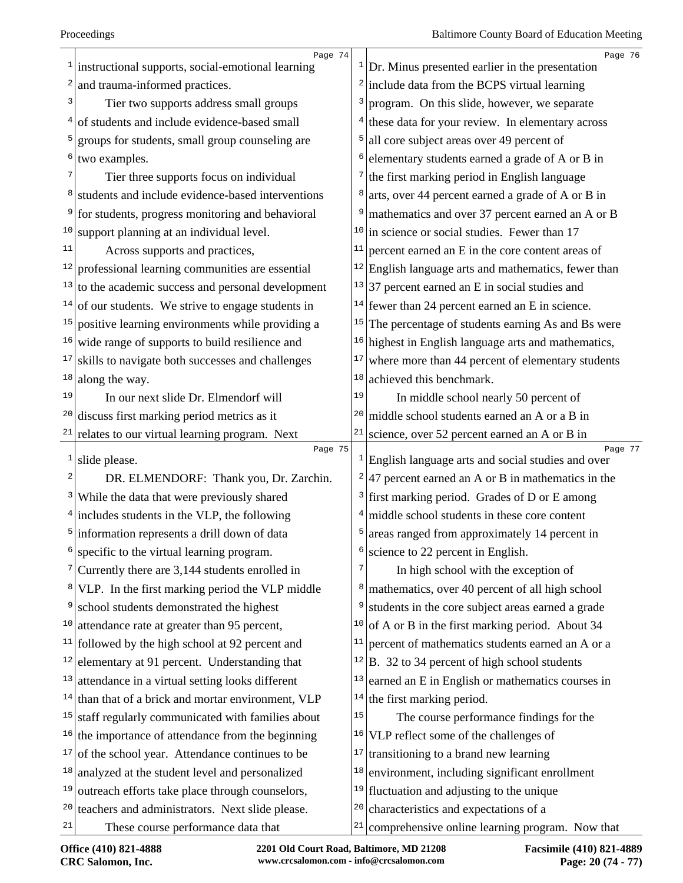| 1            | Page 74                                                  |         | Page 76                                                                |
|--------------|----------------------------------------------------------|---------|------------------------------------------------------------------------|
|              | instructional supports, social-emotional learning        | $\vert$ | Dr. Minus presented earlier in the presentation                        |
| 2<br>3       | and trauma-informed practices.                           |         | $2$ include data from the BCPS virtual learning                        |
|              | Tier two supports address small groups                   | 3       | program. On this slide, however, we separate                           |
| 4            | of students and include evidence-based small             | 4       | these data for your review. In elementary across                       |
| 5            | groups for students, small group counseling are          | 5       | all core subject areas over 49 percent of                              |
| 6            | two examples.                                            | 6       | elementary students earned a grade of A or B in                        |
|              | Tier three supports focus on individual                  | 7       | the first marking period in English language                           |
| 8            | students and include evidence-based interventions        | 8       | arts, over 44 percent earned a grade of A or B in                      |
|              | for students, progress monitoring and behavioral         | 9       | mathematics and over 37 percent earned an A or B                       |
| 10           | support planning at an individual level.                 | 10      | in science or social studies. Fewer than 17                            |
| 11           | Across supports and practices,                           | 11      | percent earned an E in the core content areas of                       |
|              | $12$ professional learning communities are essential     | 12      | English language arts and mathematics, fewer than                      |
| 13           | to the academic success and personal development         | 13      | 37 percent earned an E in social studies and                           |
| 14           | of our students. We strive to engage students in         | 14      | fewer than 24 percent earned an E in science.                          |
| 15           | positive learning environments while providing a         | 15      | The percentage of students earning As and Bs were                      |
| 16           | wide range of supports to build resilience and           | 16      | highest in English language arts and mathematics,                      |
| 17           | skills to navigate both successes and challenges         | $17\,$  | where more than 44 percent of elementary students                      |
| 18           | along the way.                                           | 18      | achieved this benchmark.                                               |
| 19           | In our next slide Dr. Elmendorf will                     | 19      | In middle school nearly 50 percent of                                  |
| 20           | discuss first marking period metrics as it               | 20      | middle school students earned an A or a B in                           |
| 21           | relates to our virtual learning program. Next            | 21      | science, over 52 percent earned an A or B in                           |
| $\mathbf{1}$ | Page 75<br>slide please.                                 |         | Page 77<br>$1$ English language arts and social studies and over       |
| 2            | DR. ELMENDORF: Thank you, Dr. Zarchin.                   |         | <sup>2</sup> $\vert$ 47 percent earned an A or B in mathematics in the |
| 3            | While the data that were previously shared               |         | $3$ first marking period. Grades of D or E among                       |
|              | $4$ includes students in the VLP, the following          | 4       | middle school students in these core content                           |
|              | <sup>5</sup> information represents a drill down of data | 5       | areas ranged from approximately 14 percent in                          |
| 6            | specific to the virtual learning program.                |         |                                                                        |
| 7            |                                                          | 6       | science to 22 percent in English.                                      |
|              | Currently there are 3,144 students enrolled in           | 7       | In high school with the exception of                                   |
| 8            | VLP. In the first marking period the VLP middle          | 8       | mathematics, over 40 percent of all high school                        |
| 9            | school students demonstrated the highest                 | 9       | students in the core subject areas earned a grade                      |
| 10           | attendance rate at greater than 95 percent,              | 10      | of A or B in the first marking period. About 34                        |
|              | $11$ followed by the high school at 92 percent and       | 11      | percent of mathematics students earned an A or a                       |
| 12           | elementary at 91 percent. Understanding that             | 12      | B. 32 to 34 percent of high school students                            |
|              | $13$ attendance in a virtual setting looks different     | 13      | earned an E in English or mathematics courses in                       |
|              | $14$ than that of a brick and mortar environment, VLP    | 14      | the first marking period.                                              |
| 15           | staff regularly communicated with families about         | 15      | The course performance findings for the                                |
| 16           | the importance of attendance from the beginning          | 16      | VLP reflect some of the challenges of                                  |
| 17           | of the school year. Attendance continues to be           | 17      | transitioning to a brand new learning                                  |
|              | $18$ analyzed at the student level and personalized      | 18      | environment, including significant enrollment                          |
| 19           | outreach efforts take place through counselors,          | 19      | fluctuation and adjusting to the unique                                |
| 20           | teachers and administrators. Next slide please.          | 20      | characteristics and expectations of a                                  |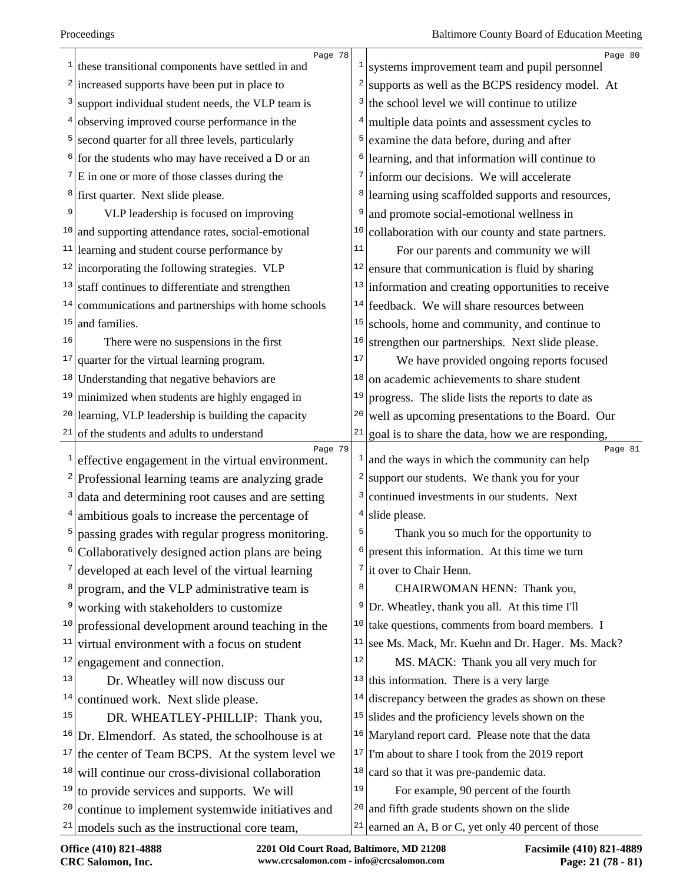|              | Page 78                                                                                  | $\mathbf{1}$            | Page 80                                                       |
|--------------|------------------------------------------------------------------------------------------|-------------------------|---------------------------------------------------------------|
|              | $1$ these transitional components have settled in and                                    |                         | systems improvement team and pupil personnel                  |
|              | $2$ increased supports have been put in place to                                         | $\overline{c}$          | supports as well as the BCPS residency model. At              |
|              | $3$ support individual student needs, the VLP team is                                    | 3                       | the school level we will continue to utilize                  |
| 4            | observing improved course performance in the                                             | 4                       | multiple data points and assessment cycles to                 |
|              | <sup>5</sup> second quarter for all three levels, particularly                           | 5                       | examine the data before, during and after                     |
|              | $6$ for the students who may have received a D or an                                     | 6                       | learning, and that information will continue to               |
|              | $7 \times 10^{-7}$ E in one or more of those classes during the                          | 7                       | inform our decisions. We will accelerate                      |
|              | <sup>8</sup> first quarter. Next slide please.                                           | 8                       | learning using scaffolded supports and resources,             |
| 9            | VLP leadership is focused on improving                                                   | 9                       | and promote social-emotional wellness in                      |
|              | $10$ and supporting attendance rates, social-emotional                                   | 10                      | collaboration with our county and state partners.             |
|              | $11$ learning and student course performance by                                          | 11                      | For our parents and community we will                         |
|              | $12$ incorporating the following strategies. VLP                                         | 12                      | ensure that communication is fluid by sharing                 |
|              | $13$ staff continues to differentiate and strengthen                                     | 13                      | information and creating opportunities to receive             |
|              | $14$ communications and partnerships with home schools                                   | 14                      | feedback. We will share resources between                     |
| 15           | and families.                                                                            | 15                      | schools, home and community, and continue to                  |
| 16           | There were no suspensions in the first                                                   | 16                      | strengthen our partnerships. Next slide please.               |
|              | $17$ quarter for the virtual learning program.                                           | 17                      | We have provided ongoing reports focused                      |
|              | $18$ Understanding that negative behaviors are                                           | 18                      | on academic achievements to share student                     |
|              | $19$ minimized when students are highly engaged in                                       | 19                      | progress. The slide lists the reports to date as              |
|              | $20$ learning, VLP leadership is building the capacity                                   | 20                      | well as upcoming presentations to the Board. Our              |
|              | $21$ of the students and adults to understand                                            | 21                      | goal is to share the data, how we are responding,             |
| $\mathbf{1}$ | Page 79<br>effective engagement in the virtual environment.                              | $\mathbf{I}$            | Page 81<br>and the ways in which the community can help       |
|              | $2$ Professional learning teams are analyzing grade                                      | $\overline{\mathbf{c}}$ | support our students. We thank you for your                   |
| 3            | data and determining root causes and are setting                                         | 3                       | continued investments in our students. Next                   |
|              | $4$ ambitious goals to increase the percentage of                                        | 4                       | slide please.                                                 |
|              | passing grades with regular progress monitoring.                                         | 5                       | Thank you so much for the opportunity to                      |
|              | Collaboratively designed action plans are being                                          | 6                       | present this information. At this time we turn                |
|              | developed at each level of the virtual learning                                          | 7                       | it over to Chair Henn.                                        |
| 8            | program, and the VLP administrative team is                                              | 8                       | CHAIRWOMAN HENN: Thank you,                                   |
| 9            | working with stakeholders to customize                                                   | 9                       | Dr. Wheatley, thank you all. At this time I'll                |
| 10           | professional development around teaching in the                                          | 10                      | take questions, comments from board members. I                |
| 11           | virtual environment with a focus on student                                              | 11                      | see Ms. Mack, Mr. Kuehn and Dr. Hager. Ms. Mack?              |
| 12           | engagement and connection.                                                               | 12                      | MS. MACK: Thank you all very much for                         |
| 13           | Dr. Wheatley will now discuss our                                                        | 13                      | this information. There is a very large                       |
| 14           | continued work. Next slide please.                                                       | 14                      | discrepancy between the grades as shown on these              |
| 15           |                                                                                          | 15                      | slides and the proficiency levels shown on the                |
|              | DR. WHEATLEY-PHILLIP: Thank you,<br>$16$ Dr. Elmendorf. As stated, the schoolhouse is at |                         | <sup>16</sup> Maryland report card. Please note that the data |
| 17           |                                                                                          | 17                      | I'm about to share I took from the 2019 report                |
| 18           | the center of Team BCPS. At the system level we                                          | 18                      | card so that it was pre-pandemic data.                        |
| 19           | will continue our cross-divisional collaboration                                         | 19                      |                                                               |
| 20           | to provide services and supports. We will                                                | 20                      | For example, 90 percent of the fourth                         |
|              | continue to implement systemwide initiatives and                                         | 21                      | and fifth grade students shown on the slide                   |
|              | $21$ models such as the instructional core team,                                         |                         | earned an A, B or C, yet only 40 percent of those             |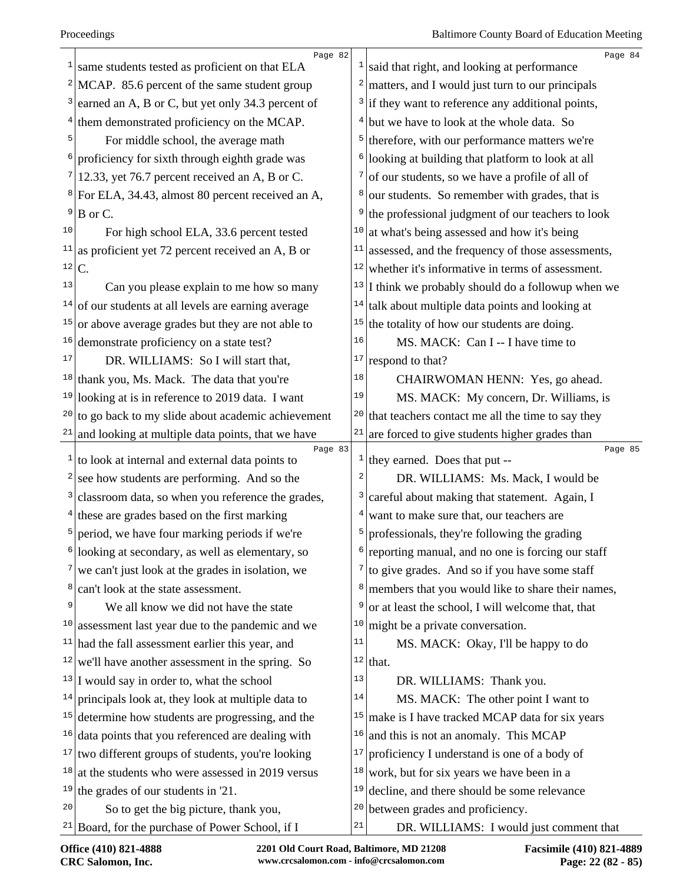|                   | Page 82                                                    |    | Page 84                                                |
|-------------------|------------------------------------------------------------|----|--------------------------------------------------------|
| 1                 | same students tested as proficient on that ELA             | 1  | said that right, and looking at performance            |
| $\mathbf{2} \mid$ | MCAP. 85.6 percent of the same student group               | 2  | matters, and I would just turn to our principals       |
| 3                 | earned an A, B or C, but yet only 34.3 percent of          |    | $3$ if they want to reference any additional points,   |
| 4                 | them demonstrated proficiency on the MCAP.                 | 4  | but we have to look at the whole data. So              |
| 5                 | For middle school, the average math                        | 5  | therefore, with our performance matters we're          |
| 6                 | proficiency for sixth through eighth grade was             | 6  | looking at building that platform to look at all       |
|                   | 12.33, yet 76.7 percent received an A, B or C.             | 7  | of our students, so we have a profile of all of        |
| $8 \mid$          | For ELA, 34.43, almost 80 percent received an A,           | 8  | our students. So remember with grades, that is         |
| 9                 | B or C.                                                    | 9  | the professional judgment of our teachers to look      |
| 10                | For high school ELA, 33.6 percent tested                   | 10 | at what's being assessed and how it's being            |
| 11                | as proficient yet 72 percent received an A, B or           | 11 | assessed, and the frequency of those assessments,      |
| 12                | $\mathcal{C}$ .                                            | 12 | whether it's informative in terms of assessment.       |
| 13                | Can you please explain to me how so many                   | 13 | I think we probably should do a followup when we       |
| 14                | of our students at all levels are earning average          | 14 | talk about multiple data points and looking at         |
| 15                | or above average grades but they are not able to           | 15 | the totality of how our students are doing.            |
| 16                | demonstrate proficiency on a state test?                   | 16 | MS. MACK: Can I -- I have time to                      |
| 17                | DR. WILLIAMS: So I will start that,                        | 17 | respond to that?                                       |
| 18                | thank you, Ms. Mack. The data that you're                  | 18 | CHAIRWOMAN HENN: Yes, go ahead.                        |
| 19                | looking at is in reference to 2019 data. I want            | 19 | MS. MACK: My concern, Dr. Williams, is                 |
| 20                | to go back to my slide about academic achievement          | 20 | that teachers contact me all the time to say they      |
| 21                | and looking at multiple data points, that we have          | 21 | are forced to give students higher grades than         |
| 1                 | Page 83<br>to look at internal and external data points to |    | Page 85<br>$\frac{1}{1}$ they earned. Does that put -- |
| 2                 | see how students are performing. And so the                | 2  | DR. WILLIAMS: Ms. Mack, I would be                     |
| 3                 | classroom data, so when you reference the grades,          | 3  | careful about making that statement. Again, I          |
| 4                 | these are grades based on the first marking                | 4  | want to make sure that, our teachers are               |
| 5                 | period, we have four marking periods if we're              | 5  | professionals, they're following the grading           |
|                   | looking at secondary, as well as elementary, so            |    | reporting manual, and no one is forcing our staff      |
| 7                 | we can't just look at the grades in isolation, we          | 7  | to give grades. And so if you have some staff          |
| 8                 | can't look at the state assessment.                        | 8  | members that you would like to share their names,      |
| 9                 | We all know we did not have the state                      | 9  | or at least the school, I will welcome that, that      |
| 10                | assessment last year due to the pandemic and we            | 10 | might be a private conversation.                       |
| 11                | had the fall assessment earlier this year, and             | 11 | MS. MACK: Okay, I'll be happy to do                    |
| 12                | we'll have another assessment in the spring. So            |    | $12$ that.                                             |
|                   | $13$ I would say in order to, what the school              | 13 | DR. WILLIAMS: Thank you.                               |
| 14                | principals look at, they look at multiple data to          | 14 | MS. MACK: The other point I want to                    |
| 15                | determine how students are progressing, and the            | 15 | make is I have tracked MCAP data for six years         |
| 16                | data points that you referenced are dealing with           | 16 | and this is not an anomaly. This MCAP                  |
| 17                | two different groups of students, you're looking           | 17 | proficiency I understand is one of a body of           |
| 18                | at the students who were assessed in 2019 versus           | 18 | work, but for six years we have been in a              |
| 19                | the grades of our students in '21.                         | 19 | decline, and there should be some relevance            |
| 20                | So to get the big picture, thank you,                      | 20 | between grades and proficiency.                        |
| 21                | Board, for the purchase of Power School, if I              | 21 | DR. WILLIAMS: I would just comment that                |
|                   |                                                            |    |                                                        |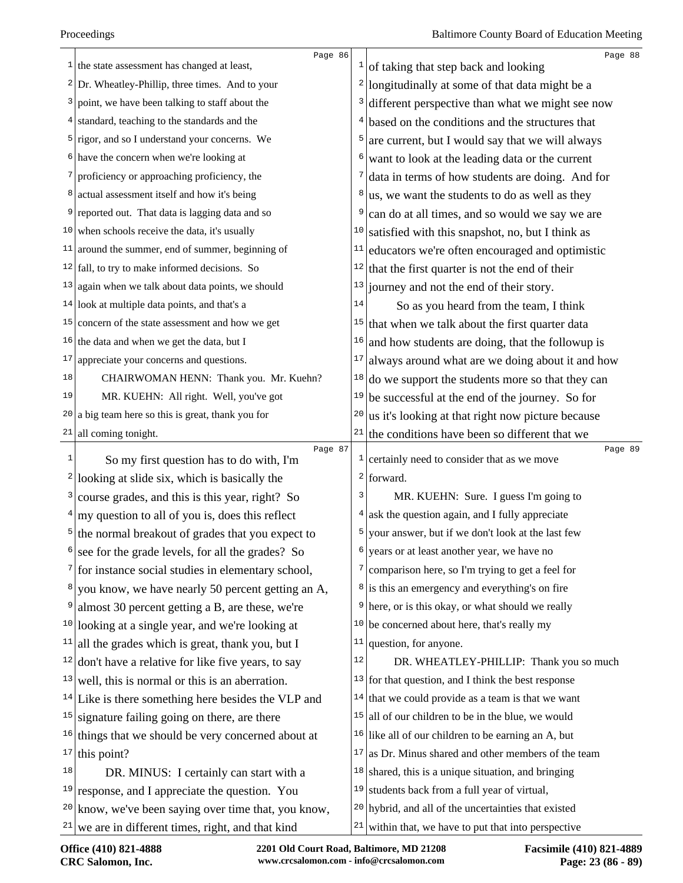|    | Page 86                                                         |                  | Page 88                                                                                                |
|----|-----------------------------------------------------------------|------------------|--------------------------------------------------------------------------------------------------------|
|    | $\frac{1}{1}$ the state assessment has changed at least,        |                  | $\frac{1}{1}$ of taking that step back and looking                                                     |
|    | $2$ Dr. Wheatley-Phillip, three times. And to your              | $\left  \right $ | longitudinally at some of that data might be a                                                         |
|    | $3$ point, we have been talking to staff about the              | 3                | different perspective than what we might see now                                                       |
|    | $4$ standard, teaching to the standards and the                 | 4                | based on the conditions and the structures that                                                        |
|    | $5$ rigor, and so I understand your concerns. We                | 5                | are current, but I would say that we will always                                                       |
|    | $6$ have the concern when we're looking at                      | 6                | want to look at the leading data or the current                                                        |
|    | proficiency or approaching proficiency, the                     | 7                | data in terms of how students are doing. And for                                                       |
|    | <sup>8</sup> actual assessment itself and how it's being        | 8                | us, we want the students to do as well as they                                                         |
|    | <sup>9</sup> reported out. That data is lagging data and so     | 9                | can do at all times, and so would we say we are                                                        |
|    | $10$ when schools receive the data, it's usually                | 10               | satisfied with this snapshot, no, but I think as                                                       |
|    | $11$ around the summer, end of summer, beginning of             | 11               | educators we're often encouraged and optimistic                                                        |
|    | $12$ fall, to try to make informed decisions. So                | 12               | that the first quarter is not the end of their                                                         |
|    | $13$ again when we talk about data points, we should            | 13               | journey and not the end of their story.                                                                |
|    | $14$ look at multiple data points, and that's a                 | 14               | So as you heard from the team, I think                                                                 |
|    | $15$ concern of the state assessment and how we get             | 15               | that when we talk about the first quarter data                                                         |
|    | $16$ the data and when we get the data, but I                   | 16               | and how students are doing, that the followup is                                                       |
|    | $17$ appreciate your concerns and questions.                    | 17               | always around what are we doing about it and how                                                       |
| 18 | CHAIRWOMAN HENN: Thank you. Mr. Kuehn?                          | 18               | do we support the students more so that they can                                                       |
| 19 | MR. KUEHN: All right. Well, you've got                          | 19               | be successful at the end of the journey. So for                                                        |
|    | $20$ a big team here so this is great, thank you for            | 20               | us it's looking at that right now picture because                                                      |
|    | $21$ all coming tonight.                                        | 21               |                                                                                                        |
|    |                                                                 |                  | the conditions have been so different that we                                                          |
|    | Page 87                                                         |                  | Page 89                                                                                                |
| 1  | So my first question has to do with, I'm                        | $\pm$            | certainly need to consider that as we move                                                             |
|    | $2$  looking at slide six, which is basically the               | 3                | $2$ forward.                                                                                           |
| 3  | course grades, and this is this year, right? So                 | 4                | MR. KUEHN: Sure. I guess I'm going to                                                                  |
|    | $4 \vert$ my question to all of you is, does this reflect       |                  | ask the question again, and I fully appreciate                                                         |
|    | $5$ the normal breakout of grades that you expect to            | 5<br>6           | your answer, but if we don't look at the last few                                                      |
|    | see for the grade levels, for all the grades? So                |                  | years or at least another year, we have no                                                             |
|    | $\frac{7}{1}$ for instance social studies in elementary school, | 7                | comparison here, so I'm trying to get a feel for                                                       |
|    | $\frac{8}{2}$ you know, we have nearly 50 percent getting an A, |                  | $\frac{8}{1}$ is this an emergency and everything's on fire                                            |
| 9  | almost 30 percent getting a B, are these, we're                 | 9                | here, or is this okay, or what should we really                                                        |
|    | $10$ looking at a single year, and we're looking at             | 10               | be concerned about here, that's really my                                                              |
|    | <sup>11</sup> all the grades which is great, thank you, but I   | 11               | question, for anyone.                                                                                  |
|    | $12$ don't have a relative for like five years, to say          | 12               | DR. WHEATLEY-PHILLIP: Thank you so much                                                                |
|    | $13$ well, this is normal or this is an aberration.             |                  | $13$ for that question, and I think the best response                                                  |
|    | $14$ Like is there something here besides the VLP and           | 14               | that we could provide as a team is that we want                                                        |
|    | $15$ signature failing going on there, are there                | 15               | all of our children to be in the blue, we would                                                        |
| 17 | $16$ things that we should be very concerned about at           |                  | $16$ like all of our children to be earning an A, but                                                  |
| 18 | this point?                                                     | 17               | as Dr. Minus shared and other members of the team                                                      |
|    | DR. MINUS: I certainly can start with a                         | 18               | shared, this is a unique situation, and bringing                                                       |
|    | $19$ response, and I appreciate the question. You               | 19               | students back from a full year of virtual,                                                             |
|    |                                                                 |                  |                                                                                                        |
|    | $20$ know, we've been saying over time that, you know,          | 20               | hybrid, and all of the uncertainties that existed<br>within that, we have to put that into perspective |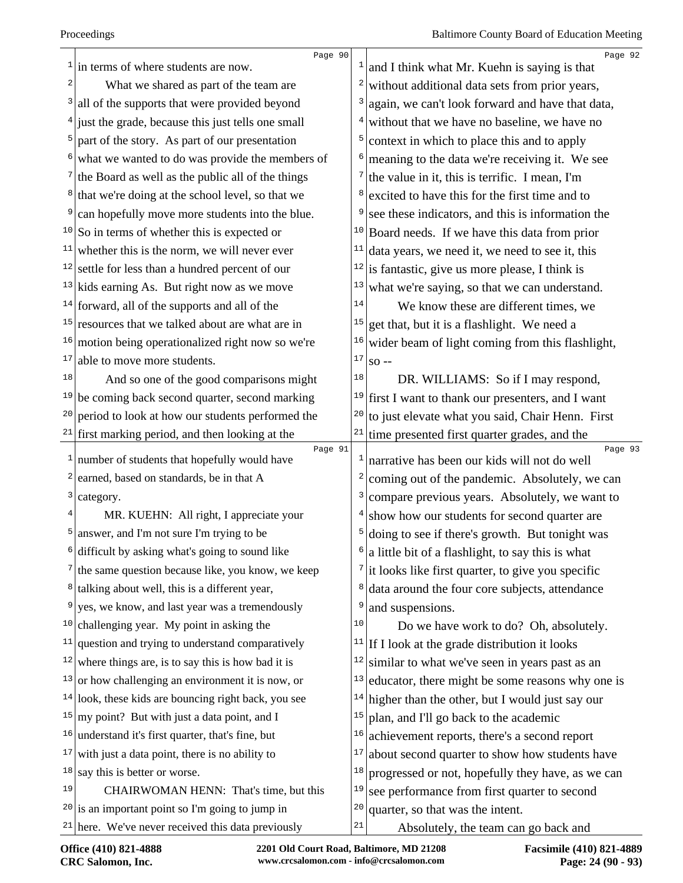Page 90 in terms of where students are now. <sup>2</sup> What we shared as part of the team are all of the supports that were provided beyond just the grade, because this just tells one small part of the story. As part of our presentation what we wanted to do was provide the members of the Board as well as the public all of the things that we're doing at the school level, so that we can hopefully move more students into the blue. So in terms of whether this is expected or whether this is the norm, we will never ever settle for less than a hundred percent of our kids earning As. But right now as we move forward, all of the supports and all of the resources that we talked about are what are in  $16 \text{ motion}$  being operationalized right now so we're able to move more students.  $\left| \right|$  And so one of the good comparisons might be coming back second quarter, second marking <sup>20</sup> period to look at how our students performed the first marking period, and then looking at the Page 91 number of students that hopefully would have earned, based on standards, be in that A category. <sup>4</sup> MR. KUEHN: All right, I appreciate your answer, and I'm not sure I'm trying to be difficult by asking what's going to sound like the same question because like, you know, we keep  $8 \text{ | talking about well, this is a different year,}$  yes, we know, and last year was a tremendously challenging year. My point in asking the question and trying to understand comparatively where things are, is to say this is how bad it is or how challenging an environment it is now, or look, these kids are bouncing right back, you see  $15 \, \text{my point}$ ? But with just a data point, and I understand it's first quarter, that's fine, but with just a data point, there is no ability to say this is better or worse. <sup>19</sup> CHAIRWOMAN HENN: That's time, but this is an important point so I'm going to jump in here. We've never received this data previously Page 92 and I think what Mr. Kuehn is saying is that without additional data sets from prior years, again, we can't look forward and have that data, without that we have no baseline, we have no context in which to place this and to apply  $\frac{6}{3}$  meaning to the data we're receiving it. We see the value in it, this is terrific. I mean, I'm <sup>8</sup> excited to have this for the first time and to <sup>9</sup> see these indicators, and this is information the Board needs. If we have this data from prior data years, we need it, we need to see it, this is fantastic, give us more please, I think is what we're saying, so that we can understand.  $\frac{14}{1}$  We know these are different times, we <sup>15</sup> get that, but it is a flashlight. We need a wider beam of light coming from this flashlight, so -- $\vert$ <sup>18</sup> DR. WILLIAMS: So if I may respond, first I want to thank our presenters, and I want to just elevate what you said, Chair Henn. First time presented first quarter grades, and the Page 93 narrative has been our kids will not do well coming out of the pandemic. Absolutely, we can compare previous years. Absolutely, we want to  $4 \svert$  show how our students for second quarter are doing to see if there's growth. But tonight was  $\frac{6}{a}$  little bit of a flashlight, to say this is what it looks like first quarter, to give you specific data around the four core subjects, attendance and suspensions. Do we have work to do? Oh, absolutely. <sup>11</sup> If I look at the grade distribution it looks similar to what we've seen in years past as an educator, there might be some reasons why one is higher than the other, but I would just say our plan, and I'll go back to the academic achievement reports, there's a second report about second quarter to show how students have  $18 \text{ progressively they have, as we can}$  see performance from first quarter to second quarter, so that was the intent. Absolutely, the team can go back and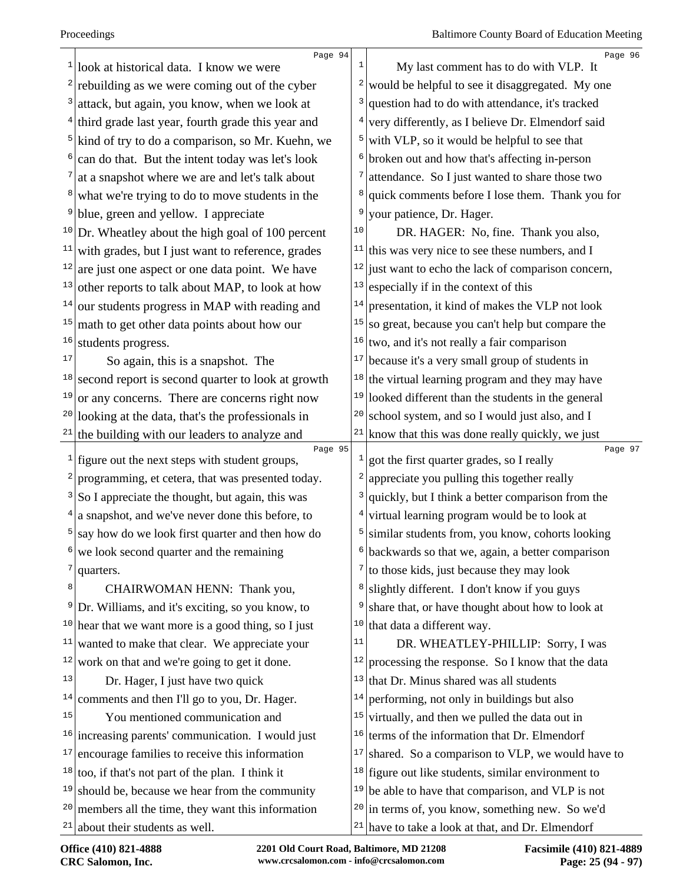| 1            | Page 94<br>look at historical data. I know we were        | 1                       | Page 96<br>My last comment has to do with VLP. It     |
|--------------|-----------------------------------------------------------|-------------------------|-------------------------------------------------------|
|              | rebuilding as we were coming out of the cyber             | 2                       | would be helpful to see it disaggregated. My one      |
|              | attack, but again, you know, when we look at              | 3                       | question had to do with attendance, it's tracked      |
|              | third grade last year, fourth grade this year and         | 4                       | very differently, as I believe Dr. Elmendorf said     |
| 5            | kind of try to do a comparison, so Mr. Kuehn, we          | 5                       | with VLP, so it would be helpful to see that          |
|              | can do that. But the intent today was let's look          | 6                       | broken out and how that's affecting in-person         |
|              | at a snapshot where we are and let's talk about           | 7                       | attendance. So I just wanted to share those two       |
| 8            | what we're trying to do to move students in the           | 8                       | quick comments before I lose them. Thank you for      |
| 9            | blue, green and yellow. I appreciate                      | 9                       | your patience, Dr. Hager.                             |
| 10           | Dr. Wheatley about the high goal of 100 percent           | 10                      | DR. HAGER: No, fine. Thank you also,                  |
| 11           | with grades, but I just want to reference, grades         | 11                      | this was very nice to see these numbers, and I        |
| 12           | are just one aspect or one data point. We have            | $1\,2$                  | just want to echo the lack of comparison concern,     |
| 13           | other reports to talk about MAP, to look at how           | 13                      | especially if in the context of this                  |
| 14           | our students progress in MAP with reading and             | 14                      | presentation, it kind of makes the VLP not look       |
| 15           | math to get other data points about how our               | 15                      | so great, because you can't help but compare the      |
| 16           | students progress.                                        | 16                      | two, and it's not really a fair comparison            |
| 17           | So again, this is a snapshot. The                         | 17                      | because it's a very small group of students in        |
| 18           | second report is second quarter to look at growth         | 18                      | the virtual learning program and they may have        |
| 19           | or any concerns. There are concerns right now             | 19                      | looked different than the students in the general     |
| 20           | looking at the data, that's the professionals in          | 20                      | school system, and so I would just also, and I        |
| 21           | the building with our leaders to analyze and              | 21                      | know that this was done really quickly, we just       |
| $\mathbf{1}$ | Page 95<br>figure out the next steps with student groups, | T,                      | Page 97<br>got the first quarter grades, so I really  |
|              | programming, et cetera, that was presented today.         | $\overline{\mathbf{c}}$ | appreciate you pulling this together really           |
| 3            | So I appreciate the thought, but again, this was          | 3                       | quickly, but I think a better comparison from the     |
|              | a snapshot, and we've never done this before, to          | 4                       | virtual learning program would be to look at          |
| 5            | say how do we look first quarter and then how do          | 5                       | similar students from, you know, cohorts looking      |
| 6            | we look second quarter and the remaining                  | 6                       | backwards so that we, again, a better comparison      |
| 7            | quarters.                                                 | 7                       | to those kids, just because they may look             |
| 8            | CHAIRWOMAN HENN: Thank you,                               | 8                       | slightly different. I don't know if you guys          |
| 9            | Dr. Williams, and it's exciting, so you know, to          | 9                       | share that, or have thought about how to look at      |
|              | $10$ hear that we want more is a good thing, so I just    | 10                      | that data a different way.                            |
| 11           | wanted to make that clear. We appreciate your             | 11                      | DR. WHEATLEY-PHILLIP: Sorry, I was                    |
| 12           | work on that and we're going to get it done.              | 12                      | processing the response. So I know that the data      |
| 13           | Dr. Hager, I just have two quick                          | 13                      | that Dr. Minus shared was all students                |
| 14           | comments and then I'll go to you, Dr. Hager.              | 14                      | performing, not only in buildings but also            |
| 15           | You mentioned communication and                           | 15                      | virtually, and then we pulled the data out in         |
| 16           | increasing parents' communication. I would just           | 16                      | terms of the information that Dr. Elmendorf           |
| 17           | encourage families to receive this information            | 17                      | shared. So a comparison to VLP, we would have to      |
|              | $18 \mid$ too, if that's not part of the plan. I think it |                         | $18$ figure out like students, similar environment to |
| 19           | should be, because we hear from the community             | 19                      | be able to have that comparison, and VLP is not       |
| 20           | members all the time, they want this information          | 20                      | in terms of, you know, something new. So we'd         |
| 21           | about their students as well.                             |                         | $21$ have to take a look at that, and Dr. Elmendorf   |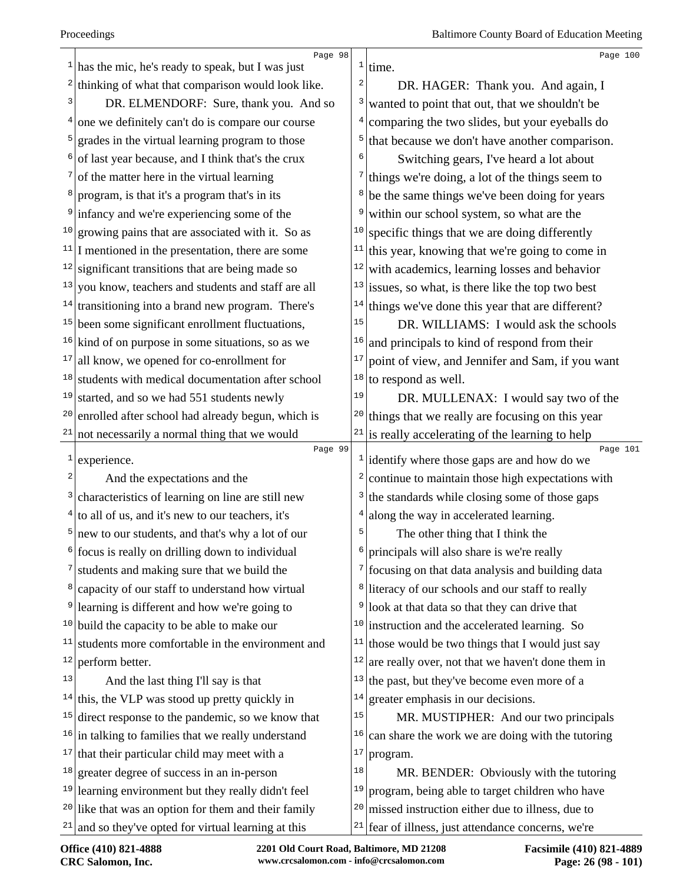| $\mathbf{1}$            | Page 98<br>has the mic, he's ready to speak, but I was just |                              | Page 100<br>$1$ time.                                                 |
|-------------------------|-------------------------------------------------------------|------------------------------|-----------------------------------------------------------------------|
| $\overline{\mathbf{c}}$ | thinking of what that comparison would look like.           | $\overline{\mathbf{c}}$      | DR. HAGER: Thank you. And again, I                                    |
| 3                       | DR. ELMENDORF: Sure, thank you. And so                      | 3                            | wanted to point that out, that we shouldn't be                        |
| 4                       | one we definitely can't do is compare our course            | 4                            | comparing the two slides, but your eyeballs do                        |
| 5                       | grades in the virtual learning program to those             | 5                            | that because we don't have another comparison.                        |
| 6                       | of last year because, and I think that's the crux           | 6                            | Switching gears, I've heard a lot about                               |
| 7                       | of the matter here in the virtual learning                  | 7                            | things we're doing, a lot of the things seem to                       |
| 8                       | program, is that it's a program that's in its               | 8                            | be the same things we've been doing for years                         |
| 9                       | infancy and we're experiencing some of the                  | 9                            | within our school system, so what are the                             |
| 10                      | growing pains that are associated with it. So as            | 10                           | specific things that we are doing differently                         |
|                         | $11$ I mentioned in the presentation, there are some        | 11                           | this year, knowing that we're going to come in                        |
|                         | $12$ significant transitions that are being made so         | 12                           | with academics, learning losses and behavior                          |
| 13                      | you know, teachers and students and staff are all           | 13                           | issues, so what, is there like the top two best                       |
| 14                      | transitioning into a brand new program. There's             | 14                           | things we've done this year that are different?                       |
|                         | $15$ been some significant enrollment fluctuations,         | $15\,$                       | DR. WILLIAMS: I would ask the schools                                 |
| 16                      | kind of on purpose in some situations, so as we             | 16                           | and principals to kind of respond from their                          |
| 17                      | all know, we opened for co-enrollment for                   | 17                           | point of view, and Jennifer and Sam, if you want                      |
| 18                      | students with medical documentation after school            | 18                           | to respond as well.                                                   |
| 19                      | started, and so we had 551 students newly                   | 19                           | DR. MULLENAX: I would say two of the                                  |
| 20                      | enrolled after school had already begun, which is           | 20                           | things that we really are focusing on this year                       |
| 21                      | not necessarily a normal thing that we would                | 21                           | is really accelerating of the learning to help                        |
| $\mathbf{1}$            | Page 99<br>experience.                                      |                              | Page 101<br>$\frac{1}{1}$ identify where those gaps are and how do we |
| 2                       | And the expectations and the                                | 2                            | continue to maintain those high expectations with                     |
| 3                       | characteristics of learning on line are still new           | $\left  \frac{3}{2} \right $ | the standards while closing some of those gaps                        |
| 4                       | to all of us, and it's new to our teachers, it's            | 4                            | along the way in accelerated learning.                                |
| 5                       | new to our students, and that's why a lot of our            | 5                            | The other thing that I think the                                      |
| 6                       | focus is really on drilling down to individual              | 6                            | principals will also share is we're really                            |
| 7                       | students and making sure that we build the                  |                              | $\frac{7}{1}$ focusing on that data analysis and building data        |
| 8                       | capacity of our staff to understand how virtual             | 8                            | literacy of our schools and our staff to really                       |
| 9                       | learning is different and how we're going to                | 9                            | look at that data so that they can drive that                         |
| 10                      | build the capacity to be able to make our                   | 10                           | instruction and the accelerated learning. So                          |
| 11                      | students more comfortable in the environment and            | 11                           | those would be two things that I would just say                       |
| 12                      | perform better.                                             | 12                           | are really over, not that we haven't done them in                     |
| 13                      | And the last thing I'll say is that                         | 13                           | the past, but they've become even more of a                           |
|                         | $14$ this, the VLP was stood up pretty quickly in           | 14                           | greater emphasis in our decisions.                                    |
| 15                      | direct response to the pandemic, so we know that            | 15                           | MR. MUSTIPHER: And our two principals                                 |
| 16                      | in talking to families that we really understand            | 16                           | can share the work we are doing with the tutoring                     |
| 17                      | that their particular child may meet with a                 | 17                           | program.                                                              |
| 18                      | greater degree of success in an in-person                   | 18                           | MR. BENDER: Obviously with the tutoring                               |
| 19                      | learning environment but they really didn't feel            | 19                           | program, being able to target children who have                       |
|                         | $20$ like that was an option for them and their family      | 20                           | missed instruction either due to illness, due to                      |
|                         | and so they've opted for virtual learning at this           |                              | $21$ fear of illness, just attendance concerns, we're                 |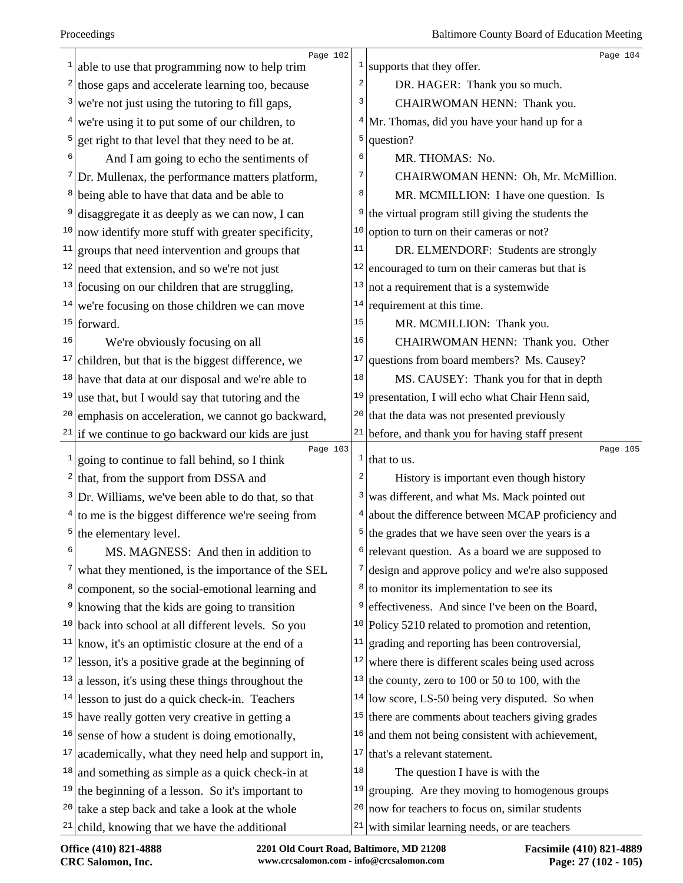|    | Page 102                                                                                                       |                | Page 104                                                                                 |
|----|----------------------------------------------------------------------------------------------------------------|----------------|------------------------------------------------------------------------------------------|
|    | $\frac{1}{2}$ able to use that programming now to help trim                                                    | $\mathbf{1}$   | supports that they offer.                                                                |
|    | $2$ those gaps and accelerate learning too, because                                                            | $\overline{a}$ | DR. HAGER: Thank you so much.                                                            |
|    | $3$ we're not just using the tutoring to fill gaps,                                                            | 3              | CHAIRWOMAN HENN: Thank you.                                                              |
|    | $4$ we're using it to put some of our children, to                                                             | 4              | Mr. Thomas, did you have your hand up for a                                              |
|    | $5$ get right to that level that they need to be at.                                                           | 5              | question?                                                                                |
|    | And I am going to echo the sentiments of                                                                       | 6              | MR. THOMAS: No.                                                                          |
|    | $\frac{7}{2}$ Dr. Mullenax, the performance matters platform,                                                  | 7              | CHAIRWOMAN HENN: Oh, Mr. McMillion.                                                      |
|    | <sup>8</sup> being able to have that data and be able to                                                       | 8              | MR. MCMILLION: I have one question. Is                                                   |
| 9  | disaggregate it as deeply as we can now, I can                                                                 | 9              | the virtual program still giving the students the                                        |
|    | $10$ now identify more stuff with greater specificity,                                                         | 10             | option to turn on their cameras or not?                                                  |
|    | $11$ groups that need intervention and groups that                                                             | 11             | DR. ELMENDORF: Students are strongly                                                     |
|    | $12$ need that extension, and so we're not just                                                                | 12             | encouraged to turn on their cameras but that is                                          |
|    | $13$ focusing on our children that are struggling,                                                             | 13             | not a requirement that is a systemwide                                                   |
|    | $14$ we're focusing on those children we can move                                                              | 14             | requirement at this time.                                                                |
|    | $15$ forward.                                                                                                  | 15             | MR. MCMILLION: Thank you.                                                                |
| 16 | We're obviously focusing on all                                                                                | 16             | CHAIRWOMAN HENN: Thank you. Other                                                        |
|    | $17$ children, but that is the biggest difference, we                                                          | 17             | questions from board members? Ms. Causey?                                                |
|    | $18$ have that data at our disposal and we're able to                                                          | 18             | MS. CAUSEY: Thank you for that in depth                                                  |
|    | $19$ use that, but I would say that tutoring and the                                                           | 19             | presentation, I will echo what Chair Henn said,                                          |
| 20 | emphasis on acceleration, we cannot go backward,                                                               | 20             | that the data was not presented previously                                               |
|    | $21$ if we continue to go backward our kids are just                                                           | 21             | before, and thank you for having staff present                                           |
|    |                                                                                                                |                |                                                                                          |
|    | Page 103                                                                                                       | $\mathbf{1}$   | Page 105<br>that to us.                                                                  |
|    | $\frac{1}{2}$ going to continue to fall behind, so I think                                                     | 2              |                                                                                          |
|    | $2$ that, from the support from DSSA and                                                                       | 3              | History is important even though history<br>was different, and what Ms. Mack pointed out |
|    | $3$ Dr. Williams, we've been able to do that, so that<br>$4$ to me is the biggest difference we're seeing from | 4              | about the difference between MCAP proficiency and                                        |
|    | $5$ the elementary level.                                                                                      |                | $5$ the grades that we have seen over the years is a                                     |
|    | MS. MAGNESS: And then in addition to                                                                           | 6              | relevant question. As a board we are supposed to                                         |
|    | what they mentioned, is the importance of the SEL                                                              |                | $\frac{7}{3}$ design and approve policy and we're also supposed                          |
|    | <sup>8</sup> component, so the social-emotional learning and                                                   | 8              | to monitor its implementation to see its                                                 |
|    | <sup>9</sup> knowing that the kids are going to transition                                                     | 9              | effectiveness. And since I've been on the Board,                                         |
| 10 | back into school at all different levels. So you                                                               | 10             | Policy 5210 related to promotion and retention,                                          |
|    | $11$ know, it's an optimistic closure at the end of a                                                          | 11             | grading and reporting has been controversial,                                            |
|    | $12$  lesson, it's a positive grade at the beginning of                                                        | 12             | where there is different scales being used across                                        |
|    | $13$ a lesson, it's using these things throughout the                                                          | 13             | the county, zero to 100 or 50 to 100, with the                                           |
|    | $14$ lesson to just do a quick check-in. Teachers                                                              | 14             | low score, LS-50 being very disputed. So when                                            |
|    | $15$ have really gotten very creative in getting a                                                             | 15             | there are comments about teachers giving grades                                          |
|    | $16$ sense of how a student is doing emotionally,                                                              | 16             | and them not being consistent with achievement,                                          |
| 17 | academically, what they need help and support in,                                                              | 17             | that's a relevant statement.                                                             |
|    | $18$ and something as simple as a quick check-in at                                                            | 18             | The question I have is with the                                                          |
|    | $19$ the beginning of a lesson. So it's important to                                                           | 19             | grouping. Are they moving to homogenous groups                                           |
|    | $20$ take a step back and take a look at the whole                                                             | 20             | now for teachers to focus on, similar students                                           |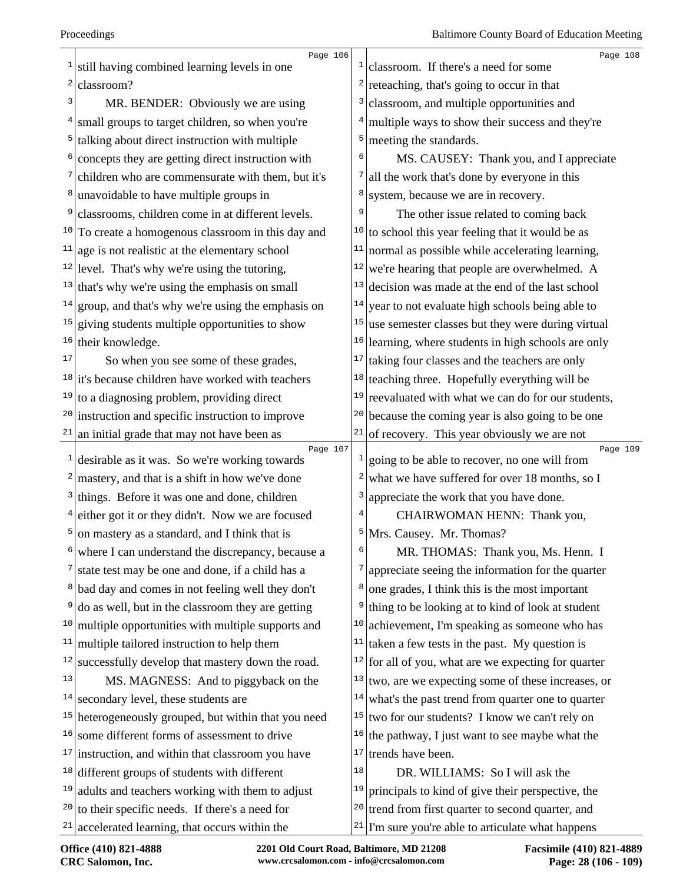|                | Page 106                                                        | 1                       | Page 108                                                      |
|----------------|-----------------------------------------------------------------|-------------------------|---------------------------------------------------------------|
| 2              | still having combined learning levels in one                    | $\overline{\mathbf{c}}$ | classroom. If there's a need for some                         |
| 3              | classroom?                                                      |                         | reteaching, that's going to occur in that                     |
|                | MR. BENDER: Obviously we are using                              | 3                       | classroom, and multiple opportunities and                     |
|                | small groups to target children, so when you're                 | 4                       | multiple ways to show their success and they're               |
| 5 <sup>1</sup> | talking about direct instruction with multiple                  | 5                       | meeting the standards.                                        |
|                | concepts they are getting direct instruction with               | 6                       | MS. CAUSEY: Thank you, and I appreciate                       |
|                | $\frac{7}{2}$ children who are commensurate with them, but it's | 7                       | all the work that's done by everyone in this                  |
| $8 \mid$       | unavoidable to have multiple groups in                          | 8                       | system, because we are in recovery.                           |
| 9              | classrooms, children come in at different levels.               | 9                       | The other issue related to coming back                        |
|                | $10$ To create a homogenous classroom in this day and           |                         | $10$ to school this year feeling that it would be as          |
| 11             | age is not realistic at the elementary school                   | 11                      | normal as possible while accelerating learning,               |
|                | $12$ level. That's why we're using the tutoring,                | 12                      | we're hearing that people are overwhelmed. A                  |
| 13             | that's why we're using the emphasis on small                    | 13                      | decision was made at the end of the last school               |
| 14             | group, and that's why we're using the emphasis on               | 14                      | year to not evaluate high schools being able to               |
|                | $15$ giving students multiple opportunities to show             | 15                      | use semester classes but they were during virtual             |
| 16             | their knowledge.                                                |                         | $16$ learning, where students in high schools are only        |
| 17             | So when you see some of these grades,                           | 17                      | taking four classes and the teachers are only                 |
|                | $18$ it's because children have worked with teachers            | 18                      | teaching three. Hopefully everything will be                  |
| 19             | to a diagnosing problem, providing direct                       | 19                      | reevaluated with what we can do for our students,             |
| 20             | instruction and specific instruction to improve                 |                         | $20$ because the coming year is also going to be one          |
|                | $21$ an initial grade that may not have been as                 | 21                      | of recovery. This year obviously we are not                   |
| $\mathbf{1}$   | Page 107<br>desirable as it was. So we're working towards       |                         | Page 109<br>going to be able to recover, no one will from     |
| 2              | mastery, and that is a shift in how we've done                  | 2                       | what we have suffered for over 18 months, so I                |
|                | $3$ things. Before it was one and done, children                | 3                       | appreciate the work that you have done.                       |
|                | $4$ either got it or they didn't. Now we are focused            | 4                       | CHAIRWOMAN HENN: Thank you,                                   |
| $\overline{5}$ | on mastery as a standard, and I think that is                   | 5                       | Mrs. Causey. Mr. Thomas?                                      |
| 6              | where I can understand the discrepancy, because a               | 6                       | MR. THOMAS: Thank you, Ms. Henn. I                            |
|                | state test may be one and done, if a child has a                | 7                       | appreciate seeing the information for the quarter             |
|                | <sup>8</sup> bad day and comes in not feeling well they don't   | 8                       | one grades, I think this is the most important                |
| 9              | do as well, but in the classroom they are getting               | 9                       | thing to be looking at to kind of look at student             |
| 10             | multiple opportunities with multiple supports and               | 10                      | achievement, I'm speaking as someone who has                  |
| 11             | multiple tailored instruction to help them                      | 11                      | taken a few tests in the past. My question is                 |
| 12             | successfully develop that mastery down the road.                |                         | $12$ for all of you, what are we expecting for quarter        |
| 13             | MS. MAGNESS: And to piggyback on the                            |                         | $13$ two, are we expecting some of these increases, or        |
| 14             | secondary level, these students are                             | 14                      | what's the past trend from quarter one to quarter             |
| 15             | heterogeneously grouped, but within that you need               | 15                      | two for our students? I know we can't rely on                 |
| 16             | some different forms of assessment to drive                     |                         | $16$ the pathway, I just want to see maybe what the           |
| 17             | instruction, and within that classroom you have                 |                         | $17$ trends have been.                                        |
|                | $18$ different groups of students with different                | 18                      | DR. WILLIAMS: So I will ask the                               |
| 19             | adults and teachers working with them to adjust                 |                         | $19$ principals to kind of give their perspective, the        |
| 20             | to their specific needs. If there's a need for                  |                         | <sup>20</sup> trend from first quarter to second quarter, and |
|                | $21$ accelerated learning, that occurs within the               |                         | $21$ T'm sure you're able to articulate what happens          |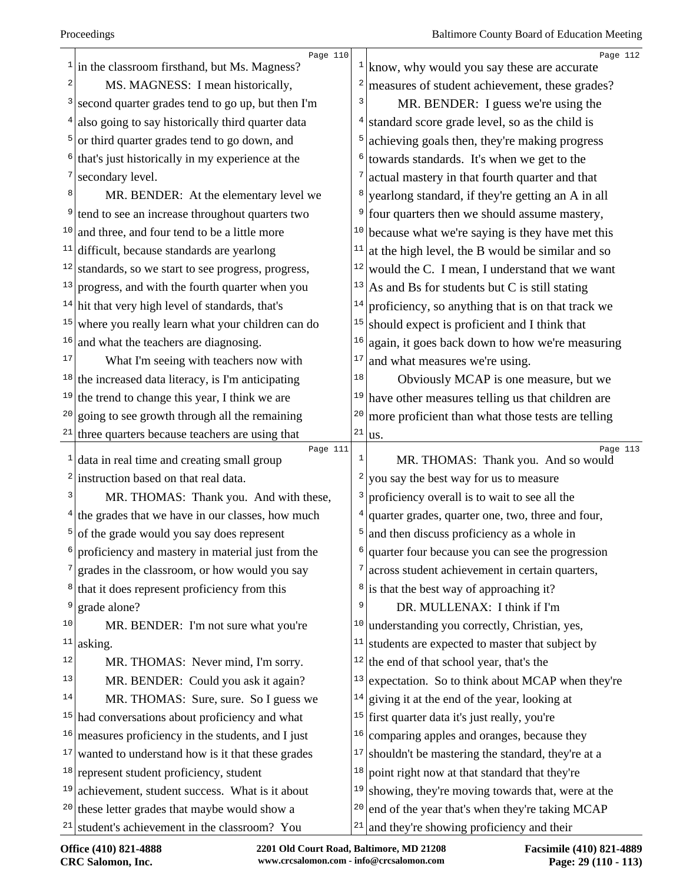| $\mathbf{1}$   | Page 110<br>in the classroom firsthand, but Ms. Magness? |                | Page 112<br>$\frac{1}{\text{km}}$ know, why would you say these are accurate |
|----------------|----------------------------------------------------------|----------------|------------------------------------------------------------------------------|
| 2              | MS. MAGNESS: I mean historically,                        | 2              | measures of student achievement, these grades?                               |
| 3              | second quarter grades tend to go up, but then I'm        | 3              | MR. BENDER: I guess we're using the                                          |
| $\overline{4}$ | also going to say historically third quarter data        |                | standard score grade level, so as the child is                               |
| 5              | or third quarter grades tend to go down, and             |                | achieving goals then, they're making progress                                |
| 6              | that's just historically in my experience at the         | 6              | towards standards. It's when we get to the                                   |
| 7              | secondary level.                                         |                | actual mastery in that fourth quarter and that                               |
| 8              | MR. BENDER: At the elementary level we                   |                | yearlong standard, if they're getting an A in all                            |
| 9              | tend to see an increase throughout quarters two          | 9              | four quarters then we should assume mastery,                                 |
| 10             | and three, and four tend to be a little more             | 10             | because what we're saying is they have met this                              |
| 11             | difficult, because standards are yearlong                | 11             | at the high level, the B would be similar and so                             |
| 12             | standards, so we start to see progress, progress,        | $12\,$         | would the C. I mean, I understand that we want                               |
| 13             | progress, and with the fourth quarter when you           | 13             | As and Bs for students but C is still stating                                |
| 14             | hit that very high level of standards, that's            | 14             | proficiency, so anything that is on that track we                            |
| 15             | where you really learn what your children can do         | 15             | should expect is proficient and I think that                                 |
| 16             | and what the teachers are diagnosing.                    | 16             | again, it goes back down to how we're measuring                              |
| 17             | What I'm seeing with teachers now with                   | 17             | and what measures we're using.                                               |
| 18             | the increased data literacy, is I'm anticipating         | 18             | Obviously MCAP is one measure, but we                                        |
| 19             | the trend to change this year, I think we are            | 19             | have other measures telling us that children are                             |
| 20             | going to see growth through all the remaining            | $20$           | more proficient than what those tests are telling                            |
| 21             | three quarters because teachers are using that           | 21             | us.                                                                          |
| $\mathbf{1}$   | Page 111<br>data in real time and creating small group   | $\mathbf{1}$   | Page 113<br>MR. THOMAS: Thank you. And so would                              |
| 2              | instruction based on that real data.                     | 2              | you say the best way for us to measure                                       |
| 3              | MR. THOMAS: Thank you. And with these,                   | 3              | proficiency overall is to wait to see all the                                |
| 4              | the grades that we have in our classes, how much         | $\overline{4}$ | quarter grades, quarter one, two, three and four,                            |
| 5              | of the grade would you say does represent                | 5              | and then discuss proficiency as a whole in                                   |
| 6              | proficiency and mastery in material just from the        | 6              | quarter four because you can see the progression                             |
| 7              | grades in the classroom, or how would you say            | 7              | across student achievement in certain quarters,                              |
| 8              | that it does represent proficiency from this             | 8              | is that the best way of approaching it?                                      |
| 9              | grade alone?                                             | 9              | DR. MULLENAX: I think if I'm                                                 |
| 10             | MR. BENDER: I'm not sure what you're                     | 10             | understanding you correctly, Christian, yes,                                 |
| 11             | asking.                                                  | 11             | students are expected to master that subject by                              |
| 12             | MR. THOMAS: Never mind, I'm sorry.                       | 12             | the end of that school year, that's the                                      |
| 13             | MR. BENDER: Could you ask it again?                      | 13             | expectation. So to think about MCAP when they're                             |
| 14             | MR. THOMAS: Sure, sure. So I guess we                    | 14             | giving it at the end of the year, looking at                                 |
| 15             | had conversations about proficiency and what             | 15             | first quarter data it's just really, you're                                  |
| 16             | measures proficiency in the students, and I just         | 16             | comparing apples and oranges, because they                                   |
| 17             | wanted to understand how is it that these grades         | 17             | shouldn't be mastering the standard, they're at a                            |
| 18             | represent student proficiency, student                   | 18             | point right now at that standard that they're                                |
| 19             | achievement, student success. What is it about           | 19             | showing, they're moving towards that, were at the                            |
| 20             | these letter grades that maybe would show a              | 20             | end of the year that's when they're taking MCAP                              |
| 21             | student's achievement in the classroom? You              | 21             | and they're showing proficiency and their                                    |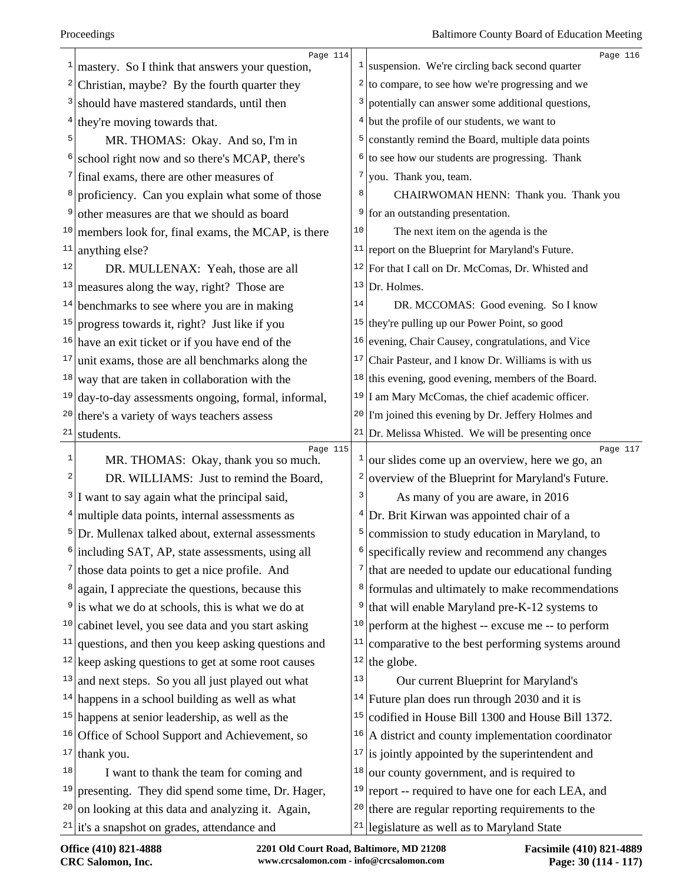|                         | Page 114                                                                                             |              | Page 116                                                                                            |
|-------------------------|------------------------------------------------------------------------------------------------------|--------------|-----------------------------------------------------------------------------------------------------|
|                         | mastery. So I think that answers your question,                                                      |              | $\frac{1}{2}$ suspension. We're circling back second quarter                                        |
| $\overline{\mathbf{c}}$ | Christian, maybe? By the fourth quarter they                                                         |              | $2 \mid$ to compare, to see how we're progressing and we                                            |
| 3                       | should have mastered standards, until then                                                           | 3            | potentially can answer some additional questions,                                                   |
|                         | $4$ they're moving towards that.                                                                     | 4            | but the profile of our students, we want to                                                         |
| 5                       | MR. THOMAS: Okay. And so, I'm in                                                                     | 5            | constantly remind the Board, multiple data points                                                   |
|                         | school right now and so there's MCAP, there's                                                        | 6            | to see how our students are progressing. Thank                                                      |
| 7                       | final exams, there are other measures of                                                             | 7            | you. Thank you, team.                                                                               |
| 8                       | proficiency. Can you explain what some of those                                                      |              | CHAIRWOMAN HENN: Thank you. Thank you                                                               |
| 9                       | other measures are that we should as board                                                           | 9            | for an outstanding presentation.                                                                    |
|                         | $10$ members look for, final exams, the MCAP, is there                                               | 10           | The next item on the agenda is the                                                                  |
| 11                      | anything else?                                                                                       |              | $11$ report on the Blueprint for Maryland's Future.                                                 |
| 12                      | DR. MULLENAX: Yeah, those are all                                                                    |              | $12$ For that I call on Dr. McComas, Dr. Whisted and                                                |
| 13                      | measures along the way, right? Those are                                                             | 13           | Dr. Holmes.                                                                                         |
| 14                      | benchmarks to see where you are in making                                                            | 14           | DR. MCCOMAS: Good evening. So I know                                                                |
| 15                      | progress towards it, right? Just like if you                                                         |              | $15$ they're pulling up our Power Point, so good                                                    |
|                         | $16$ have an exit ticket or if you have end of the                                                   | 16           | evening, Chair Causey, congratulations, and Vice                                                    |
| 17                      | unit exams, those are all benchmarks along the                                                       | 17           | Chair Pasteur, and I know Dr. Williams is with us                                                   |
| 18                      | way that are taken in collaboration with the                                                         | 18           | this evening, good evening, members of the Board.                                                   |
| 19                      | day-to-day assessments ongoing, formal, informal,                                                    |              | $19$ I am Mary McComas, the chief academic officer.                                                 |
| 20                      | there's a variety of ways teachers assess                                                            |              | <sup>20</sup> I'm joined this evening by Dr. Jeffery Holmes and                                     |
| 21                      | students.                                                                                            |              | $21$ Dr. Melissa Whisted. We will be presenting once                                                |
| 1                       | Page 115<br>MR. THOMAS: Okay, thank you so much.                                                     | $\mathbf{1}$ | Page 117<br>our slides come up an overview, here we go, an                                          |
| 2                       | DR. WILLIAMS: Just to remind the Board,                                                              | 2            | overview of the Blueprint for Maryland's Future.                                                    |
| $\frac{3}{ }$           | I want to say again what the principal said,                                                         | 3            | As many of you are aware, in 2016                                                                   |
|                         | $4$ multiple data points, internal assessments as                                                    |              | Dr. Brit Kirwan was appointed chair of a                                                            |
| 5                       |                                                                                                      |              | commission to study education in Maryland, to                                                       |
| 6                       |                                                                                                      | 5            |                                                                                                     |
|                         | Dr. Mullenax talked about, external assessments                                                      | 6            |                                                                                                     |
|                         | including SAT, AP, state assessments, using all                                                      |              | specifically review and recommend any changes                                                       |
| 8                       | those data points to get a nice profile. And                                                         | 8            | that are needed to update our educational funding                                                   |
|                         | again, I appreciate the questions, because this                                                      | 9            | formulas and ultimately to make recommendations                                                     |
| 10                      | is what we do at schools, this is what we do at                                                      | 10           | that will enable Maryland pre-K-12 systems to                                                       |
| 11                      | cabinet level, you see data and you start asking                                                     | 11           | perform at the highest -- excuse me -- to perform                                                   |
|                         | questions, and then you keep asking questions and                                                    | 12           | comparative to the best performing systems around                                                   |
| 13                      | $12$ keep asking questions to get at some root causes                                                | 13           | the globe.                                                                                          |
|                         | and next steps. So you all just played out what                                                      | 14           | Our current Blueprint for Maryland's                                                                |
|                         | $14$ happens in a school building as well as what                                                    | 15           | Future plan does run through 2030 and it is                                                         |
|                         | $15$ happens at senior leadership, as well as the                                                    | 16           | codified in House Bill 1300 and House Bill 1372.                                                    |
|                         | $16$ Office of School Support and Achievement, so                                                    | 17           | A district and county implementation coordinator                                                    |
| 18                      | $17$ thank you.                                                                                      | 18           | is jointly appointed by the superintendent and                                                      |
| 19                      | I want to thank the team for coming and                                                              | 19           | our county government, and is required to                                                           |
| 20                      | presenting. They did spend some time, Dr. Hager,<br>on looking at this data and analyzing it. Again, | 20           | report -- required to have one for each LEA, and<br>there are regular reporting requirements to the |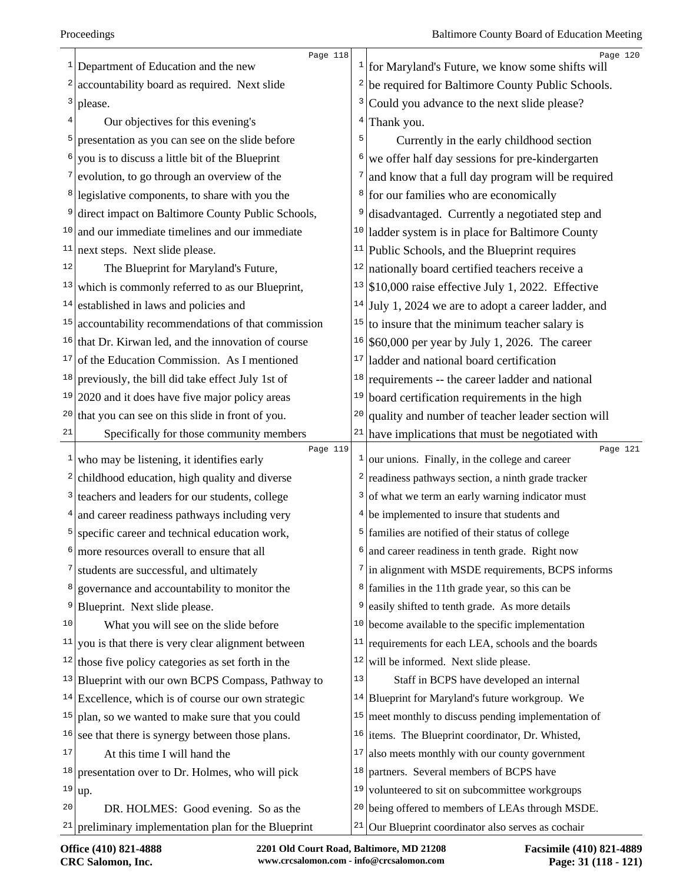|    | Page 118<br>$1$ Department of Education and the new                 | $\mathbf{1}$   | Page 120<br>for Maryland's Future, we know some shifts will   |
|----|---------------------------------------------------------------------|----------------|---------------------------------------------------------------|
|    | $\frac{2}{2}$ accountability board as required. Next slide          | $\overline{a}$ | be required for Baltimore County Public Schools.              |
|    | $3$ please.                                                         | 3              | Could you advance to the next slide please?                   |
| 4  | Our objectives for this evening's                                   | 4              | Thank you.                                                    |
| 5  | presentation as you can see on the slide before                     | 5              | Currently in the early childhood section                      |
| 6  | you is to discuss a little bit of the Blueprint                     | 6              | we offer half day sessions for pre-kindergarten               |
|    | $\frac{7}{2}$ evolution, to go through an overview of the           | 7              | and know that a full day program will be required             |
|    | <sup>8</sup> legislative components, to share with you the          |                | <sup>8</sup> for our families who are economically            |
| 9  | direct impact on Baltimore County Public Schools,                   | 9              | disadvantaged. Currently a negotiated step and                |
|    | $10$ and our immediate timelines and our immediate                  |                | $10$ ladder system is in place for Baltimore County           |
| 11 | next steps. Next slide please.                                      |                | $11$ Public Schools, and the Blueprint requires               |
| 12 | The Blueprint for Maryland's Future,                                | 12             | nationally board certified teachers receive a                 |
| 13 | which is commonly referred to as our Blueprint,                     |                | $13$ \$10,000 raise effective July 1, 2022. Effective         |
| 14 | established in laws and policies and                                | 14             | July 1, 2024 we are to adopt a career ladder, and             |
| 15 | accountability recommendations of that commission                   | 15             | to insure that the minimum teacher salary is                  |
| 16 | that Dr. Kirwan led, and the innovation of course                   |                | $16$ \$60,000 per year by July 1, 2026. The career            |
| 17 | of the Education Commission. As I mentioned                         | 17             | ladder and national board certification                       |
|    | $18$ previously, the bill did take effect July 1st of               | 18             | requirements -- the career ladder and national                |
|    | $19 2020$ and it does have five major policy areas                  | 19             | board certification requirements in the high                  |
|    | $20$ that you can see on this slide in front of you.                | 20             | quality and number of teacher leader section will             |
| 21 | Specifically for those community members                            |                | $21$ have implications that must be negotiated with           |
|    | Page 119<br>$\frac{1}{x}$ who may be listening, it identifies early | $\mathbf{1}$   | Page 121<br>our unions. Finally, in the college and career    |
|    | $2$ childhood education, high quality and diverse                   | 2              | readiness pathways section, a ninth grade tracker             |
|    | <sup>3</sup> teachers and leaders for our students, college         |                | $3$ of what we term an early warning indicator must           |
|    | $4$ and career readiness pathways including very                    |                | $4$ be implemented to insure that students and                |
|    | <sup>5</sup> specific career and technical education work,          |                | <sup>5</sup> families are notified of their status of college |
| 6  | more resources overall to ensure that all                           |                | and career readiness in tenth grade. Right now                |
| 7  | students are successful, and ultimately                             |                | $7$ in alignment with MSDE requirements, BCPS informs         |
| 8  | governance and accountability to monitor the                        | 8              | families in the 11th grade year, so this can be               |
| 9  | Blueprint. Next slide please.                                       | 9              | easily shifted to tenth grade. As more details                |
| 10 | What you will see on the slide before                               | 10             | become available to the specific implementation               |
| 11 | you is that there is very clear alignment between                   | 11             | requirements for each LEA, schools and the boards             |
| 12 | those five policy categories as set forth in the                    |                | $12$ will be informed. Next slide please.                     |
| 13 | Blueprint with our own BCPS Compass, Pathway to                     | 13             | Staff in BCPS have developed an internal                      |
|    | $14$ Excellence, which is of course our own strategic               |                | $14$ Blueprint for Maryland's future workgroup. We            |
| 15 | plan, so we wanted to make sure that you could                      |                | $15$ meet monthly to discuss pending implementation of        |
| 16 | see that there is synergy between those plans.                      |                | <sup>16</sup> items. The Blueprint coordinator, Dr. Whisted,  |
| 17 | At this time I will hand the                                        | 17             | also meets monthly with our county government                 |
| 18 | presentation over to Dr. Holmes, who will pick                      | 18             | partners. Several members of BCPS have                        |
| 19 | up.                                                                 | 19             | volunteered to sit on subcommittee workgroups                 |
| 20 | DR. HOLMES: Good evening. So as the                                 |                | <sup>20</sup> being offered to members of LEAs through MSDE.  |
| 21 | preliminary implementation plan for the Blueprint                   | 21             | Our Blueprint coordinator also serves as cochair              |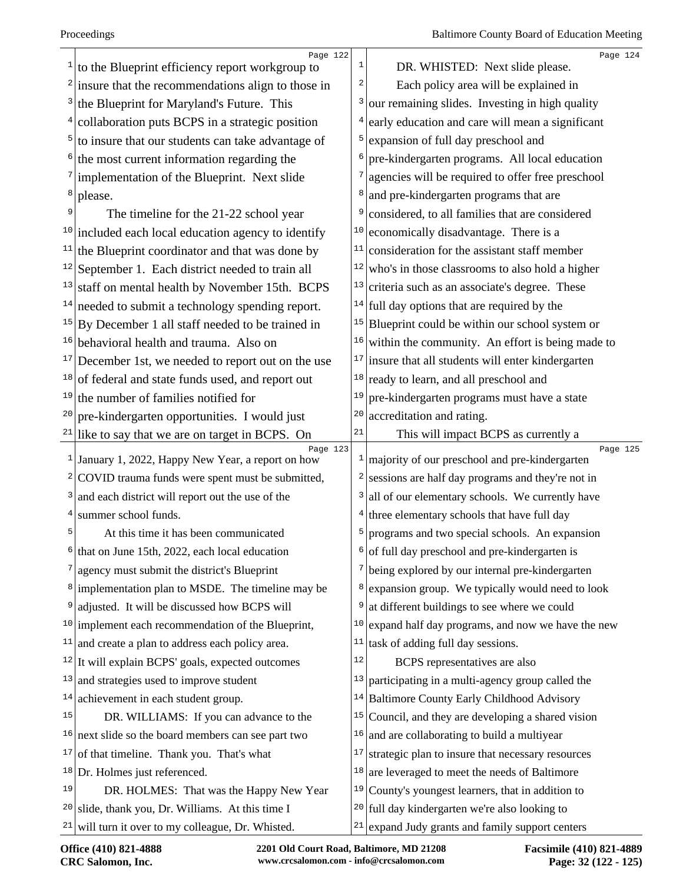|    | Page 122<br>to the Blueprint efficiency report workgroup to      | 1              | Page 124<br>DR. WHISTED: Next slide please.                 |
|----|------------------------------------------------------------------|----------------|-------------------------------------------------------------|
|    | $2$ insure that the recommendations align to those in            | 2              | Each policy area will be explained in                       |
|    | the Blueprint for Maryland's Future. This                        | 3              | our remaining slides. Investing in high quality             |
|    | collaboration puts BCPS in a strategic position                  | $\overline{4}$ | early education and care will mean a significant            |
| 5  | to insure that our students can take advantage of                | 5              | expansion of full day preschool and                         |
|    | the most current information regarding the                       | 6              | pre-kindergarten programs. All local education              |
|    | $\frac{7}{ }$ implementation of the Blueprint. Next slide        | 7              | agencies will be required to offer free preschool           |
| 8  | please.                                                          | 8              | and pre-kindergarten programs that are                      |
| 9  | The timeline for the 21-22 school year                           | 9              | considered, to all families that are considered             |
|    | $10$ included each local education agency to identify            | 10             | economically disadvantage. There is a                       |
|    | $11$ the Blueprint coordinator and that was done by              | 11             | consideration for the assistant staff member                |
|    | $12$ September 1. Each district needed to train all              | 12             | who's in those classrooms to also hold a higher             |
| 13 | staff on mental health by November 15th. BCPS                    | 13             | criteria such as an associate's degree. These               |
|    | $14$ needed to submit a technology spending report.              |                | $14$ full day options that are required by the              |
|    | $15$ By December 1 all staff needed to be trained in             |                | $15$ Blueprint could be within our school system or         |
|    | $16$ behavioral health and trauma. Also on                       | 16             | within the community. An effort is being made to            |
| 17 | December 1st, we needed to report out on the use                 | $17$           | insure that all students will enter kindergarten            |
|    | <sup>18</sup> of federal and state funds used, and report out    |                | $18$ ready to learn, and all preschool and                  |
| 19 | the number of families notified for                              | 19             | pre-kindergarten programs must have a state                 |
| 20 | pre-kindergarten opportunities. I would just                     | 20             | accreditation and rating.                                   |
| 21 | like to say that we are on target in BCPS. On                    | 21             | This will impact BCPS as currently a                        |
|    | Page 123<br>$1$ January 1, 2022, Happy New Year, a report on how | $\mathbf{1}$   | Page 125<br>majority of our preschool and pre-kindergarten  |
|    | $2$ COVID trauma funds were spent must be submitted,             | 2              | sessions are half day programs and they're not in           |
|    | and each district will report out the use of the                 | 3              | all of our elementary schools. We currently have            |
| 4  | summer school funds.                                             |                | $4$ three elementary schools that have full day             |
| 5  | At this time it has been communicated                            | 5              | programs and two special schools. An expansion              |
| 6  | that on June 15th, 2022, each local education                    |                | $\frac{1}{2}$ of full day preschool and pre-kindergarten is |
|    | $\frac{7}{2}$ agency must submit the district's Blueprint        |                | $7$ being explored by our internal pre-kindergarten         |
|    | $\frac{8}{2}$ implementation plan to MSDE. The timeline may be   | 8              | expansion group. We typically would need to look            |
| 9  | adjusted. It will be discussed how BCPS will                     | 9              | at different buildings to see where we could                |
|    | $10$ implement each recommendation of the Blueprint,             | 10             | expand half day programs, and now we have the new           |
| 11 | and create a plan to address each policy area.                   | 11             | task of adding full day sessions.                           |
|    | $12$ It will explain BCPS' goals, expected outcomes              | 12             | BCPS representatives are also                               |
| 13 | and strategies used to improve student                           | 13             | participating in a multi-agency group called the            |
|    | $14$ achievement in each student group.                          |                | <sup>14</sup> Baltimore County Early Childhood Advisory     |
| 15 | DR. WILLIAMS: If you can advance to the                          | 15             | Council, and they are developing a shared vision            |
|    | $16$ next slide so the board members can see part two            | 16             | and are collaborating to build a multiyear                  |
| 17 | of that timeline. Thank you. That's what                         | 17             | strategic plan to insure that necessary resources           |
|    | $18$ Dr. Holmes just referenced.                                 |                | $18$ are leveraged to meet the needs of Baltimore           |
| 19 | DR. HOLMES: That was the Happy New Year                          |                | $19$ County's youngest learners, that in addition to        |
| 20 | slide, thank you, Dr. Williams. At this time I                   |                | $20$ full day kindergarten we're also looking to            |
|    | $21$ will turn it over to my colleague, Dr. Whisted.             |                | $21$ expand Judy grants and family support centers          |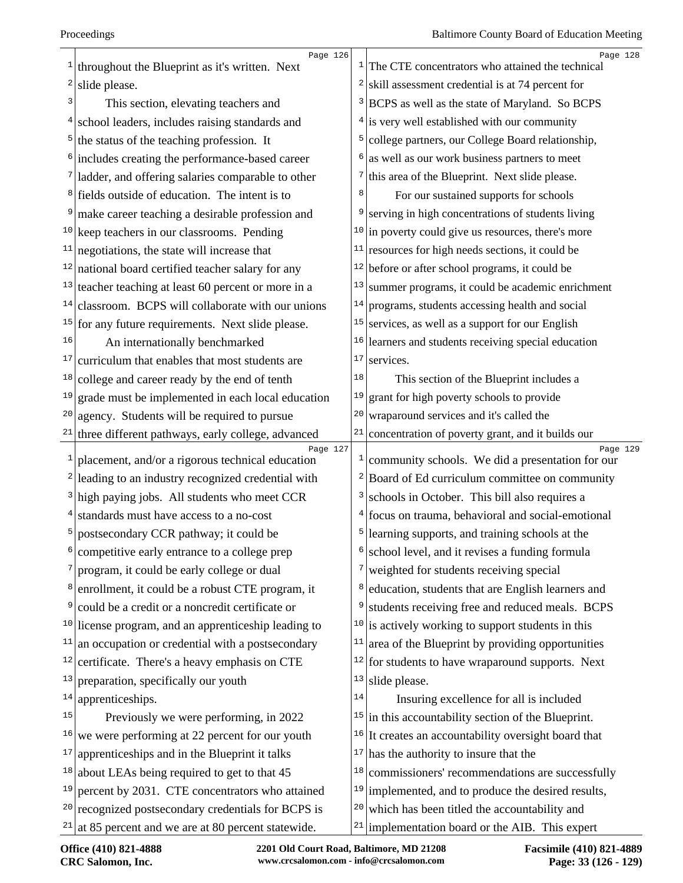|                | Page 126<br>throughout the Blueprint as it's written. Next                             | $\mathbf{1}$   | Page 128<br>The CTE concentrators who attained the technical                                      |
|----------------|----------------------------------------------------------------------------------------|----------------|---------------------------------------------------------------------------------------------------|
| 2              | slide please.                                                                          | $\overline{a}$ | skill assessment credential is at 74 percent for                                                  |
| 3              |                                                                                        | 3              |                                                                                                   |
| 4              | This section, elevating teachers and<br>school leaders, includes raising standards and |                | BCPS as well as the state of Maryland. So BCPS<br>$4$ is very well established with our community |
|                |                                                                                        | 5              |                                                                                                   |
|                | $5$ the status of the teaching profession. It                                          | 6              | college partners, our College Board relationship,                                                 |
|                | <sup>6</sup> includes creating the performance-based career                            |                | as well as our work business partners to meet                                                     |
|                | $7$ ladder, and offering salaries comparable to other                                  | 8              | $7$ this area of the Blueprint. Next slide please.                                                |
|                | <sup>8</sup> fields outside of education. The intent is to                             |                | For our sustained supports for schools                                                            |
| 9              | make career teaching a desirable profession and                                        | 9              | serving in high concentrations of students living                                                 |
|                | $10$ keep teachers in our classrooms. Pending                                          | 10             | in poverty could give us resources, there's more                                                  |
| 11             | negotiations, the state will increase that                                             | 11             | resources for high needs sections, it could be                                                    |
|                | $12$ national board certified teacher salary for any                                   |                | $12$ before or after school programs, it could be                                                 |
|                | $13$ teacher teaching at least 60 percent or more in a                                 | 13             | summer programs, it could be academic enrichment                                                  |
| 14             | classroom. BCPS will collaborate with our unions                                       | 14             | programs, students accessing health and social                                                    |
|                | $15$ for any future requirements. Next slide please.                                   | 15             | services, as well as a support for our English                                                    |
| 16             | An internationally benchmarked                                                         | 16             | learners and students receiving special education                                                 |
| 17             | curriculum that enables that most students are                                         | 17             | services.                                                                                         |
| 18             | college and career ready by the end of tenth                                           | 18             | This section of the Blueprint includes a                                                          |
| 19             | grade must be implemented in each local education                                      | 19             | grant for high poverty schools to provide                                                         |
| 20             | agency. Students will be required to pursue                                            | 20             | wraparound services and it's called the                                                           |
|                | $21$ three different pathways, early college, advanced                                 | $2\sqrt{1}$    | concentration of poverty grant, and it builds our                                                 |
| $\mathbf{1}$   | Page 127<br>placement, and/or a rigorous technical education                           | $\mathbf{1}$   | Page 129<br>community schools. We did a presentation for our                                      |
|                | $2$ leading to an industry recognized credential with                                  | 2              | Board of Ed curriculum committee on community                                                     |
|                | $3$ high paying jobs. All students who meet CCR                                        | 3              | schools in October. This bill also requires a                                                     |
|                | <sup>4</sup> standards must have access to a no-cost                                   |                | $4$ focus on trauma, behavioral and social-emotional                                              |
| 5              | postsecondary CCR pathway; it could be                                                 | 5              | learning supports, and training schools at the                                                    |
|                | competitive early entrance to a college prep                                           |                | school level, and it revises a funding formula                                                    |
| 7              | program, it could be early college or dual                                             | 7              | weighted for students receiving special                                                           |
| 8 <sup>2</sup> | enrollment, it could be a robust CTE program, it                                       | 8              | education, students that are English learners and                                                 |
| 9              | could be a credit or a noncredit certificate or                                        | 9              | students receiving free and reduced meals. BCPS                                                   |
|                | $10$ license program, and an apprenticeship leading to                                 | 10             | is actively working to support students in this                                                   |
| 11             | an occupation or credential with a postsecondary                                       | 11             | area of the Blueprint by providing opportunities                                                  |
| 12             | certificate. There's a heavy emphasis on CTE                                           | 12             | for students to have wraparound supports. Next                                                    |
| 13             | preparation, specifically our youth                                                    | 13             | slide please.                                                                                     |
| 14             | apprenticeships.                                                                       | 14             | Insuring excellence for all is included                                                           |
| 15             | Previously we were performing, in 2022                                                 | 15             | in this accountability section of the Blueprint.                                                  |
| 16             | we were performing at 22 percent for our youth                                         | 16             | It creates an accountability oversight board that                                                 |
| 17             | apprenticeships and in the Blueprint it talks                                          | 17             | has the authority to insure that the                                                              |
| 18             | about LEAs being required to get to that 45                                            | 18             | commissioners' recommendations are successfully                                                   |
| 19             | percent by 2031. CTE concentrators who attained                                        | 19             | implemented, and to produce the desired results,                                                  |
|                | $20$ recognized postsecondary credentials for BCPS is                                  | 20             | which has been titled the accountability and                                                      |
|                | <sup>21</sup> at 85 percent and we are at 80 percent statewide.                        | 21             | implementation board or the AIB. This expert                                                      |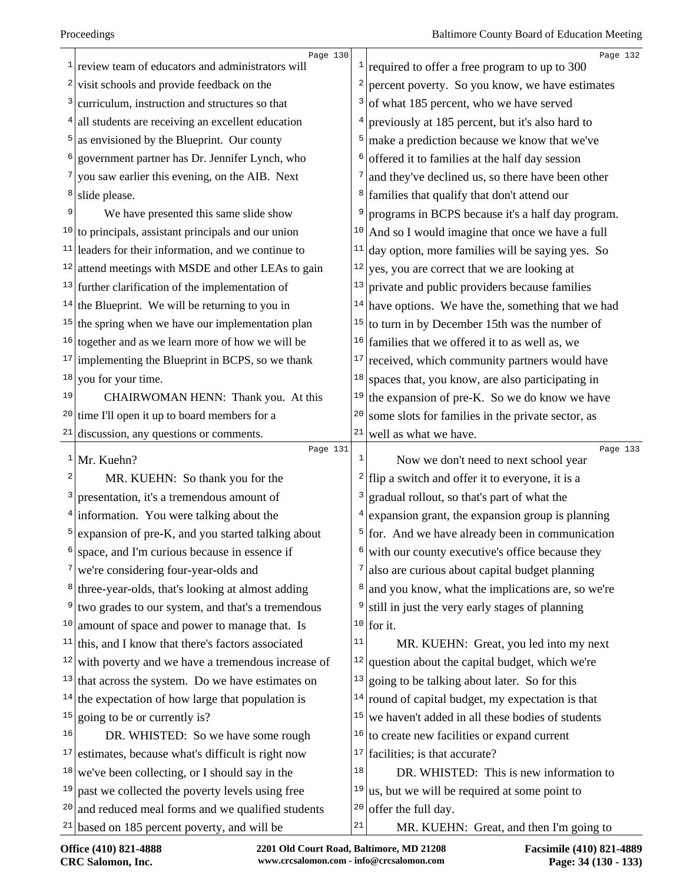|                 | Page 130                                               |       | Page 132                                                      |
|-----------------|--------------------------------------------------------|-------|---------------------------------------------------------------|
| 1               | review team of educators and administrators will       |       | <sup>1</sup> required to offer a free program to up to 300    |
| 2               | visit schools and provide feedback on the              | 2     | percent poverty. So you know, we have estimates               |
| 3               | curriculum, instruction and structures so that         | 3     | of what 185 percent, who we have served                       |
| 4               | all students are receiving an excellent education      | 4     | previously at 185 percent, but it's also hard to              |
| 5               | as envisioned by the Blueprint. Our county             | 5     | make a prediction because we know that we've                  |
| 6               | government partner has Dr. Jennifer Lynch, who         | 6     | offered it to families at the half day session                |
|                 | you saw earlier this evening, on the AIB. Next         | 7     | and they've declined us, so there have been other             |
| 8               | slide please.                                          | 8     | families that qualify that don't attend our                   |
| 9               | We have presented this same slide show                 | 9     | programs in BCPS because it's a half day program.             |
|                 | $10$ to principals, assistant principals and our union | 10    | And so I would imagine that once we have a full               |
| 11              | leaders for their information, and we continue to      | 11    | day option, more families will be saying yes. So              |
| 12              | attend meetings with MSDE and other LEAs to gain       | 12    | yes, you are correct that we are looking at                   |
|                 | $13$ further clarification of the implementation of    | 13    | private and public providers because families                 |
| 14              | the Blueprint. We will be returning to you in          | 14    | have options. We have the, something that we had              |
|                 | $15$ the spring when we have our implementation plan   | 15    | to turn in by December 15th was the number of                 |
| 16              | together and as we learn more of how we will be        | 16    | families that we offered it to as well as, we                 |
| 17              | implementing the Blueprint in BCPS, so we thank        | 17    | received, which community partners would have                 |
| 18              | you for your time.                                     | 18    | spaces that, you know, are also participating in              |
| 19              | CHAIRWOMAN HENN: Thank you. At this                    | 19    | the expansion of pre-K. So we do know we have                 |
| 20              | time I'll open it up to board members for a            | 20    | some slots for families in the private sector, as             |
| 21              | discussion, any questions or comments.                 | 21    | well as what we have.                                         |
| 1               | Page 131<br>Mr. Kuehn?                                 | $1\,$ | Page 133<br>Now we don't need to next school year             |
| 2               | MR. KUEHN: So thank you for the                        | 2     | flip a switch and offer it to everyone, it is a               |
| 3               | presentation, it's a tremendous amount of              | 3     | gradual rollout, so that's part of what the                   |
| $\vert 4 \vert$ | information. You were talking about the                | 4     | expansion grant, the expansion group is planning              |
| 5               | expansion of pre-K, and you started talking about      | 5     | for. And we have already been in communication                |
| 6               | space, and I'm curious because in essence if           |       | $\frac{1}{2}$ with our county executive's office because they |
| 7               | we're considering four-year-olds and                   | 7     | also are curious about capital budget planning                |
| 8               | three-year-olds, that's looking at almost adding       | 8     | and you know, what the implications are, so we're             |
| 9               | two grades to our system, and that's a tremendous      | 9     | still in just the very early stages of planning               |
| 10              | amount of space and power to manage that. Is           |       | $10$ for it.                                                  |
| 11              | this, and I know that there's factors associated       | 11    | MR. KUEHN: Great, you led into my next                        |
| 12              | with poverty and we have a tremendous increase of      | 12    | question about the capital budget, which we're                |
|                 | $13$ that across the system. Do we have estimates on   | 13    | going to be talking about later. So for this                  |
| 14              | the expectation of how large that population is        | 14    | round of capital budget, my expectation is that               |
| 15              | going to be or currently is?                           | 15    | we haven't added in all these bodies of students              |
| 16              | DR. WHISTED: So we have some rough                     | 16    | to create new facilities or expand current                    |
| 17              | estimates, because what's difficult is right now       | 17    | facilities; is that accurate?                                 |
| 18              | we've been collecting, or I should say in the          | 18    | DR. WHISTED: This is new information to                       |
| 19              | past we collected the poverty levels using free        | 19    | us, but we will be required at some point to                  |
|                 |                                                        |       |                                                               |
|                 | $20$ and reduced meal forms and we qualified students  | 20    | offer the full day.                                           |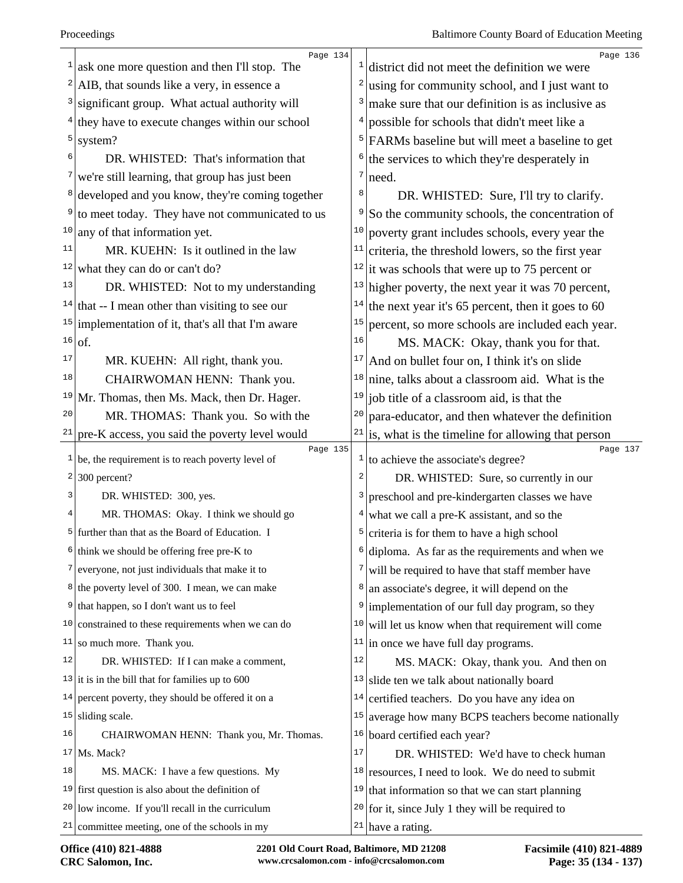|          | Page 134                                                                                           |                | Page 136                                                     |
|----------|----------------------------------------------------------------------------------------------------|----------------|--------------------------------------------------------------|
| 1        | ask one more question and then I'll stop. The                                                      |                | $\frac{1}{1}$ district did not meet the definition we were   |
| 2        | AIB, that sounds like a very, in essence a                                                         | $\overline{c}$ | using for community school, and I just want to               |
|          | significant group. What actual authority will                                                      | 3              | make sure that our definition is as inclusive as             |
|          | they have to execute changes within our school                                                     |                | possible for schools that didn't meet like a                 |
| 5        | system?                                                                                            | 5              | FARMs baseline but will meet a baseline to get               |
| 6        | DR. WHISTED: That's information that                                                               | 6              | the services to which they're desperately in                 |
|          | we're still learning, that group has just been                                                     | 7              | need.                                                        |
| 8        | developed and you know, they're coming together                                                    | 8              | DR. WHISTED: Sure, I'll try to clarify.                      |
| 9        | to meet today. They have not communicated to us                                                    | 9              | So the community schools, the concentration of               |
| 10       | any of that information yet.                                                                       | 10             | poverty grant includes schools, every year the               |
| 11       | MR. KUEHN: Is it outlined in the law                                                               | 11             | criteria, the threshold lowers, so the first year            |
| 12       | what they can do or can't do?                                                                      |                | <sup>12</sup> it was schools that were up to 75 percent or   |
| 13       | DR. WHISTED: Not to my understanding                                                               | 13             | higher poverty, the next year it was 70 percent,             |
| 14       | that -- I mean other than visiting to see our                                                      | 14             | the next year it's 65 percent, then it goes to 60            |
| 15       | implementation of it, that's all that I'm aware                                                    | 15             | percent, so more schools are included each year.             |
| 16       | of.                                                                                                | 16             | MS. MACK: Okay, thank you for that.                          |
| 17       | MR. KUEHN: All right, thank you.                                                                   | 17             | And on bullet four on, I think it's on slide                 |
| 18       | CHAIRWOMAN HENN: Thank you.                                                                        | 18             | nine, talks about a classroom aid. What is the               |
| 19       | Mr. Thomas, then Ms. Mack, then Dr. Hager.                                                         | 19             | job title of a classroom aid, is that the                    |
| 20       | MR. THOMAS: Thank you. So with the                                                                 | 20             | para-educator, and then whatever the definition              |
| 21       | pre-K access, you said the poverty level would                                                     | 21             | is, what is the timeline for allowing that person            |
| 1        | Page 135<br>be, the requirement is to reach poverty level of                                       |                | Page 137<br>$\frac{1}{1}$ to achieve the associate's degree? |
|          |                                                                                                    |                | DR. WHISTED: Sure, so currently in our                       |
|          |                                                                                                    |                |                                                              |
| 2        | 300 percent?                                                                                       | 2              |                                                              |
| 3        | DR. WHISTED: 300, yes.                                                                             |                | preschool and pre-kindergarten classes we have               |
| 4        | MR. THOMAS: Okay. I think we should go                                                             |                | what we call a pre-K assistant, and so the                   |
| 5        | further than that as the Board of Education. I                                                     | 5              | criteria is for them to have a high school                   |
| ь        | think we should be offering free pre-K to                                                          |                | diploma. As far as the requirements and when we              |
| $7\vert$ | everyone, not just individuals that make it to                                                     |                | will be required to have that staff member have              |
|          | <sup>8</sup> the poverty level of 300. I mean, we can make                                         | 8              | an associate's degree, it will depend on the                 |
| 9        | that happen, so I don't want us to feel                                                            | 9              | implementation of our full day program, so they              |
| 10       | constrained to these requirements when we can do                                                   | 10             | will let us know when that requirement will come             |
| 11       | so much more. Thank you.                                                                           | 11             | in once we have full day programs.                           |
| 12       | DR. WHISTED: If I can make a comment,                                                              | $1\,2$         | MS. MACK: Okay, thank you. And then on                       |
|          | $13$ it is in the bill that for families up to 600                                                 | 13             | slide ten we talk about nationally board                     |
| 14       | percent poverty, they should be offered it on a                                                    | 14             | certified teachers. Do you have any idea on                  |
| 15       | sliding scale.                                                                                     | 15             | average how many BCPS teachers become nationally             |
| 16       | CHAIRWOMAN HENN: Thank you, Mr. Thomas.                                                            | 16             | board certified each year?                                   |
| 17       | Ms. Mack?                                                                                          | 17             | DR. WHISTED: We'd have to check human                        |
| 18       | MS. MACK: I have a few questions. My                                                               |                | $18$ resources, I need to look. We do need to submit         |
|          | $19$ first question is also about the definition of                                                | 19             | that information so that we can start planning               |
| 20       | low income. If you'll recall in the curriculum<br>$21$ committee meeting, one of the schools in my |                | $20$ for it, since July 1 they will be required to           |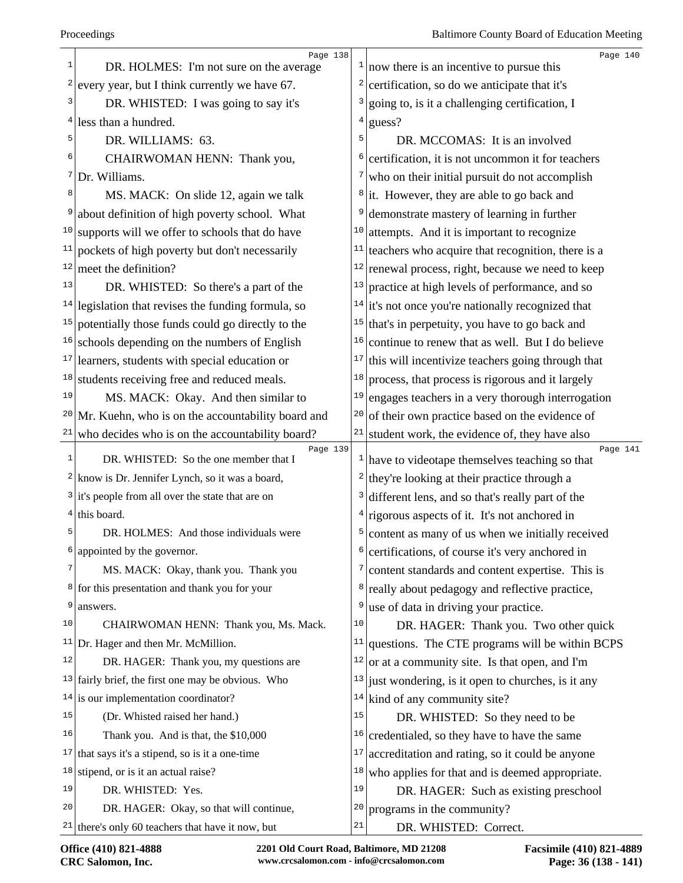|    | Page 138                                              |                         | Page 140                                                                |
|----|-------------------------------------------------------|-------------------------|-------------------------------------------------------------------------|
| 1  | DR. HOLMES: I'm not sure on the average               |                         | $\frac{1}{2}$ now there is an incentive to pursue this                  |
| 2  | every year, but I think currently we have 67.         | $\overline{\mathbf{c}}$ | certification, so do we anticipate that it's                            |
| 3  | DR. WHISTED: I was going to say it's                  | 3                       | going to, is it a challenging certification, I                          |
| 4  | less than a hundred.                                  | 4                       | guess?                                                                  |
| 5  | DR. WILLIAMS: 63.                                     | 5                       | DR. MCCOMAS: It is an involved                                          |
| 6  | CHAIRWOMAN HENN: Thank you,                           | 6                       | certification, it is not uncommon it for teachers                       |
| 7  | Dr. Williams.                                         | 7                       | who on their initial pursuit do not accomplish                          |
| 8  | MS. MACK: On slide 12, again we talk                  | 8                       | it. However, they are able to go back and                               |
|    | about definition of high poverty school. What         | 9                       | demonstrate mastery of learning in further                              |
|    | $10$ supports will we offer to schools that do have   | 10                      | attempts. And it is important to recognize                              |
| 11 | pockets of high poverty but don't necessarily         | 11                      | teachers who acquire that recognition, there is a                       |
| 12 | meet the definition?                                  | 12                      | renewal process, right, because we need to keep                         |
| 13 | DR. WHISTED: So there's a part of the                 | 13                      | practice at high levels of performance, and so                          |
|    | $14$ legislation that revises the funding formula, so |                         | $14$ it's not once you're nationally recognized that                    |
|    | $15$ potentially those funds could go directly to the | 15                      | that's in perpetuity, you have to go back and                           |
| 16 | schools depending on the numbers of English           | 16                      | continue to renew that as well. But I do believe                        |
| 17 | learners, students with special education or          | 17                      | this will incentivize teachers going through that                       |
| 18 | students receiving free and reduced meals.            | 18                      | process, that process is rigorous and it largely                        |
| 19 | MS. MACK: Okay. And then similar to                   | 19                      | engages teachers in a very thorough interrogation                       |
| 20 | Mr. Kuehn, who is on the accountability board and     | 20                      | of their own practice based on the evidence of                          |
| 21 | who decides who is on the accountability board?       | 21                      | student work, the evidence of, they have also                           |
| 1  | Page 139<br>DR. WHISTED: So the one member that I     |                         | Page 141<br>$\frac{1}{2}$ have to videotape themselves teaching so that |
|    | $2$ know is Dr. Jennifer Lynch, so it was a board,    | $\overline{c}$          | they're looking at their practice through a                             |
|    | $3$ it's people from all over the state that are on   | 3                       | different lens, and so that's really part of the                        |
|    | $4$ this board.                                       | 4                       | rigorous aspects of it. It's not anchored in                            |
| 5  | DR. HOLMES: And those individuals were                | 5                       | content as many of us when we initially received                        |
| 6  | appointed by the governor.                            | 6                       | certifications, of course it's very anchored in                         |
| 7  | MS. MACK: Okay, thank you. Thank you                  | 7                       | content standards and content expertise. This is                        |
| 8  | for this presentation and thank you for your          | 8                       | really about pedagogy and reflective practice,                          |
| 9  | answers.                                              | 9                       | use of data in driving your practice.                                   |
| 10 | CHAIRWOMAN HENN: Thank you, Ms. Mack.                 | 10                      | DR. HAGER: Thank you. Two other quick                                   |
|    | $11$ Dr. Hager and then Mr. McMillion.                | 11                      | questions. The CTE programs will be within BCPS                         |
| 12 | DR. HAGER: Thank you, my questions are                | 12                      | or at a community site. Is that open, and I'm                           |
|    | $13$ fairly brief, the first one may be obvious. Who  | 13                      | just wondering, is it open to churches, is it any                       |
| 14 | is our implementation coordinator?                    | 14                      | kind of any community site?                                             |
| 15 | (Dr. Whisted raised her hand.)                        | 15                      | DR. WHISTED: So they need to be                                         |
| 16 | Thank you. And is that, the \$10,000                  | 16                      | credentialed, so they have to have the same                             |
| 17 | that says it's a stipend, so is it a one-time         | 17                      | accreditation and rating, so it could be anyone                         |
| 18 | stipend, or is it an actual raise?                    | 18                      | who applies for that and is deemed appropriate.                         |
| 19 | DR. WHISTED: Yes.                                     | 19                      | DR. HAGER: Such as existing preschool                                   |
| 20 | DR. HAGER: Okay, so that will continue,               | 20                      | programs in the community?                                              |
|    | $21$ there's only 60 teachers that have it now, but   | $2\sqrt{1}$             | DR. WHISTED: Correct.                                                   |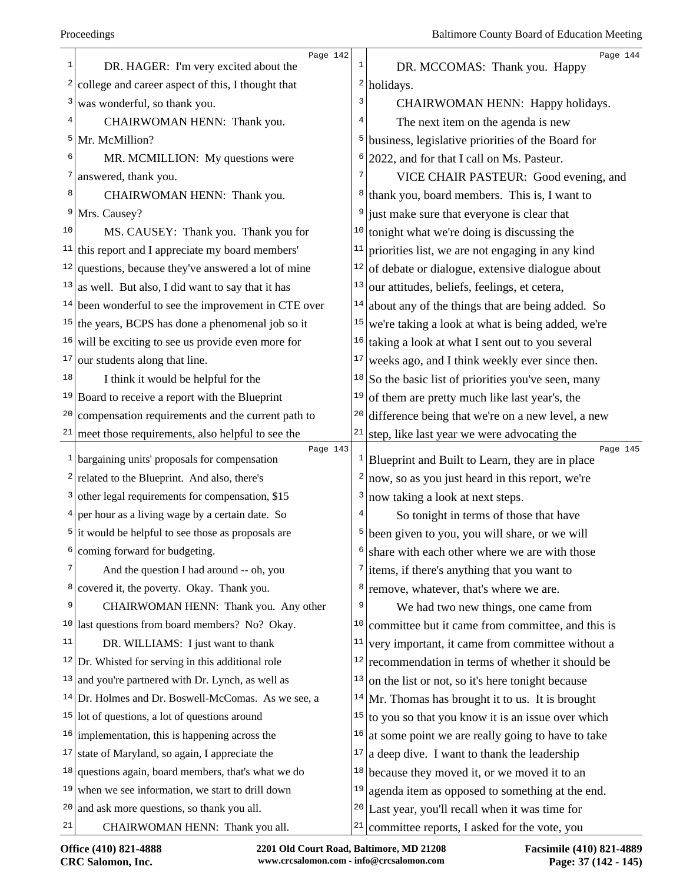|                | Page 142                                                               |              | Page 144                                                    |
|----------------|------------------------------------------------------------------------|--------------|-------------------------------------------------------------|
| 1              | DR. HAGER: I'm very excited about the                                  | $\mathbf{1}$ | DR. MCCOMAS: Thank you. Happy                               |
| $\overline{2}$ | college and career aspect of this, I thought that                      | $\mathbf{2}$ | holidays.                                                   |
| 3              | was wonderful, so thank you.                                           | 3            | CHAIRWOMAN HENN: Happy holidays.                            |
| 4              | CHAIRWOMAN HENN: Thank you.                                            | 4            | The next item on the agenda is new                          |
| 5              | Mr. McMillion?                                                         | 5            | business, legislative priorities of the Board for           |
| 6              | MR. MCMILLION: My questions were                                       | 6            | 2022, and for that I call on Ms. Pasteur.                   |
| 7 <sub>1</sub> | answered, thank you.                                                   | 7            | VICE CHAIR PASTEUR: Good evening, and                       |
| 8              | CHAIRWOMAN HENN: Thank you.                                            | 8            | thank you, board members. This is, I want to                |
| 9              | Mrs. Causey?                                                           | 9            | just make sure that everyone is clear that                  |
| 10             | MS. CAUSEY: Thank you. Thank you for                                   | 10           | tonight what we're doing is discussing the                  |
| 11             | this report and I appreciate my board members'                         | 11           | priorities list, we are not engaging in any kind            |
| 12             | questions, because they've answered a lot of mine                      | 12           | of debate or dialogue, extensive dialogue about             |
| 13             | as well. But also, I did want to say that it has                       | 13           | our attitudes, beliefs, feelings, et cetera,                |
| 14             | been wonderful to see the improvement in CTE over                      | 14           | about any of the things that are being added. So            |
|                | $15$ the years, BCPS has done a phenomenal job so it                   | 15           | we're taking a look at what is being added, we're           |
| 16             | will be exciting to see us provide even more for                       | 16           | taking a look at what I sent out to you several             |
| 17             | our students along that line.                                          | 17           | weeks ago, and I think weekly ever since then.              |
| 18             | I think it would be helpful for the                                    | 18           | So the basic list of priorities you've seen, many           |
|                | $19$ Board to receive a report with the Blueprint                      | 19           | of them are pretty much like last year's, the               |
| 20             | compensation requirements and the current path to                      | 20           | difference being that we're on a new level, a new           |
|                | $21$ meet those requirements, also helpful to see the                  | 21           | step, like last year we were advocating the                 |
|                | Page 143<br>$\frac{1}{2}$ bargaining units' proposals for compensation | $\mathbf{1}$ | Page 145<br>Blueprint and Built to Learn, they are in place |
|                | $2$ related to the Blueprint. And also, there's                        | 2            | now, so as you just heard in this report, we're             |
|                | $3$ other legal requirements for compensation, \$15                    | 3            | now taking a look at next steps.                            |
|                | $4$ per hour as a living wage by a certain date. So                    | 4            | So tonight in terms of those that have                      |
|                | $5$ it would be helpful to see those as proposals are                  | 5            |                                                             |
| 6              |                                                                        |              | been given to you, you will share, or we will               |
| 7              | coming forward for budgeting.                                          | 7            | $6$ share with each other where we are with those           |
| 8              | And the question I had around -- oh, you                               |              | items, if there's anything that you want to                 |
| 9              | covered it, the poverty. Okay. Thank you.                              | 8<br>9       | remove, whatever, that's where we are.                      |
| 10             | CHAIRWOMAN HENN: Thank you. Any other                                  | 10           | We had two new things, one came from                        |
| 11             | last questions from board members? No? Okay.                           |              | committee but it came from committee, and this is           |
|                | DR. WILLIAMS: I just want to thank                                     | 11           | very important, it came from committee without a            |
|                | $12$ Dr. Whisted for serving in this additional role                   | 12           | recommendation in terms of whether it should be             |
| 13             | and you're partnered with Dr. Lynch, as well as                        | 13           | on the list or not, so it's here tonight because            |
|                | $14$ Dr. Holmes and Dr. Boswell-McComas. As we see, a                  | 14           | Mr. Thomas has brought it to us. It is brought              |
|                | $15$ lot of questions, a lot of questions around                       | 15           | to you so that you know it is an issue over which           |
|                | $16$ implementation, this is happening across the                      | 16           | at some point we are really going to have to take           |
| 17             | state of Maryland, so again, I appreciate the                          | $17\,$       | a deep dive. I want to thank the leadership                 |
| 18             | questions again, board members, that's what we do                      | 18           | because they moved it, or we moved it to an                 |
| 19             | when we see information, we start to drill down                        | 19           | agenda item as opposed to something at the end.             |
| 20             | and ask more questions, so thank you all.                              |              | $20$ Last year, you'll recall when it was time for          |
| 21             | CHAIRWOMAN HENN: Thank you all.                                        | 21           | committee reports, I asked for the vote, you                |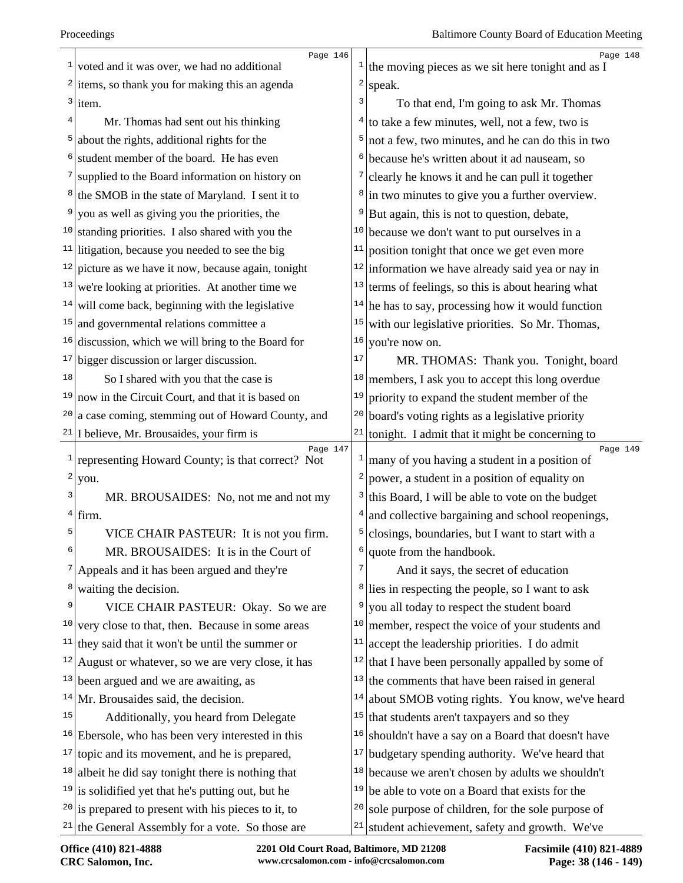|          | Page 146                                                            |              | Page 148                                                        |
|----------|---------------------------------------------------------------------|--------------|-----------------------------------------------------------------|
| 1        | voted and it was over, we had no additional                         |              | $\frac{1}{1}$ the moving pieces as we sit here tonight and as I |
|          | $2$ items, so thank you for making this an agenda                   | 2            | speak.                                                          |
|          | $3$ item.                                                           | 3            | To that end, I'm going to ask Mr. Thomas                        |
| 4        | Mr. Thomas had sent out his thinking                                | 4            | to take a few minutes, well, not a few, two is                  |
| 5        | about the rights, additional rights for the                         | 5            | not a few, two minutes, and he can do this in two               |
| 6        | student member of the board. He has even                            | 6            | because he's written about it ad nauseam, so                    |
|          | <sup>7</sup> supplied to the Board information on history on        |              | clearly he knows it and he can pull it together                 |
|          | <sup>8</sup> the SMOB in the state of Maryland. I sent it to        | 8            | in two minutes to give you a further overview.                  |
| 9        | you as well as giving you the priorities, the                       | 9            | But again, this is not to question, debate,                     |
|          | $10$ standing priorities. I also shared with you the                | 10           | because we don't want to put ourselves in a                     |
|          | $11$ litigation, because you needed to see the big                  | 11           | position tonight that once we get even more                     |
| 12       | picture as we have it now, because again, tonight                   | 12           | information we have already said yea or nay in                  |
| 13       | we're looking at priorities. At another time we                     | 13           | terms of feelings, so this is about hearing what                |
| 14       | will come back, beginning with the legislative                      | 14           | he has to say, processing how it would function                 |
| 15       | and governmental relations committee a                              | 15           | with our legislative priorities. So Mr. Thomas,                 |
|          | $16$ discussion, which we will bring to the Board for               | 16           | you're now on.                                                  |
| 17       | bigger discussion or larger discussion.                             | 17           | MR. THOMAS: Thank you. Tonight, board                           |
| 18       | So I shared with you that the case is                               | 18           | members, I ask you to accept this long overdue                  |
| 19       | now in the Circuit Court, and that it is based on                   | 19           | priority to expand the student member of the                    |
| 20       | a case coming, stemming out of Howard County, and                   | $20\,$       | board's voting rights as a legislative priority                 |
|          | $21$ I believe, Mr. Brousaides, your firm is                        | 21           | tonight. I admit that it might be concerning to                 |
| 1        | Page 147<br>representing Howard County; is that correct? Not        | $\mathbf{1}$ | Page 149<br>many of you having a student in a position of       |
| $2\vert$ | you.                                                                | 2            | power, a student in a position of equality on                   |
| 3        | MR. BROUSAIDES: No, not me and not my                               | 3            | this Board, I will be able to vote on the budget                |
|          | $4$ firm.                                                           | 4            | and collective bargaining and school reopenings,                |
| 5        | VICE CHAIR PASTEUR: It is not you firm.                             | 5            | closings, boundaries, but I want to start with a                |
|          | MR. BROUSAIDES: It is in the Court of                               |              |                                                                 |
| 7        |                                                                     | 6            | quote from the handbook.                                        |
|          |                                                                     | 7            | And it says, the secret of education                            |
| 8        | Appeals and it has been argued and they're<br>waiting the decision. |              | <sup>8</sup> lies in respecting the people, so I want to ask    |
| 9        | VICE CHAIR PASTEUR: Okay. So we are                                 | 9            | you all today to respect the student board                      |
| 10       | very close to that, then. Because in some areas                     | 10           | member, respect the voice of your students and                  |
| 11       | they said that it won't be until the summer or                      | 11           | accept the leadership priorities. I do admit                    |
| 12       | August or whatever, so we are very close, it has                    | 12           | that I have been personally appalled by some of                 |
|          | $13$ been argued and we are awaiting, as                            | 13           | the comments that have been raised in general                   |
| 14       | Mr. Brousaides said, the decision.                                  | 14           | about SMOB voting rights. You know, we've heard                 |
| 15       | Additionally, you heard from Delegate                               | 15           | that students aren't taxpayers and so they                      |
|          | $16$ Ebersole, who has been very interested in this                 | 16           | shouldn't have a say on a Board that doesn't have               |
| 17       | topic and its movement, and he is prepared,                         | 17           | budgetary spending authority. We've heard that                  |
| 18       | albeit he did say tonight there is nothing that                     | 18           | because we aren't chosen by adults we shouldn't                 |
|          | $19$ is solidified yet that he's putting out, but he                | 19           | be able to vote on a Board that exists for the                  |
|          | $20$ is prepared to present with his pieces to it, to               | 20           | sole purpose of children, for the sole purpose of               |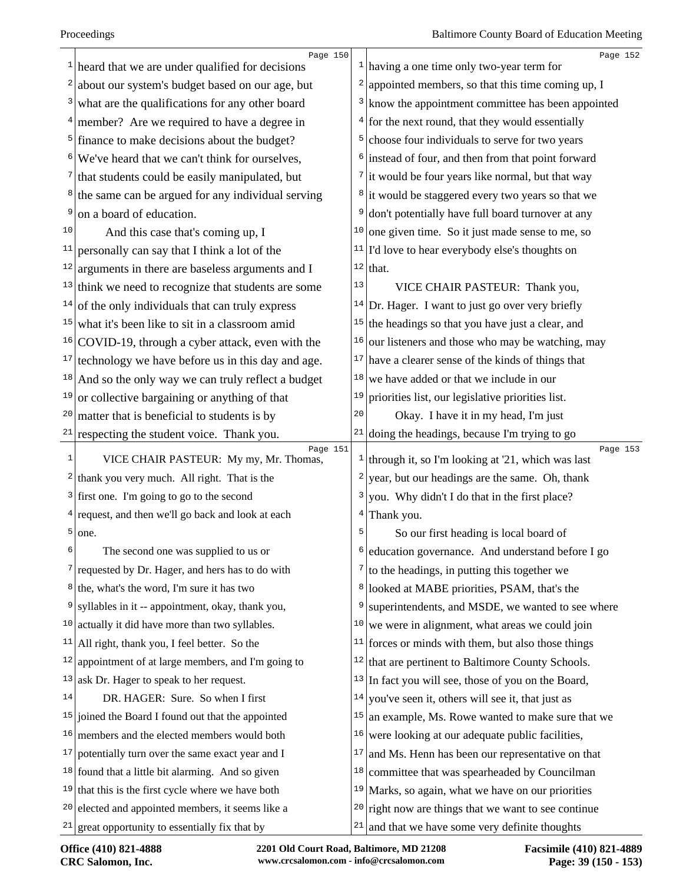|    | Page 150                                                      |                  | Page 152                                                                   |
|----|---------------------------------------------------------------|------------------|----------------------------------------------------------------------------|
| 1  | heard that we are under qualified for decisions               |                  | $\frac{1}{1}$ having a one time only two-year term for                     |
|    | about our system's budget based on our age, but               | $\left  \right $ | appointed members, so that this time coming up, I                          |
| 3  | what are the qualifications for any other board               |                  | <sup>3</sup> know the appointment committee has been appointed             |
|    | $4$ member? Are we required to have a degree in               |                  | $4$ for the next round, that they would essentially                        |
|    | <sup>5</sup> finance to make decisions about the budget?      | $\overline{5}$   | choose four individuals to serve for two years                             |
| 6  | We've heard that we can't think for ourselves,                |                  | <sup>6</sup> instead of four, and then from that point forward             |
|    | that students could be easily manipulated, but                |                  | $\frac{7}{1}$ it would be four years like normal, but that way             |
| 8  | the same can be argued for any individual serving             |                  | <sup>8</sup> it would be staggered every two years so that we              |
| 9  | on a board of education.                                      | 9                | don't potentially have full board turnover at any                          |
| 10 | And this case that's coming up, I                             | 10               | one given time. So it just made sense to me, so                            |
| 11 | personally can say that I think a lot of the                  | 11               | I'd love to hear everybody else's thoughts on                              |
|    | $12$ arguments in there are baseless arguments and I          |                  | $12$ that.                                                                 |
|    | $13$ think we need to recognize that students are some        | 13               | VICE CHAIR PASTEUR: Thank you,                                             |
| 14 | of the only individuals that can truly express                | 14               | Dr. Hager. I want to just go over very briefly                             |
| 15 | what it's been like to sit in a classroom amid                | 15               | the headings so that you have just a clear, and                            |
|    | $16$ COVID-19, through a cyber attack, even with the          | 16               | our listeners and those who may be watching, may                           |
| 17 | technology we have before us in this day and age.             | 17               | have a clearer sense of the kinds of things that                           |
| 18 | And so the only way we can truly reflect a budget             | 18               | we have added or that we include in our                                    |
| 19 | or collective bargaining or anything of that                  | 19               | priorities list, our legislative priorities list.                          |
| 20 | matter that is beneficial to students is by                   | 20               | Okay. I have it in my head, I'm just                                       |
| 21 | respecting the student voice. Thank you.                      |                  | $21$ doing the headings, because I'm trying to go                          |
| 1  | Page 151<br>VICE CHAIR PASTEUR: My my, Mr. Thomas,            |                  | Page 153<br><sup>1</sup> through it, so I'm looking at '21, which was last |
| 2  | thank you very much. All right. That is the                   | 2                | year, but our headings are the same. Oh, thank                             |
|    | $3$ first one. I'm going to go to the second                  | 3                | you. Why didn't I do that in the first place?                              |
|    | $4$ request, and then we'll go back and look at each          | 4                | Thank you.                                                                 |
| 5  | one.                                                          | 5                | So our first heading is local board of                                     |
| 6  | The second one was supplied to us or                          | 6                | education governance. And understand before I go                           |
|    | $\frac{7}{2}$ requested by Dr. Hager, and hers has to do with | 7                | to the headings, in putting this together we                               |
| 8  | the, what's the word, I'm sure it has two                     | 8                | looked at MABE priorities, PSAM, that's the                                |
| 9  | syllables in it -- appointment, okay, thank you,              | 9                | superintendents, and MSDE, we wanted to see where                          |
| 10 | actually it did have more than two syllables.                 | 10               | we were in alignment, what areas we could join                             |
| 11 | All right, thank you, I feel better. So the                   | 11               | forces or minds with them, but also those things                           |
| 12 | appointment of at large members, and I'm going to             | 12               | that are pertinent to Baltimore County Schools.                            |
| 13 | ask Dr. Hager to speak to her request.                        | 13               | In fact you will see, those of you on the Board,                           |
| 14 | DR. HAGER: Sure. So when I first                              | 14               | you've seen it, others will see it, that just as                           |
|    | $15$ joined the Board I found out that the appointed          | 15               | an example, Ms. Rowe wanted to make sure that we                           |
| 16 | members and the elected members would both                    | 16               | were looking at our adequate public facilities,                            |
|    | $17$ potentially turn over the same exact year and I          | 17               | and Ms. Henn has been our representative on that                           |
|    | $18$ found that a little bit alarming. And so given           | 18               | committee that was spearheaded by Councilman                               |
|    | $19$ that this is the first cycle where we have both          | 19               | Marks, so again, what we have on our priorities                            |
| 20 | elected and appointed members, it seems like a                | 20               | right now are things that we want to see continue                          |
|    | $21$ great opportunity to essentially fix that by             | 21               | and that we have some very definite thoughts                               |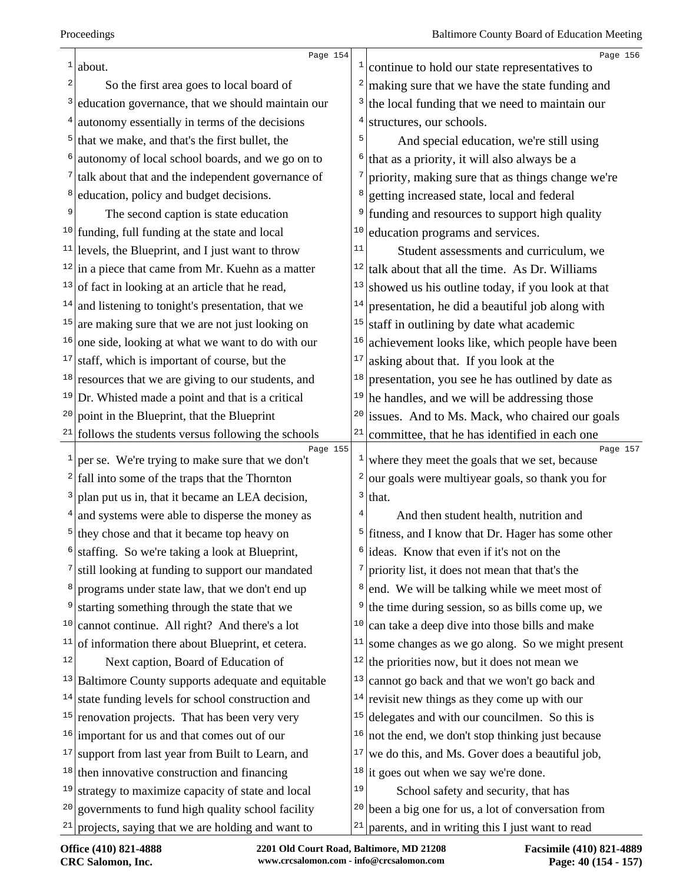| 1               | Page 154                                                        |                         | Page 156                                                     |
|-----------------|-----------------------------------------------------------------|-------------------------|--------------------------------------------------------------|
| 2               | about.                                                          |                         | continue to hold our state representatives to                |
| 3               | So the first area goes to local board of                        | 3                       | making sure that we have the state funding and               |
|                 | education governance, that we should maintain our               | 4                       | the local funding that we need to maintain our               |
| $\frac{4}{ }$   | autonomy essentially in terms of the decisions                  | 5                       | structures, our schools.                                     |
|                 | $5$ that we make, and that's the first bullet, the              |                         | And special education, we're still using                     |
| 6               | autonomy of local school boards, and we go on to                | 6                       | that as a priority, it will also always be a                 |
|                 | $\frac{7}{1}$ talk about that and the independent governance of | 7                       | priority, making sure that as things change we're            |
| 8               | education, policy and budget decisions.                         | 8                       | getting increased state, local and federal                   |
| 9               | The second caption is state education                           |                         | funding and resources to support high quality                |
|                 | $10$ funding, full funding at the state and local               | 10                      | education programs and services.                             |
|                 | $11$ levels, the Blueprint, and I just want to throw            | 11                      | Student assessments and curriculum, we                       |
|                 | $12$ in a piece that came from Mr. Kuehn as a matter            | 12                      | talk about that all the time. As Dr. Williams                |
|                 | $13$ of fact in looking at an article that he read,             | 13                      | showed us his outline today, if you look at that             |
|                 | $14$ and listening to tonight's presentation, that we           | 14                      | presentation, he did a beautiful job along with              |
|                 | $15$ are making sure that we are not just looking on            | 15                      | staff in outlining by date what academic                     |
| 16              | one side, looking at what we want to do with our                | 16                      | achievement looks like, which people have been               |
| 17              | staff, which is important of course, but the                    | 17                      | asking about that. If you look at the                        |
|                 | $18$ resources that we are giving to our students, and          | 18                      | presentation, you see he has outlined by date as             |
|                 | $19$ Dr. Whisted made a point and that is a critical            | 19                      | he handles, and we will be addressing those                  |
| 20              | point in the Blueprint, that the Blueprint                      |                         | <sup>20</sup> issues. And to Ms. Mack, who chaired our goals |
|                 | $21$ follows the students versus following the schools          | 21                      | committee, that he has identified in each one                |
| $\vert$ $\vert$ | Page 155<br>per se. We're trying to make sure that we don't     | 1                       | Page 157<br>where they meet the goals that we set, because   |
|                 | $2$ fall into some of the traps that the Thornton               | $\overline{\mathbf{c}}$ | our goals were multiyear goals, so thank you for             |
|                 | $3$ plan put us in, that it became an LEA decision,             | 3                       | that.                                                        |
|                 | $4$ and systems were able to disperse the money as              |                         | And then student health, nutrition and                       |
|                 | $5$ they chose and that it became top heavy on                  | 5                       | fitness, and I know that Dr. Hager has some other            |
| 6               | staffing. So we're taking a look at Blueprint,                  |                         | $\frac{1}{2}$ ideas. Know that even if it's not on the       |
|                 | still looking at funding to support our mandated                |                         | priority list, it does not mean that that's the              |
| 8               | programs under state law, that we don't end up                  |                         | end. We will be talking while we meet most of                |
| 9               | starting something through the state that we                    | 9                       | the time during session, so as bills come up, we             |
| 10              | cannot continue. All right? And there's a lot                   | 10                      | can take a deep dive into those bills and make               |
| 11              | of information there about Blueprint, et cetera.                | 11                      | some changes as we go along. So we might present             |
| 12              | Next caption, Board of Education of                             | 12                      | the priorities now, but it does not mean we                  |
|                 | $13$ Baltimore County supports adequate and equitable           | 13                      | cannot go back and that we won't go back and                 |
| 14              | state funding levels for school construction and                | 14                      | revisit new things as they come up with our                  |
|                 | $15$ renovation projects. That has been very very               | 15                      | delegates and with our councilmen. So this is                |
|                 | $16$ important for us and that comes out of our                 | 16                      | not the end, we don't stop thinking just because             |
|                 | $17$ support from last year from Built to Learn, and            | 17                      | we do this, and Ms. Gover does a beautiful job,              |
|                 | $18$ then innovative construction and financing                 |                         | $18$ it goes out when we say we're done.                     |
| 19              | strategy to maximize capacity of state and local                | 19                      | School safety and security, that has                         |
| 20              | governments to fund high quality school facility                |                         | $20$ been a big one for us, a lot of conversation from       |
|                 | $21$ projects, saying that we are holding and want to           | 21                      | parents, and in writing this I just want to read             |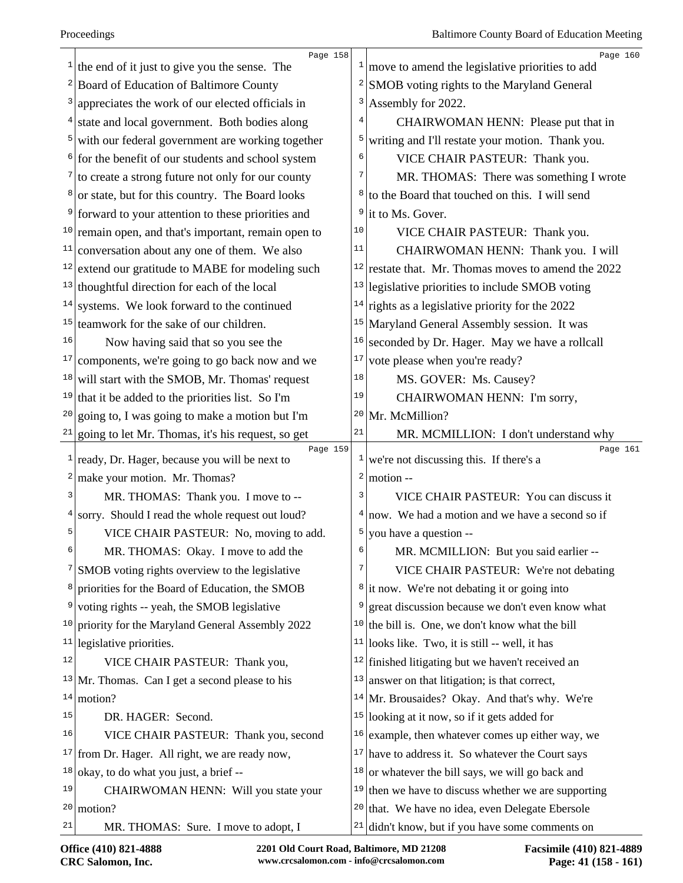| $\mathbf{1}$ | Page 158<br>the end of it just to give you the sense. The               | $\mathbf{I}$     | Page 160<br>move to amend the legislative priorities to add |
|--------------|-------------------------------------------------------------------------|------------------|-------------------------------------------------------------|
|              | <sup>2</sup> Board of Education of Baltimore County                     | 2                | SMOB voting rights to the Maryland General                  |
| 3            | appreciates the work of our elected officials in                        | 3                | Assembly for 2022.                                          |
|              | $4$ state and local government. Both bodies along                       | 4                | CHAIRWOMAN HENN: Please put that in                         |
|              | $5$ with our federal government are working together                    | 5                | writing and I'll restate your motion. Thank you.            |
|              | $6$ for the benefit of our students and school system                   | 6                | VICE CHAIR PASTEUR: Thank you.                              |
|              | $\frac{7}{1}$ to create a strong future not only for our county         | 7                | MR. THOMAS: There was something I wrote                     |
|              | <sup>8</sup> or state, but for this country. The Board looks            | 8                | to the Board that touched on this. I will send              |
| 9            | forward to your attention to these priorities and                       |                  | $9$ it to Ms. Gover.                                        |
|              | <sup>10</sup> remain open, and that's important, remain open to         | 10               | VICE CHAIR PASTEUR: Thank you.                              |
| 11           | conversation about any one of them. We also                             | 11               | CHAIRWOMAN HENN: Thank you. I will                          |
|              | $12$ extend our gratitude to MABE for modeling such                     | 12               | restate that. Mr. Thomas moves to amend the 2022            |
| 13           | thoughtful direction for each of the local                              | 13               | legislative priorities to include SMOB voting               |
| 14           | systems. We look forward to the continued                               | 14               | rights as a legislative priority for the 2022               |
|              | $15$ teamwork for the sake of our children.                             | 15               | Maryland General Assembly session. It was                   |
| 16           | Now having said that so you see the                                     | 16               | seconded by Dr. Hager. May we have a rollcall               |
| 17           | components, we're going to go back now and we                           | 17               | vote please when you're ready?                              |
| 18           | will start with the SMOB, Mr. Thomas' request                           | 18               | MS. GOVER: Ms. Causey?                                      |
| 19           | that it be added to the priorities list. So I'm                         | 19               | CHAIRWOMAN HENN: I'm sorry,                                 |
|              | $20$ going to, I was going to make a motion but I'm                     |                  | $20$ Mr. McMillion?                                         |
| $21 \vert$   | going to let Mr. Thomas, it's his request, so get                       | 21               | MR. MCMILLION: I don't understand why                       |
|              | Page 159<br>$\frac{1}{2}$ ready, Dr. Hager, because you will be next to | $\mathbf{1}$     | Page 161<br>we're not discussing this. If there's a         |
|              | $2 \times 2$ make your motion. Mr. Thomas?                              | $\boldsymbol{2}$ | motion --                                                   |
| 3            |                                                                         | 3                | VICE CHAIR PASTEUR: You can discuss it                      |
| 4            | MR. THOMAS: Thank you. I move to --                                     | 4                |                                                             |
| 5            | sorry. Should I read the whole request out loud?                        | 5                | now. We had a motion and we have a second so if             |
| 6            | VICE CHAIR PASTEUR: No, moving to add.                                  | 6                | you have a question --                                      |
|              | MR. THOMAS: Okay. I move to add the                                     | 7                | MR. MCMILLION: But you said earlier --                      |
| 8            | <sup>7</sup> SMOB voting rights overview to the legislative             |                  | VICE CHAIR PASTEUR: We're not debating                      |
| 9            | priorities for the Board of Education, the SMOB                         | 9                | <sup>8</sup> it now. We're not debating it or going into    |
| 10           | voting rights -- yeah, the SMOB legislative                             |                  | great discussion because we don't even know what            |
|              | priority for the Maryland General Assembly 2022                         | 10               | the bill is. One, we don't know what the bill               |
| 11           | legislative priorities.                                                 | 11               | looks like. Two, it is still -- well, it has                |
| 12           | VICE CHAIR PASTEUR: Thank you,                                          |                  | $12$ finished litigating but we haven't received an         |
|              | $13$ Mr. Thomas. Can I get a second please to his                       | 13               | answer on that litigation; is that correct,                 |
|              | $14 \mid \text{motion?}$                                                |                  | $14$ Mr. Brousaides? Okay. And that's why. We're            |
| 15           | DR. HAGER: Second.                                                      | 15               | looking at it now, so if it gets added for                  |
| 16           | VICE CHAIR PASTEUR: Thank you, second                                   | 16               | example, then whatever comes up either way, we              |
|              | $17$ from Dr. Hager. All right, we are ready now,                       |                  | $17$ have to address it. So whatever the Court says         |
| 18           | okay, to do what you just, a brief --                                   | 18               | or whatever the bill says, we will go back and              |
| 19           | CHAIRWOMAN HENN: Will you state your                                    | 19               | then we have to discuss whether we are supporting           |
|              | $20 \mid \text{motion?}$                                                | 201              | that. We have no idea, even Delegate Ebersole               |
| 21           | MR. THOMAS: Sure. I move to adopt, I                                    | 21               | didn't know, but if you have some comments on               |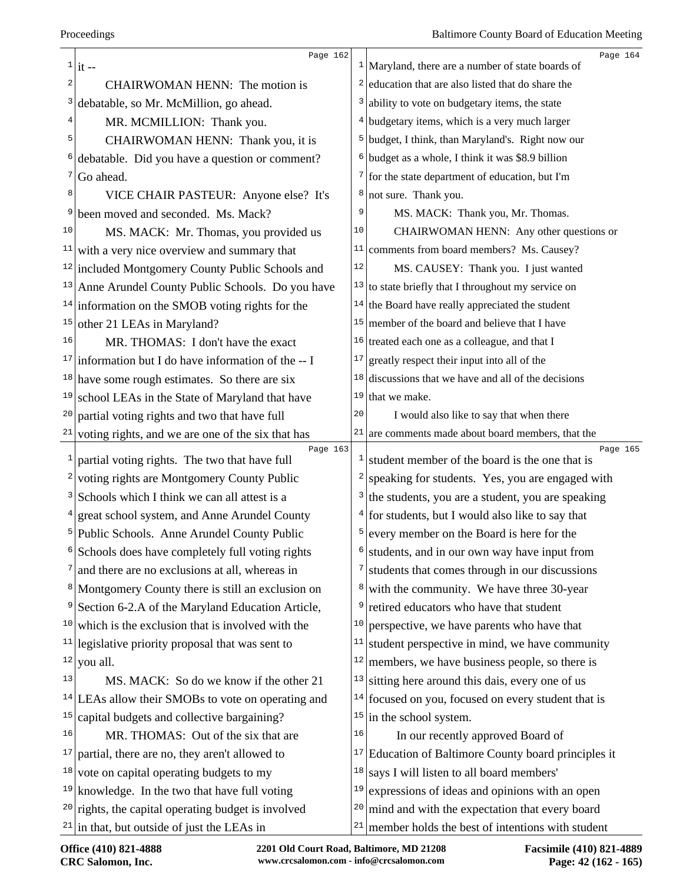|                | Page 162                                                        |              | Page 164                                                        |
|----------------|-----------------------------------------------------------------|--------------|-----------------------------------------------------------------|
| 2              | $1\vert \text{it}$ --                                           | 2            | $1$ Maryland, there are a number of state boards of             |
|                | CHAIRWOMAN HENN: The motion is                                  |              | education that are also listed that do share the                |
| 3              | debatable, so Mr. McMillion, go ahead.                          | 3            | ability to vote on budgetary items, the state                   |
| 4              | MR. MCMILLION: Thank you.                                       | 4            | budgetary items, which is a very much larger                    |
| 5              | CHAIRWOMAN HENN: Thank you, it is                               |              | <sup>5</sup> budget, I think, than Maryland's. Right now our    |
| 6              | debatable. Did you have a question or comment?                  | 6            | budget as a whole, I think it was \$8.9 billion                 |
| 7              | Go ahead.                                                       | 7            | for the state department of education, but I'm                  |
| 8              | VICE CHAIR PASTEUR: Anyone else? It's                           | 8            | not sure. Thank you.                                            |
| 9              | been moved and seconded. Ms. Mack?                              | 9            | MS. MACK: Thank you, Mr. Thomas.                                |
| 10             | MS. MACK: Mr. Thomas, you provided us                           | 10           | CHAIRWOMAN HENN: Any other questions or                         |
| 11             | with a very nice overview and summary that                      | 11           | comments from board members? Ms. Causey?                        |
|                | <sup>12</sup> included Montgomery County Public Schools and     | $1\,2$       | MS. CAUSEY: Thank you. I just wanted                            |
|                | <sup>13</sup> Anne Arundel County Public Schools. Do you have   |              | $13$ to state briefly that I throughout my service on           |
|                | $14$ information on the SMOB voting rights for the              |              | $14$ the Board have really appreciated the student              |
| 15             | other 21 LEAs in Maryland?                                      |              | $15$ member of the board and believe that I have                |
| 16             | MR. THOMAS: I don't have the exact                              | 16           | treated each one as a colleague, and that I                     |
|                | <sup>17</sup> information but I do have information of the $-1$ | 17           | greatly respect their input into all of the                     |
|                | $18$ have some rough estimates. So there are six                | 18           | discussions that we have and all of the decisions               |
| 19             | school LEAs in the State of Maryland that have                  |              | $19$ that we make.                                              |
| 20             | partial voting rights and two that have full                    | 20           | I would also like to say that when there                        |
|                | $21$ voting rights, and we are one of the six that has          |              | $21$ are comments made about board members, that the            |
| $\mathbf{1}$   | Page 163<br>partial voting rights. The two that have full       | $\mathbf{1}$ | Page 165<br>student member of the board is the one that is      |
|                | $2$ voting rights are Montgomery County Public                  | 2            | speaking for students. Yes, you are engaged with                |
|                | <sup>3</sup> Schools which I think we can all attest is a       | 3            | the students, you are a student, you are speaking               |
|                | $4$ great school system, and Anne Arundel County                |              | for students, but I would also like to say that                 |
|                | <sup>5</sup> Public Schools. Anne Arundel County Public         | 5            | every member on the Board is here for the                       |
|                | Schools does have completely full voting rights                 | 6            | students, and in our own way have input from                    |
|                | and there are no exclusions at all, whereas in                  | 7            | students that comes through in our discussions                  |
|                | <sup>8</sup> Montgomery County there is still an exclusion on   | 8            | with the community. We have three 30-year                       |
| 9 <sup>1</sup> | Section 6-2.A of the Maryland Education Article,                | 9            | retired educators who have that student                         |
| 10             | which is the exclusion that is involved with the                | 10           | perspective, we have parents who have that                      |
| 11             | legislative priority proposal that was sent to                  | 11           | student perspective in mind, we have community                  |
| 12             | you all.                                                        | 12           | members, we have business people, so there is                   |
| 13             | MS. MACK: So do we know if the other 21                         | 13           | sitting here around this dais, every one of us                  |
|                |                                                                 |              |                                                                 |
| 15             | $14$ LEAs allow their SMOBs to vote on operating and            | 15           | $14$ focused on you, focused on every student that is           |
| 16             | capital budgets and collective bargaining?                      | 16           | in the school system.                                           |
| 17             | MR. THOMAS: Out of the six that are                             |              | In our recently approved Board of                               |
|                | partial, there are no, they aren't allowed to                   |              | <sup>17</sup> Education of Baltimore County board principles it |
|                | $18$ vote on capital operating budgets to my                    | 18           | says I will listen to all board members'                        |
|                | $19$ knowledge. In the two that have full voting                | 19           | expressions of ideas and opinions with an open                  |
|                | $20$ rights, the capital operating budget is involved           | 20           | mind and with the expectation that every board                  |
|                | $21$ in that, but outside of just the LEAs in                   | 21           | member holds the best of intentions with student                |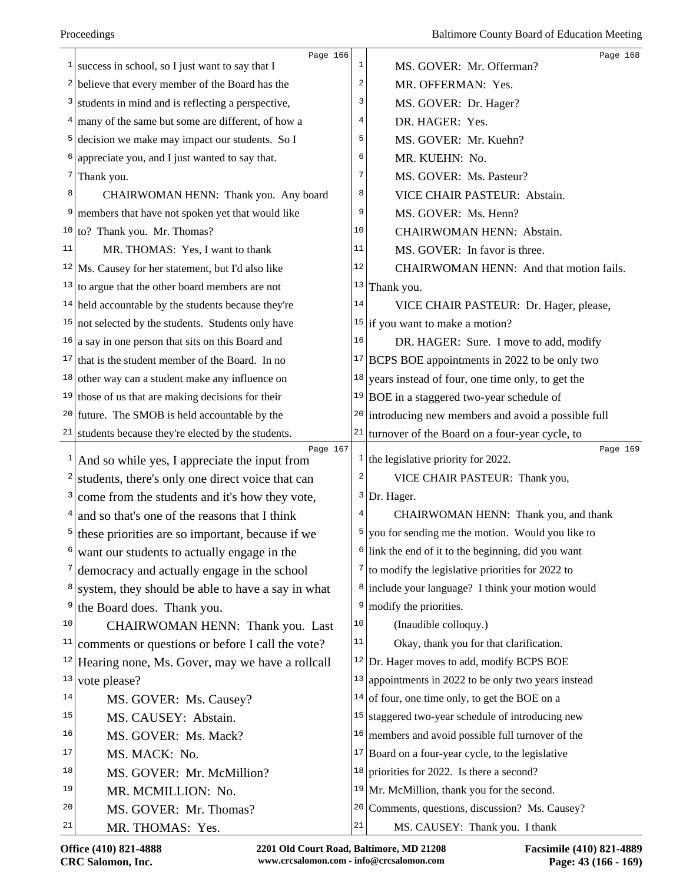| $\mathbf{1}$ | Page 166<br>success in school, so I just want to say that I | 1           | Page 168<br>MS. GOVER: Mr. Offerman?                            |
|--------------|-------------------------------------------------------------|-------------|-----------------------------------------------------------------|
|              | $2$ believe that every member of the Board has the          | 2           | MR. OFFERMAN: Yes.                                              |
| 3            | students in mind and is reflecting a perspective,           | 3           | MS. GOVER: Dr. Hager?                                           |
|              | $4 \mid$ many of the same but some are different, of how a  | 4           | DR. HAGER: Yes.                                                 |
| 5            | decision we make may impact our students. So I              | 5           | MS. GOVER: Mr. Kuehn?                                           |
|              | appreciate you, and I just wanted to say that.              | 6           | MR. KUEHN: No.                                                  |
| 7            | Thank you.                                                  | 7           | MS. GOVER: Ms. Pasteur?                                         |
| 8            | CHAIRWOMAN HENN: Thank you. Any board                       | 8           | VICE CHAIR PASTEUR: Abstain.                                    |
| 9            | members that have not spoken yet that would like            | 9           | MS. GOVER: Ms. Henn?                                            |
|              | $10$ to? Thank you. Mr. Thomas?                             | 10          | CHAIRWOMAN HENN: Abstain.                                       |
| 11           | MR. THOMAS: Yes, I want to thank                            | 11          | MS. GOVER: In favor is three.                                   |
|              | $12$ Ms. Causey for her statement, but I'd also like        | 12          | CHAIRWOMAN HENN: And that motion fails.                         |
|              | $13$ to argue that the other board members are not          | 13          | Thank you.                                                      |
|              | $14$ held accountable by the students because they're       | 14          | VICE CHAIR PASTEUR: Dr. Hager, please,                          |
|              | $15$ not selected by the students. Students only have       |             | <sup>15</sup> if you want to make a motion?                     |
|              | $16$ a say in one person that sits on this Board and        | 16          | DR. HAGER: Sure. I move to add, modify                          |
|              | $17$ that is the student member of the Board. In no         |             | $17$ BCPS BOE appointments in 2022 to be only two               |
|              | $18$ other way can a student make any influence on          | 18          | years instead of four, one time only, to get the                |
|              | $19$ those of us that are making decisions for their        |             | $19 BOE$ in a staggered two-year schedule of                    |
|              | $20$ future. The SMOB is held accountable by the            |             | $20$ introducing new members and avoid a possible full          |
| 21           | students because they're elected by the students.           | 21          | turnover of the Board on a four-year cycle, to                  |
| $\mathbf{1}$ | Page 167<br>And so while yes, I appreciate the input from   |             | Page 169<br>$\frac{1}{1}$ the legislative priority for 2022.    |
| 2            | students, there's only one direct voice that can            | 2           | VICE CHAIR PASTEUR: Thank you,                                  |
| 3            | come from the students and it's how they vote,              |             | $3$ Dr. Hager.                                                  |
|              | $4$ and so that's one of the reasons that I think           |             | CHAIRWOMAN HENN: Thank you, and thank                           |
| 5            | these priorities are so important, because if we            | 5           | you for sending me the motion. Would you like to                |
|              | want our students to actually engage in the                 |             | $\frac{1}{2}$ link the end of it to the beginning, did you want |
|              | democracy and actually engage in the school                 |             | $\frac{7}{10}$ to modify the legislative priorities for 2022 to |
| 8            | system, they should be able to have a say in what           |             | <sup>8</sup> include your language? I think your motion would   |
| 9            | the Board does. Thank you.                                  | 9           | modify the priorities.                                          |
| 10           | CHAIRWOMAN HENN: Thank you. Last                            | 10          | (Inaudible colloquy.)                                           |
| 11           | comments or questions or before I call the vote?            | 11          | Okay, thank you for that clarification.                         |
| 12           | Hearing none, Ms. Gover, may we have a rollcall             |             | $12$ Dr. Hager moves to add, modify BCPS BOE                    |
| 13           | vote please?                                                | 13          | appointments in 2022 to be only two years instead               |
| 14           | MS. GOVER: Ms. Causey?                                      |             | $14$ of four, one time only, to get the BOE on a                |
| 15           | MS. CAUSEY: Abstain.                                        | 15          | staggered two-year schedule of introducing new                  |
| 16           | MS. GOVER: Ms. Mack?                                        |             | $16$ members and avoid possible full turnover of the            |
| 17           | MS. MACK: No.                                               |             | $17$ Board on a four-year cycle, to the legislative             |
| 18           | MS. GOVER: Mr. McMillion?                                   |             | $18$ priorities for 2022. Is there a second?                    |
| 19           | MR. MCMILLION: No.                                          |             | $19$ Mr. McMillion, thank you for the second.                   |
| 20           | MS. GOVER: Mr. Thomas?                                      | 20          | Comments, questions, discussion? Ms. Causey?                    |
| 21           | MR. THOMAS: Yes.                                            | $2\sqrt{1}$ | MS. CAUSEY: Thank you. I thank                                  |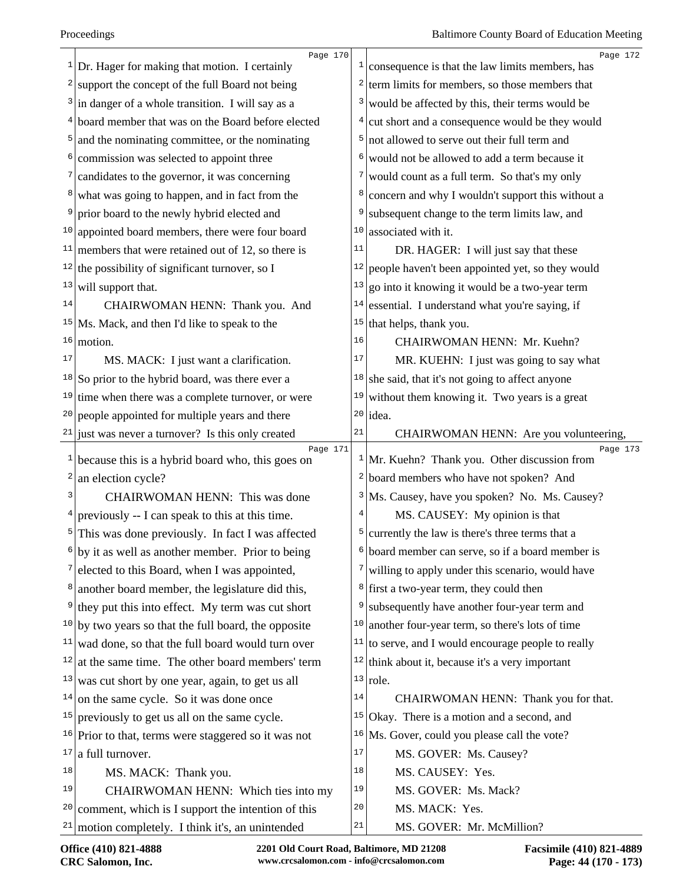| 1            | Page 170<br>Dr. Hager for making that motion. I certainly    |             | Page 172<br>$\frac{1}{2}$ consequence is that the law limits members, has |
|--------------|--------------------------------------------------------------|-------------|---------------------------------------------------------------------------|
| 2            | support the concept of the full Board not being              |             | $2$ term limits for members, so those members that                        |
| 3            | in danger of a whole transition. I will say as a             | 3           | would be affected by this, their terms would be                           |
| 4            | board member that was on the Board before elected            | 4           | cut short and a consequence would be they would                           |
| 5            | and the nominating committee, or the nominating              |             | not allowed to serve out their full term and                              |
| 6            | commission was selected to appoint three                     | 6           | would not be allowed to add a term because it                             |
| 7            | candidates to the governor, it was concerning                |             | would count as a full term. So that's my only                             |
| 8            | what was going to happen, and in fact from the               | 8           | concern and why I wouldn't support this without a                         |
| 9            | prior board to the newly hybrid elected and                  | 9           | subsequent change to the term limits law, and                             |
| 10           | appointed board members, there were four board               | 10          | associated with it.                                                       |
| 11           | members that were retained out of 12, so there is            | 11          | DR. HAGER: I will just say that these                                     |
|              | $12$ the possibility of significant turnover, so I           | 12          | people haven't been appointed yet, so they would                          |
| 13           | will support that.                                           | 13          | go into it knowing it would be a two-year term                            |
| 14           | CHAIRWOMAN HENN: Thank you. And                              | 14          | essential. I understand what you're saying, if                            |
|              | $15$ Ms. Mack, and then I'd like to speak to the             | 15          | that helps, thank you.                                                    |
| 16           | motion.                                                      | 16          | CHAIRWOMAN HENN: Mr. Kuehn?                                               |
| 17           | MS. MACK: I just want a clarification.                       | 17          | MR. KUEHN: I just was going to say what                                   |
|              | $18$ So prior to the hybrid board, was there ever a          |             | <sup>18</sup> she said, that it's not going to affect anyone              |
| 19           | time when there was a complete turnover, or were             | 19          | without them knowing it. Two years is a great                             |
| 20           | people appointed for multiple years and there                |             | $20$ idea.                                                                |
| 21           | just was never a turnover? Is this only created              | 21          | CHAIRWOMAN HENN: Are you volunteering,                                    |
| $\mathbf{1}$ | Page 171<br>because this is a hybrid board who, this goes on |             | Page 173<br>$1$ Mr. Kuehn? Thank you. Other discussion from               |
| 2            | an election cycle?                                           |             | <sup>2</sup> board members who have not spoken? And                       |
| 3            | <b>CHAIRWOMAN HENN:</b> This was done                        |             | <sup>3</sup> Ms. Causey, have you spoken? No. Ms. Causey?                 |
| 4            | previously -- I can speak to this at this time.              |             | MS. CAUSEY: My opinion is that                                            |
| 5            | This was done previously. In fact I was affected             | 5           | currently the law is there's three terms that a                           |
|              | $6$ by it as well as another member. Prior to being          |             | $6$ board member can serve, so if a board member is                       |
| 7            | elected to this Board, when I was appointed,                 | 7           | willing to apply under this scenario, would have                          |
| 8            | another board member, the legislature did this,              |             | $\frac{8}{1}$ first a two-year term, they could then                      |
| 9            | they put this into effect. My term was cut short             | 9           | subsequently have another four-year term and                              |
|              | $10$ by two years so that the full board, the opposite       | 10          | another four-year term, so there's lots of time                           |
| 11           | wad done, so that the full board would turn over             | 11          | to serve, and I would encourage people to really                          |
| 12           | at the same time. The other board members' term              |             | $12$ think about it, because it's a very important                        |
| 13           | was cut short by one year, again, to get us all              |             | $13$ role.                                                                |
| 14           | on the same cycle. So it was done once                       | 14          | CHAIRWOMAN HENN: Thank you for that.                                      |
|              | $15$ previously to get us all on the same cycle.             |             | $15$ Okay. There is a motion and a second, and                            |
|              | $16$ Prior to that, terms were staggered so it was not       |             | $16$ Ms. Gover, could you please call the vote?                           |
| 17           | a full turnover.                                             | 17          | MS. GOVER: Ms. Causey?                                                    |
| 18           | MS. MACK: Thank you.                                         | 18          | MS. CAUSEY: Yes.                                                          |
| 19           | CHAIRWOMAN HENN: Which ties into my                          | 19          | MS. GOVER: Ms. Mack?                                                      |
| 20           | comment, which is I support the intention of this            | $20$        | MS. MACK: Yes.                                                            |
|              | $21$ motion completely. I think it's, an unintended          | $2\sqrt{1}$ | MS. GOVER: Mr. McMillion?                                                 |
|              |                                                              |             |                                                                           |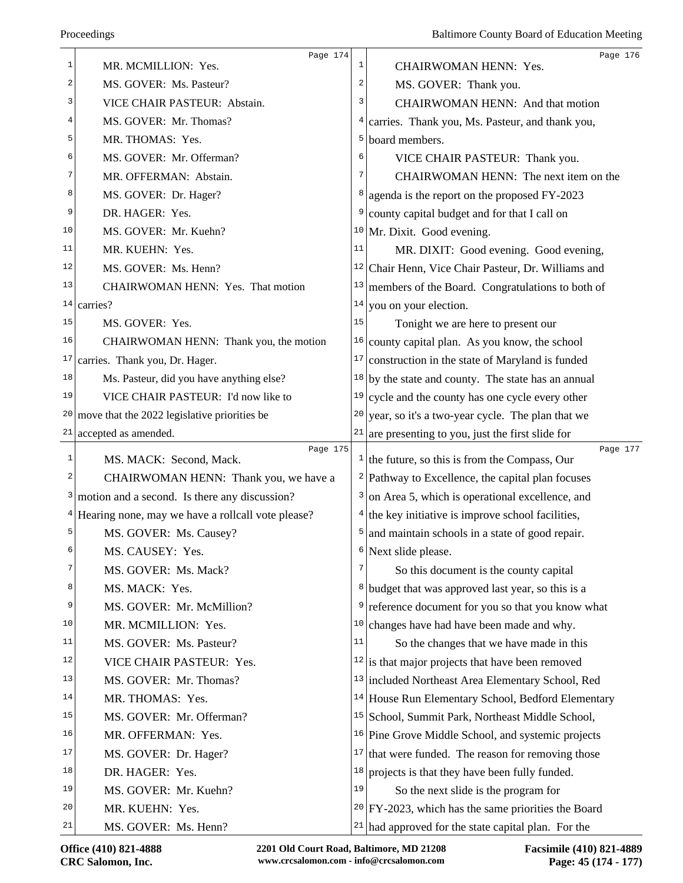|       | Page 174                                              |    | Page 176                                                               |
|-------|-------------------------------------------------------|----|------------------------------------------------------------------------|
| 1     | MR. MCMILLION: Yes.                                   | 1  | <b>CHAIRWOMAN HENN: Yes.</b>                                           |
| 2     | MS. GOVER: Ms. Pasteur?                               | 2  | MS. GOVER: Thank you.                                                  |
| 3     | VICE CHAIR PASTEUR: Abstain.                          | 3  | <b>CHAIRWOMAN HENN: And that motion</b>                                |
| 4     | MS. GOVER: Mr. Thomas?                                | 4  | carries. Thank you, Ms. Pasteur, and thank you,                        |
| 5     | MR. THOMAS: Yes.                                      | 5  | board members.                                                         |
| 6     | MS. GOVER: Mr. Offerman?                              | 6  | VICE CHAIR PASTEUR: Thank you.                                         |
| 7     | MR. OFFERMAN: Abstain.                                | 7  | CHAIRWOMAN HENN: The next item on the                                  |
| 8     | MS. GOVER: Dr. Hager?                                 | 8  | agenda is the report on the proposed FY-2023                           |
| 9     | DR. HAGER: Yes.                                       | 9  | county capital budget and for that I call on                           |
| 10    | MS. GOVER: Mr. Kuehn?                                 |    | $10$ Mr. Dixit. Good evening.                                          |
| 11    | MR. KUEHN: Yes.                                       | 11 | MR. DIXIT: Good evening. Good evening,                                 |
| 12    | MS. GOVER: Ms. Henn?                                  |    | <sup>12</sup> Chair Henn, Vice Chair Pasteur, Dr. Williams and         |
| 13    | CHAIRWOMAN HENN: Yes. That motion                     | 13 | members of the Board. Congratulations to both of                       |
| 14    | carries?                                              | 14 | you on your election.                                                  |
| 15    | MS. GOVER: Yes.                                       | 15 | Tonight we are here to present our                                     |
| 16    | CHAIRWOMAN HENN: Thank you, the motion                | 16 | county capital plan. As you know, the school                           |
| 17    | carries. Thank you, Dr. Hager.                        | 17 | construction in the state of Maryland is funded                        |
| 18    | Ms. Pasteur, did you have anything else?              | 18 | by the state and county. The state has an annual                       |
| 19    | VICE CHAIR PASTEUR: I'd now like to                   | 19 | cycle and the county has one cycle every other                         |
| 20    | move that the 2022 legislative priorities be          | 20 | year, so it's a two-year cycle. The plan that we                       |
|       | $21$ accepted as amended.                             |    | $21$ are presenting to you, just the first slide for                   |
| $1\,$ | Page 175<br>MS. MACK: Second, Mack.                   |    | Page 177<br>$\frac{1}{1}$ the future, so this is from the Compass, Our |
| 2     | CHAIRWOMAN HENN: Thank you, we have a                 | 2  | Pathway to Excellence, the capital plan focuses                        |
| 3     | motion and a second. Is there any discussion?         | 3  | on Area 5, which is operational excellence, and                        |
|       | $4$ Hearing none, may we have a rollcall vote please? | 4  | the key initiative is improve school facilities,                       |
| 5     | MS. GOVER: Ms. Causey?                                | 5  | and maintain schools in a state of good repair.                        |
| 6     | MS. CAUSEY: Yes.                                      |    | $6$ Next slide please.                                                 |
| 7     | MS. GOVER: Ms. Mack?                                  | 7  | So this document is the county capital                                 |
| 8     | MS. MACK: Yes.                                        |    | <sup>8</sup> budget that was approved last year, so this is a          |
| 9     | MS. GOVER: Mr. McMillion?                             | 9  | reference document for you so that you know what                       |
| 10    | MR. MCMILLION: Yes.                                   | 10 | changes have had have been made and why.                               |
| 11    | MS. GOVER: Ms. Pasteur?                               | 11 | So the changes that we have made in this                               |
| 12    | VICE CHAIR PASTEUR: Yes.                              |    | $12$ is that major projects that have been removed                     |
| 13    | MS. GOVER: Mr. Thomas?                                |    | <sup>13</sup> included Northeast Area Elementary School, Red           |
| 14    | MR. THOMAS: Yes.                                      |    | <sup>14</sup> House Run Elementary School, Bedford Elementary          |
| 15    | MS. GOVER: Mr. Offerman?                              |    | <sup>15</sup> School, Summit Park, Northeast Middle School,            |
| 16    | MR. OFFERMAN: Yes.                                    |    | <sup>16</sup> Pine Grove Middle School, and systemic projects          |
| 17    | MS. GOVER: Dr. Hager?                                 | 17 | that were funded. The reason for removing those                        |
| 18    | DR. HAGER: Yes.                                       | 18 | projects is that they have been fully funded.                          |
| 19    | MS. GOVER: Mr. Kuehn?                                 | 19 | So the next slide is the program for                                   |
| 20    | MR. KUEHN: Yes.                                       |    | $20$ FY-2023, which has the same priorities the Board                  |
| 21    |                                                       |    |                                                                        |
|       | MS. GOVER: Ms. Henn?                                  |    | $21$ had approved for the state capital plan. For the                  |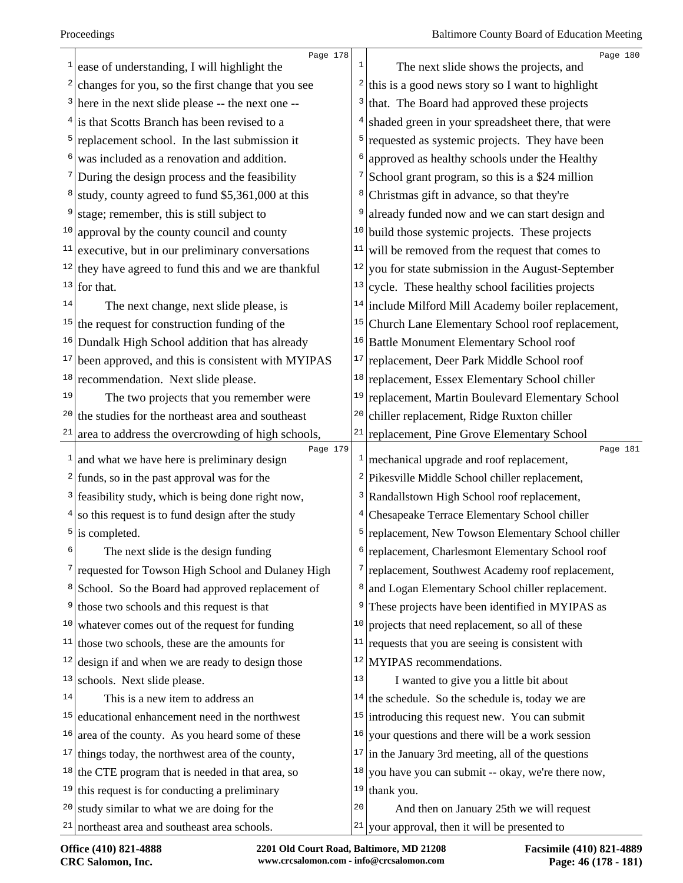| 1            | Page 178<br>ease of understanding, I will highlight the        | 1              | Page 180<br>The next slide shows the projects, and                 |
|--------------|----------------------------------------------------------------|----------------|--------------------------------------------------------------------|
| 2            | changes for you, so the first change that you see              | 2              | this is a good news story so I want to highlight                   |
|              | $3$ here in the next slide please -- the next one --           | 3              | that. The Board had approved these projects                        |
|              | $4$ is that Scotts Branch has been revised to a                | 4              | shaded green in your spreadsheet there, that were                  |
| 5            | replacement school. In the last submission it                  | 5              | requested as systemic projects. They have been                     |
|              | was included as a renovation and addition.                     | 6              | approved as healthy schools under the Healthy                      |
|              | During the design process and the feasibility                  | $\overline{7}$ | School grant program, so this is a \$24 million                    |
|              | study, county agreed to fund \$5,361,000 at this               | 8              | Christmas gift in advance, so that they're                         |
| 9            | stage; remember, this is still subject to                      | 9              | already funded now and we can start design and                     |
| 10           | approval by the county council and county                      | 10             | build those systemic projects. These projects                      |
| 11           | executive, but in our preliminary conversations                | 11             | will be removed from the request that comes to                     |
|              | $12$ they have agreed to fund this and we are thankful         | 12             | you for state submission in the August-September                   |
| 13           | for that.                                                      | 13             | cycle. These healthy school facilities projects                    |
| 14           | The next change, next slide please, is                         | 14             | include Milford Mill Academy boiler replacement,                   |
|              | $15$ the request for construction funding of the               | 15             | Church Lane Elementary School roof replacement,                    |
| 16           | Dundalk High School addition that has already                  | 16             | Battle Monument Elementary School roof                             |
| 17           | been approved, and this is consistent with MYIPAS              | 17             | replacement, Deer Park Middle School roof                          |
| 18           | recommendation. Next slide please.                             | 18             | replacement, Essex Elementary School chiller                       |
| 19           | The two projects that you remember were                        | 19             | replacement, Martin Boulevard Elementary School                    |
| 20           | the studies for the northeast area and southeast               | 20             | chiller replacement, Ridge Ruxton chiller                          |
| 21           | area to address the overcrowding of high schools,              | $2\sqrt{1}$    | replacement, Pine Grove Elementary School                          |
| $\mathbf{1}$ | Page 179<br>and what we have here is preliminary design        |                | Page 181<br>$\frac{1}{2}$ mechanical upgrade and roof replacement, |
|              | $2$ funds, so in the past approval was for the                 |                | <sup>2</sup> Pikesville Middle School chiller replacement,         |
| 3            | feasibility study, which is being done right now,              | 3              | Randallstown High School roof replacement,                         |
| 4            | so this request is to fund design after the study              | 4              | Chesapeake Terrace Elementary School chiller                       |
|              | $5$ is completed.                                              | 5              | replacement, New Towson Elementary School chiller                  |
| 6            | The next slide is the design funding                           |                | <sup>6</sup> replacement, Charlesmont Elementary School roof       |
|              | <sup>7</sup> requested for Towson High School and Dulaney High |                | 7 replacement, Southwest Academy roof replacement,                 |
| 8            | School. So the Board had approved replacement of               | 8              | and Logan Elementary School chiller replacement.                   |
| 9            | those two schools and this request is that                     | 9              | These projects have been identified in MYIPAS as                   |
| 10           | whatever comes out of the request for funding                  | 10             | projects that need replacement, so all of these                    |
| 11           | those two schools, these are the amounts for                   | 11             | requests that you are seeing is consistent with                    |
| 12           | design if and when we are ready to design those                | 12             | MYIPAS recommendations.                                            |
| 13           | schools. Next slide please.                                    | 13             | I wanted to give you a little bit about                            |
| 14           | This is a new item to address an                               | 14             | the schedule. So the schedule is, today we are                     |
| 15           | educational enhancement need in the northwest                  | 15             | introducing this request new. You can submit                       |
| 16           | area of the county. As you heard some of these                 | 16             | your questions and there will be a work session                    |
|              | $17$ things today, the northwest area of the county,           | 17             | in the January 3rd meeting, all of the questions                   |
|              | $18$ the CTE program that is needed in that area, so           | 18             | you have you can submit -- okay, we're there now,                  |
|              | $19$ this request is for conducting a preliminary              | 19             | thank you.                                                         |
| 20           | study similar to what we are doing for the                     | 20             | And then on January 25th we will request                           |
|              | $21$ northeast area and southeast area schools.                |                | $21$ your approval, then it will be presented to                   |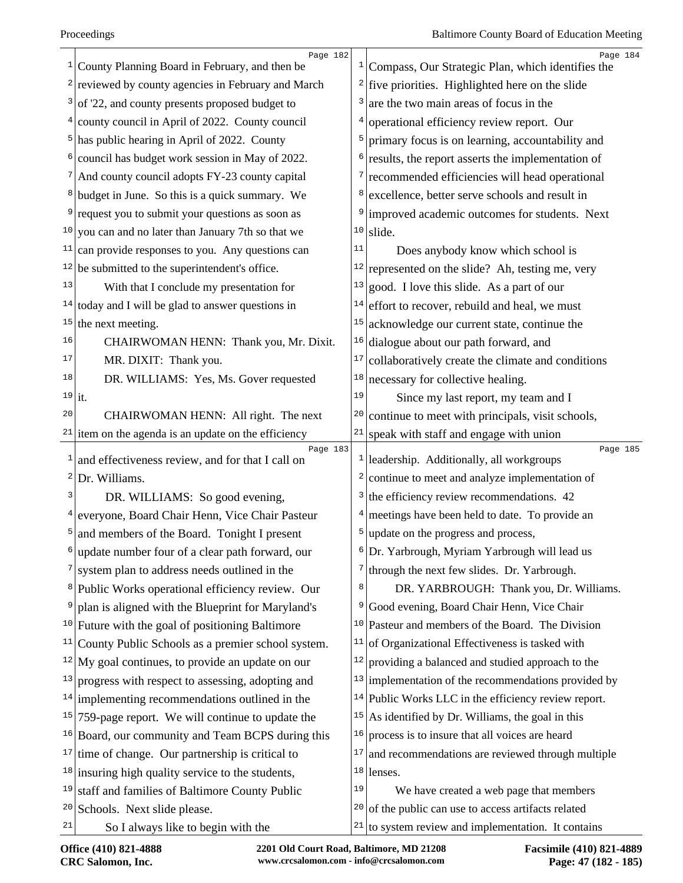|              | Page 182<br>$\frac{1}{2}$ County Planning Board in February, and then be | $\mathbf{1}$            | Page 184<br>Compass, Our Strategic Plan, which identifies the  |
|--------------|--------------------------------------------------------------------------|-------------------------|----------------------------------------------------------------|
|              | $2$ reviewed by county agencies in February and March                    |                         | $\frac{2}{\pi}$ five priorities. Highlighted here on the slide |
|              | $3$ of '22, and county presents proposed budget to                       | 3                       | are the two main areas of focus in the                         |
|              | $4$ county council in April of 2022. County council                      | 4                       | operational efficiency review report. Our                      |
|              | $5$ has public hearing in April of 2022. County                          | 5                       | primary focus is on learning, accountability and               |
| $6 \mid$     | council has budget work session in May of 2022.                          | 6                       | results, the report asserts the implementation of              |
|              | <sup>7</sup> And county council adopts FY-23 county capital              | 7                       | recommended efficiencies will head operational                 |
|              | <sup>8</sup> budget in June. So this is a quick summary. We              | 8                       | excellence, better serve schools and result in                 |
|              | <sup>9</sup> request you to submit your questions as soon as             | 9                       | improved academic outcomes for students. Next                  |
|              | $10$ you can and no later than January 7th so that we                    | 10                      | slide.                                                         |
| 11           | can provide responses to you. Any questions can                          | 11                      | Does anybody know which school is                              |
|              | $12$ be submitted to the superintendent's office.                        | 12                      | represented on the slide? Ah, testing me, very                 |
| 13           | With that I conclude my presentation for                                 | 13                      | good. I love this slide. As a part of our                      |
|              | $14$ today and I will be glad to answer questions in                     | 14                      | effort to recover, rebuild and heal, we must                   |
| 15           | the next meeting.                                                        | 15                      | acknowledge our current state, continue the                    |
| 16           | CHAIRWOMAN HENN: Thank you, Mr. Dixit.                                   | 16                      | dialogue about our path forward, and                           |
| 17           | MR. DIXIT: Thank you.                                                    | $17\,$                  | collaboratively create the climate and conditions              |
| 18           | DR. WILLIAMS: Yes, Ms. Gover requested                                   | $1\,8$                  | necessary for collective healing.                              |
|              | $19$  it.                                                                | 19                      | Since my last report, my team and I                            |
| 20           | CHAIRWOMAN HENN: All right. The next                                     | 20                      | continue to meet with principals, visit schools,               |
|              | $21$ item on the agenda is an update on the efficiency                   | 21                      | speak with staff and engage with union                         |
| $\mathbf{1}$ | Page 183<br>and effectiveness review, and for that I call on             | $1\vert$                | Page 185<br>leadership. Additionally, all workgroups           |
| $\mathbf{2}$ | Dr. Williams.                                                            | $\overline{\mathbf{c}}$ | continue to meet and analyze implementation of                 |
| 3            | DR. WILLIAMS: So good evening,                                           | 3                       | the efficiency review recommendations. 42                      |
|              | <sup>4</sup> everyone, Board Chair Henn, Vice Chair Pasteur              | $\frac{4}{ }$           | meetings have been held to date. To provide an                 |
|              | $5$ and members of the Board. Tonight I present                          | 5                       | update on the progress and process,                            |
| 6            | update number four of a clear path forward, our                          |                         | $6$ Dr. Yarbrough, Myriam Yarbrough will lead us               |
|              | $\frac{7}{1}$ system plan to address needs outlined in the               | 7                       | through the next few slides. Dr. Yarbrough.                    |
|              | <sup>8</sup> Public Works operational efficiency review. Our             | 8                       | DR. YARBROUGH: Thank you, Dr. Williams.                        |
| 9            | plan is aligned with the Blueprint for Maryland's                        | 9                       | Good evening, Board Chair Henn, Vice Chair                     |
|              | $10$ Future with the goal of positioning Baltimore                       |                         | $10$ Pasteur and members of the Board. The Division            |
| 11           | County Public Schools as a premier school system.                        | 11                      | of Organizational Effectiveness is tasked with                 |
|              | $12$ My goal continues, to provide an update on our                      | 12                      | providing a balanced and studied approach to the               |
| 13           | progress with respect to assessing, adopting and                         | 13                      | implementation of the recommendations provided by              |
|              | $14$ implementing recommendations outlined in the                        |                         | $14$ Public Works LLC in the efficiency review report.         |
|              | $15$ 759-page report. We will continue to update the                     |                         | $15$ As identified by Dr. Williams, the goal in this           |
| 16           | Board, our community and Team BCPS during this                           | 16                      | process is to insure that all voices are heard                 |
|              | $17$ time of change. Our partnership is critical to                      | 17                      | and recommendations are reviewed through multiple              |
|              | $18$ insuring high quality service to the students,                      | 18                      | lenses.                                                        |
| 19           | staff and families of Baltimore County Public                            | 19                      | We have created a web page that members                        |
| 20           | Schools. Next slide please.                                              |                         | $20$ of the public can use to access artifacts related         |
| 21           | So I always like to begin with the                                       | 21                      | to system review and implementation. It contains               |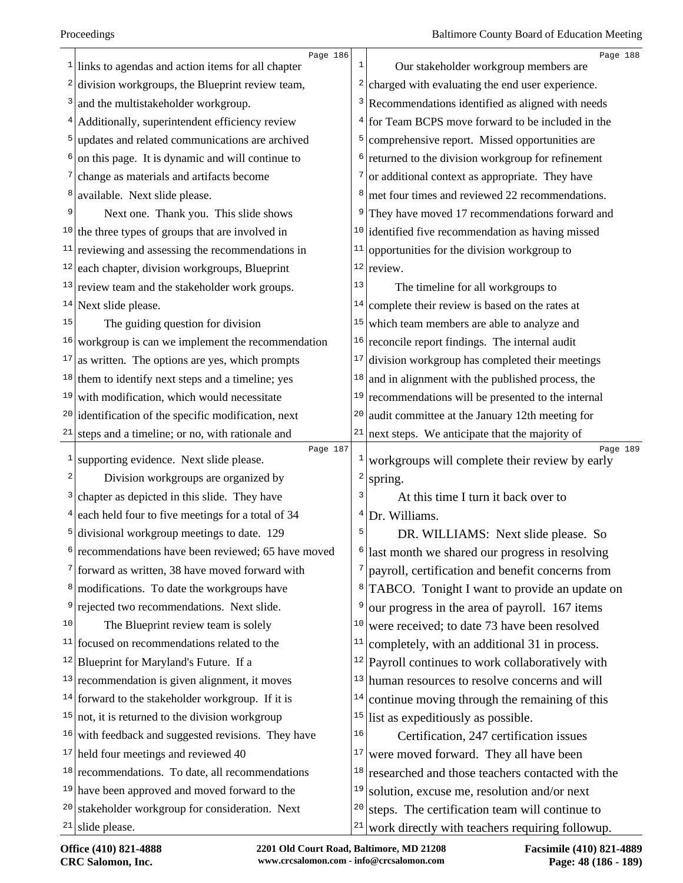|    | Page 186                                                             |    | Page 188                                                   |
|----|----------------------------------------------------------------------|----|------------------------------------------------------------|
|    | $\frac{1}{\text{links}}$ to agendas and action items for all chapter |    | Our stakeholder workgroup members are                      |
|    | division workgroups, the Blueprint review team,                      |    | $2$ charged with evaluating the end user experience.       |
| 3  | and the multistakeholder workgroup.                                  |    | $3$ Recommendations identified as aligned with needs       |
| 4  | Additionally, superintendent efficiency review                       |    | $4$ for Team BCPS move forward to be included in the       |
| 5  | updates and related communications are archived                      | 5  | comprehensive report. Missed opportunities are             |
|    | on this page. It is dynamic and will continue to                     | 6  | returned to the division workgroup for refinement          |
|    | change as materials and artifacts become                             | 7  | or additional context as appropriate. They have            |
| 8  | available. Next slide please.                                        | 8  | met four times and reviewed 22 recommendations.            |
| 9  | Next one. Thank you. This slide shows                                |    | They have moved 17 recommendations forward and             |
|    | $10$ the three types of groups that are involved in                  |    | $10$ identified five recommendation as having missed       |
|    | $11$ reviewing and assessing the recommendations in                  | 11 | opportunities for the division workgroup to                |
| 12 | each chapter, division workgroups, Blueprint                         |    | $12$ review.                                               |
|    | $13$ review team and the stakeholder work groups.                    | 13 | The timeline for all workgroups to                         |
|    | $14$ Next slide please.                                              | 14 | complete their review is based on the rates at             |
| 15 | The guiding question for division                                    | 15 | which team members are able to analyze and                 |
| 16 | workgroup is can we implement the recommendation                     |    | $16$ reconcile report findings. The internal audit         |
| 17 | as written. The options are yes, which prompts                       | 17 | division workgroup has completed their meetings            |
|    | $18$ them to identify next steps and a timeline; yes                 | 18 | and in alignment with the published process, the           |
| 19 | with modification, which would necessitate                           | 19 | recommendations will be presented to the internal          |
|    | $20$ identification of the specific modification, next               | 20 | audit committee at the January 12th meeting for            |
| 21 | steps and a timeline; or no, with rationale and                      |    | $21$ next steps. We anticipate that the majority of        |
| 1  | Page 187<br>supporting evidence. Next slide please.                  |    | Page 189<br>workgroups will complete their review by early |
| 2  | Division workgroups are organized by                                 | 2  | spring.                                                    |
| 3  | chapter as depicted in this slide. They have                         |    | At this time I turn it back over to                        |
| 4  | each held four to five meetings for a total of 34                    |    | Dr. Williams.                                              |
|    | divisional workgroup meetings to date. 129                           | 5  | DR. WILLIAMS: Next slide please. So                        |
|    | recommendations have been reviewed; 65 have moved                    | 6  | last month we shared our progress in resolving             |
|    | $7$ forward as written, 38 have moved forward with                   |    | payroll, certification and benefit concerns from           |
| 8  | modifications. To date the workgroups have                           | 8  | TABCO. Tonight I want to provide an update on              |
| 9  | rejected two recommendations. Next slide.                            | 9  | our progress in the area of payroll. 167 items             |
| 10 | The Blueprint review team is solely                                  | 10 | were received; to date 73 have been resolved               |
|    | $11$ focused on recommendations related to the                       | 11 | completely, with an additional 31 in process.              |
| 12 | Blueprint for Maryland's Future. If a                                |    | $12$ Payroll continues to work collaboratively with        |
|    | $13$ recommendation is given alignment, it moves                     |    | $13$  human resources to resolve concerns and will         |
|    | $14$ forward to the stakeholder workgroup. If it is                  | 14 | continue moving through the remaining of this              |
|    | $15$ not, it is returned to the division workgroup                   |    | $15$ list as expeditiously as possible.                    |
|    | $16$ with feedback and suggested revisions. They have                | 16 | Certification, 247 certification issues                    |
|    | $17$ held four meetings and reviewed 40                              | 17 | were moved forward. They all have been                     |
|    | $18$ recommendations. To date, all recommendations                   | 18 | researched and those teachers contacted with the           |
|    | $19$ have been approved and moved forward to the                     | 19 | solution, excuse me, resolution and/or next                |
| 20 | stakeholder workgroup for consideration. Next                        | 20 | steps. The certification team will continue to             |
|    | $21$ slide please.                                                   | 21 | work directly with teachers requiring followup.            |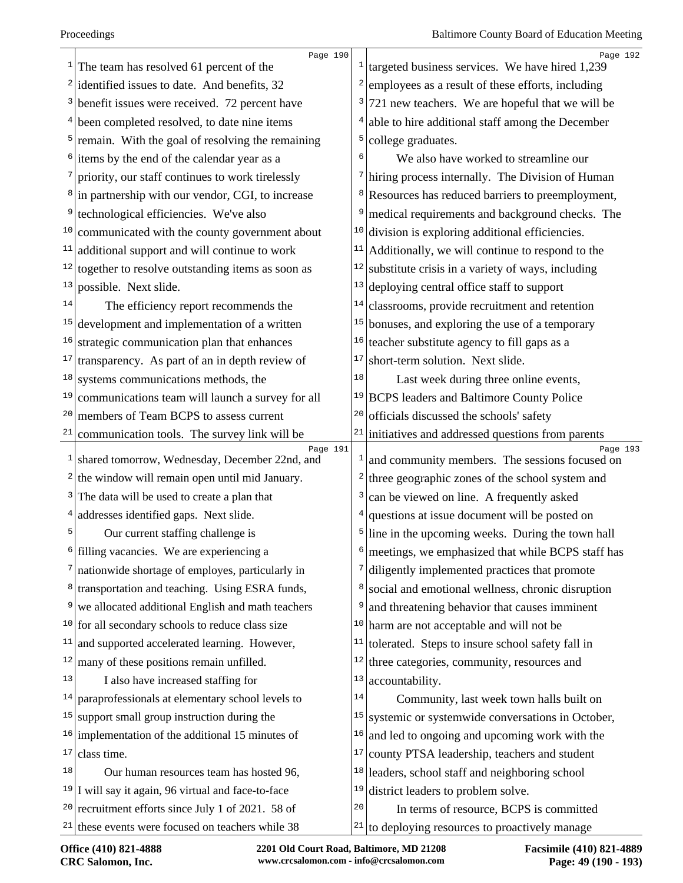|    | Page 190<br>The team has resolved 61 percent of the            |              | Page 192<br><sup>1</sup> targeted business services. We have hired 1,239 |
|----|----------------------------------------------------------------|--------------|--------------------------------------------------------------------------|
|    | <sup>2</sup> identified issues to date. And benefits, $32$     | $\mathbf{2}$ | employees as a result of these efforts, including                        |
|    | $3$ benefit issues were received. 72 percent have              | 3            | 721 new teachers. We are hopeful that we will be                         |
|    | $4$ been completed resolved, to date nine items                | 4            | able to hire additional staff among the December                         |
|    | $5$ remain. With the goal of resolving the remaining           | 5            | college graduates.                                                       |
|    | $6$ items by the end of the calendar year as a                 | 6            | We also have worked to streamline our                                    |
|    | 7 priority, our staff continues to work tirelessly             |              | <sup>7</sup> hiring process internally. The Division of Human            |
|    | $\frac{8}{2}$ in partnership with our vendor, CGI, to increase | 8            | Resources has reduced barriers to preemployment,                         |
| 9  | technological efficiencies. We've also                         | 9            | medical requirements and background checks. The                          |
|    | $10$ communicated with the county government about             | 10           | division is exploring additional efficiencies.                           |
|    | $11$ additional support and will continue to work              | 11           | Additionally, we will continue to respond to the                         |
|    | $12$ together to resolve outstanding items as soon as          | 12           | substitute crisis in a variety of ways, including                        |
| 13 | possible. Next slide.                                          | 13           | deploying central office staff to support                                |
| 14 | The efficiency report recommends the                           | 14           | classrooms, provide recruitment and retention                            |
|    | $15$ development and implementation of a written               | 15           | bonuses, and exploring the use of a temporary                            |
| 16 | strategic communication plan that enhances                     | 16           | teacher substitute agency to fill gaps as a                              |
| 17 | transparency. As part of an in depth review of                 | 17           | short-term solution. Next slide.                                         |
|    | $18$ systems communications methods, the                       | 18           | Last week during three online events,                                    |
| 19 | communications team will launch a survey for all               | 19           | <b>BCPS</b> leaders and Baltimore County Police                          |
| 20 | members of Team BCPS to assess current                         | 20           | officials discussed the schools' safety                                  |
|    | $21$ communication tools. The survey link will be              | 21           | initiatives and addressed questions from parents                         |
|    | Page 191<br>$1$ shared tomorrow, Wednesday, December 22nd, and |              | Page 193<br>and community members. The sessions focused on               |
|    | $2$ the window will remain open until mid January.             | 2            | three geographic zones of the school system and                          |
|    | $3$ The data will be used to create a plan that                | 3            | can be viewed on line. A frequently asked                                |
|    | $4$ addresses identified gaps. Next slide.                     | 4            | questions at issue document will be posted on                            |
| 5  | Our current staffing challenge is                              |              | $5$ line in the upcoming weeks. During the town hall                     |
|    | <sup>6</sup> filling vacancies. We are experiencing a          | $6 \mid$     | meetings, we emphasized that while BCPS staff has                        |
|    | $7$ nationwide shortage of employes, particularly in           | 7            | diligently implemented practices that promote                            |
|    | <sup>8</sup> transportation and teaching. Using ESRA funds,    | 8            | social and emotional wellness, chronic disruption                        |
|    | <sup>9</sup> we allocated additional English and math teachers | 9            | and threatening behavior that causes imminent                            |
|    | $10$ for all secondary schools to reduce class size            | 10           | harm are not acceptable and will not be                                  |
| 11 | and supported accelerated learning. However,                   | 11           | tolerated. Steps to insure school safety fall in                         |
| 12 | many of these positions remain unfilled.                       | 12           | three categories, community, resources and                               |
| 13 | I also have increased staffing for                             | 13           | accountability.                                                          |
|    | $14$ paraprofessionals at elementary school levels to          | 14           | Community, last week town halls built on                                 |
|    | $15$ support small group instruction during the                | 15           | systemic or systemwide conversations in October,                         |
|    | $16$ implementation of the additional 15 minutes of            | 16           | and led to ongoing and upcoming work with the                            |
| 17 | class time.                                                    | 17           | county PTSA leadership, teachers and student                             |
| 18 | Our human resources team has hosted 96,                        | 18           | leaders, school staff and neighboring school                             |
|    | $19$ I will say it again, 96 virtual and face-to-face          | 19           | district leaders to problem solve.                                       |
|    | $20$ recruitment efforts since July 1 of 2021. 58 of           | 20           | In terms of resource, BCPS is committed                                  |
|    | $21$ these events were focused on teachers while 38            | 21           | to deploying resources to proactively manage                             |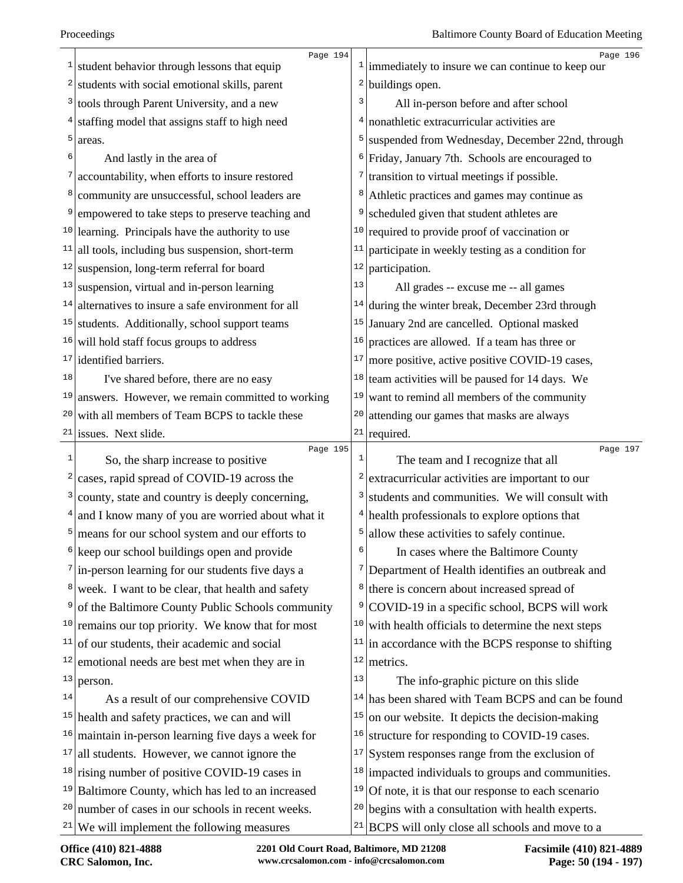|                | Page 194                                                      |          | Page 196                                                        |
|----------------|---------------------------------------------------------------|----------|-----------------------------------------------------------------|
|                | $\frac{1}{1}$ student behavior through lessons that equip     |          | $\frac{1}{2}$ immediately to insure we can continue to keep our |
|                | <sup>2</sup> students with social emotional skills, parent    |          | $2$ buildings open.                                             |
|                | <sup>3</sup> tools through Parent University, and a new       | 3        | All in-person before and after school                           |
|                | <sup>4</sup> staffing model that assigns staff to high need   | 4        | nonathletic extracurricular activities are                      |
| $\mathsf{5}$   | areas.                                                        | 5        | suspended from Wednesday, December 22nd, through                |
| 6              | And lastly in the area of                                     | 6        | Friday, January 7th. Schools are encouraged to                  |
| 7              | accountability, when efforts to insure restored               | 7        | transition to virtual meetings if possible.                     |
|                | <sup>8</sup> community are unsuccessful, school leaders are   | 8        | Athletic practices and games may continue as                    |
| 9 <sup>1</sup> | empowered to take steps to preserve teaching and              | 9        | scheduled given that student athletes are                       |
|                | $10$ learning. Principals have the authority to use           | 10       | required to provide proof of vaccination or                     |
|                | $11$   all tools, including bus suspension, short-term        | 11       | participate in weekly testing as a condition for                |
|                | $12$ suspension, long-term referral for board                 | 12       | participation.                                                  |
|                | $13$ suspension, virtual and in-person learning               | 13       | All grades -- excuse me -- all games                            |
|                | $14$ alternatives to insure a safe environment for all        | 14       | during the winter break, December 23rd through                  |
|                | $15$ students. Additionally, school support teams             | 15       | January 2nd are cancelled. Optional masked                      |
|                | $16$ will hold staff focus groups to address                  | 16       | practices are allowed. If a team has three or                   |
|                | $17$ identified barriers.                                     | 17       | more positive, active positive COVID-19 cases,                  |
| 18             | I've shared before, there are no easy                         | 18       | team activities will be paused for 14 days. We                  |
|                | $19$ answers. However, we remain committed to working         | 19       | want to remind all members of the community                     |
| 20             | with all members of Team BCPS to tackle these                 | 20       | attending our games that masks are always                       |
|                | $21$ issues. Next slide.                                      | 21       | required.                                                       |
| 1              | Page 195<br>So, the sharp increase to positive                | 1        | Page 197<br>The team and I recognize that all                   |
| 2              | cases, rapid spread of COVID-19 across the                    | 2        | extracurricular activities are important to our                 |
|                | <sup>3</sup> county, state and country is deeply concerning,  | 3        | students and communities. We will consult with                  |
|                | $4$ and I know many of you are worried about what it          |          | <sup>4</sup> health professionals to explore options that       |
|                | $5$ means for our school system and our efforts to            | 5        | allow these activities to safely continue.                      |
|                | <sup>6</sup> keep our school buildings open and provide       | 6        | In cases where the Baltimore County                             |
|                |                                                               |          |                                                                 |
|                | $7$  in-person learning for our students five days a          | 8        | <sup>7</sup> Department of Health identifies an outbreak and    |
| 9              | <sup>8</sup> week. I want to be clear, that health and safety | 9        | there is concern about increased spread of                      |
|                | of the Baltimore County Public Schools community              |          | COVID-19 in a specific school, BCPS will work                   |
|                | $10$ remains our top priority. We know that for most          | 10       | with health officials to determine the next steps               |
| 11             | of our students, their academic and social                    | 11       | in accordance with the BCPS response to shifting                |
| 12             | emotional needs are best met when they are in                 | 12<br>13 | metrics.                                                        |
| 13             | person.                                                       |          | The info-graphic picture on this slide                          |
| 14             | As a result of our comprehensive COVID                        | 14       | has been shared with Team BCPS and can be found                 |
|                | $15$ health and safety practices, we can and will             | 15       | on our website. It depicts the decision-making                  |
| 16             | maintain in-person learning five days a week for              | 16       | structure for responding to COVID-19 cases.                     |
|                | $17$ all students. However, we cannot ignore the              | 17       | System responses range from the exclusion of                    |
|                | $18$ rising number of positive COVID-19 cases in              | 18       | impacted individuals to groups and communities.                 |
|                | $19$ Baltimore County, which has led to an increased          | 19       | Of note, it is that our response to each scenario               |
|                | $20$ number of cases in our schools in recent weeks.          | 20       | begins with a consultation with health experts.                 |
|                | $21$ We will implement the following measures                 | 21       | BCPS will only close all schools and move to a                  |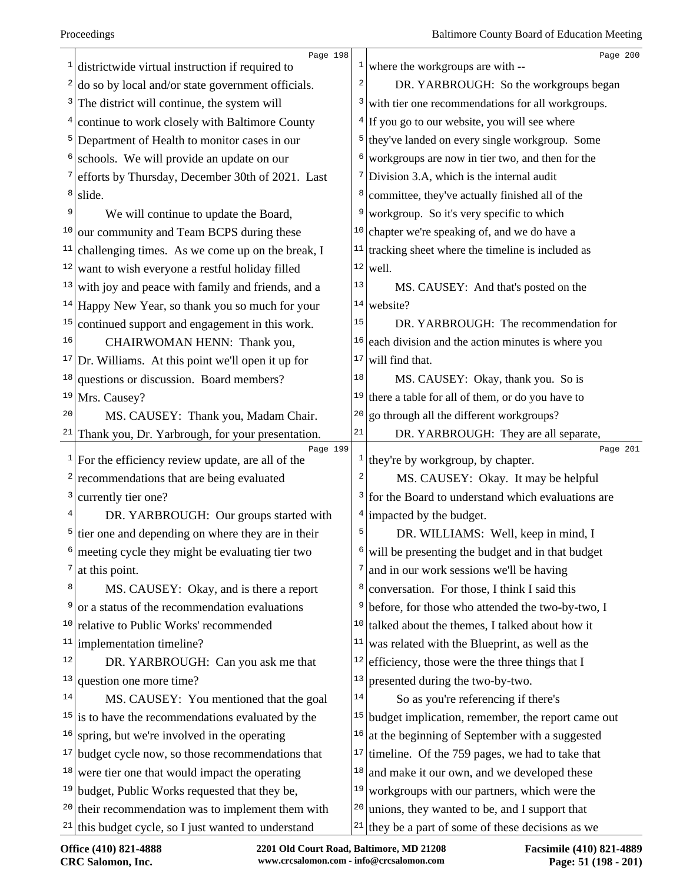|               | Page 198                                                                               |    | Page 200                                                                                           |  |
|---------------|----------------------------------------------------------------------------------------|----|----------------------------------------------------------------------------------------------------|--|
| 1             | districtwide virtual instruction if required to                                        |    | <sup>1</sup> where the workgroups are with $-$                                                     |  |
|               | do so by local and/or state government officials.                                      |    | DR. YARBROUGH: So the workgroups began                                                             |  |
|               | The district will continue, the system will                                            | 3  | with tier one recommendations for all workgroups.                                                  |  |
|               | continue to work closely with Baltimore County                                         |    | $4$ If you go to our website, you will see where                                                   |  |
| $\mathsf{5}$  | Department of Health to monitor cases in our                                           | 5  | they've landed on every single workgroup. Some                                                     |  |
|               | schools. We will provide an update on our                                              |    | workgroups are now in tier two, and then for the                                                   |  |
|               | efforts by Thursday, December 30th of 2021. Last                                       |    | Division 3.A, which is the internal audit                                                          |  |
| 8             | slide.                                                                                 | 8  | committee, they've actually finished all of the                                                    |  |
| 9             | We will continue to update the Board,                                                  |    | workgroup. So it's very specific to which                                                          |  |
| 10            | our community and Team BCPS during these                                               | 10 | chapter we're speaking of, and we do have a                                                        |  |
| 11            | challenging times. As we come up on the break, I                                       | 11 | tracking sheet where the timeline is included as                                                   |  |
|               | $12$ want to wish everyone a restful holiday filled                                    |    | $12$ well.                                                                                         |  |
|               | $13$ with joy and peace with family and friends, and a                                 | 13 | MS. CAUSEY: And that's posted on the                                                               |  |
|               | $14$ Happy New Year, so thank you so much for your                                     |    | $14$ website?                                                                                      |  |
| 15            | continued support and engagement in this work.                                         | 15 | DR. YARBROUGH: The recommendation for                                                              |  |
| 16            | CHAIRWOMAN HENN: Thank you,                                                            | 16 | each division and the action minutes is where you                                                  |  |
| 17            | Dr. Williams. At this point we'll open it up for                                       | 17 | will find that.                                                                                    |  |
| 18            | questions or discussion. Board members?                                                | 18 | MS. CAUSEY: Okay, thank you. So is                                                                 |  |
| 19            | Mrs. Causey?                                                                           |    | $19$ there a table for all of them, or do you have to                                              |  |
| 20            | MS. CAUSEY: Thank you, Madam Chair.                                                    | 20 | go through all the different workgroups?                                                           |  |
| 21            | Thank you, Dr. Yarbrough, for your presentation.                                       | 21 | DR. YARBROUGH: They are all separate,                                                              |  |
| $\frac{1}{2}$ | Page 199<br>For the efficiency review update, are all of the                           |    | Page 201<br><sup>1</sup> they're by workgroup, by chapter.                                         |  |
|               | $2$ recommendations that are being evaluated                                           |    | MS. CAUSEY: Okay. It may be helpful                                                                |  |
| 3             | currently tier one?                                                                    |    | $3$ for the Board to understand which evaluations are                                              |  |
|               | DR. YARBROUGH: Our groups started with                                                 |    | $4$ impacted by the budget.                                                                        |  |
|               | $5$ tier one and depending on where they are in their                                  |    | DR. WILLIAMS: Well, keep in mind, I                                                                |  |
|               | meeting cycle they might be evaluating tier two                                        |    | will be presenting the budget and in that budget                                                   |  |
| 7             | at this point.                                                                         |    | and in our work sessions we'll be having                                                           |  |
| 8             | MS. CAUSEY: Okay, and is there a report                                                | 8  | conversation. For those, I think I said this                                                       |  |
| 9             |                                                                                        |    |                                                                                                    |  |
| 10            |                                                                                        | 9  |                                                                                                    |  |
|               | or a status of the recommendation evaluations<br>relative to Public Works' recommended | 10 | before, for those who attended the two-by-two, I<br>talked about the themes, I talked about how it |  |
| 11            | implementation timeline?                                                               | 11 | was related with the Blueprint, as well as the                                                     |  |
| 12            | DR. YARBROUGH: Can you ask me that                                                     | 12 | efficiency, those were the three things that I                                                     |  |
| 13            | question one more time?                                                                | 13 | presented during the two-by-two.                                                                   |  |
| 14            | MS. CAUSEY: You mentioned that the goal                                                | 14 | So as you're referencing if there's                                                                |  |
|               | $15$ is to have the recommendations evaluated by the                                   |    | $15$ budget implication, remember, the report came out                                             |  |
| 16            | spring, but we're involved in the operating                                            | 16 | at the beginning of September with a suggested                                                     |  |
| 17            | budget cycle now, so those recommendations that                                        | 17 | timeline. Of the 759 pages, we had to take that                                                    |  |
| 18            | were tier one that would impact the operating                                          | 18 | and make it our own, and we developed these                                                        |  |
|               | <sup>19</sup> budget, Public Works requested that they be,                             | 19 | workgroups with our partners, which were the                                                       |  |
|               | $20$ their recommendation was to implement them with                                   |    | $20$ unions, they wanted to be, and I support that                                                 |  |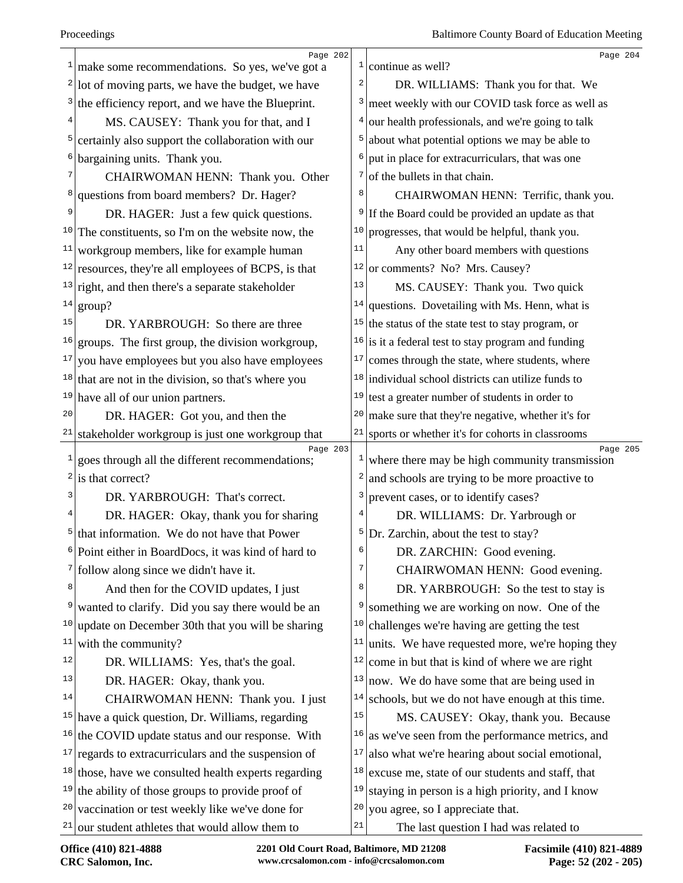|              | Page 202                                                    |              | Page 204                                                      |  |
|--------------|-------------------------------------------------------------|--------------|---------------------------------------------------------------|--|
| $\mathbf{1}$ | make some recommendations. So yes, we've got a              |              | <sup>1</sup> continue as well?                                |  |
| 2            | lot of moving parts, we have the budget, we have            | 2            | DR. WILLIAMS: Thank you for that. We                          |  |
| 3            | the efficiency report, and we have the Blueprint.           |              | <sup>3</sup> meet weekly with our COVID task force as well as |  |
| 4            | MS. CAUSEY: Thank you for that, and I                       | 4            | our health professionals, and we're going to talk             |  |
| 5            | certainly also support the collaboration with our           |              | about what potential options we may be able to                |  |
| 6            | bargaining units. Thank you.                                | 6            | put in place for extracurriculars, that was one               |  |
|              | CHAIRWOMAN HENN: Thank you. Other                           | 7            | of the bullets in that chain.                                 |  |
| 8            | questions from board members? Dr. Hager?                    | 8            | CHAIRWOMAN HENN: Terrific, thank you.                         |  |
| 9            | DR. HAGER: Just a few quick questions.                      | 9            | If the Board could be provided an update as that              |  |
| 10           | The constituents, so I'm on the website now, the            | 10           | progresses, that would be helpful, thank you.                 |  |
| 11           | workgroup members, like for example human                   | 11           | Any other board members with questions                        |  |
|              | $12$ resources, they're all employees of BCPS, is that      |              | $12$ or comments? No? Mrs. Causey?                            |  |
|              | $13$ right, and then there's a separate stakeholder         | 13           | MS. CAUSEY: Thank you. Two quick                              |  |
|              | $14$ group?                                                 | 14           | questions. Dovetailing with Ms. Henn, what is                 |  |
| 15           | DR. YARBROUGH: So there are three                           |              | $15$ the status of the state test to stay program, or         |  |
| 16           | groups. The first group, the division workgroup,            |              | $16$ is it a federal test to stay program and funding         |  |
| 17           | you have employees but you also have employees              | 17           | comes through the state, where students, where                |  |
|              | $18$ that are not in the division, so that's where you      |              | $18$ individual school districts can utilize funds to         |  |
| 19           | have all of our union partners.                             |              | $19$ test a greater number of students in order to            |  |
| 20           | DR. HAGER: Got you, and then the                            | 20           | make sure that they're negative, whether it's for             |  |
| 21           | stakeholder workgroup is just one workgroup that            | $21\,$       | sports or whether it's for cohorts in classrooms              |  |
| $\mathbf{1}$ | Page 203<br>goes through all the different recommendations; | $\mathbf{1}$ | Page 205<br>where there may be high community transmission    |  |
| 2            | is that correct?                                            | 2            | and schools are trying to be more proactive to                |  |
| 3            | DR. YARBROUGH: That's correct.                              | 3            | prevent cases, or to identify cases?                          |  |
| 4            | DR. HAGER: Okay, thank you for sharing                      |              | DR. WILLIAMS: Dr. Yarbrough or                                |  |
| 5            | that information. We do not have that Power                 | 5            | Dr. Zarchin, about the test to stay?                          |  |
|              | Point either in BoardDocs, it was kind of hard to           | 6            | DR. ZARCHIN: Good evening.                                    |  |
| 7            | follow along since we didn't have it.                       | 7            | CHAIRWOMAN HENN: Good evening.                                |  |
| 8            | And then for the COVID updates, I just                      | 8            | DR. YARBROUGH: So the test to stay is                         |  |
| 9            | wanted to clarify. Did you say there would be an            | 9            | something we are working on now. One of the                   |  |
| 10           | update on December 30th that you will be sharing            | 10           | challenges we're having are getting the test                  |  |
| 11           | with the community?                                         | 11           | units. We have requested more, we're hoping they              |  |
| 12           | DR. WILLIAMS: Yes, that's the goal.                         | 12           | come in but that is kind of where we are right                |  |
| 13           | DR. HAGER: Okay, thank you.                                 | 13           | now. We do have some that are being used in                   |  |
| 14           | CHAIRWOMAN HENN: Thank you. I just                          | 14           | schools, but we do not have enough at this time.              |  |
| 15           | have a quick question, Dr. Williams, regarding              | 15           | MS. CAUSEY: Okay, thank you. Because                          |  |
| 16           | the COVID update status and our response. With              | 16           | as we've seen from the performance metrics, and               |  |
| 17           | regards to extracurriculars and the suspension of           | 17           | also what we're hearing about social emotional,               |  |
|              | $18$ those, have we consulted health experts regarding      | 18           | excuse me, state of our students and staff, that              |  |
|              |                                                             |              |                                                               |  |
|              | $19$ the ability of those groups to provide proof of        | 19           | staying in person is a high priority, and I know              |  |
| 20           | vaccination or test weekly like we've done for              | 20           | you agree, so I appreciate that.                              |  |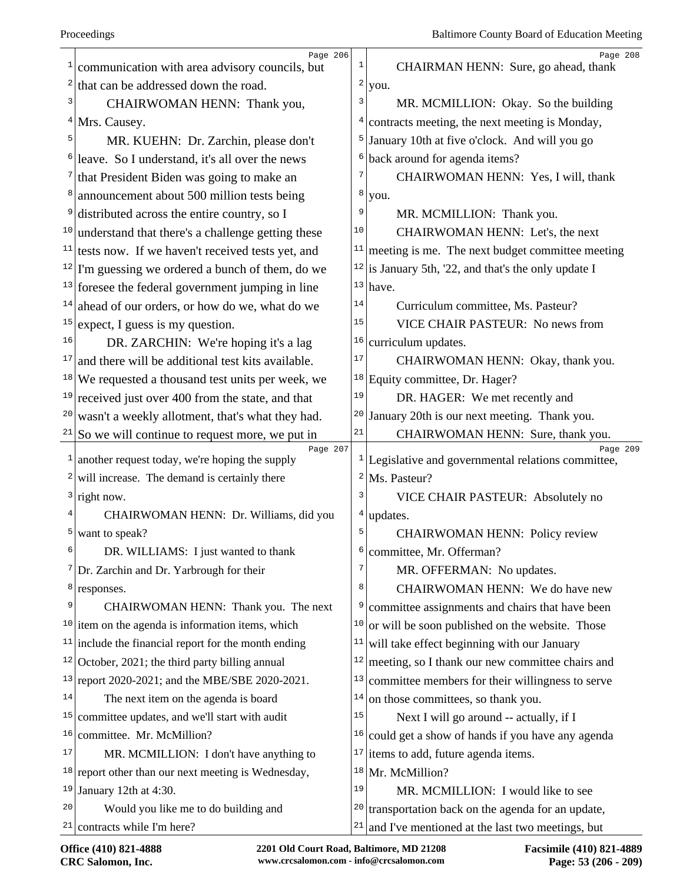|              | Page 206                                                                 |              | Page 208                                                           |
|--------------|--------------------------------------------------------------------------|--------------|--------------------------------------------------------------------|
|              | communication with area advisory councils, but                           | $\mathbf{1}$ | CHAIRMAN HENN: Sure, go ahead, thank                               |
| $\mathbf{2}$ | that can be addressed down the road.                                     | 2            | you.                                                               |
| 3            | CHAIRWOMAN HENN: Thank you,                                              | 3            | MR. MCMILLION: Okay. So the building                               |
|              | $4$ Mrs. Causey.                                                         | 4            | contracts meeting, the next meeting is Monday,                     |
| 5            | MR. KUEHN: Dr. Zarchin, please don't                                     |              | January 10th at five o'clock. And will you go                      |
|              | leave. So I understand, it's all over the news                           | 6            | back around for agenda items?                                      |
|              | $\frac{7}{1}$ that President Biden was going to make an                  | 7            | CHAIRWOMAN HENN: Yes, I will, thank                                |
|              | announcement about 500 million tests being                               | 8            | you.                                                               |
| 9            | distributed across the entire country, so I                              | 9            | MR. MCMILLION: Thank you.                                          |
|              | $10$ understand that there's a challenge getting these                   | 10           | CHAIRWOMAN HENN: Let's, the next                                   |
|              | $\frac{11}{11}$ tests now. If we haven't received tests yet, and         | 11           | meeting is me. The next budget committee meeting                   |
|              | $12$ I'm guessing we ordered a bunch of them, do we                      |              | $12$ is January 5th, '22, and that's the only update I             |
|              | $13$ foresee the federal government jumping in line                      |              | $13$ have.                                                         |
| 14           | ahead of our orders, or how do we, what do we                            | 14           | Curriculum committee, Ms. Pasteur?                                 |
| 15           | expect, I guess is my question.                                          | 15           | <b>VICE CHAIR PASTEUR: No news from</b>                            |
| 16           | DR. ZARCHIN: We're hoping it's a lag                                     | 16           | curriculum updates.                                                |
| 17           | and there will be additional test kits available.                        | 17           | CHAIRWOMAN HENN: Okay, thank you.                                  |
|              | $18$ We requested a thousand test units per week, we                     | 18           | Equity committee, Dr. Hager?                                       |
| 19           | received just over 400 from the state, and that                          | 19           | DR. HAGER: We met recently and                                     |
| 20           | wasn't a weekly allotment, that's what they had.                         |              | $20$ January 20th is our next meeting. Thank you.                  |
|              | $21$ So we will continue to request more, we put in                      | 21           | CHAIRWOMAN HENN: Sure, thank you.                                  |
|              | Page 207<br>$\frac{1}{2}$ another request today, we're hoping the supply |              | Page 209<br>$1$  Legislative and governmental relations committee, |
|              | $2$ will increase. The demand is certainly there                         | 2            | Ms. Pasteur?                                                       |
|              | $3$ right now.                                                           | 3            | VICE CHAIR PASTEUR: Absolutely no                                  |
|              | CHAIRWOMAN HENN: Dr. Williams, did you                                   | 4            | updates.                                                           |
|              | $5$ want to speak?                                                       | 5            | <b>CHAIRWOMAN HENN: Policy review</b>                              |
| 6            | DR. WILLIAMS: I just wanted to thank                                     | 6            | committee, Mr. Offerman?                                           |
|              | $7$ Dr. Zarchin and Dr. Yarbrough for their                              | 7            | MR. OFFERMAN: No updates.                                          |
| 8            | responses.                                                               | 8            | CHAIRWOMAN HENN: We do have new                                    |
| 9            | CHAIRWOMAN HENN: Thank you. The next                                     | 9            | committee assignments and chairs that have been                    |
|              | $10$ item on the agenda is information items, which                      | 10           | or will be soon published on the website. Those                    |
| 11           | include the financial report for the month ending                        | 11           | will take effect beginning with our January                        |
|              | $12$ October, 2021; the third party billing annual                       | 12           | meeting, so I thank our new committee chairs and                   |
|              | <sup>13</sup> report 2020-2021; and the MBE/SBE 2020-2021.               | 13           | committee members for their willingness to serve                   |
| 14           | The next item on the agenda is board                                     | 14           | on those committees, so thank you.                                 |
| 15           | committee updates, and we'll start with audit                            | 15           | Next I will go around -- actually, if I                            |
| 16           | committee. Mr. McMillion?                                                | 16           | could get a show of hands if you have any agenda                   |
| 17           | MR. MCMILLION: I don't have anything to                                  | 17           | items to add, future agenda items.                                 |
|              | $18$ report other than our next meeting is Wednesday,                    |              | $18$ Mr. McMillion?                                                |
| 19           | January 12th at 4:30.                                                    | 19           | MR. MCMILLION: I would like to see                                 |
| 20           | Would you like me to do building and                                     |              | $20$ transportation back on the agenda for an update,              |
| 21           | contracts while I'm here?                                                | 21           | and I've mentioned at the last two meetings, but                   |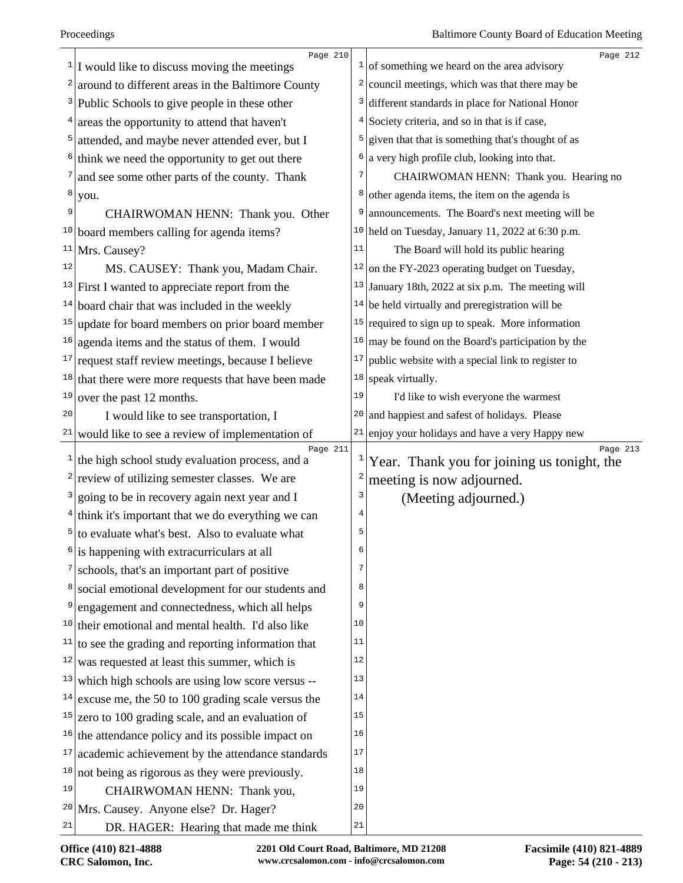| 1            | Page 210<br>I would like to discuss moving the meetings     |              | Page 212<br>$\frac{1}{1}$ of something we heard on the area advisory |
|--------------|-------------------------------------------------------------|--------------|----------------------------------------------------------------------|
| 2            | around to different areas in the Baltimore County           | $\mathbf{z}$ | council meetings, which was that there may be                        |
| 3            | Public Schools to give people in these other                | 3            | different standards in place for National Honor                      |
| 4            | areas the opportunity to attend that haven't                | 4            | Society criteria, and so in that is if case,                         |
| 5            | attended, and maybe never attended ever, but I              | 5            | given that that is something that's thought of as                    |
| 6            | think we need the opportunity to get out there              | 6            | a very high profile club, looking into that.                         |
| 7            | and see some other parts of the county. Thank               |              | CHAIRWOMAN HENN: Thank you. Hearing no                               |
| 8            | you.                                                        | 8            | other agenda items, the item on the agenda is                        |
| 9            | CHAIRWOMAN HENN: Thank you. Other                           | 9            | announcements. The Board's next meeting will be                      |
| 10           | board members calling for agenda items?                     |              | $10$ held on Tuesday, January 11, 2022 at 6:30 p.m.                  |
| 11           | Mrs. Causey?                                                | 11           | The Board will hold its public hearing                               |
| 12           | MS. CAUSEY: Thank you, Madam Chair.                         | 12           | on the FY-2023 operating budget on Tuesday,                          |
|              | $13$ First I wanted to appreciate report from the           |              | $13$ January 18th, 2022 at six p.m. The meeting will                 |
| 14           | board chair that was included in the weekly                 |              | $14$ be held virtually and preregistration will be                   |
| 15           | update for board members on prior board member              |              | $15$ required to sign up to speak. More information                  |
| 16           | agenda items and the status of them. I would                | 16           | may be found on the Board's participation by the                     |
| 17           | request staff review meetings, because I believe            | 17           | public website with a special link to register to                    |
| 18           | that there were more requests that have been made           | 18           | speak virtually.                                                     |
| 19           | over the past 12 months.                                    | 19           | I'd like to wish everyone the warmest                                |
| 20           | I would like to see transportation, I                       | 20           | and happiest and safest of holidays. Please                          |
| 21           | would like to see a review of implementation of             | 21           | enjoy your holidays and have a very Happy new                        |
| $\mathbf{1}$ | Page 211<br>the high school study evaluation process, and a | $\mathbf{1}$ | Page 213<br>Year. Thank you for joining us tonight, the              |
| 2            | review of utilizing semester classes. We are                |              | meeting is now adjourned.                                            |
| 3            | going to be in recovery again next year and I               | 3            | (Meeting adjourned.)                                                 |
| 4            | think it's important that we do everything we can           | 4            |                                                                      |
| 5            | to evaluate what's best. Also to evaluate what              | 5            |                                                                      |
| 6            | is happening with extracurriculars at all                   | 6            |                                                                      |
| 7            | schools, that's an important part of positive               | 7            |                                                                      |
| 8            | social emotional development for our students and           | 8            |                                                                      |
| 9            | engagement and connectedness, which all helps               | 9            |                                                                      |
|              | $10$ their emotional and mental health. I'd also like       | 10           |                                                                      |
| 11           | to see the grading and reporting information that           | 11           |                                                                      |
| 12           | was requested at least this summer, which is                | 12           |                                                                      |
| 13           | which high schools are using low score versus --            | 13           |                                                                      |
| 14           | excuse me, the 50 to 100 grading scale versus the           | 14           |                                                                      |
| 15           | zero to 100 grading scale, and an evaluation of             | 15           |                                                                      |
| 16           | the attendance policy and its possible impact on            | 16           |                                                                      |
| 17           | academic achievement by the attendance standards            | 17           |                                                                      |
| 18           | not being as rigorous as they were previously.              | 18           |                                                                      |
| 19           | CHAIRWOMAN HENN: Thank you,                                 | 19           |                                                                      |
|              | <sup>20</sup> Mrs. Causey. Anyone else? Dr. Hager?          | 20           |                                                                      |
| 21           | DR. HAGER: Hearing that made me think                       | 21           |                                                                      |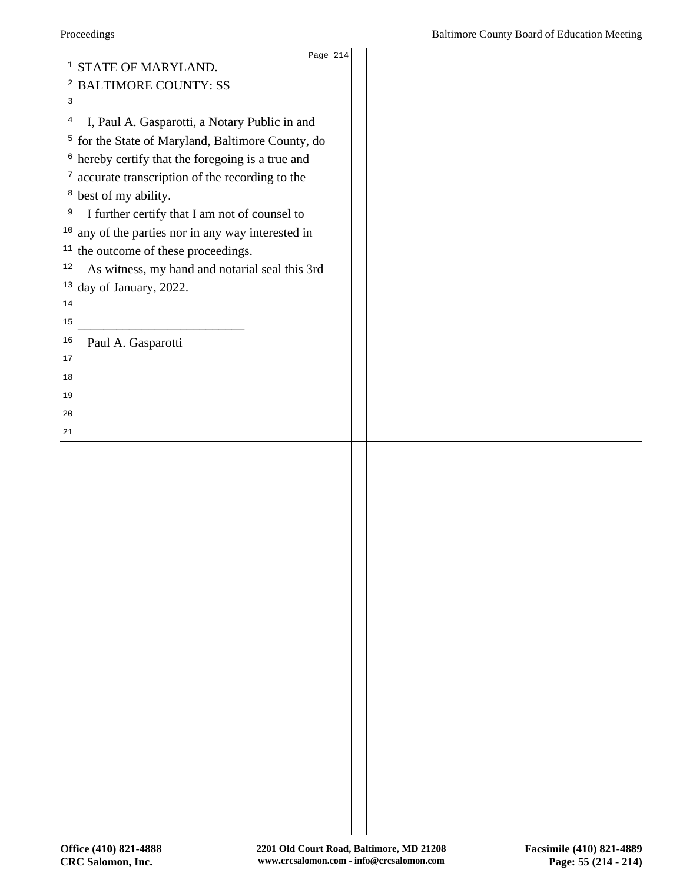|              | Page 214                                                     |  |
|--------------|--------------------------------------------------------------|--|
| $\mathbf{1}$ | STATE OF MARYLAND.                                           |  |
|              | <sup>2</sup> BALTIMORE COUNTY: SS                            |  |
| 3            |                                                              |  |
| 4            | I, Paul A. Gasparotti, a Notary Public in and                |  |
|              | $5$ for the State of Maryland, Baltimore County, do          |  |
| $6\vert$     | hereby certify that the foregoing is a true and              |  |
|              | $\frac{1}{2}$ accurate transcription of the recording to the |  |
|              | $\frac{8}{1}$ best of my ability.                            |  |
| 9            | I further certify that I am not of counsel to                |  |
|              | $10$ any of the parties nor in any way interested in         |  |
|              | $11$ the outcome of these proceedings.                       |  |
| $12$         | As witness, my hand and notarial seal this 3rd               |  |
|              | $13$ day of January, 2022.                                   |  |
| 14           |                                                              |  |
| 15           |                                                              |  |
| 16           | Paul A. Gasparotti                                           |  |
| 17           |                                                              |  |
| 18           |                                                              |  |
| 19           |                                                              |  |
| 20           |                                                              |  |
| 21           |                                                              |  |
|              |                                                              |  |
|              |                                                              |  |
|              |                                                              |  |
|              |                                                              |  |
|              |                                                              |  |
|              |                                                              |  |
|              |                                                              |  |
|              |                                                              |  |
|              |                                                              |  |
|              |                                                              |  |
|              |                                                              |  |
|              |                                                              |  |
|              |                                                              |  |
|              |                                                              |  |
|              |                                                              |  |
|              |                                                              |  |
|              |                                                              |  |
|              |                                                              |  |
|              |                                                              |  |
|              |                                                              |  |
|              |                                                              |  |
|              |                                                              |  |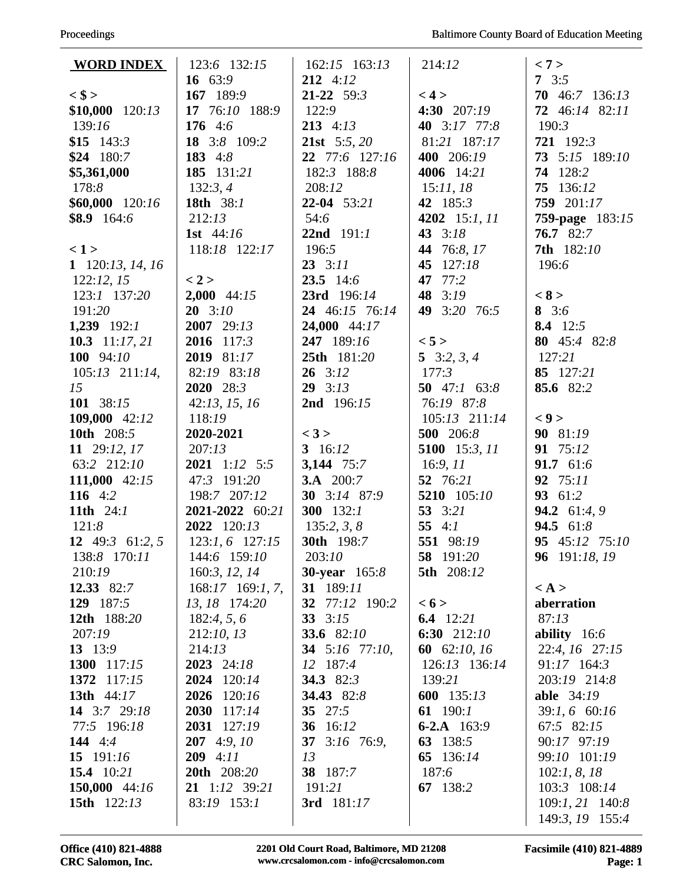| <b>WORD INDEX</b>   | 123:6 132:15       | $162:15$ $163:13$     | 214:12           | < 7 >                                |
|---------------------|--------------------|-----------------------|------------------|--------------------------------------|
|                     | 16 63:9            | $212$ 4:12            |                  | 7 $3:5$                              |
| $<$ \$ >            | 167 189:9          | $21-22$ 59:3          | < 4 >            | 70 $46:7$ 136:13                     |
| $$10,000$ $120:13$  | 17 76:10 188:9     | 122:9                 | 4:30 207:19      | 72 46:14 82:11                       |
| 139:16              | 176 4:6            | $213$ 4:13            | 40 3:17 77:8     | 190:3                                |
| \$15 $143:3$        | 18 3:8 109:2       | <b>21st</b> 5:5, 20   | 81:21 187:17     | 721 192:3                            |
| $$24$ 180:7         | 183 4:8            | 22 77:6 127:16        | 400 206:19       | 73 5:15 189:10                       |
| \$5,361,000         | 185 131:21         | 182:3 188:8           | 4006 14:21       | 74 128:2                             |
| 178:8               | 132:3,4            | 208:12                | 15:11,18         | 75 136:12                            |
| $$60,000$ 120:16    | 18th 38:1          | $22-04$ 53:21         | 42 185:3         | 759 201:17                           |
| $$8.9$ 164:6        | 212:13             | 54:6                  | 4202 15:1, 11    | <b>759-page</b> 183:15               |
|                     | 1st $44:16$        | 22nd 191:1            | 43 $3:18$        | 76.782:7                             |
| < 1>                | 118:18 122:17      | 196:5                 | 44 76:8, 17      | <b>7th</b> 182:10                    |
| 1 $120:13$ , 14, 16 |                    | $23 \quad 3:11$       | 127:18<br>45     | 196:6                                |
| 122:12, 15          | < 2 >              | $23.5$ 14:6           | 77:2<br>47       |                                      |
| 123:1 137:20        | $2,000$ 44:15      | 23rd 196:14           | 48<br>3:19       | < 8 >                                |
| 191:20              | $20 \quad 3:10$    | 24 46:15 76:14        | 49 3:20 76:5     | 8 $3:6$                              |
| 1,239 $192:1$       | 2007 29:13         | 24,000 44:17          |                  | 8.4 12:5                             |
| 10.3 $11:17,21$     | 2016 117:3         | 247 189:16            | < 5 >            | 80 45:4 82:8                         |
| 100 $94:10$         | 2019 81:17         | 25th 181:20           | 5 $3:2, 3, 4$    | 127:21                               |
| $105:13$ $211:14$ , | 82:19 83:18        | $26 \quad 3:12$       | 177:3            | 85 127:21                            |
| 15                  | 2020 28:3          | $29 \quad 3:13$       | 50 $47:1$ 63:8   | 85.6 82:2                            |
| 101 38:15           | 42:13, 15, 16      | 2nd 196:15            | 76:19 87:8       |                                      |
| 109,000 42:12       | 118:19             |                       | 105:13 211:14    | < 9                                  |
| 10th 208:5          | 2020-2021          | < 3 >                 | 500 206:8        | 90 81:19                             |
| 11 29:12, 17        | 207:13             | 3 $16:12$             | 5100 15:3, 11    | 91 75:12                             |
| 63:2 212:10         | $2021$ 1:12 5:5    | 3,144 75:7            | 16:9, 11         | 91.7 61:6                            |
| 111,000 42:15       | 47:3 191:20        | <b>3.A</b> 200:7      | 52 76:21         | 92 75:11                             |
| 116 $4:2$           | 198:7 207:12       | 30 3:14 87:9          | 5210 105:10      | 93 61:2                              |
| 11th $24:1$         | 2021-2022 60:21    | 300 $132:1$           | 53 $3:21$        | 94.2 61:4, 9                         |
| 121:8               | 2022 120:13        | 135:2, 3, 8           | 55 $4:1$         | 94.5 61:8                            |
| 12 49:3 61:2, 5     | $123:1, 6$ 127:15  | 30th 198:7            | 551 98:19        | 95 45:12 75:10                       |
| 138:8 170:11        | 144:6 159:10       | 203:10                | <b>58</b> 191:20 | 96 $191:18,19$                       |
| 210:19              | 160:3, 12, 14      | <b>30-year</b> 165:8  | 5th 208:12       |                                      |
| 12.33 82:7          | $168:17$ 169:1, 7, | 31 189:11             |                  | $\langle A \rangle$                  |
| 129 187:5           | 13, 18 174:20      | 32 77:12 190:2        | < 6 >            | aberration                           |
| 12th 188:20         | 182:4, 5, 6        | 33 $3:15$             | 6.4 $12:21$      | 87:13                                |
| 207:19              | 212:10, 13         | 33.6 82:10            | 6:30 $212:10$    | ability $16:6$                       |
| 13 13:9             | 214:13             | <b>34</b> 5:16 77:10, | 60 62:10, 16     | 22:4, 16 27:15                       |
| 1300 117:15         | 2023 24:18         | 12 187:4              | 126:13 136:14    | 91:17 164:3                          |
| 1372 117:15         | 2024 120:14        | 34.3 82:3             | 139:21           | 203:19 214:8                         |
| 13th 44:17          | 120:16<br>2026     | 34.43 82:8            | 600 135:13       | <b>able</b> 34:19                    |
| 14 3:7 29:18        | 2030 117:14        | 35 $27:5$             | 61 190:1         | 39:1, 6 60:16                        |
| 77:5 196:18         | 2031 127:19        | 36 16:12              | 6-2.A $163:9$    | 67:5 82:15                           |
| 144 $4:4$           | $207$ 4:9, 10      | 37<br>$3:16$ 76:9,    | 63 138:5         | 90:17 97:19                          |
| 15 $191:16$         | $209$ 4:11         | 13                    | 65 136:14        | 99:10 101:19                         |
| 15.4 $10:21$        | 20th 208:20        | 38 187:7              | 187:6            | 102:1, 8, 18                         |
| 150,000 44:16       | 21 1:12 39:21      | 191:21                | 67 138:2         | 103:3 108:14                         |
| 15th 122:13         | 83:19 153:1        | 3rd 181:17            |                  | $109:1, 21$ 140:8<br>149:3, 19 155:4 |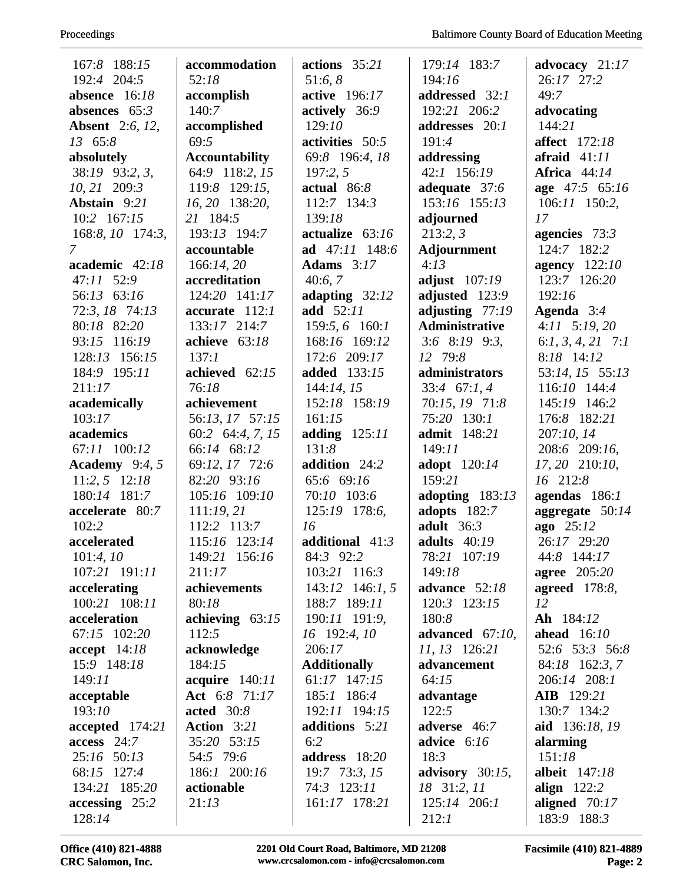| 167:8 188:15           | accommodation         | actions $35:21$     | 179:14 183:7          | advocacy $21:17$     |
|------------------------|-----------------------|---------------------|-----------------------|----------------------|
| 192:4 204:5            | 52:18                 | 51:6, 8             | 194:16                | 26:17 27:2           |
| absence 16:18          | accomplish            | active 196:17       | addressed 32:1        | 49:7                 |
| absences $65:3$        | 140:7                 | actively 36:9       | 192:21 206:2          | advocating           |
| <b>Absent</b> 2:6, 12, | accomplished          | 129:10              | addresses 20:1        | 144:21               |
| 13 65:8                | 69:5                  | activities 50:5     | 191:4                 | <b>affect</b> 172:18 |
| absolutely             | <b>Accountability</b> | 69:8 196:4, 18      | addressing            | afraid $41:11$       |
| 38:19 93:2, 3,         | 64:9 118:2, 15        | 197:2, 5            | 42:1 156:19           | <b>Africa</b> 44:14  |
| 10, 21 209:3           | 119:8 129:15,         | actual $86:8$       | adequate 37:6         | age 47:5 65:16       |
| Abstain 9:21           | 16, 20 138:20,        | 112:7 134:3         | 153:16 155:13         | $106:11$ 150:2,      |
| $10:2$ 167:15          | 21 184:5              | 139:18              | adjourned             | 17                   |
| $168:8, 10$ 174:3,     | 193:13 194:7          | actualize $63:16$   | 213:2,3               | agencies $73:3$      |
| $\mathcal{I}$          | accountable           | ad 47:11 148:6      | Adjournment           | 124:7 182:2          |
| academic 42:18         | 166:14,20             | Adams $3:17$        | 4:13                  | agency 122:10        |
| 47:11 52:9             | accreditation         | 40:6,7              | adjust 107:19         | 123:7 126:20         |
| 56:13 63:16            | 124:20 141:17         | adapting $32:12$    | adjusted 123:9        | 192:16               |
| 72:3, 18 74:13         | accurate 112:1        | add 52:11           | adjusting $77:19$     | Agenda 3:4           |
| 80:18 82:20            | 133:17 214:7          | 159:5, 6 160:1      | <b>Administrative</b> | $4:11$ $5:19,20$     |
| 93:15 116:19           | achieve $63:18$       | 168:16 169:12       | $3:6$ $8:19$ $9:3$ ,  | $6:1, 3, 4, 21$ 7:1  |
| 128:13 156:15          | 137:1                 | 172:6 209:17        | 12 79:8               | 8:18 14:12           |
| 184:9 195:11           | achieved 62:15        | added 133:15        | administrators        | 53:14, 15 55:13      |
| 211:17                 | 76:18                 | 144:14, 15          | $33:4$ 67:1, 4        | 116:10 144:4         |
| academically           | achievement           | 152:18 158:19       | 70:15, 19 71:8        | 145:19 146:2         |
| 103:17                 | 56:13, 17 57:15       | 161:15              | 75:20 130:1           | 176:8 182:21         |
| academics              | 60:2 64:4, 7, 15      | adding $125:11$     | admit 148:21          | 207:10, 14           |
| 67:11 100:12           | 66:14 68:12           | 131:8               | 149:11                | 208:6 209:16,        |
| Academy $9:4,5$        | 69:12, 17 72:6        | addition 24:2       | adopt 120:14          | 17, 20 210:10,       |
| $11:2, 5$ 12:18        | 82:20 93:16           | 65:6 69:16          | 159:21                | 16 212:8             |
| 180:14 181:7           | 105:16 109:10         | 70:10 103:6         | adopting $183:13$     | agendas 186:1        |
| accelerate 80:7        | 111:19,21             | 125:19 178:6,       | adopts 182:7          | aggregate $50:14$    |
| 102:2                  | 112:2 113:7           | 16                  | adult $36:3$          | ago 25:12            |
| accelerated            | 115:16 123:14         | additional $41:3$   | adults $40:19$        | 26:17 29:20          |
| 101:4,10               | 149:21 156:16         | 84:3 92:2           | 78:21 107:19          | 44:8 144:17          |
| 107:21 191:11          | 211:17                | 103:21 116:3        | 149:18                | agree $205:20$       |
| accelerating           | achievements          | $143:12$ $146:1, 5$ | advance 52:18         | <b>agreed</b> 178:8, |
| 100:21 108:11          | 80:18                 | 188:7 189:11        | 120:3 123:15          | 12                   |
| acceleration           | achieving $63:15$     | 190:11 191:9,       | 180:8                 | Ah 184:12            |
| 67:15 102:20           | 112:5                 | 16 192:4, 10        | advanced $67:10$ ,    | ahead $16:10$        |
| $accept \quad 14:18$   | acknowledge           | 206:17              | 11, 13 126:21         | 52:6 53:3 56:8       |
| 15:9 148:18            | 184:15                | <b>Additionally</b> | advancement           | 84:18 162:3, 7       |
| 149:11                 | acquire $140:11$      | 61:17 147:15        | 64:15                 | 206:14 208:1         |
| acceptable             | Act 6:8 71:17         | 185:1 186:4         | advantage             | <b>AIB</b> 129:21    |
| 193:10                 | acted $30:8$          | 192:11 194:15       | 122:5                 | 130:7 134:2          |
| accepted 174:21        | Action 3:21           | additions 5:21      | adverse 46:7          | aid 136:18, 19       |
| $access$ 24:7          | 35:20 53:15           | 6:2                 | advice $6:16$         | alarming             |
| 25:16 50:13            | 54:5 79:6             | address 18:20       | 18:3                  | 151:18               |
| 68:15 127:4            | 186:1 200:16          | 19:7 73:3, 15       | advisory $30:15$ ,    | <b>albeit</b> 147:18 |
| 134:21 185:20          | actionable            | 74:3 123:11         | 18 31:2, 11           | align $122:2$        |
| $accessing$ 25:2       | 21:13                 | 161:17 178:21       | $125:14$ $206:1$      | aligned $70:17$      |
| 128:14                 |                       |                     | 212:1                 | 183:9 188:3          |

Office (410) 821-4888 **2201 Old Court Road, Baltimore, MD 21208 Facsimile (410) 821-4889**<br>CRC Salomon, Inc. www.crcsalomon.com - info@crcsalomon.com **Page: 2**  $www.crcsalomon.com - info@crcsalomon.com$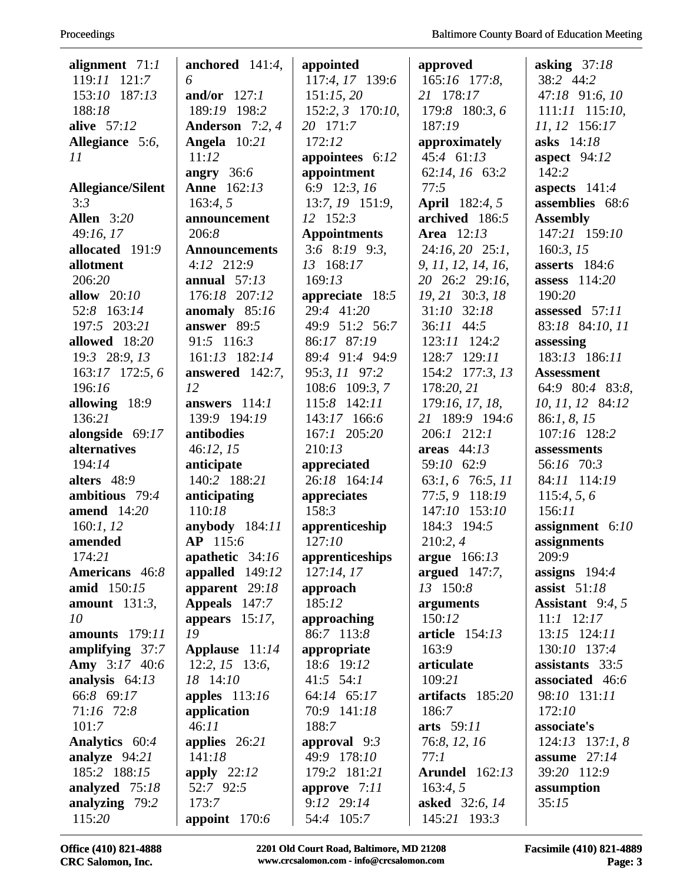| alignment $71:1$         | anchored $141:4$ ,       | appointed                      | approved              | asking $37:18$      |
|--------------------------|--------------------------|--------------------------------|-----------------------|---------------------|
| 119:11 121:7             | 6                        | 117:4, 17 139:6                | 165:16 177:8,         | 38:2 44:2           |
| 153:10 187:13            | and/or $127:1$           | 151:15,20                      | 21 178:17             | 47:18 91:6, 10      |
| 188:18                   | 189:19 198:2             | 152:2, 3 170:10,               | 179:8 180:3, 6        | 111:11 115:10,      |
| alive 57:12              | Anderson 7:2, 4          | 20 171:7                       | 187:19                | 11, 12 156:17       |
| Allegiance 5:6,          | Angela 10:21             | 172:12                         | approximately         | asks 14:18          |
| 11                       | 11:12                    | appointees $6:12$              | 45:4 61:13            | aspect $94:12$      |
|                          | angry $36:6$             | appointment                    | 62:14, 16 63:2        | 142:2               |
| <b>Allegiance/Silent</b> | <b>Anne</b> 162:13       | 6:9 12:3, 16                   | 77:5                  | aspects $141:4$     |
| 3:3                      | 163:4, 5                 | 13:7, 19 151:9,                | <b>April</b> 182:4, 5 | assemblies 68:6     |
| <b>Allen</b> 3:20        | announcement             | 12 152:3                       | archived 186:5        | <b>Assembly</b>     |
| 49:16, 17                | 206:8                    | <b>Appointments</b>            | <b>Area</b> 12:13     | 147:21 159:10       |
| allocated 191:9          | <b>Announcements</b>     | $3:6$ $8:19$ $9:3$ ,           | $24:16, 20$ $25:1,$   | 160:3, 15           |
| allotment                | 4:12 212:9               | 13 168:17                      | 9, 11, 12, 14, 16,    | asserts 184:6       |
| 206:20                   | annual $57:13$           | 169:13                         | 20 26:2 29:16,        | assess $114:20$     |
| allow $20:10$            | 176:18 207:12            | appreciate $18:5$              | 19, 21 30:3, 18       | 190:20              |
| 52:8 163:14              | anomaly 85:16            | 29:4 41:20                     | $31:10$ $32:18$       | assessed 57:11      |
| 197:5 203:21             | answer $89:5$            | 49:9 51:2 56:7                 | 36:11 44:5            | 83:18 84:10, 11     |
| allowed 18:20            | 91:5 116:3               | 86:17 87:19                    | 123:11 124:2          | assessing           |
| 19:3 28:9, 13            | 161:13 182:14            | 89:4 91:4 94:9                 | 128:7 129:11          | 183:13 186:11       |
| 163:17 172:5,6           |                          | 95:3, 11 97:2                  | 154:2 177:3, 13       | <b>Assessment</b>   |
| 196:16                   | answered $142:7$ ,<br>12 |                                | 178:20, 21            |                     |
|                          |                          | 108:6 109:3, 7<br>115:8 142:11 |                       | 64:9 80:4 83:8,     |
| allowing $18:9$          | answers $114:1$          |                                | 179:16, 17, 18,       | 10, 11, 12 84:12    |
| 136:21                   | 139:9 194:19             | 143:17 166:6                   | 21 189:9 194:6        | 86:1, 8, 15         |
| alongside 69:17          | antibodies               | 167:1 205:20                   | $206:1$ $212:1$       | 107:16 128:2        |
| alternatives             | 46:12, 15                | 210:13                         | areas $44:13$         | assessments         |
| 194:14                   | anticipate               | appreciated                    | 59:10 62:9            | 56:16 70:3          |
| alters 48:9              | 140:2 188:21             | 26:18 164:14                   | 63:1, 6 76:5, 11      | 84:11 114:19        |
| ambitious 79:4           | anticipating             | appreciates                    | 77:5, 9 118:19        | 115:4, 5, 6         |
| amend $14:20$            | 110:18                   | 158:3                          | 147:10 153:10         | 156:11              |
| 160:1, 12                | anybody $184:11$         | apprenticeship                 | 184:3 194:5           | assignment $6:10$   |
| amended                  | AP 115:6                 | 127:10                         | 210:2,4               | assignments         |
| 174:21                   | apathetic $34:16$        | apprenticeships                | argue 166:13          | 209:9               |
| Americans 46:8           | appalled 149:12          | 127:14,17                      | argued 147:7,         | assigns $194:4$     |
| amid 150:15              | apparent 29:18           | approach                       | 13 150:8              | assist $51:18$      |
| amount $131:3$ ,         | Appeals 147:7            | 185:12                         | arguments             | Assistant $9:4, 5$  |
| 10                       | appears $15:17$ ,        | approaching                    | 150:12                | $11:1$ $12:17$      |
| <b>amounts</b> 179:11    | 19                       | 86:7 113:8                     | <b>article</b> 154:13 | 13:15 124:11        |
| amplifying $37:7$        | Applause 11:14           | appropriate                    | 163:9                 | 130:10 137:4        |
| Amy 3:17 40:6            | $12:2, 15$ 13:6,         | 18:6 19:12                     | articulate            | assistants 33:5     |
| analysis $64:13$         | 18 14:10                 | $41:5$ 54:1                    | 109:21                | associated 46:6     |
| 66:8 69:17               | apples $113:16$          | 64:14 65:17                    | artifacts 185:20      | 98:10 131:11        |
| 71:16 72:8               | application              | 70:9 141:18                    | 186:7                 | 172:10              |
| 101:7                    | 46:11                    | 188:7                          | arts 59:11            | associate's         |
| Analytics 60:4           | applies $26:21$          | approval $9:3$                 | 76:8, 12, 16          | $124:13$ $137:1, 8$ |
| analyze $94:21$          | 141:18                   | 49:9 178:10                    | 77:1                  | assume $27:14$      |
| 185:2 188:15             | apply $22:12$            | 179:2 181:21                   | <b>Arundel</b> 162:13 | 39:20 112:9         |
| analyzed 75:18           | 52:7 92:5                | approve 7:11                   | 163:4,5               | assumption          |
| analyzing 79:2           | 173:7                    | 9:12 29:14                     | asked 32:6, 14        | 35:15               |
| 115:20                   | appoint $170:6$          | 54:4 105:7                     | 145:21 193:3          |                     |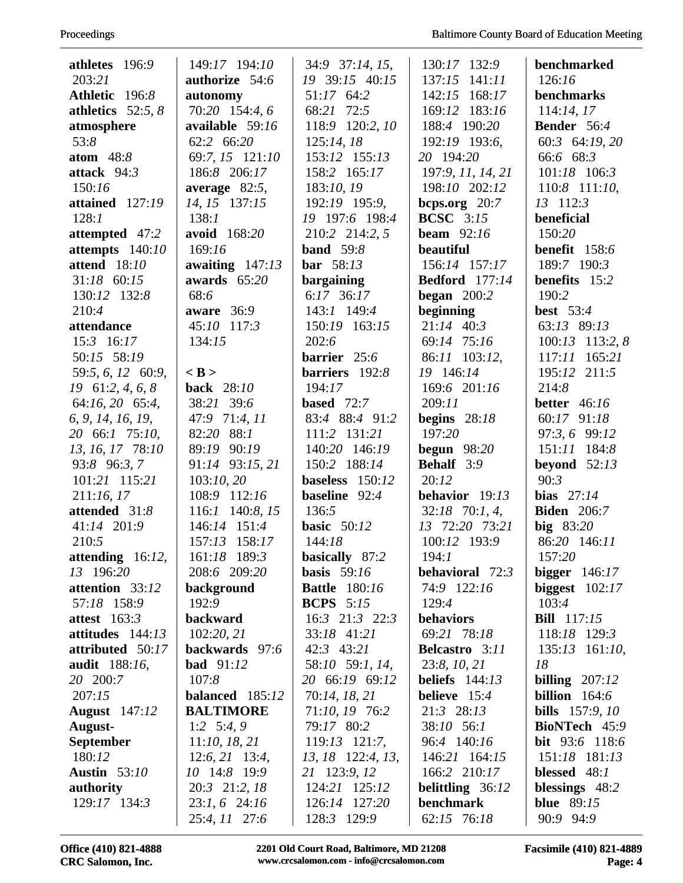| athletes 196:9           | 149:17 194:10                 | 34:9 37:14, 15,      | 130:17 132:9                  | benchmarked              |
|--------------------------|-------------------------------|----------------------|-------------------------------|--------------------------|
| 203:21                   | authorize 54:6                | 19 39:15 40:15       | 137:15<br>141:11              | 126:16                   |
| Athletic 196:8           |                               | 51:17 64:2           | 142:15                        | benchmarks               |
| athletics $52:5, 8$      | autonomy<br>70:20 154:4, 6    | 68:21 72:5           | 168:17<br>169:12 183:16       |                          |
|                          |                               |                      |                               | 114:14,17<br>Bender 56:4 |
| atmosphere               | available 59:16<br>62:2 66:20 | 118:9 120:2, 10      | 188:4 190:20<br>192:19 193:6, |                          |
| 53:8                     |                               | 125:14,18            |                               | 60:3 64:19, 20           |
| atom $48:8$              | 69:7, 15 121:10               | 153:12 155:13        | 20 194:20                     | 66:6 68:3                |
| attack $94:3$            | 186:8 206:17                  | 158:2 165:17         | 197:9, 11, 14, 21             | 101:18 106:3             |
| 150:16                   | average 82:5,                 | 183:10, 19           | 198:10 202:12                 | 110:8 111:10,            |
| attained 127:19          | 14, 15 137:15                 | 192:19 195:9,        | bcps.org $20:7$               | 13 112:3                 |
| 128:1                    | 138:1                         | 19 197:6 198:4       | <b>BCSC</b> 3:15              | beneficial               |
| attempted 47:2           | avoid 168:20                  | 210:2 214:2, 5       | beam $92:16$                  | 150:20                   |
| attempts 140:10          | 169:16                        | band $59:8$          | beautiful                     | benefit 158:6            |
| <b>attend</b> 18:10      | awaiting $147:13$             | <b>bar</b> $58:13$   | 156:14 157:17                 | 189:7 190:3              |
| $31:18$ 60:15            | awards $65:20$                | bargaining           | <b>Bedford</b> 177:14         | benefits 15:2            |
| 130:12 132:8             | 68:6                          | 6:17 36:17           | began $200:2$                 | 190:2                    |
| 210:4                    | aware $36:9$                  | 143:1 149:4          | beginning                     | <b>best</b> 53:4         |
| attendance               | 45:10 117:3                   | 150:19 163:15        | $21:14$ 40:3                  | 63:13 89:13              |
| $15:3$ 16:17             | 134:15                        | 202:6                | 69:14 75:16                   | 100:13 113:2, 8          |
| 50:15 58:19              |                               | barrier 25:6         | 86:11 103:12,                 | 117:11<br>165:21         |
| 59:5, 6, 12 60:9,        | $<$ B $>$                     | barriers 192:8       | 19 146:14                     | 195:12 211:5             |
| $19 \quad 61:2, 4, 6, 8$ | <b>back</b> 28:10             | 194:17               | 169:6 201:16                  | 214:8                    |
| 64:16, 20 65:4,          | 38:21 39:6                    | <b>based</b> $72:7$  | 209:11                        | better $46:16$           |
| 6, 9, 14, 16, 19,        | 47:9 71:4, 11                 | 83:4 88:4 91:2       | begins $28:18$                | 60:17 91:18              |
| 20 66:1 75:10,           | 82:20<br>88:1                 | 111:2 131:21         | 197:20                        | 97:3, 6 99:12            |
| 13, 16, 17 78:10         | 89:19 90:19                   | 140:20 146:19        | begun $98:20$                 | 151:11 184:8             |
| 93:8 96:3, 7             | 91:14 93:15, 21               | 150:2 188:14         | Behalf 3:9                    | beyond $52:13$           |
| 101:21 115:21            | 103:10, 20                    | baseless 150:12      | 20:12                         | 90:3                     |
| 211:16,17                | 108:9 112:16                  | baseline 92:4        | behavior 19:13                | bias $27:14$             |
| attended 31:8            | 116:1 140:8, 15               | 136:5                | $32:18$ 70:1, 4,              | <b>Biden</b> 206:7       |
| 41:14 201:9              | 146:14 151:4                  | basic $50:12$        | 13 72:20 73:21                | big 83:20                |
| 210:5                    | 157:13 158:17                 | 144:18               | 100:12 193:9                  | 86:20 146:11             |
| attending $16:12$ ,      | 161:18 189:3                  | basically 87:2       | 194:1                         | 157:20                   |
| 13 196:20                | 208:6 209:20                  | basis $59:16$        | <b>behavioral</b> 72:3        | bigger $146:17$          |
| attention 33:12          | background                    | <b>Battle</b> 180:16 | 74:9 122:16                   | biggest $102:17$         |
| 57:18 158:9              | 192:9                         | <b>BCPS</b> $5:15$   | 129:4                         | 103:4                    |
| attest $163:3$           | <b>backward</b>               | 16:3 21:3 22:3       | behaviors                     | <b>Bill</b> 117:15       |
| attitudes $144:13$       | 102:20, 21                    | 33:18 41:21          | 69:21 78:18                   | 118:18 129:3             |
| attributed 50:17         | backwards 97:6                | $42:3$ $43:21$       | <b>Belcastro</b> 3:11         | $135:13$ 161:10,         |
| audit 188:16,            | <b>bad</b> 91:12              | 58:10 59:1, 14,      | 23:8, 10, 21                  | 18                       |
| 20 200:7                 | 107:8                         | 20 66:19 69:12       | beliefs $144:13$              | billing $207:12$         |
| 207:15                   | balanced 185:12               | 70:14, 18, 21        | believe $15:4$                | billion $164:6$          |
| <b>August</b> 147:12     | <b>BALTIMORE</b>              | 71:10, 19 76:2       | 21:3 28:13                    | <b>bills</b> $157:9, 10$ |
| August-                  | 1:2 $5:4,9$                   | 79:17 80:2           | 38:10 56:1                    | <b>BioNTech</b> 45:9     |
| <b>September</b>         | 11:10, 18, 21                 | 119:13 121:7,        | 96:4 140:16                   | bit 93:6 118:6           |
| 180:12                   | $12:6, 21$ 13:4,              | 13, 18 122:4, 13,    | 146:21 164:15                 | 151:18 181:13            |
| <b>Austin</b> 53:10      | 10 14:8 19:9                  | 21 123:9, 12         | 166:2 210:17                  | blessed $48:1$           |
| authority                | 20:3 21:2, 18                 | 124:21 125:12        | <b>belittling</b> 36:12       | blessings 48:2           |
| 129:17 134:3             | $23:1, 6$ $24:16$             | 126:14 127:20        | <b>benchmark</b>              | <b>blue</b> 89:15        |
|                          | 25:4, 11 27:6                 | 128:3 129:9          | 62:15 76:18                   | 90:9 94:9                |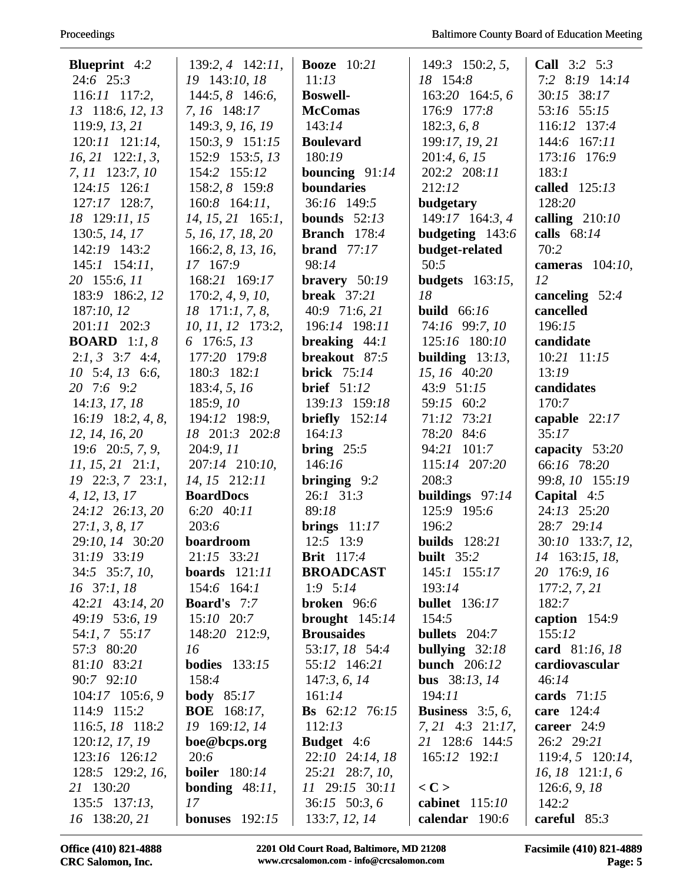| <b>Blueprint</b> 4:2        | $139:2, 4$ $142:11$ ,    | <b>Booze</b> 10:21        | 149:3 150:2, 5,            | Call 3:2 5:3        |
|-----------------------------|--------------------------|---------------------------|----------------------------|---------------------|
| $24:6$ $25:3$               | 19 143:10, 18            | 11:13                     | 18 154:8                   | 7:2 8:19 14:14      |
| $116:11$ $117:2$ ,          | 144:5, 8 146:6,          | <b>Boswell-</b>           | 163:20 164:5,6             | 30:15 38:17         |
| 13 118:6, 12, 13            | 7, 16 148:17             | <b>McComas</b>            | 176:9 177:8                | 53:16 55:15         |
| 119:9, 13, 21               | 149:3, 9, 16, 19         | 143:14                    | 182:3, 6, 8                | 116:12 137:4        |
| 120:11 121:14,              | 150:3, 9 151:15          | <b>Boulevard</b>          | 199:17, 19, 21             | 144:6 167:11        |
| $16, 21$ 122:1, 3,          | 152:9 153:5, 13          | 180:19                    | 201:4, 6, 15               | 173:16 176:9        |
| 7, 11 123:7, 10             | 154:2 155:12             | bouncing $91:14$          | 202:2 208:11               | 183:1               |
| $124:15$ $126:1$            | 158:2, 8 159:8           | boundaries                | 212:12                     | called 125:13       |
| 127:17 128:7,               | $160:8$ 164:11,          | 36:16 149:5               | budgetary                  | 128:20              |
| 18 129:11, 15               | $14, 15, 21$ 165:1,      | bounds $52:13$            | 149:17 164:3, 4            | calling $210:10$    |
| 130:5, 14, 17               | 5, 16, 17, 18, 20        | Branch 178:4              | budgeting 143:6            | calls $68:14$       |
| 142:19 143:2                | 166:2, 8, 13, 16,        | brand $77:17$             | budget-related             | 70:2                |
| $145:1$ 154:11,             | 17 167:9                 | 98:14                     | 50:5                       | cameras $104:10$ ,  |
| 20 155:6, 11                | 168:21 169:17            | bravery $50:19$           | budgets $163:15$ ,         | 12                  |
| 183:9 186:2, 12             | 170:2, 4, 9, 10,         | <b>break</b> $37:21$      | 18                         | canceling 52:4      |
| 187:10, 12                  | $18$ 171:1, 7, 8,        | 40:9 71:6, 21             | build $66:16$              | cancelled           |
| 201:11 202:3                | 10, 11, 12 173:2,        | 196:14 198:11             | 74:16 99:7, 10             | 196:15              |
| <b>BOARD</b> 1:1, 8         | 6 176:5, 13              | breaking $44:1$           | 125:16 180:10              | candidate           |
| $2:1, 3$ 3:7 4:4,           | 177:20 179:8             | breakout 87:5             | building $13:13$ ,         | 10:21 11:15         |
| $10\quad 5:4, 13\quad 6:6,$ | 180:3 182:1              | <b>brick</b> 75:14        | 15, 16 40:20               | 13:19               |
| 20 7:6 9:2                  | 183:4, 5, 16             | <b>brief</b> 51:12        | 43:9 51:15                 | candidates          |
| 14:13, 17, 18               | 185:9, 10                | 139:13 159:18             | 59:15 60:2                 | 170:7               |
| $16:19$ 18:2, 4, 8,         | 194:12 198:9,            | briefly $152:14$          | 71:12 73:21                | capable $22:17$     |
| 12, 14, 16, 20              | 18 201:3 202:8           | 164:13                    | 78:20 84:6                 | 35:17               |
| $19:6$ $20:5, 7, 9$ ,       | 204:9, 11                | bring $25:5$              | 94:21 101:7                | capacity 53:20      |
| $11, 15, 21$ $21:1,$        | 207:14 210:10,           | 146:16                    | 115:14 207:20              | 66:16 78:20         |
| 19 22:3, 7 23:1,            | 14, 15 212:11            | bringing $9:2$            | 208:3                      | 99:8, 10 155:19     |
| 4, 12, 13, 17               | <b>BoardDocs</b>         | 26:1 31:3                 | buildings $97:14$          | Capital $4:5$       |
| 24:12 26:13, 20             | 6:20 40:11               | 89:18                     | 125:9 195:6                | 24:13 25:20         |
| 27:1, 3, 8, 17              | 203:6                    | brings $11:17$            | 196:2                      | 28:7 29:14          |
| 29:10, 14 30:20             | boardroom                | 12:5 13:9                 | <b>builds</b> 128:21       | 30:10 133:7, 12,    |
| 31:19 33:19                 | 21:15 33:21              | <b>Brit</b> 117:4         | built $35:2$               | 14 163:15, 18,      |
| 34:5 35:7, 10,              | boards $121:11$          | <b>BROADCAST</b>          | 145:1 155:17               | 20 176:9, 16        |
| 16 37:1, 18                 | $154:6$ $164:1$          | $1:9 \quad 5:14$          | 193:14                     | 177:2, 7, 21        |
| 42:21 43:14, 20             | <b>Board's</b> 7:7       | broken $96:6$             | <b>bullet</b> 136:17       | 182:7               |
| 49:19 53:6, 19              | $15:10$ 20:7             | brought $145:14$          | 154:5                      | caption $154:9$     |
| 54:1, 7 55:17               | 148:20 212:9,            | <b>Brousaides</b>         | <b>bullets</b> $204:7$     | 155:12              |
| 57:3 80:20                  | 16                       | 53:17, 18 54:4            | bullying $32:18$           | card 81:16, 18      |
| 81:10 83:21                 | <b>bodies</b> 133:15     | 55:12 146:21              | <b>bunch</b> 206:12        | cardiovascular      |
| 90:7 92:10                  | 158:4                    | 147:3, 6, 14              | <b>bus</b> $38:13, 14$     | 46:14               |
| 104:17 105:6, 9             | body $85:17$             | 161:14                    | 194:11                     | cards $71:15$       |
| 114:9 115:2                 | <b>BOE</b> 168:17,       | <b>Bs</b> $62:12$ $76:15$ | <b>Business</b> $3:5, 6$ , | <b>care</b> $124:4$ |
| 116:5, 18 118:2             | 19 169:12, 14            | 112:13                    | 7, 21 4:3 21:17,           | career $24:9$       |
| 120:12, 17, 19              | boe@bcps.org             | <b>Budget</b> 4:6         | 21 128:6 144:5             | 26:2 29:21          |
| 123:16 126:12               | 20:6                     | 22:10 24:14, 18           | $165:12$ 192:1             | 119:4, 5 120:14,    |
| 128:5 129:2, 16,            | <b>boiler</b> 180:14     | 25:21 28:7, 10,           |                            | $16, 18$ 121:1, 6   |
| 21 130:20                   | <b>bonding</b> $48:11$ , | 11 29:15 30:11            | $<$ C $>$                  | 126:6, 9, 18        |
| $135:5$ $137:13$ ,          | 17                       | $36:15$ 50:3, 6           | cabinet 115:10             | 142:2               |
| 16 138:20, 21               | <b>bonuses</b> $192:15$  | 133:7, 12, 14             | calendar 190:6             | careful $85:3$      |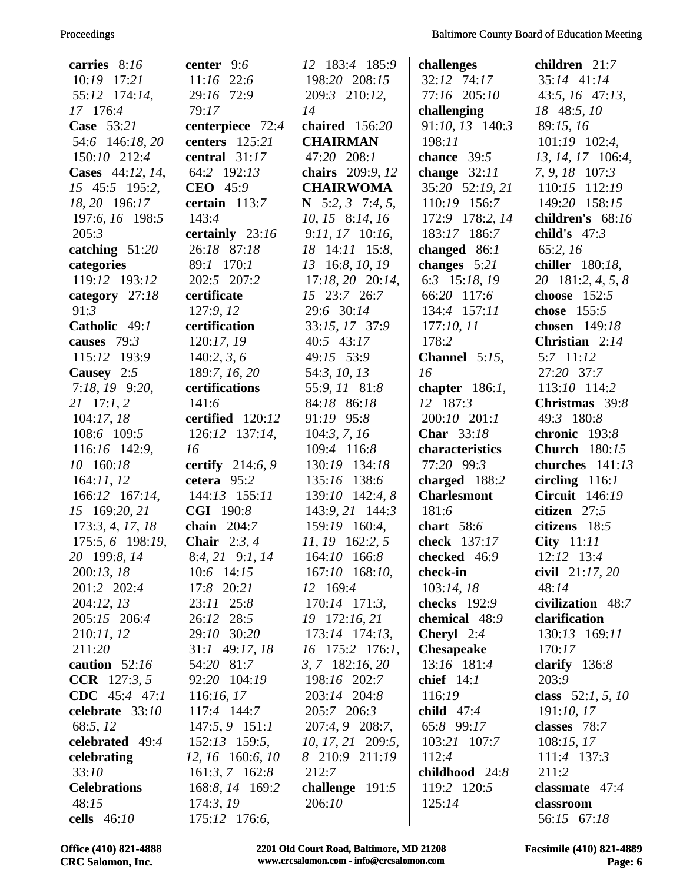| carries 8:16        | center 9:6        | 12 183:4 185:9        | challenges          | children 21:7         |
|---------------------|-------------------|-----------------------|---------------------|-----------------------|
| 10:19 17:21         | $11:16$ 22:6      | 198:20 208:15         | 32:12 74:17         | 35:14 41:14           |
| 55:12 174:14,       | 29:16 72:9        | 209:3 210:12,         | 77:16 205:10        | $43:5, 16$ $47:13,$   |
| 17 176:4            | 79:17             | 14                    | challenging         | 18 48:5, 10           |
| Case 53:21          | centerpiece 72:4  | chaired $156:20$      | 91:10, 13 140:3     | 89:15, 16             |
| 54:6 146:18, 20     | centers 125:21    | <b>CHAIRMAN</b>       | 198:11              | $101:19$ $102:4$ ,    |
| 150:10 212:4        | central $31:17$   | 47:20 208:1           | chance $39:5$       | 13, 14, 17 106:4,     |
| Cases 44:12, 14,    | 64:2 192:13       | chairs 209:9, 12      | change $32:11$      | 7, 9, 18 107:3        |
| 15 45:5 195:2,      | CEO 45:9          | <b>CHAIRWOMA</b>      | 35:20 52:19, 21     | 110:15 112:19         |
| 18, 20 196:17       | certain $113:7$   | N $5:2, 3$ 7:4, 5,    | 110:19 156:7        | 149:20 158:15         |
| 197:6, 16 198:5     | 143:4             | $10, 15$ 8:14, 16     | 172:9 178:2, 14     | children's 68:16      |
| 205:3               | certainly 23:16   | $9:11, 17$ 10:16,     | 183:17 186:7        | child's $47:3$        |
| catching $51:20$    | 26:18 87:18       | 18 14:11 15:8,        | changed $86:1$      | 65:2, 16              |
| categories          | 89:1 170:1        | 13 16:8, 10, 19       | changes $5:21$      | chiller 180:18,       |
| 119:12 193:12       | 202:5 207:2       | $17:18, 20$ $20:14$ , | 6:3 15:18, 19       | 20 181:2, 4, 5, 8     |
| category $27:18$    | certificate       | 15 23:7 26:7          | 66:20 117:6         | choose $152:5$        |
| 91:3                | 127:9, 12         | 29:6 30:14            | 134:4 157:11        | chose 155:5           |
| Catholic 49:1       | certification     | 33:15, 17 37:9        | 177:10,11           | chosen 149:18         |
| causes 79:3         | 120:17, 19        | 40:5 43:17            | 178:2               | Christian 2:14        |
| 115:12 193:9        | 140:2, 3, 6       | 49:15 53:9            | Channel $5:15$ ,    | 5:7 11:12             |
| Causey 2:5          | 189:7, 16, 20     | 54:3, 10, 13          | 16                  | 27:20 37:7            |
| 7:18, 19 9:20,      | certifications    | 55:9, 11 81:8         | chapter $186:1$ ,   | 113:10 114:2          |
| $21 \quad 17:1, 2$  | 141:6             | 84:18 86:18           | 12 187:3            | Christmas 39:8        |
| 104:17,18           | certified 120:12  | 91:19 95:8            | 200:10 201:1        | 49:3 180:8            |
| 108:6 109:5         | 126:12 137:14,    | 104:3, 7, 16          | <b>Char</b> 33:18   | chronic 193:8         |
| 116:16 142:9,       | 16                | 109:4 116:8           | characteristics     | <b>Church</b> 180:15  |
| 10 160:18           | certify 214:6, 9  | 130:19 134:18         | 77:20 99:3          | churches 141:13       |
| 164:11, 12          | cetera 95:2       | 135:16 138:6          | charged 188:2       | circling $116:1$      |
| 166:12 167:14,      | 144:13 155:11     | 139:10 142:4, 8       | <b>Charlesmont</b>  | <b>Circuit</b> 146:19 |
| 15 169:20, 21       | CGI 190:8         | 143:9, 21 144:3       | 181:6               | citizen 27:5          |
| 173:3, 4, 17, 18    | chain $204:7$     | 159:19 160:4,         | chart $58:6$        | citizens 18:5         |
| 175:5, 6 198:19,    | Chair $2:3,4$     | 11, 19 162:2, 5       | check 137:17        | City 11:11            |
| 20 199:8, 14        | $8:4, 21$ 9:1, 14 | 164:10 166:8          | checked 46:9        | $12:12$ $13:4$        |
| 200:13, 18          | $10:6$ 14:15      | 167:10 168:10,        | check-in            | civil $21:17,20$      |
| 201:2 202:4         | 17:8 20:21        | 12 169:4              | 103:14, 18          | 48:14                 |
| 204:12, 13          | 23:11 25:8        | $170:14$ $171:3$ ,    | <b>checks</b> 192:9 | civilization 48:7     |
| 205:15 206:4        | 26:12 28:5        | 19 172:16, 21         | chemical 48:9       | clarification         |
| 210:11, 12          | 29:10 30:20       | 173:14 174:13,        | <b>Cheryl</b> $2:4$ | 130:13 169:11         |
| 211:20              | 31:1 49:17, 18    | 16 175:2 176:1,       | <b>Chesapeake</b>   | 170:17                |
| caution $52:16$     | 54:20 81:7        | $3, 7$ 182:16, 20     | 13:16 181:4         | clarify $136:8$       |
| <b>CCR</b> 127:3, 5 | 92:20 104:19      | 198:16 202:7          | chief $14:1$        | 203:9                 |
| CDC $45:4$ $47:1$   | 116:16, 17        | 203:14 204:8          | 116:19              | class $52:1, 5, 10$   |
| celebrate 33:10     | 117:4 144:7       | 205:7 206:3           | child $47:4$        | 191:10, 17            |
| 68:5, 12            | $147:5, 9$ 151:1  | 207:4, 9 208:7,       | 65:8 99:17          | classes 78:7          |
| celebrated 49:4     | 152:13 159:5,     | 10, 17, 21 209:5,     | 103:21 107:7        | 108:15, 17            |
| celebrating         | 12, 16 160:6, 10  | 8 210:9 211:19        | 112:4               | 111:4 137:3           |
| 33:10               | $161:3, 7$ 162:8  | 212:7                 | childhood 24:8      | 211:2                 |
| <b>Celebrations</b> | 168:8, 14 169:2   | challenge $191:5$     | 119:2 120:5         | classmate $47:4$      |
| 48:15               | 174:3, 19         | 206:10                | 125:14              | classroom             |
| cells 46:10         | 175:12 176:6,     |                       |                     | 56:15 67:18           |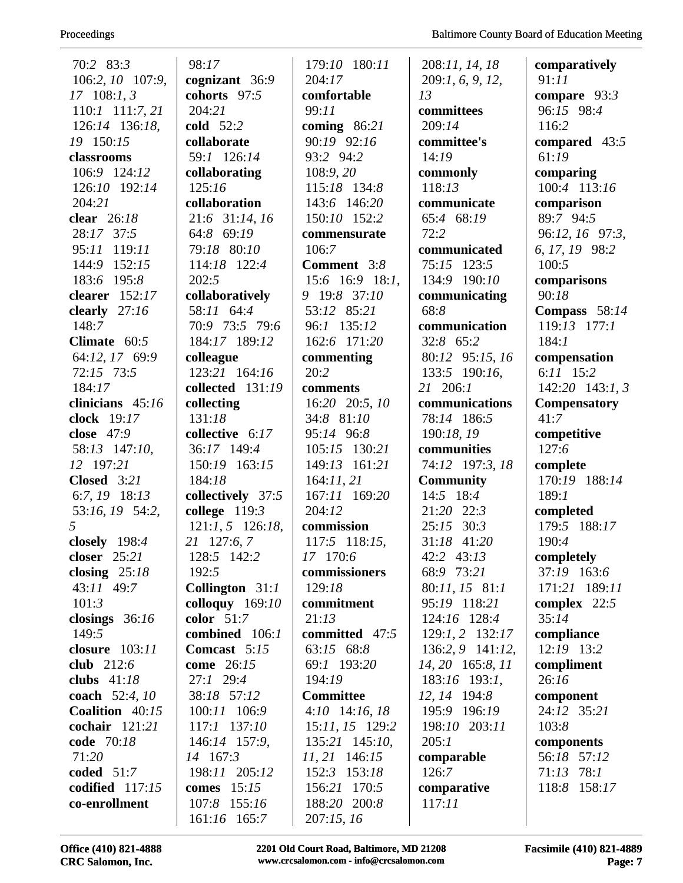| 70:2 83:3           | 98:17                    | 179:10 180:11    | 208:11, 14, 18   | comparatively       |
|---------------------|--------------------------|------------------|------------------|---------------------|
| 106:2, 10 107:9,    | cognizant 36:9           | 204:17           | 209:1, 6, 9, 12, | 91:11               |
| $17 \quad 108:1, 3$ | cohorts 97:5             | comfortable      | 13               | compare $93:3$      |
| $110:1$ $111:7,21$  | 204:21                   | 99:11            | committees       | 96:15 98:4          |
| 126:14 136:18,      | cold 52:2                | coming $86:21$   | 209:14           | 116:2               |
| 19 150:15           | collaborate              | 90:19 92:16      | committee's      | compared 43:5       |
| classrooms          | 59:1 126:14              | 93:2 94:2        | 14:19            | 61:19               |
| 106:9 124:12        | collaborating            | 108:9, 20        | commonly         | comparing           |
| 126:10 192:14       | 125:16                   | 115:18 134:8     | 118:13           | 100:4 113:16        |
| 204:21              | collaboration            | 143:6 146:20     | communicate      | comparison          |
| clear 26:18         | 21:6 31:14, 16           | 150:10 152:2     | 65:4 68:19       | 89:7 94:5           |
| 28:17 37:5          | 64:8 69:19               | commensurate     | 72:2             | 96:12, 16 97:3,     |
| 95:11 119:11        | 79:18 80:10              | 106:7            | communicated     | 6, 17, 19 98:2      |
| 152:15<br>144:9     | 114:18 122:4             | Comment 3:8      | 75:15 123:5      | 100:5               |
| 183:6 195:8         | 202:5                    | 15:6 16:9 18:1,  | 134:9 190:10     | comparisons         |
| clearer 152:17      | collaboratively          | 9 19:8 37:10     | communicating    | 90:18               |
| clearly $27:16$     | 58:11 64:4               | 53:12 85:21      | 68:8             | Compass $58:14$     |
| 148:7               | 70:9 73:5 79:6           | 96:1 135:12      | communication    | $119:13$ $177:1$    |
| Climate $60:5$      | 184:17 189:12            | 162:6 171:20     | 32:8 65:2        | 184:1               |
| 64:12, 17 69:9      | colleague                | commenting       | 80:12 95:15, 16  | compensation        |
| 72:15 73:5          | 123:21 164:16            | 20:2             | 133:5 190:16,    | $6:11$ 15:2         |
| 184:17              | collected 131:19         | comments         | 21 206:1         | $142:20$ 143:1, 3   |
| clinicians 45:16    | collecting               | 16:20 20:5, 10   | communications   | <b>Compensatory</b> |
| clock 19:17         | 131:18                   | 34:8 81:10       | 78:14 186:5      | 41:7                |
| close $47:9$        | collective 6:17          | 95:14 96:8       | 190:18, 19       | competitive         |
| 58:13 147:10,       | 36:17 149:4              | 105:15 130:21    | communities      | 127:6               |
| 12 197:21           | 150:19 163:15            | 149:13 161:21    | 74:12 197:3, 18  | complete            |
| <b>Closed</b> 3:21  | 184:18                   | 164:11,21        | <b>Community</b> | 170:19 188:14       |
| 6:7, 19 18:13       | collectively 37:5        | 167:11 169:20    | 14:5 18:4        | 189:1               |
| 53:16, 19 54:2,     | college $119:3$          | 204:12           | 21:20 22:3       | completed           |
| 5                   | $121:1, 5$ 126:18,       | commission       | $25:15$ 30:3     | 179:5 188:17        |
| closely $198:4$     | 21 127:6, 7              | 117:5 118:15,    | 31:18 41:20      | 190:4               |
| closer $25:21$      | 128:5 142:2              | 17 170:6         | 42:2 43:13       | completely          |
| closing $25:18$     | 192:5                    | commissioners    | 68:9 73:21       | 37:19 163:6         |
| 43:11 49:7          | <b>Collington</b> $31:1$ | 129:18           | 80:11, 15 81:1   | 171:21 189:11       |
| 101:3               | colloquy $169:10$        | commitment       | 95:19 118:21     | complex $22:5$      |
| closings $36:16$    | color $51:7$             | 21:13            | 124:16 128:4     | 35:14               |
| 149:5               | combined 106:1           | committed 47:5   | 129:1, 2 132:17  | compliance          |
| closure 103:11      | Comcast 5:15             | 63:15 68:8       | 136:2, 9 141:12, | 12:19 13:2          |
| club 212:6          | come 26:15               | 69:1 193:20      | 14, 20 165:8, 11 | compliment          |
| clubs 41:18         | 27:1 29:4                | 194:19           | 183:16 193:1,    | 26:16               |
| coach 52:4, 10      | 38:18 57:12              | <b>Committee</b> | 12, 14 194:8     | component           |
| Coalition 40:15     | 100:11 106:9             | $4:10$ 14:16, 18 | 195:9 196:19     | 24:12 35:21         |
| cochair 121:21      | 117:1 137:10             | 15:11, 15 129:2  | 198:10 203:11    | 103:8               |
| code 70:18          | 146:14 157:9,            | 135:21 145:10,   | 205:1            | components          |
| 71:20               | 14 167:3                 | $11, 21$ 146:15  | comparable       | 56:18 57:12         |
| coded $51:7$        | 198:11 205:12            | 152:3 153:18     | 126:7            | $71:13$ $78:1$      |
| codified 117:15     | comes $15:15$            | 156:21 170:5     | comparative      | 118:8 158:17        |
| co-enrollment       | 107:8 155:16             | 188:20 200:8     | 117:11           |                     |
|                     | 161:16 165:7             | 207:15,16        |                  |                     |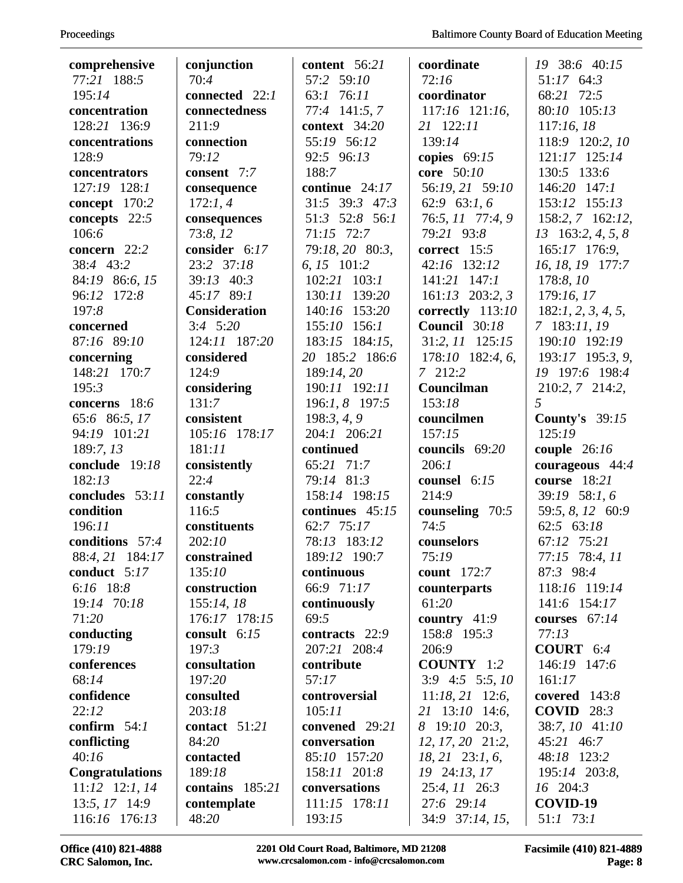| comprehensive                  | conjunction          | content $56:21$         | coordinate                    | 19 38:6 40:15             |
|--------------------------------|----------------------|-------------------------|-------------------------------|---------------------------|
| 77:21 188:5                    | 70:4                 | 57:2 59:10              | 72:16                         | 51:17 64:3                |
| 195:14                         | connected 22:1       | 63:1 76:11              | coordinator                   | 68:21 72:5                |
| concentration                  | connectedness        | 77:4 141:5, 7           | 117:16 121:16,                | 80:10 105:13              |
| 128:21 136:9                   | 211:9                | context $34:20$         | 21 122:11                     | 117:16,18                 |
| concentrations                 | connection           | 55:19 56:12             | 139:14                        | 118:9 120:2, 10           |
| 128:9                          | 79:12                | 92:5 96:13              | copies $69:15$                | 121:17 125:14             |
| concentrators                  | consent 7:7          | 188:7                   | core 50:10                    | 130:5 133:6               |
| 127:19 128:1                   | consequence          | continue $24:17$        | 56:19, 21 59:10               | 146:20 147:1              |
| concept 170:2                  | 172:1,4              | 31:5 39:3 47:3          | 62:9 63:1, 6                  | 153:12 155:13             |
| concepts 22:5                  | consequences         | 51:3 52:8 56:1          | 76:5, 11 77:4, 9              | 158:2, 7 162:12,          |
| 106:6                          | 73:8, 12             | 71:15 72:7              | 79:21 93:8                    | $13 \quad 163:2, 4, 5, 8$ |
| concern 22:2                   | consider 6:17        | 79:18, 20 80:3,         | correct 15:5                  | 165:17 176:9,             |
| 38:4 43:2                      | 23:2 37:18           | 6, 15 101:2             | 42:16 132:12                  | 16, 18, 19 177:7          |
| 84:19 86:6, 15                 | 39:13 40:3           | $102:21$ $103:1$        | 141:21 147:1                  | 178:8, 10                 |
| 96:12 172:8                    | 45:17 89:1           | 130:11 139:20           | $161:13$ 203:2, 3             | 179:16, 17                |
| 197:8                          | <b>Consideration</b> | 140:16 153:20           | correctly 113:10              | 182:1, 2, 3, 4, 5,        |
| concerned                      | $3:4$ 5:20           | $155:10$ 156:1          | <b>Council</b> 30:18          | 7 183:11, 19              |
| 87:16 89:10                    | 124:11 187:20        | 183:15 184:15,          | 31:2, 11 125:15               | 190:10 192:19             |
| concerning                     | considered           | 20 185:2 186:6          | 178:10 182:4, 6,              | 193:17 195:3, 9,          |
| 148:21 170:7                   | 124:9                | 189:14, 20              | 7 212:2                       | 19 197:6 198:4            |
| 195:3                          | considering          | 190:11 192:11           | Councilman                    | 210:2, 7 214:2,           |
| concerns 18:6                  | 131:7                | 196:1, 8 197:5          | 153:18                        | 5                         |
| 65:6 86:5, 17                  | consistent           | 198:3, 4, 9             | councilmen                    | <b>County's</b> 39:15     |
| 94:19 101:21                   | 105:16 178:17        | 204:1 206:21            | 157:15                        | 125:19                    |
|                                |                      |                         |                               |                           |
| 189:7, 13                      | 181:11               | continued               | councils 69:20                | couple $26:16$            |
| conclude 19:18                 | consistently         | 65:21 71:7              | 206:1                         | courageous $44:4$         |
| 182:13                         | 22:4                 | 79:14 81:3              | counsel $6:15$                | course 18:21              |
| concludes 53:11                | constantly           | 158:14 198:15           | 214:9                         | 39:19 58:1, 6             |
| condition                      | 116:5                | continues 45:15         | counseling 70:5               | 59:5, 8, 12 60:9          |
| 196:11                         | constituents         | 62:7 75:17              | 74:5                          | 62:5 63:18                |
| conditions 57:4                | 202:10               | 78:13 183:12            | counselors                    | 67:12 75:21               |
| 88:4, 21 184:17                | $\bf constrained$    | 189:12 190:7            | 75:19                         | 77:15 78:4, 11            |
| conduct 5:17                   | 135:10               | continuous              | count $172:7$                 | 87:3 98:4                 |
| 6:16 18:8                      | construction         | 66:9 71:17              | counterparts                  | 118:16 119:14             |
| 19:14 70:18                    | 155:14, 18           | continuously            | 61:20                         | 141:6 154:17              |
| 71:20                          | 176:17 178:15        | 69:5                    | country $41:9$                | courses $67:14$           |
| conducting                     | consult 6:15         | contracts 22:9          | 158:8 195:3                   | 77:13                     |
| 179:19                         | 197:3                | 207:21 208:4            | 206:9                         | <b>COURT</b> $6:4$        |
| conferences                    | consultation         | contribute              | <b>COUNTY</b> 1:2             | 146:19 147:6              |
| 68:14                          | 197:20               | 57:17                   | $3:9$ 4:5 5:5, 10             | 161:17                    |
| confidence                     | consulted            | controversial           | $11:18, 21$ 12:6,             | covered $143:8$           |
| 22:12                          | 203:18               | 105:11                  | 21 13:10 14:6,                | <b>COVID</b> $28:3$       |
| confirm $54:1$                 | contact $51:21$      | convened 29:21          | 8 19:10 20:3,                 | 38:7, 10 41:10            |
| conflicting                    | 84:20                | conversation            | $12, 17, 20$ $21:2,$          | 45:21 46:7                |
| 40:16                          | contacted            | 85:10 157:20            | $18, 21$ $23:1, 6$ ,          | 48:18 123:2               |
| <b>Congratulations</b>         | 189:18               | 158:11 201:8            | 19 24:13, 17                  | 195:14 203:8,             |
| $11:12$ $12:1, 14$             | contains 185:21      | conversations           | 25:4, 11 26:3                 | 16 204:3                  |
| 13:5, 17 14:9<br>116:16 176:13 | contemplate<br>48:20 | 111:15 178:11<br>193:15 | 27:6 29:14<br>34:9 37:14, 15, | COVID-19<br>51:1 73:1     |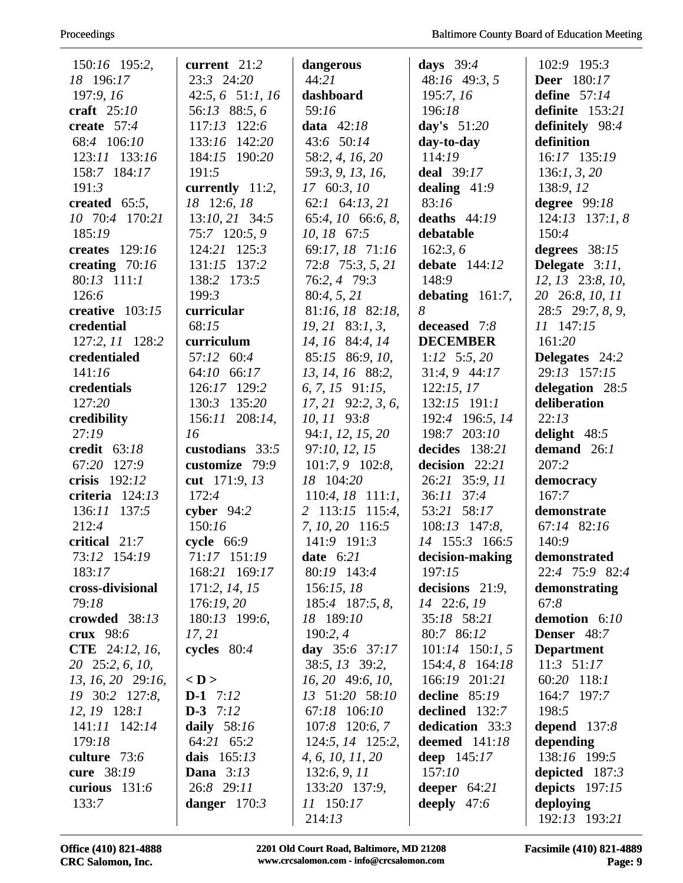| 150:16 195:2,         | current 21:2       | dangerous              | days $39:4$          | 102:9 195:3        |
|-----------------------|--------------------|------------------------|----------------------|--------------------|
| 18 196:17             | 23:3 24:20         | 44:21                  | 48:16 49:3, 5        | <b>Deer</b> 180:17 |
| 197:9, 16             | $42:5, 6$ 51:1, 16 | dashboard              | 195:7, 16            | define $57:14$     |
| craft $25:10$         | 56:13 88:5, 6      | 59:16                  | 196:18               | definite 153:21    |
| create $57:4$         | 117:13 122:6       | data $42:18$           | day's $51:20$        | definitely 98:4    |
| 68:4 106:10           | 133:16 142:20      | 43:6 50:14             | day-to-day           | definition         |
| 123:11 133:16         | 184:15 190:20      | 58:2, 4, 16, 20        | 114:19               | 16:17 135:19       |
| 158:7 184:17          | 191:5              | 59:3, 9, 13, 16,       | <b>deal</b> 39:17    | 136:1, 3, 20       |
| 191:3                 | currently 11:2,    | 17 60:3, 10            | dealing $41:9$       | 138:9, 12          |
| created $65:5$ ,      | 18 12:6, 18        | 62:1 64:13, 21         | 83:16                | degree 99:18       |
| 10 70:4 170:21        | $13:10, 21$ 34:5   | 65:4, 10 66:6, 8,      | deaths $44:19$       | $124:13$ 137:1, 8  |
| 185:19                | 75:7 120:5, 9      | 10, 18 67:5            | debatable            | 150:4              |
| creates $129:16$      | 124:21 125:3       | 69:17, 18 71:16        | 162:3, 6             | degrees 38:15      |
| creating $70:16$      | 131:15 137:2       | $72:8$ $75:3, 5, 21$   | debate $144:12$      | Delegate $3:11$ ,  |
| 80:13 111:1           | 138:2 173:5        | 76:2, 4 79:3           | 148:9                | 12, 13 23:8, 10,   |
| 126:6                 | 199:3              | 80:4, 5, 21            | debating $161:7$ ,   | 20 26:8, 10, 11    |
| creative 103:15       | curricular         | 81:16, 18 82:18,       | 8                    | 28:5 29:7, 8, 9,   |
| credential            | 68:15              | $19, 21$ 83:1, 3,      | deceased 7:8         | 11 147:15          |
| 127:2, 11 128:2       | curriculum         | 14, 16 84:4, 14        | <b>DECEMBER</b>      | 161:20             |
| credentialed          | 57:12 60:4         | 85:15 86:9, 10,        | 1:12 $5:5, 20$       | Delegates 24:2     |
| 141:16                | 64:10 66:17        | 13, 14, 16 88:2,       | 31:4, 9 44:17        | 29:13 157:15       |
| credentials           | 126:17 129:2       | $6, 7, 15$ 91:15,      | 122:15,17            | delegation 28:5    |
| 127:20                | 130:3 135:20       | $17, 21$ 92:2, 3, 6,   | 132:15 191:1         | deliberation       |
| credibility           | 156:11 208:14,     | 10, 11 93:8            | 192:4 196:5, 14      | 22:13              |
| 27:19                 | 16                 | 94:1, 12, 15, 20       | 198:7 203:10         | delight $48:5$     |
| credit 63:18          | custodians $33:5$  | 97:10, 12, 15          | decides 138:21       | demand $26:1$      |
| 67:20 127:9           | customize 79:9     | $101:7, 9$ 102:8,      | decision 22:21       | 207:2              |
| crisis 192:12         | cut 171:9, 13      | 18 104:20              | 26:21 35:9, 11       | democracy          |
| criteria 124:13       | 172:4              | $110:4, 18$ 111:1,     | 36:11 37:4           | 167:7              |
| 136:11 137:5          | cyber $94:2$       | 2 113:15 115:4,        | 53:21 58:17          | demonstrate        |
| 212:4                 | 150:16             | 7, 10, 20 116:5        | $108:13$ 147:8,      | 67:14 82:16        |
| critical 21:7         | cycle $66:9$       | 141:9 191:3            | 14 155:3 166:5       | 140:9              |
| 73:12 154:19          | 71:17 151:19       | date $6:21$            | decision-making      | demonstrated       |
| 183:17                | 168:21 169:17      | 80:19 143:4            | 197:15               | 22:4 75:9 82:4     |
| cross-divisional      | 171:2, 14, 15      | 156:15,18              | decisions $21:9$ ,   | demonstrating      |
| 79:18                 | 176:19, 20         | 185:4 187:5, 8,        | 14 22:6, 19          | 67:8               |
| crowded 38:13         | 180:13 199:6,      | 18 189:10              | 35:18 58:21          | demotion 6:10      |
| crux 98:6             | 17, 21             | 190:2,4                | 80:7 86:12           | <b>Denser</b> 48:7 |
| <b>CTE</b> 24:12, 16, | cycles $80:4$      | day $35:6$ 37:17       | $101:14$ 150:1, 5    | <b>Department</b>  |
| 20 25:2, 6, 10,       |                    | $38:5$ , $13$ $39:2$ , | 154:4, 8 164:18      | $11:3$ 51:17       |
| $13, 16, 20$ 29:16,   | $<$ D $>$          | $16, 20$ 49:6, $10,$   | 166:19 201:21        | 60:20 118:1        |
| 19 30:2 127:8,        | <b>D-1</b> $7:12$  | 13 51:20 58:10         | decline $85:19$      | 164:7 197:7        |
| $12, 19$ $128:1$      | $D-3$ 7:12         | 67:18 106:10           | declined 132:7       | 198:5              |
| 141:11 142:14         | daily 58:16        | 107:8 120:6, 7         | dedication 33:3      | depend $137:8$     |
| 179:18                | 64:21 65:2         | 124:5, 14 125:2,       | <b>deemed</b> 141:18 | depending          |
| culture 73:6          | dais 165:13        | 4, 6, 10, 11, 20       | deep $145:17$        | 138:16 199:5       |
| cure 38:19            | <b>Dana</b> $3:13$ | 132:6, 9, 11           | 157:10               | depicted 187:3     |
| curious 131:6         | 26:8 29:11         | 133:20 137:9,          | deeper $64:21$       | depicts $197:15$   |
| 133:7                 | danger $170:3$     | 11 150:17              | deeply $47:6$        | deploying          |
|                       |                    | 214:13                 |                      | 192:13 193:21      |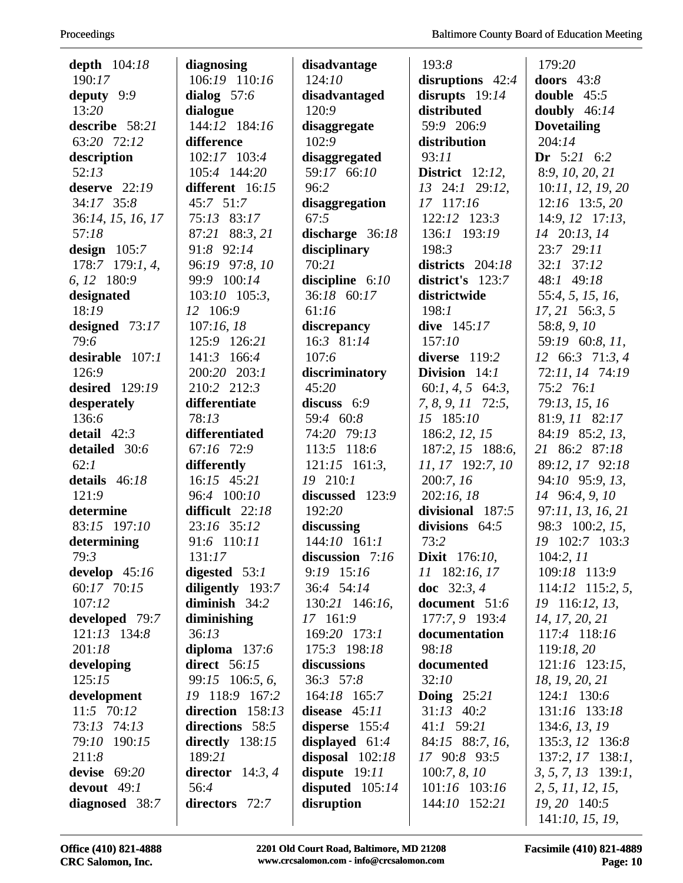| depth $104:18$    | diagnosing          | disadvantage      | 193:8                | 179:20               |
|-------------------|---------------------|-------------------|----------------------|----------------------|
| 190:17            | 106:19 110:16       | 124:10            | disruptions $42:4$   | doors $43:8$         |
| deputy $9:9$      | dialog $57:6$       | disadvantaged     | disrupts $19:14$     | double $45:5$        |
| 13:20             | dialogue            | 120:9             | distributed          | doubly $46:14$       |
| describe 58:21    | 144:12 184:16       | disaggregate      | 59:9 206:9           | <b>Dovetailing</b>   |
| 63:20 72:12       | difference          | 102:9             | distribution         | 204:14               |
| description       | 102:17 103:4        | disaggregated     | 93:11                | Dr $5:21 \quad 6:2$  |
| 52:13             | 105:4 144:20        | 59:17 66:10       | District $12:12$ ,   | 8:9, 10, 20, 21      |
| deserve $22:19$   | different 16:15     | 96:2              | 13 24:1 29:12,       | 10:11, 12, 19, 20    |
| 34:17 35:8        | 45:7 51:7           | disaggregation    | 17 117:16            | $12:16$ 13:5, 20     |
| 36:14, 15, 16, 17 | 75:13 83:17         | 67:5              | 122:12 123:3         | 14:9, 12 17:13,      |
| 57:18             | 87:21 88:3, 21      | discharge $36:18$ | 136:1 193:19         | 14 20:13, 14         |
| design $105:7$    | 91:8 92:14          | disciplinary      | 198:3                | 23:7 29:11           |
| 178:7 179:1, 4,   | 96:19 97:8, 10      | 70:21             | districts 204:18     | $32:1$ $37:12$       |
| 6, 12 180:9       | 99:9 100:14         | discipline $6:10$ | district's 123:7     | 48:1 49:18           |
| designated        | $103:10$ $105:3$ ,  | 36:18 60:17       | districtwide         | 55:4, 5, 15, 16,     |
| 18:19             | 12 106:9            | 61:16             | 198:1                | $17, 21$ 56:3, 5     |
| designed $73:17$  | 107:16,18           | discrepancy       | dive $145:17$        | 58:8, 9, 10          |
| 79:6              | 125:9 126:21        | 16:3 81:14        | 157:10               | 59:19 60:8, 11,      |
| desirable $107:1$ | 141:3 166:4         | 107:6             | diverse 119:2        | 12 66:3 71:3, 4      |
| 126:9             | 200:20 203:1        | discriminatory    | Division 14:1        | 72:11, 14 74:19      |
| desired $129:19$  | 210:2 212:3         | 45:20             | $60:1, 4, 5$ 64:3,   | 75:2 76:1            |
| desperately       | differentiate       | discuss $6:9$     | 7, 8, 9, 11 72:5,    | 79:13, 15, 16        |
| 136:6             | 78:13               | 59:4 60:8         | 15 185:10            | 81:9, 11 82:17       |
| detail $42:3$     | differentiated      | 74:20 79:13       | 186:2, 12, 15        | 84:19 85:2, 13,      |
| detailed 30:6     | 67:16 72:9          | 113:5 118:6       | 187:2, 15 188:6,     | 21 86:2 87:18        |
| 62:1              | differently         | $121:15$ 161:3,   | 11, 17 192:7, 10     | 89:12, 17 92:18      |
| details 46:18     | 16:15 45:21         | 19 210:1          | 200:7, 16            | 94:10 95:9, 13,      |
| 121:9             | 96:4 100:10         | discussed 123:9   | 202:16, 18           | 14 96:4, 9, 10       |
| determine         | difficult 22:18     | 192:20            | divisional 187:5     | 97:11, 13, 16, 21    |
| 83:15 197:10      | 23:16 35:12         | discussing        | divisions $64:5$     | 98:3 100:2, 15,      |
| determining       | 91:6 110:11         | $144:10$ $161:1$  | 73:2                 | 19 102:7 103:3       |
| 79:3              | 131:17              | discussion 7:16   | <b>Dixit</b> 176:10, | 104:2, 11            |
| develop $45:16$   | digested $53:1$     | 9:19 15:16        | 11 182:16, 17        | 109:18 113:9         |
| 60:17 70:15       | diligently 193:7    | 36:4 54:14        | doc $32:3, 4$        | $114:12$ 115:2, 5,   |
| 107:12            | diminish $34:2$     | 130:21 146:16,    | document 51:6        | 19 116:12, 13,       |
| developed 79:7    | diminishing         | 17 161:9          | 177:7, 9 193:4       | 14, 17, 20, 21       |
| $121:13$ $134:8$  | 36:13               | 169:20 173:1      | documentation        | 117:4 118:16         |
| 201:18            | diploma $137:6$     | 175:3 198:18      | 98:18                | 119:18, 20           |
| developing        | <b>direct</b> 56:15 | discussions       | documented           | $121:16$ $123:15$ ,  |
| 125:15            | 99:15 106:5, 6,     | $36:3$ 57:8       | 32:10                | 18, 19, 20, 21       |
| development       | 19 118:9 167:2      | 164:18 165:7      | Doing $25:21$        | 124:1 130:6          |
| 11:5 70:12        | direction $158:13$  | disease $45:11$   | $31:13$ 40:2         | 131:16 133:18        |
| 73:13 74:13       | directions 58:5     | disperse $155:4$  | 41:1 59:21           | 134:6, 13, 19        |
| 79:10 190:15      | directly $138:15$   | displayed $61:4$  | 84:15 88:7, 16,      | 135:3, 12 136:8      |
| 211:8             | 189:21              | disposal $102:18$ | 17 90:8 93:5         | $137:2, 17$ 138:1,   |
| devise $69:20$    | director $14:3, 4$  | dispute $19:11$   | 100:7, 8, 10         | $3, 5, 7, 13$ 139:1, |
| devout $49:1$     | 56:4                | disputed $105:14$ | 101:16 103:16        | 2, 5, 11, 12, 15,    |
| diagnosed 38:7    | directors 72:7      | disruption        | 144:10 152:21        | 19, 20 140:5         |
|                   |                     |                   |                      | 141:10, 15, 19,      |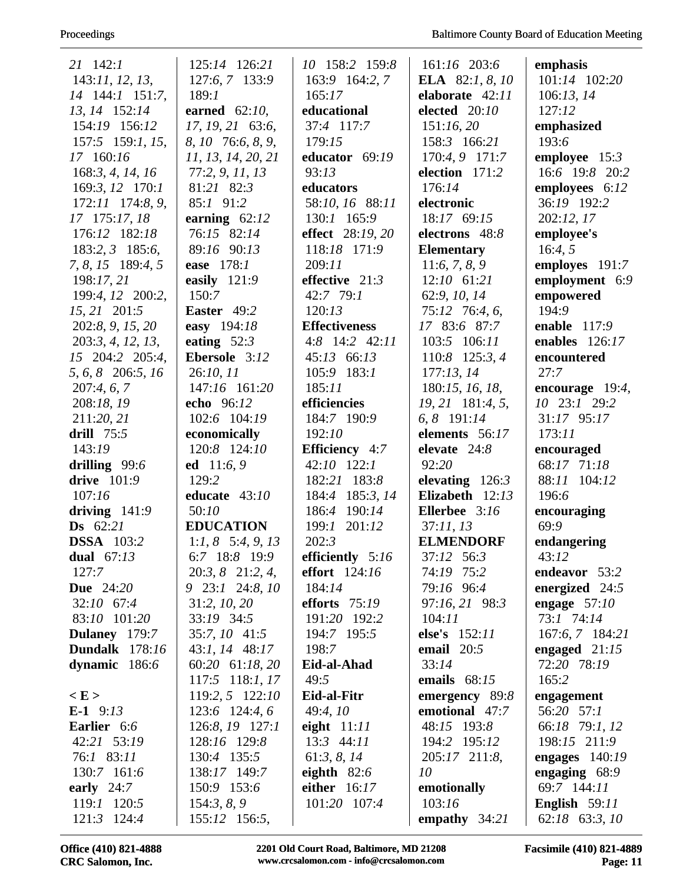| 21 142:1              | 125:14 126:21         | 10 158:2 159:8        | 161:16 203:6           | emphasis           |
|-----------------------|-----------------------|-----------------------|------------------------|--------------------|
| 143:11, 12, 13,       | 127:6, 7 133:9        | 163:9 164:2, 7        | <b>ELA</b> 82:1, 8, 10 | 101:14 102:20      |
| 14 144:1 151:7,       | 189:1                 | 165:17                | elaborate 42:11        | 106:13, 14         |
| 13, 14 152:14         | earned $62:10$ ,      | educational           | elected 20:10          | 127:12             |
| 154:19 156:12         | 17, 19, 21 63:6,      | 37:4 117:7            | 151:16,20              | emphasized         |
| $157:5$ 159:1, 15,    | 8, 10 76:6, 8, 9,     | 179:15                | 158:3 166:21           | 193:6              |
| 17 160:16             | 11, 13, 14, 20, 21    | educator 69:19        | 170:4, 9 171:7         | employee $15:3$    |
| 168:3, 4, 14, 16      | 77:2, 9, 11, 13       | 93:13                 | election 171:2         | 16:6 19:8 20:2     |
| 169:3, 12 170:1       | 81:21 82:3            | educators             | 176:14                 | employees 6:12     |
| 172:11 174:8, 9,      | 85:1 91:2             | 58:10, 16 88:11       | electronic             | 36:19 192:2        |
| 17 175:17, 18         | earning $62:12$       | 130:1 165:9           | 18:17 69:15            | 202:12, 17         |
| 176:12 182:18         | 76:15 82:14           | effect 28:19, 20      | electrons 48:8         | employee's         |
| 183:2, 3 185:6,       | 89:16 90:13           | 118:18 171:9          | <b>Elementary</b>      | 16:4, 5            |
| 7, 8, 15 189:4, 5     | ease 178:1            | 209:11                | 11:6, 7, 8, 9          | employes 191:7     |
| 198:17, 21            | easily $121:9$        | effective 21:3        | $12:10$ 61:21          | employment 6:9     |
| 199:4, 12 200:2,      | 150:7                 | 42:7 79:1             | 62:9, 10, 14           | empowered          |
| 15, 21 201:5          | Easter 49:2           | 120:13                | 75:12 76:4, 6,         | 194:9              |
| 202:8, 9, 15, 20      | easy 194:18           | <b>Effectiveness</b>  | 17 83:6 87:7           | enable $117:9$     |
| 203:3, 4, 12, 13,     | eating $52:3$         | $4:8$ 14:2 $42:11$    | 103:5 106:11           | enables $126:17$   |
| 15 204:2 205:4,       | Ebersole 3:12         | 45:13 66:13           | 110:8 125:3, 4         | encountered        |
| 5, 6, 8 206:5, 16     | 26:10, 11             | 105:9 183:1           | 177:13,14              | 27:7               |
| 207:4, 6, 7           | 147:16 161:20         | 185:11                | 180:15, 16, 18,        | encourage $19:4$ , |
| 208:18, 19            | echo 96:12            | efficiencies          | 19, 21 181:4, 5,       | 10 23:1 29:2       |
| 211:20, 21            | 102:6 104:19          | 184:7 190:9           | 6, 8 191:14            | 31:17 95:17        |
| drill $75:5$          | economically          | 192:10                | elements 56:17         | 173:11             |
| 143:19                | 120:8 124:10          | <b>Efficiency</b> 4:7 | elevate 24:8           | encouraged         |
| drilling $99:6$       | ed 11:6, 9            | $42:10$ $122:1$       | 92:20                  | 68:17 71:18        |
| <b>drive</b> 101:9    | 129:2                 | 182:21 183:8          | elevating $126:3$      | 88:11 104:12       |
| 107:16                | educate $43:10$       | 184:4 185:3, 14       | Elizabeth $12:13$      | 196:6              |
| driving $141:9$       | 50:10                 | 186:4 190:14          | Ellerbee 3:16          | encouraging        |
| <b>Ds</b> $62:21$     | <b>EDUCATION</b>      | 201:12<br>199:1       | 37:11, 13              | 69:9               |
| <b>DSSA</b> 103:2     | 1:1, 8 $5:4, 9, 13$   | 202:3                 | <b>ELMENDORF</b>       | endangering        |
| dual $67:13$          | 6:7 18:8 19:9         | efficiently 5:16      | 37:12 56:3             | 43:12              |
| 127:7                 | $20:3, 8$ $21:2, 4$ , | <b>effort</b> 124:16  | 74:19 75:2             | endeavor 53:2      |
| <b>Due</b> 24:20      | 9 23:1 24:8, 10       | 184:14                | 79:16 96:4             | energized $24:5$   |
| 32:10 67:4            | 31:2, 10, 20          | efforts $75:19$       | 97:16, 21 98:3         | engage $57:10$     |
| 83:10 101:20          | 33:19 34:5            | 191:20 192:2          | 104:11                 | 73:1 74:14         |
| Dulaney 179:7         | 35:7, 10 41:5         | 194:7 195:5           | else's 152:11          | 167:6, 7 184:21    |
| <b>Dundalk</b> 178:16 | 43:1, 14 48:17        | 198:7                 | email $20:5$           | engaged $21:15$    |
| dynamic 186:6         | 60:20 61:18, 20       | Eid-al-Ahad           | 33:14                  | 72:20 78:19        |
|                       | 117:5 118:1, 17       | 49:5                  | emails $68:15$         | 165:2              |
| E >                   | $119:2, 5$ $122:10$   | Eid-al-Fitr           | emergency 89:8         | engagement         |
| <b>E-1</b> $9:13$     | $123:6$ 124:4, 6      | 49:4,10               | emotional 47:7         | 56:20 57:1         |
| <b>Earlier</b> 6:6    | 126:8, 19 127:1       | eight $11:11$         | 48:15 193:8            | 66:18 79:1, 12     |
| 42:21 53:19           | 128:16 129:8          | $13:3$ 44:11          | 194:2 195:12           | 198:15 211:9       |
| 76:1 83:11            | 130:4 135:5           | 61:3, 8, $14$         | 205:17 211:8,          | engages $140:19$   |
| 130:7 161:6           | 138:17 149:7          | eighth $82:6$         | 10                     | engaging $68:9$    |
| early $24:7$          | 150:9 153:6           | either 16:17          | emotionally            | 69:7 144:11        |
| 119:1 120:5           | 154:3, 8, 9           | 101:20 107:4          | 103:16                 | English $59:11$    |
| 121:3 124:4           | 155:12 156:5,         |                       | empathy $34:21$        | 62:18 63:3, 10     |

Office (410) 821-4888 CRC Salomon, Inc.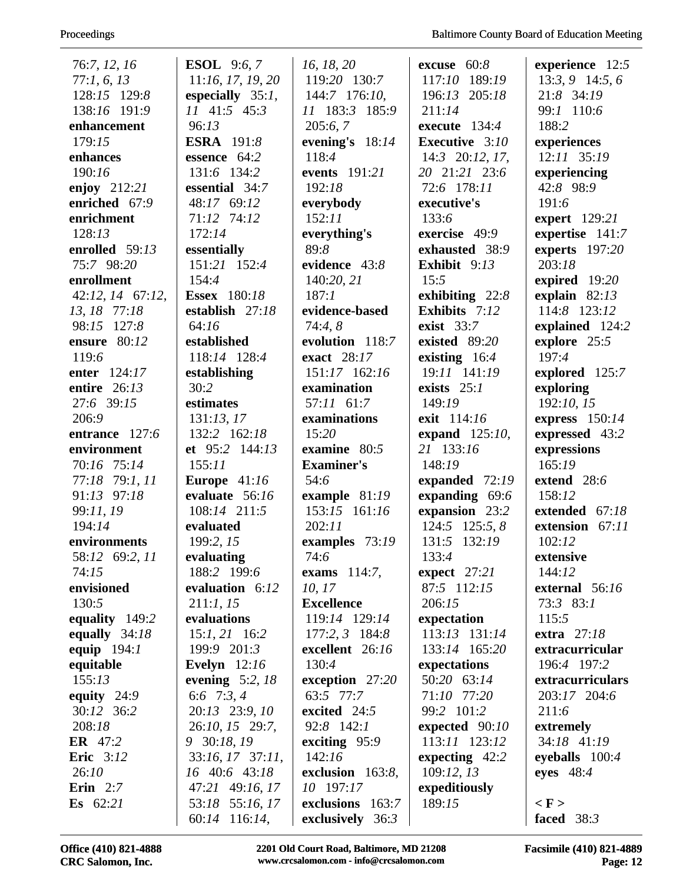| 76:7, 12, 16      | <b>ESOL</b> 9:6, 7               | 16, 18, 20                             | excuse $60:8$         | experience $12:5$               |
|-------------------|----------------------------------|----------------------------------------|-----------------------|---------------------------------|
| 77:1, 6, 13       | 11:16, 17, 19, 20                | 119:20 130:7                           | 117:10 189:19         | $13:3,9$ 14:5, 6                |
| 128:15 129:8      | especially $35:1$ ,              | 144:7 176:10,                          | 196:13 205:18         | 21:8 34:19                      |
| 138:16 191:9      | 11 41:5 45:3                     | 11 183:3 185:9                         | 211:14                | 99:1 110:6                      |
| enhancement       | 96:13                            | 205:6,7                                | execute $134:4$       | 188:2                           |
| 179:15            | <b>ESRA</b> 191:8                | evening's $18:14$                      | <b>Executive</b> 3:10 | experiences                     |
| enhances          | essence 64:2                     | 118:4                                  | $14:3$ 20:12, 17,     | $12:11$ $35:19$                 |
| 190:16            | 131:6 134:2                      | events 191:21                          | 20 21:21 23:6         | experiencing                    |
| enjoy 212:21      | essential 34:7                   | 192:18                                 | 72:6 178:11           | 42:8 98:9                       |
| enriched 67:9     | 48:17 69:12                      | everybody                              | executive's           | 191:6                           |
| enrichment        | 71:12 74:12                      | 152:11                                 | 133:6                 | expert 129:21                   |
| 128:13            | 172:14                           | everything's                           | exercise 49:9         | expertise 141:7                 |
| enrolled 59:13    | essentially                      | 89:8                                   | exhausted 38:9        | experts 197:20                  |
| 75:7 98:20        | 151:21 152:4                     | evidence 43:8                          | Exhibit 9:13          | 203:18                          |
| enrollment        | 154:4                            | 140:20, 21                             | 15:5                  | expired 19:20                   |
| 42:12, 14 67:12,  | <b>Essex</b> 180:18              | 187:1                                  | exhibiting $22:8$     | explain $82:13$                 |
| 13, 18 77:18      | establish 27:18                  | evidence-based                         | Exhibits 7:12         | 114:8 123:12                    |
| 98:15 127:8       | 64:16                            | 74:4,8                                 | exist $33:7$          | explained 124:2                 |
| ensure 80:12      | established                      | evolution 118:7                        | existed 89:20         | explore 25:5                    |
| 119:6             | 118:14 128:4                     | exact 28:17                            | existing $16:4$       | 197:4                           |
| enter 124:17      | establishing                     | 151:17 162:16                          | 19:11 141:19          | explored 125:7                  |
| entire 26:13      | 30:2                             | examination                            | exists $25:1$         | exploring                       |
| 27:6 39:15        | estimates                        | 57:11 61:7                             | 149:19                | 192:10, 15                      |
| 206:9             | 131:13, 17                       | examinations                           | exit 114:16           | express $150:14$                |
| entrance 127:6    | 132:2 162:18                     | 15:20                                  | expand $125:10$ ,     | expressed 43:2                  |
| environment       | et 95:2 144:13                   | examine $80:5$                         | 21 133:16             | expressions                     |
| 70:16 75:14       | 155:11                           | <b>Examiner's</b>                      | 148:19                | 165:19                          |
| 77:18 79:1, 11    | Europe $41:16$                   | 54:6                                   | expanded 72:19        | extend 28:6                     |
| 91:13 97:18       | evaluate 56:16                   | example $81:19$                        | expanding 69:6        | 158:12                          |
| 99:11, 19         | 108:14 211:5                     | 153:15 161:16                          | expansion 23:2        | extended 67:18                  |
| 194:14            | evaluated                        | 202:11                                 | $124:5$ $125:5, 8$    | extension 67:11                 |
| environments      | 199:2, 15                        | examples 73:19                         | 131:5 132:19          | 102:12                          |
| 58:12 69:2, 11    | evaluating                       | 74:6                                   | 133:4                 | extensive                       |
| 74:15             | 188:2 199:6                      | exams $114:7$ ,                        | expect $27:21$        | 144:12                          |
| envisioned        | evaluation 6:12                  | 10, 17                                 | 87:5 112:15           | external $56:16$                |
| 130:5             | 211:1, 15                        | <b>Excellence</b>                      | 206:15                | 73:3 83:1                       |
| equality 149:2    | evaluations                      | 119:14 129:14                          | expectation           | 115:5                           |
| equally $34:18$   | $15:1, 21$ 16:2                  | $177:2, 3$ 184:8                       | 113:13 131:14         | extra $27:18$                   |
| equip 194:1       | 199:9 201:3                      | excellent 26:16                        | 133:14 165:20         | extracurricular                 |
| equitable         | Evelyn $12:16$                   | 130:4                                  | expectations          | 196:4 197:2                     |
| 155:13            | evening $5:2, 18$                | exception $27:20$                      | 50:20 63:14           | extracurriculars                |
| equity $24:9$     |                                  | 63:5 77:7                              | 71:10 77:20           | 203:17 204:6                    |
| 30:12 36:2        | 6:6 7:3, 4                       |                                        |                       |                                 |
|                   | 20:13 23:9, 10                   | excited 24:5                           | 99:2 101:2            | 211:6                           |
| 208:18            | 26:10, 15 29:7,                  | 92:8 142:1                             | expected 90:10        | extremely                       |
| <b>ER</b> 47:2    | 9 30:18, 19                      | exciting $95:9$                        | 113:11 123:12         | 34:18 41:19                     |
| <b>Eric</b> 3:12  | 33:16, 17 37:11,                 | 142:16                                 | expecting $42:2$      | eyeballs $100:4$                |
| 26:10             | 16 40:6 43:18                    | exclusion 163:8,                       | 109:12, 13            | eyes $48:4$                     |
| Erin $2:7$        | 47:21 49:16, 17                  | 10 197:17                              | expeditiously         |                                 |
| <b>Es</b> $62:21$ | 53:18 55:16, 17<br>60:14 116:14, | exclusions 163:7<br>exclusively $36:3$ | 189:15                | $\langle$ F $>$<br>faced $38:3$ |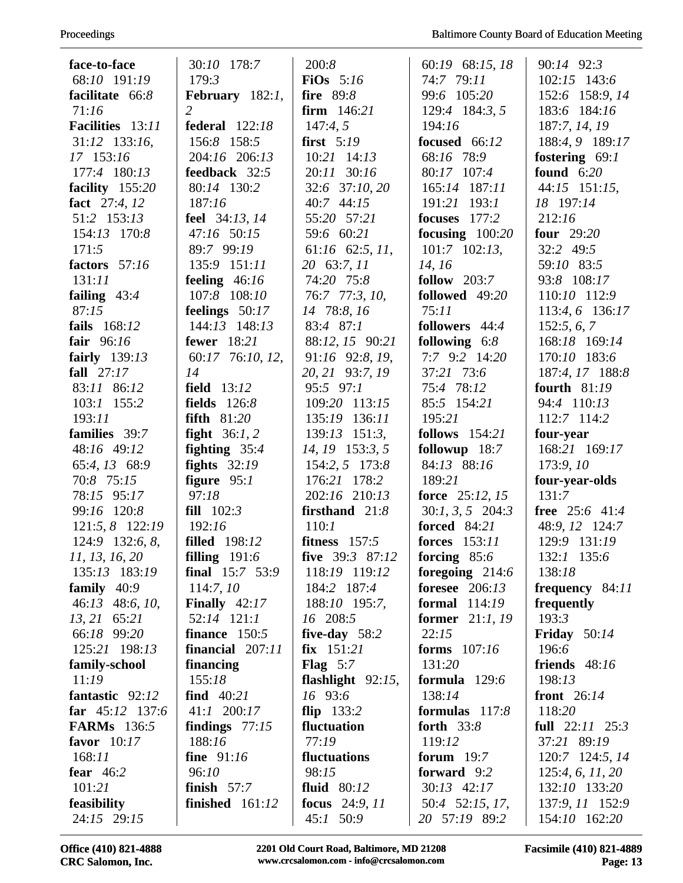| face-to-face       | 30:10 178:7            | 200:8                | 60:19 68:15, 18          | 90:14 92:3          |
|--------------------|------------------------|----------------------|--------------------------|---------------------|
| 68:10 191:19       | 179:3                  | FiOs $5:16$          | 74:7 79:11               | 102:15 143:6        |
| facilitate 66:8    | February $182:1$ ,     | fire 89:8            | 99:6 105:20              | 152:6 158:9, 14     |
| 71:16              | $\overline{2}$         | firm $146:21$        | 129:4 184:3, 5           | 183:6 184:16        |
| Facilities 13:11   | <b>federal</b> 122:18  | 147:4,5              | 194:16                   | 187:7, 14, 19       |
| 31:12 133:16,      | 156:8 158:5            | first $5:19$         | focused 66:12            | 188:4, 9 189:17     |
| 17 153:16          | 204:16 206:13          | $10:21$ 14:13        | 68:16 78:9               | fostering $69:1$    |
| 177:4 180:13       | feedback 32:5          | 20:11 30:16          | 80:17 107:4              | found $6:20$        |
| facility 155:20    | 80:14 130:2            | 32:6 37:10, 20       | 165:14 187:11            | 44:15 151:15,       |
| fact 27:4, 12      | 187:16                 | 40:7 44:15           | 191:21 193:1             | 18 197:14           |
| 51:2 153:13        | feel 34:13, 14         | 55:20 57:21          | focuses 177:2            | 212:16              |
| 154:13 170:8       | 47:16 50:15            | 59:6 60:21           | focusing $100:20$        | four $29:20$        |
| 171:5              | 89:7 99:19             | 61:16 62:5, 11,      | $101:7$ $102:13$ ,       | $32:2$ 49:5         |
| factors 57:16      | 135:9 151:11           | 20 63:7, 11          | 14, 16                   | 59:10 83:5          |
| 131:11             | feeling $46:16$        | 74:20 75:8           | follow $203:7$           | 93:8 108:17         |
| failing $43:4$     | 107:8 108:10           | 76:7 77:3, 10,       | followed 49:20           | 110:10 112:9        |
| 87:15              | feelings 50:17         | 14 78:8, 16          | 75:11                    | 113:4, 6 136:17     |
| fails 168:12       | 144:13 148:13          | 83:4 87:1            | followers 44:4           | 152:5, 6, 7         |
| fair $96:16$       | <b>fewer</b> 18:21     | 88:12, 15 90:21      | following $6:8$          | 168:18 169:14       |
| fairly 139:13      | 60:17 76:10, 12,       | 91:16 92:8, 19,      | 7:7 9:2 14:20            | 170:10 183:6        |
| fall $27:17$       | 14                     | 20, 21 93:7, 19      | 37:21 73:6               | 187:4, 17 188:8     |
| 83:11 86:12        | <b>field</b> 13:12     | 95:5 97:1            | 75:4 78:12               | fourth $81:19$      |
| $103:1$ 155:2      | <b>fields</b> 126:8    | 109:20 113:15        | 85:5 154:21              | 94:4 110:13         |
| 193:11             | <b>fifth</b> 81:20     | 135:19 136:11        | 195:21                   | 112:7 114:2         |
| families 39:7      | fight $36:1, 2$        | $139:13$ $151:3$ ,   | <b>follows</b> 154:21    | four-year           |
| 48:16 49:12        | fighting $35:4$        | 14, 19 153:3, 5      | followup 18:7            | 168:21 169:17       |
| 65:4, 13 68:9      | fights $32:19$         | 154:2, 5 173:8       | 84:13 88:16              | 173:9, 10           |
| 70:8 75:15         | figure $95:1$          | 176:21 178:2         | 189:21                   | four-year-olds      |
| 78:15 95:17        | 97:18                  | 202:16 210:13        | force $25:12, 15$        | 131:7               |
| 99:16 120:8        | fill $102:3$           | firsthand $21:8$     | $30:1, 3, 5$ 204:3       | free 25:6 41:4      |
| 121:5, 8 122:19    | 192:16                 | 110:1                | <b>forced</b> 84:21      | 48:9, 12 124:7      |
| 124:9 132:6, 8,    | <b>filled</b> 198:12   | fitness $157:5$      | <b>forces</b> 153:11     | 129:9 131:19        |
| 11, 13, 16, 20     | filling $191:6$        | five $39:3$ 87:12    | forcing $85:6$           | 132:1 135:6         |
| 135:13 183:19      | final $15:7$ 53:9      | 118:19 119:12        | foregoing 214:6          | 138:18              |
| family $40:9$      | 114:7, 10              | 184:2 187:4          | foresee $206:13$         | frequency $84:11$   |
| 46:13 48:6, 10,    | <b>Finally</b> $42:17$ | 188:10 195:7,        | <b>formal</b> 114:19     | frequently          |
| 13, 21 65:21       | $52:14$ $121:1$        | 16 208:5             | <b>former</b> $21:1, 19$ | 193:3               |
| 66:18 99:20        | finance $150:5$        | five-day $58:2$      | 22:15                    | Friday $50:14$      |
| 125:21 198:13      | financial $207:11$     | $fix$ 151:21         | forms $107:16$           | 196:6               |
| family-school      | financing              | Flag $5:7$           | 131:20                   | friends 48:16       |
| 11:19              | 155:18                 | flashlight $92:15$ , | formula $129:6$          | 198:13              |
| fantastic 92:12    | find $40:21$           | 16 93:6              | 138:14                   | front 26:14         |
| far $45:12$ 137:6  | 41:1 200:17            | flip $133:2$         | formulas $117:8$         | 118:20              |
| <b>FARMs</b> 136:5 | findings $77:15$       | fluctuation          | forth $33:8$             | full $22:11$ $25:3$ |
| favor $10:17$      | 188:16                 | 77:19                | 119:12                   | 37:21 89:19         |
| 168:11             | fine 91:16             | fluctuations         | forum $19:7$             | 120:7 124:5, 14     |
| fear $46:2$        | 96:10                  | 98:15                | forward 9:2              | 125:4, 6, 11, 20    |
| 101:21             | finish $57:7$          | fluid $80:12$        | 30:13 42:17              | 132:10 133:20       |
| feasibility        | finished $161:12$      | focus 24:9, 11       | 50:4 52:15, 17,          | 137:9, 11 152:9     |
| 24:15 29:15        |                        | 45:1 50:9            | 20 57:19 89:2            | 154:10 162:20       |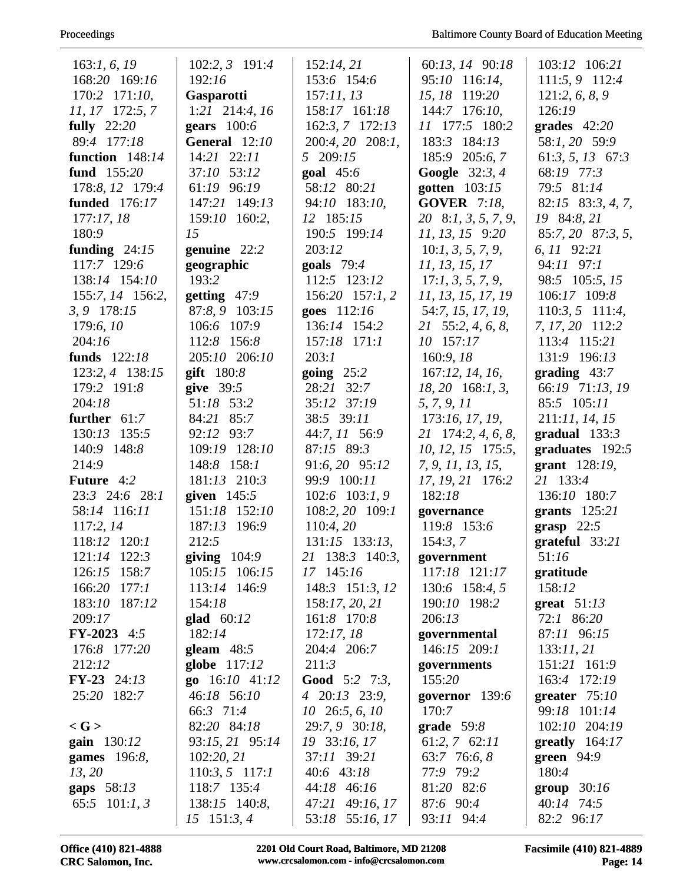| 163:1, 6, 19         | $102:2, 3$ 191:4  | 152:14, 21                | 60:13, 14 90:18     | 103:12 106:21         |
|----------------------|-------------------|---------------------------|---------------------|-----------------------|
| 168:20 169:16        | 192:16            | 153:6 154:6               | 95:10 116:14,       | 111:5, 9 112:4        |
| 170:2 171:10,        | <b>Gasparotti</b> | 157:11,13                 | 15, 18 119:20       | 121:2, 6, 8, 9        |
| 11, 17 172:5, 7      | 1:21 214:4, 16    | 158:17 161:18             | 144:7 176:10,       | 126:19                |
| fully $22:20$        | gears $100:6$     | 162:3, 7 172:13           | 11 177:5 180:2      | grades $42:20$        |
| 89:4 177:18          | General 12:10     | 200:4, 20 208:1,          | 183:3 184:13        | 58:1, 20 59:9         |
| function $148:14$    | 14:21 22:11       | 5 209:15                  | 185:9 205:6, 7      | $61:3, 5, 13$ $67:3$  |
| fund 155:20          | 37:10 53:12       | goal $45:6$               | Google 32:3, 4      | 68:19 77:3            |
| 178:8, 12 179:4      | 61:19 96:19       | 58:12 80:21               | gotten 103:15       | 79:5 81:14            |
| <b>funded</b> 176:17 | 147:21 149:13     | 94:10 183:10,             | <b>GOVER</b> 7:18,  | $82:15$ $83:3, 4, 7,$ |
| 177:17,18            | 159:10 160:2,     | 12 185:15                 | 20 8:1, 3, 5, 7, 9, | 19 84:8, 21           |
| 180:9                | 15                | 190:5 199:14              | 11, 13, 15 9:20     | 85:7, 20 87:3, 5,     |
| funding $24:15$      | genuine 22:2      | 203:12                    | 10:1, 3, 5, 7, 9,   | 6, 11 92:21           |
| 117:7 129:6          | geographic        | goals $79:4$              | 11, 13, 15, 17      | 94:11 97:1            |
| 138:14 154:10        | 193:2             | 112:5 123:12              | 17:1, 3, 5, 7, 9,   | 98:5 105:5, 15        |
| 155:7, 14 156:2,     | getting $47:9$    | $156:20$ $157:1,2$        | 11, 13, 15, 17, 19  | 106:17 109:8          |
| 3, 9 178:15          | 87:8, 9 103:15    | goes 112:16               | 54:7, 15, 17, 19,   | $110:3, 5$ 111:4,     |
|                      |                   |                           |                     |                       |
| 179:6,10             | 106:6 107:9       | 136:14 154:2              | 21 55:2, 4, 6, 8,   | 7, 17, 20 112:2       |
| 204:16               | 112:8 156:8       | 157:18 171:1              | 10 157:17           | 113:4 115:21          |
| funds 122:18         | 205:10 206:10     | 203:1                     | 160:9,18            | 131:9 196:13          |
| 123:2, 4 138:15      | gift $180:8$      | going $25:2$              | 167:12, 14, 16,     | grading $43:7$        |
| 179:2 191:8          | give $39:5$       | 28:21 32:7                | $18, 20$ 168:1, 3,  | 66:19 71:13, 19       |
| 204:18               | 51:18 53:2        | 35:12 37:19               | 5, 7, 9, 11         | 85:5 105:11           |
| further $61:7$       | 84:21 85:7        | 38:5 39:11                | 173:16, 17, 19,     | 211:11, 14, 15        |
| 130:13 135:5         | 92:12 93:7        | 44:7, 11 56:9             | 21 174:2, 4, 6, 8,  | gradual $133:3$       |
| 140:9 148:8          | 109:19 128:10     | 87:15 89:3                | $10, 12, 15$ 175:5, | graduates 192:5       |
| 214:9                | 148:8 158:1       | 91:6, 20 95:12            | 7, 9, 11, 13, 15,   | grant $128:19$ ,      |
| <b>Future</b> 4:2    | 181:13 210:3      | 99:9 100:11               | 17, 19, 21 176:2    | 21 133:4              |
| 23:3 24:6 28:1       | given $145:5$     | $102:6$ 103:1, 9          | 182:18              | 136:10 180:7          |
| 58:14 116:11         | 151:18 152:10     | 108:2, 20 109:1           | governance          | grants $125:21$       |
| 117:2,14             | 187:13 196:9      | 110:4,20                  | 119:8 153:6         | grasp $22:5$          |
| 118:12 120:1         | 212:5             | $131:15$ $133:13$ ,       | 154:3,7             | $grateful$ 33:21      |
| 121:14 122:3         | giving $104:9$    | 21 138:3 140:3,           | government          | 51:16                 |
| 126:15 158:7         | 105:15 106:15     | 17 145:16                 | 117:18 121:17       | gratitude             |
| 177:1<br>166:20      | 113:14 146:9      | 148:3 151:3, 12           | 130:6 158:4, 5      | 158:12                |
| 183:10 187:12        | 154:18            | 158:17, 20, 21            | 190:10 198:2        | great $51:13$         |
| 209:17               | glad $60:12$      | 161:8 170:8               | 206:13              | 72:1 86:20            |
| $FY-2023$ 4:5        | 182:14            | 172:17,18                 | governmental        | 87:11 96:15           |
| 176:8 177:20         | gleam $48:5$      | 204:4 206:7               | 146:15 209:1        | 133:11,21             |
| 212:12               | globe 117:12      | 211:3                     | governments         | 151:21 161:9          |
| $FY-23$ 24:13        | go $16:10$ 41:12  | Good 5:2 7:3,             | 155:20              | 163:4 172:19          |
| 25:20 182:7          | 46:18 56:10       | $4\quad 20:13\quad 23:9,$ | governor 139:6      | greater $75:10$       |
|                      | 66:3 71:4         | $10\quad 26:5, 6, 10$     | 170:7               | 99:18 101:14          |
| $<$ G $>$            | 82:20 84:18       | 29:7, 9 30:18,            | grade $59:8$        | 102:10 204:19         |
|                      |                   |                           |                     |                       |
| gain 130:12          | 93:15, 21 95:14   | 19 33:16, 17              | $61:2, 7$ $62:11$   | greatly $164:17$      |
| games 196:8,         | 102:20, 21        | 37:11 39:21               | 63:7 76:6, 8        | green $94:9$          |
| 13, 20               | $110:3, 5$ 117:1  | $40:6$ 43:18              | 77:9 79:2           | 180:4                 |
| gaps 58:13           | 118:7 135:4       | 44:18 46:16               | 81:20 82:6          | group $30:16$         |
| 65:5 $101:1, 3$      | 138:15 140:8,     | 47:21 49:16, 17           | 87:6 90:4           | 40:14 74:5            |
|                      | $15$ 151:3, 4     | 53:18 55:16, 17           | 93:11 94:4          | 82:2 96:17            |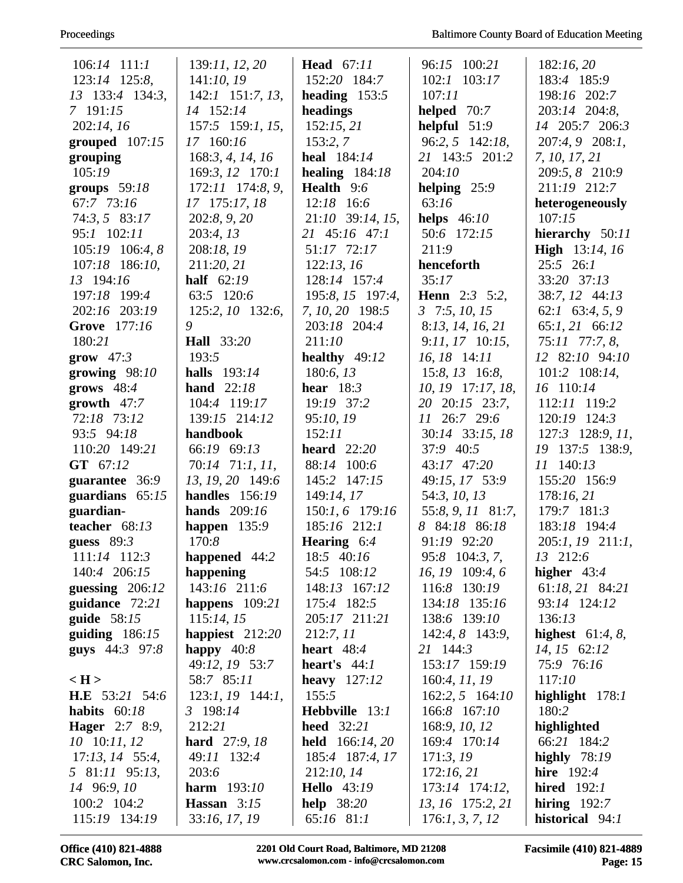| $106:14$ 111:1            | 139:11, 12, 20       | <b>Head</b> 67:11      | 96:15 100:21           | 182:16,20             |
|---------------------------|----------------------|------------------------|------------------------|-----------------------|
| 123:14 125:8,             | 141:10,19            | 152:20 184:7           | $102:1$ $103:17$       | 183:4 185:9           |
| 13 133:4 134:3,           | $142:1$ 151:7, 13,   | heading $153:5$        | 107:11                 | 198:16 202:7          |
| 7 191:15                  | 14 152:14            | headings               | helped $70:7$          | 203:14 204:8,         |
| 202:14, 16                | $157:5$ 159:1, 15,   | 152:15,21              | helpful $51:9$         | 14 205:7 206:3        |
| grouped $107:15$          | 17 160:16            | 153:2,7                | 96:2, 5 142:18,        | 207:4, 9 208:1,       |
| grouping                  | 168:3, 4, 14, 16     | heal 184:14            | 21 143:5 201:2         | 7, 10, 17, 21         |
| 105:19                    | 169:3, 12 170:1      | healing $184:18$       | 204:10                 | 209:5, 8 210:9        |
| groups $59:18$            | 172:11 174:8, 9,     | Health 9:6             | helping $25:9$         | 211:19 212:7          |
| 67:7 73:16                | 17 175:17, 18        | $12:18$ 16:6           | 63:16                  | heterogeneously       |
| 74:3, 5 83:17             | 202:8, 9, 20         | 21:10 39:14, 15,       | helps $46:10$          | 107:15                |
| 95:1 102:11               | 203:4, 13            | 21 45:16 47:1          | 50:6 172:15            | hierarchy 50:11       |
| 105:19 106:4, 8           | 208:18, 19           | 51:17 72:17            | 211:9                  | <b>High</b> 13:14, 16 |
| 107:18 186:10,            | 211:20, 21           | 122:13, 16             | henceforth             | $25:5$ 26:1           |
| 13 194:16                 | half $62:19$         | 128:14 157:4           | 35:17                  | 33:20 37:13           |
| 197:18 199:4              | 63:5 120:6           | 195:8, 15 197:4,       | <b>Henn</b> $2:3$ 5:2, | 38:7, 12 44:13        |
| 202:16 203:19             | 125:2, 10 132:6,     | 7, 10, 20 198:5        | $3$ 7:5, 10, 15        | $62:1$ $63:4, 5, 9$   |
| Grove 177:16              | 9                    | 203:18 204:4           | 8:13, 14, 16, 21       | 65:1, 21 66:12        |
| 180:21                    | <b>Hall</b> 33:20    | 211:10                 | $9:11, 17$ 10:15,      | 75:11 77:7, 8,        |
| grow $47:3$               | 193:5                | healthy $49:12$        | 16, 18 14:11           | 12 82:10 94:10        |
| growing $98:10$           | halls 193:14         | 180:6, 13              | $15:8$ , $13$ 16:8,    | $101:2$ $108:14$ ,    |
| grows $48:4$              | hand $22:18$         | hear $18:3$            | $10, 19$ 17:17, 18,    | 16 110:14             |
| growth $47:7$             | 104:4 119:17         | 19:19 37:2             | 20 20:15 23:7,         | 112:11 119:2          |
| 72:18 73:12               | 139:15 214:12        | 95:10, 19              | 11 26:7 29:6           | 120:19 124:3          |
| 93:5 94:18                | handbook             | 152:11                 | 30:14 33:15, 18        | 127:3 128:9, 11,      |
| 110:20 149:21             | 66:19 69:13          | heard $22:20$          | 37:9 40:5              | 19 137:5 138:9,       |
| GT 67:12                  | 70:14 71:1, 11,      | 88:14 100:6            | 43:17 47:20            | 11 140:13             |
| guarantee 36:9            | 13, 19, 20 149:6     | 145:2 147:15           | 49:15, 17 53:9         | 155:20 156:9          |
| guardians $65:15$         | handles $156:19$     | 149:14, 17             | 54:3, 10, 13           | 178:16,21             |
| guardian-                 | hands $209:16$       | 150:1, 6 179:16        | 55:8, 9, 11 81:7,      | 179:7 181:3           |
| teacher 68:13             | happen $135:9$       | 185:16 212:1           | 8 84:18 86:18          | 183:18 194:4          |
| guess $89:3$              | 170:8                | <b>Hearing</b> $6:4$   | 91:19 92:20            | 205:1, 19 211:1,      |
| 111:14 112:3              | happened 44:2        | 18:5 40:16             | 95:8 104:3, 7,         | 13 212:6              |
| 140:4 206:15              | happening            | 54:5 108:12            | 16, 19 109:4, 6        | higher $43:4$         |
| guessing $206:12$         | 143:16 211:6         | 148:13 167:12          | 116:8 130:19           | 61:18, 21 84:21       |
| guidance 72:21            | happens $109:21$     | 175:4 182:5            | 134:18 135:16          | 93:14 124:12          |
| guide $58:15$             | 115:14, 15           | 205:17 211:21          | 138:6 139:10           | 136:13                |
| guiding $186:15$          | happiest $212:20$    | 212:7, 11              | 142:4, 8 143:9,        | highest $61:4, 8$ ,   |
| guys 44:3 97:8            | happy $40:8$         | heart $48:4$           | 21 144:3               | 14, 15 62:12          |
|                           | 49:12, 19 53:7       | heart's $44:1$         | 153:17 159:19          | 75:9 76:16            |
| $\langle H \rangle$       | 58:7 85:11           | heavy $127:12$         | 160:4, 11, 19          | 117:10                |
| <b>H.E</b> $53:21$ $54:6$ | $123:1, 19$ 144:1,   | 155:5                  | $162:2, 5$ 164:10      | highlight $178:1$     |
| habits $60:18$            | 3 198:14             | Hebbville 13:1         | 166:8 167:10           | 180:2                 |
| <b>Hager</b> 2:7 8:9,     | 212:21               | <b>heed</b> 32:21      | 168:9, 10, 12          | highlighted           |
| 10 10:11, 12              | <b>hard</b> 27:9, 18 | <b>held</b> 166:14, 20 | 169:4 170:14           | 66:21 184:2           |
| $17:13$ , $14$ 55:4,      | 49:11 132:4          | 185:4 187:4, 17        | 171:3,19               | highly $78:19$        |
| 5 81:11 95:13,            | 203:6                | 212:10, 14             | 172:16,21              | hire $192:4$          |
| 14 96:9, 10               | <b>harm</b> 193:10   | <b>Hello</b> 43:19     | 173:14 174:12,         | hired $192:1$         |
| 100:2 104:2               | Hassan $3:15$        | help $38:20$           | 13, 16 175:2, 21       | hiring $192:7$        |
| 115:19 134:19             | 33:16, 17, 19        | 65:16 81:1             | 176:1, 3, 7, 12        | historical 94:1       |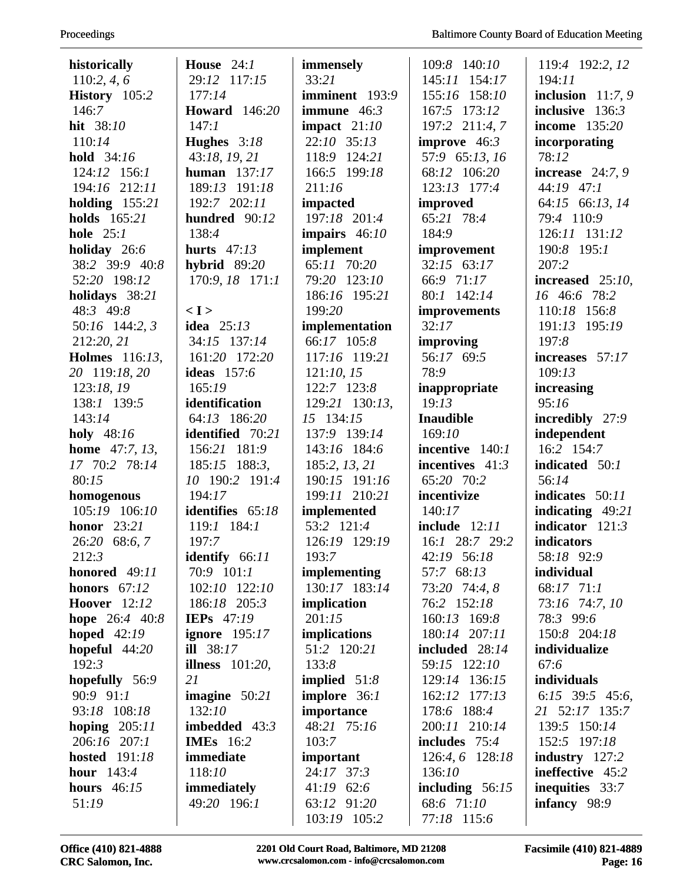| 110:2, 4, 6<br>29:12 117:15<br>33:21<br>145:11 154:17<br>194:11<br>inclusion $11:7,9$<br>History 105:2<br>177:14<br>imminent 193:9<br>155:16 158:10<br>146:7<br><b>Howard</b> 146:20<br>immune $46:3$<br>167:5 173:12<br>inclusive $136:3$<br>hit 38:10<br>impact $21:10$<br>197:2 211:4, 7<br><b>income</b> 135:20<br>147:1<br>Hughes 3:18<br>22:10 35:13<br>improve $46:3$<br>110:14<br>incorporating<br>43:18, 19, 21<br>57:9 65:13, 16<br><b>hold</b> 34:16<br>118:9 124:21<br>78:12<br>124:12 156:1<br>human $137:17$<br>166:5 199:18<br>68:12 106:20<br>increase $24:7,9$<br>194:16 212:11<br>189:13 191:18<br>211:16<br>123:13 177:4<br>44:19 47:1<br>192:7 202:11<br>holding $155:21$<br>64:15 66:13, 14<br>impacted<br>improved<br>holds 165:21<br>65:21 78:4<br>197:18 201:4<br>79:4 110:9<br>hundred 90:12<br>hole $25:1$<br>138:4<br>184:9<br>126:11 131:12<br>impairs $46:10$<br>implement<br>holiday 26:6<br>hurts $47:13$<br>190:8 195:1<br>improvement<br>65:11 70:20<br>38:2 39:9 40:8<br>hybrid $89:20$<br>$32:15$ 63:17<br>207:2<br>52:20 198:12<br>170:9, 18 171:1<br>79:20 123:10<br>66:9 71:17<br>increased $25:10$ ,<br>80:1 142:14<br>16 46:6 78:2<br>holidays 38:21<br>186:16 195:21<br>48:3 49:8<br>$\langle I \rangle$<br>199:20<br>110:18 156:8<br>improvements<br>32:17<br>idea $25:13$<br>implementation<br>191:13 195:19<br>50:16 144:2, 3<br>66:17 105:8<br>212:20, 21<br>34:15 137:14<br>improving<br>197:8<br>161:20 172:20<br>56:17 69:5<br><b>Holmes</b> 116:13,<br>117:16 119:21<br>increases 57:17<br>20 119:18, 20<br><b>ideas</b> 157:6<br>121:10, 15<br>78:9<br>109:13<br>123:18, 19<br>165:19<br>122:7 123:8<br>increasing<br>inappropriate<br>19:13<br>95:16<br>138:1 139:5<br>identification<br>129:21 130:13,<br>15 134:15<br>143:14<br>64:13 186:20<br><b>Inaudible</b><br>incredibly 27:9<br>identified 70:21<br>independent<br>holy 48:16<br>137:9 139:14<br>169:10<br><b>home</b> $47:7, 13,$<br>156:21 181:9<br>143:16 184:6<br>incentive 140:1<br>16:2 154:7<br>17 70:2 78:14<br>185:15 188:3,<br>185:2, 13, 21<br>incentives 41:3<br>indicated 50:1<br>10 190:2 191:4<br>80:15<br>190:15 191:16<br>65:20 70:2<br>56:14<br>194:17<br>199:11 210:21<br>incentivize<br>indicates 50:11<br>homogenous<br>105:19 106:10<br>identifies 65:18<br>implemented<br>140:17<br>indicating $49:21$<br>indicator $121:3$<br>honor $23:21$<br>$119:1$ $184:1$<br>53:2 121:4<br>include $12:11$<br>26:20 68:6, 7<br>197:7<br>16:1 28:7 29:2<br>indicators<br>126:19 129:19<br>identify 66:11<br>212:3<br>42:19 56:18<br>58:18 92:9<br>193:7<br>70:9 101:1<br>57:7 68:13<br>individual<br>honored $49:11$<br>implementing<br>honors $67:12$<br>102:10 122:10<br>130:17 183:14<br>73:20 74:4, 8<br>68:17 $71:1$<br><b>Hoover</b> 12:12<br>186:18 205:3<br>implication<br>73:16 74:7, 10<br>76:2 152:18<br><b>IEPs</b> 47:19<br>201:15<br>160:13 169:8<br>hope $26:4$ 40:8<br>78:3 99:6<br><i>implications</i><br>180:14 207:11<br>150:8 204:18<br>hoped $42:19$<br>ignore $195:17$<br>ill $38:17$<br>51:2 120:21<br>included 28:14<br>individualize<br>hopeful $44:20$<br>192:3<br>133:8<br>59:15 122:10<br>67:6<br>illness $101:20$ ,<br>individuals<br>21<br>implied $51:8$<br>hopefully 56:9<br>129:14 136:15<br>90:9 91:1<br>imagine $50:21$<br>implore 36:1<br>6:15 39:5 45:6,<br>162:12 177:13<br>132:10<br>93:18 108:18<br>178:6 188:4<br>importance<br>21 52:17 135:7<br>hoping $205:11$<br>imbedded $43:3$<br>48:21 75:16<br>200:11 210:14<br>139:5 150:14<br>206:16 207:1<br><b>IMEs</b> 16:2<br>includes $75:4$<br>152:5 197:18<br>103:7<br><b>hosted</b> 191:18<br>immediate<br>important<br>126:4, 6 128:18<br>industry $127:2$<br>hour $143:4$<br>24:17 37:3<br>ineffective 45:2<br>118:10<br>136:10<br>immediately<br>$41:19$ 62:6<br>including $56:15$<br>inequities 33:7<br><b>hours</b> 46:15<br>68:6 71:10<br>49:20 196:1<br>infancy 98:9<br>51:19<br>63:12 91:20 | historically | House $24:1$ | immensely    | 109:8 140:10 | 119:4 192:2, 12 |
|------------------------------------------------------------------------------------------------------------------------------------------------------------------------------------------------------------------------------------------------------------------------------------------------------------------------------------------------------------------------------------------------------------------------------------------------------------------------------------------------------------------------------------------------------------------------------------------------------------------------------------------------------------------------------------------------------------------------------------------------------------------------------------------------------------------------------------------------------------------------------------------------------------------------------------------------------------------------------------------------------------------------------------------------------------------------------------------------------------------------------------------------------------------------------------------------------------------------------------------------------------------------------------------------------------------------------------------------------------------------------------------------------------------------------------------------------------------------------------------------------------------------------------------------------------------------------------------------------------------------------------------------------------------------------------------------------------------------------------------------------------------------------------------------------------------------------------------------------------------------------------------------------------------------------------------------------------------------------------------------------------------------------------------------------------------------------------------------------------------------------------------------------------------------------------------------------------------------------------------------------------------------------------------------------------------------------------------------------------------------------------------------------------------------------------------------------------------------------------------------------------------------------------------------------------------------------------------------------------------------------------------------------------------------------------------------------------------------------------------------------------------------------------------------------------------------------------------------------------------------------------------------------------------------------------------------------------------------------------------------------------------------------------------------------------------------------------------------------------------------------------------------------------------------------------------------------------------------------------------------------------------------------------------------------------------------------------------------------------------------------------------------------------------------------------------------------------------------------------------------------------------------------------------------------------------------------------------------------------------------------------------------------------------------------------------------------------------------------------------------------------------------------------------------------------------------------------------------------------------------------------------------------------------------|--------------|--------------|--------------|--------------|-----------------|
|                                                                                                                                                                                                                                                                                                                                                                                                                                                                                                                                                                                                                                                                                                                                                                                                                                                                                                                                                                                                                                                                                                                                                                                                                                                                                                                                                                                                                                                                                                                                                                                                                                                                                                                                                                                                                                                                                                                                                                                                                                                                                                                                                                                                                                                                                                                                                                                                                                                                                                                                                                                                                                                                                                                                                                                                                                                                                                                                                                                                                                                                                                                                                                                                                                                                                                                                                                                                                                                                                                                                                                                                                                                                                                                                                                                                                                                                                                                        |              |              |              |              |                 |
|                                                                                                                                                                                                                                                                                                                                                                                                                                                                                                                                                                                                                                                                                                                                                                                                                                                                                                                                                                                                                                                                                                                                                                                                                                                                                                                                                                                                                                                                                                                                                                                                                                                                                                                                                                                                                                                                                                                                                                                                                                                                                                                                                                                                                                                                                                                                                                                                                                                                                                                                                                                                                                                                                                                                                                                                                                                                                                                                                                                                                                                                                                                                                                                                                                                                                                                                                                                                                                                                                                                                                                                                                                                                                                                                                                                                                                                                                                                        |              |              |              |              |                 |
|                                                                                                                                                                                                                                                                                                                                                                                                                                                                                                                                                                                                                                                                                                                                                                                                                                                                                                                                                                                                                                                                                                                                                                                                                                                                                                                                                                                                                                                                                                                                                                                                                                                                                                                                                                                                                                                                                                                                                                                                                                                                                                                                                                                                                                                                                                                                                                                                                                                                                                                                                                                                                                                                                                                                                                                                                                                                                                                                                                                                                                                                                                                                                                                                                                                                                                                                                                                                                                                                                                                                                                                                                                                                                                                                                                                                                                                                                                                        |              |              |              |              |                 |
|                                                                                                                                                                                                                                                                                                                                                                                                                                                                                                                                                                                                                                                                                                                                                                                                                                                                                                                                                                                                                                                                                                                                                                                                                                                                                                                                                                                                                                                                                                                                                                                                                                                                                                                                                                                                                                                                                                                                                                                                                                                                                                                                                                                                                                                                                                                                                                                                                                                                                                                                                                                                                                                                                                                                                                                                                                                                                                                                                                                                                                                                                                                                                                                                                                                                                                                                                                                                                                                                                                                                                                                                                                                                                                                                                                                                                                                                                                                        |              |              |              |              |                 |
|                                                                                                                                                                                                                                                                                                                                                                                                                                                                                                                                                                                                                                                                                                                                                                                                                                                                                                                                                                                                                                                                                                                                                                                                                                                                                                                                                                                                                                                                                                                                                                                                                                                                                                                                                                                                                                                                                                                                                                                                                                                                                                                                                                                                                                                                                                                                                                                                                                                                                                                                                                                                                                                                                                                                                                                                                                                                                                                                                                                                                                                                                                                                                                                                                                                                                                                                                                                                                                                                                                                                                                                                                                                                                                                                                                                                                                                                                                                        |              |              |              |              |                 |
|                                                                                                                                                                                                                                                                                                                                                                                                                                                                                                                                                                                                                                                                                                                                                                                                                                                                                                                                                                                                                                                                                                                                                                                                                                                                                                                                                                                                                                                                                                                                                                                                                                                                                                                                                                                                                                                                                                                                                                                                                                                                                                                                                                                                                                                                                                                                                                                                                                                                                                                                                                                                                                                                                                                                                                                                                                                                                                                                                                                                                                                                                                                                                                                                                                                                                                                                                                                                                                                                                                                                                                                                                                                                                                                                                                                                                                                                                                                        |              |              |              |              |                 |
|                                                                                                                                                                                                                                                                                                                                                                                                                                                                                                                                                                                                                                                                                                                                                                                                                                                                                                                                                                                                                                                                                                                                                                                                                                                                                                                                                                                                                                                                                                                                                                                                                                                                                                                                                                                                                                                                                                                                                                                                                                                                                                                                                                                                                                                                                                                                                                                                                                                                                                                                                                                                                                                                                                                                                                                                                                                                                                                                                                                                                                                                                                                                                                                                                                                                                                                                                                                                                                                                                                                                                                                                                                                                                                                                                                                                                                                                                                                        |              |              |              |              |                 |
|                                                                                                                                                                                                                                                                                                                                                                                                                                                                                                                                                                                                                                                                                                                                                                                                                                                                                                                                                                                                                                                                                                                                                                                                                                                                                                                                                                                                                                                                                                                                                                                                                                                                                                                                                                                                                                                                                                                                                                                                                                                                                                                                                                                                                                                                                                                                                                                                                                                                                                                                                                                                                                                                                                                                                                                                                                                                                                                                                                                                                                                                                                                                                                                                                                                                                                                                                                                                                                                                                                                                                                                                                                                                                                                                                                                                                                                                                                                        |              |              |              |              |                 |
|                                                                                                                                                                                                                                                                                                                                                                                                                                                                                                                                                                                                                                                                                                                                                                                                                                                                                                                                                                                                                                                                                                                                                                                                                                                                                                                                                                                                                                                                                                                                                                                                                                                                                                                                                                                                                                                                                                                                                                                                                                                                                                                                                                                                                                                                                                                                                                                                                                                                                                                                                                                                                                                                                                                                                                                                                                                                                                                                                                                                                                                                                                                                                                                                                                                                                                                                                                                                                                                                                                                                                                                                                                                                                                                                                                                                                                                                                                                        |              |              |              |              |                 |
|                                                                                                                                                                                                                                                                                                                                                                                                                                                                                                                                                                                                                                                                                                                                                                                                                                                                                                                                                                                                                                                                                                                                                                                                                                                                                                                                                                                                                                                                                                                                                                                                                                                                                                                                                                                                                                                                                                                                                                                                                                                                                                                                                                                                                                                                                                                                                                                                                                                                                                                                                                                                                                                                                                                                                                                                                                                                                                                                                                                                                                                                                                                                                                                                                                                                                                                                                                                                                                                                                                                                                                                                                                                                                                                                                                                                                                                                                                                        |              |              |              |              |                 |
|                                                                                                                                                                                                                                                                                                                                                                                                                                                                                                                                                                                                                                                                                                                                                                                                                                                                                                                                                                                                                                                                                                                                                                                                                                                                                                                                                                                                                                                                                                                                                                                                                                                                                                                                                                                                                                                                                                                                                                                                                                                                                                                                                                                                                                                                                                                                                                                                                                                                                                                                                                                                                                                                                                                                                                                                                                                                                                                                                                                                                                                                                                                                                                                                                                                                                                                                                                                                                                                                                                                                                                                                                                                                                                                                                                                                                                                                                                                        |              |              |              |              |                 |
|                                                                                                                                                                                                                                                                                                                                                                                                                                                                                                                                                                                                                                                                                                                                                                                                                                                                                                                                                                                                                                                                                                                                                                                                                                                                                                                                                                                                                                                                                                                                                                                                                                                                                                                                                                                                                                                                                                                                                                                                                                                                                                                                                                                                                                                                                                                                                                                                                                                                                                                                                                                                                                                                                                                                                                                                                                                                                                                                                                                                                                                                                                                                                                                                                                                                                                                                                                                                                                                                                                                                                                                                                                                                                                                                                                                                                                                                                                                        |              |              |              |              |                 |
|                                                                                                                                                                                                                                                                                                                                                                                                                                                                                                                                                                                                                                                                                                                                                                                                                                                                                                                                                                                                                                                                                                                                                                                                                                                                                                                                                                                                                                                                                                                                                                                                                                                                                                                                                                                                                                                                                                                                                                                                                                                                                                                                                                                                                                                                                                                                                                                                                                                                                                                                                                                                                                                                                                                                                                                                                                                                                                                                                                                                                                                                                                                                                                                                                                                                                                                                                                                                                                                                                                                                                                                                                                                                                                                                                                                                                                                                                                                        |              |              |              |              |                 |
|                                                                                                                                                                                                                                                                                                                                                                                                                                                                                                                                                                                                                                                                                                                                                                                                                                                                                                                                                                                                                                                                                                                                                                                                                                                                                                                                                                                                                                                                                                                                                                                                                                                                                                                                                                                                                                                                                                                                                                                                                                                                                                                                                                                                                                                                                                                                                                                                                                                                                                                                                                                                                                                                                                                                                                                                                                                                                                                                                                                                                                                                                                                                                                                                                                                                                                                                                                                                                                                                                                                                                                                                                                                                                                                                                                                                                                                                                                                        |              |              |              |              |                 |
|                                                                                                                                                                                                                                                                                                                                                                                                                                                                                                                                                                                                                                                                                                                                                                                                                                                                                                                                                                                                                                                                                                                                                                                                                                                                                                                                                                                                                                                                                                                                                                                                                                                                                                                                                                                                                                                                                                                                                                                                                                                                                                                                                                                                                                                                                                                                                                                                                                                                                                                                                                                                                                                                                                                                                                                                                                                                                                                                                                                                                                                                                                                                                                                                                                                                                                                                                                                                                                                                                                                                                                                                                                                                                                                                                                                                                                                                                                                        |              |              |              |              |                 |
|                                                                                                                                                                                                                                                                                                                                                                                                                                                                                                                                                                                                                                                                                                                                                                                                                                                                                                                                                                                                                                                                                                                                                                                                                                                                                                                                                                                                                                                                                                                                                                                                                                                                                                                                                                                                                                                                                                                                                                                                                                                                                                                                                                                                                                                                                                                                                                                                                                                                                                                                                                                                                                                                                                                                                                                                                                                                                                                                                                                                                                                                                                                                                                                                                                                                                                                                                                                                                                                                                                                                                                                                                                                                                                                                                                                                                                                                                                                        |              |              |              |              |                 |
|                                                                                                                                                                                                                                                                                                                                                                                                                                                                                                                                                                                                                                                                                                                                                                                                                                                                                                                                                                                                                                                                                                                                                                                                                                                                                                                                                                                                                                                                                                                                                                                                                                                                                                                                                                                                                                                                                                                                                                                                                                                                                                                                                                                                                                                                                                                                                                                                                                                                                                                                                                                                                                                                                                                                                                                                                                                                                                                                                                                                                                                                                                                                                                                                                                                                                                                                                                                                                                                                                                                                                                                                                                                                                                                                                                                                                                                                                                                        |              |              |              |              |                 |
|                                                                                                                                                                                                                                                                                                                                                                                                                                                                                                                                                                                                                                                                                                                                                                                                                                                                                                                                                                                                                                                                                                                                                                                                                                                                                                                                                                                                                                                                                                                                                                                                                                                                                                                                                                                                                                                                                                                                                                                                                                                                                                                                                                                                                                                                                                                                                                                                                                                                                                                                                                                                                                                                                                                                                                                                                                                                                                                                                                                                                                                                                                                                                                                                                                                                                                                                                                                                                                                                                                                                                                                                                                                                                                                                                                                                                                                                                                                        |              |              |              |              |                 |
|                                                                                                                                                                                                                                                                                                                                                                                                                                                                                                                                                                                                                                                                                                                                                                                                                                                                                                                                                                                                                                                                                                                                                                                                                                                                                                                                                                                                                                                                                                                                                                                                                                                                                                                                                                                                                                                                                                                                                                                                                                                                                                                                                                                                                                                                                                                                                                                                                                                                                                                                                                                                                                                                                                                                                                                                                                                                                                                                                                                                                                                                                                                                                                                                                                                                                                                                                                                                                                                                                                                                                                                                                                                                                                                                                                                                                                                                                                                        |              |              |              |              |                 |
|                                                                                                                                                                                                                                                                                                                                                                                                                                                                                                                                                                                                                                                                                                                                                                                                                                                                                                                                                                                                                                                                                                                                                                                                                                                                                                                                                                                                                                                                                                                                                                                                                                                                                                                                                                                                                                                                                                                                                                                                                                                                                                                                                                                                                                                                                                                                                                                                                                                                                                                                                                                                                                                                                                                                                                                                                                                                                                                                                                                                                                                                                                                                                                                                                                                                                                                                                                                                                                                                                                                                                                                                                                                                                                                                                                                                                                                                                                                        |              |              |              |              |                 |
|                                                                                                                                                                                                                                                                                                                                                                                                                                                                                                                                                                                                                                                                                                                                                                                                                                                                                                                                                                                                                                                                                                                                                                                                                                                                                                                                                                                                                                                                                                                                                                                                                                                                                                                                                                                                                                                                                                                                                                                                                                                                                                                                                                                                                                                                                                                                                                                                                                                                                                                                                                                                                                                                                                                                                                                                                                                                                                                                                                                                                                                                                                                                                                                                                                                                                                                                                                                                                                                                                                                                                                                                                                                                                                                                                                                                                                                                                                                        |              |              |              |              |                 |
|                                                                                                                                                                                                                                                                                                                                                                                                                                                                                                                                                                                                                                                                                                                                                                                                                                                                                                                                                                                                                                                                                                                                                                                                                                                                                                                                                                                                                                                                                                                                                                                                                                                                                                                                                                                                                                                                                                                                                                                                                                                                                                                                                                                                                                                                                                                                                                                                                                                                                                                                                                                                                                                                                                                                                                                                                                                                                                                                                                                                                                                                                                                                                                                                                                                                                                                                                                                                                                                                                                                                                                                                                                                                                                                                                                                                                                                                                                                        |              |              |              |              |                 |
|                                                                                                                                                                                                                                                                                                                                                                                                                                                                                                                                                                                                                                                                                                                                                                                                                                                                                                                                                                                                                                                                                                                                                                                                                                                                                                                                                                                                                                                                                                                                                                                                                                                                                                                                                                                                                                                                                                                                                                                                                                                                                                                                                                                                                                                                                                                                                                                                                                                                                                                                                                                                                                                                                                                                                                                                                                                                                                                                                                                                                                                                                                                                                                                                                                                                                                                                                                                                                                                                                                                                                                                                                                                                                                                                                                                                                                                                                                                        |              |              |              |              |                 |
|                                                                                                                                                                                                                                                                                                                                                                                                                                                                                                                                                                                                                                                                                                                                                                                                                                                                                                                                                                                                                                                                                                                                                                                                                                                                                                                                                                                                                                                                                                                                                                                                                                                                                                                                                                                                                                                                                                                                                                                                                                                                                                                                                                                                                                                                                                                                                                                                                                                                                                                                                                                                                                                                                                                                                                                                                                                                                                                                                                                                                                                                                                                                                                                                                                                                                                                                                                                                                                                                                                                                                                                                                                                                                                                                                                                                                                                                                                                        |              |              |              |              |                 |
|                                                                                                                                                                                                                                                                                                                                                                                                                                                                                                                                                                                                                                                                                                                                                                                                                                                                                                                                                                                                                                                                                                                                                                                                                                                                                                                                                                                                                                                                                                                                                                                                                                                                                                                                                                                                                                                                                                                                                                                                                                                                                                                                                                                                                                                                                                                                                                                                                                                                                                                                                                                                                                                                                                                                                                                                                                                                                                                                                                                                                                                                                                                                                                                                                                                                                                                                                                                                                                                                                                                                                                                                                                                                                                                                                                                                                                                                                                                        |              |              |              |              |                 |
|                                                                                                                                                                                                                                                                                                                                                                                                                                                                                                                                                                                                                                                                                                                                                                                                                                                                                                                                                                                                                                                                                                                                                                                                                                                                                                                                                                                                                                                                                                                                                                                                                                                                                                                                                                                                                                                                                                                                                                                                                                                                                                                                                                                                                                                                                                                                                                                                                                                                                                                                                                                                                                                                                                                                                                                                                                                                                                                                                                                                                                                                                                                                                                                                                                                                                                                                                                                                                                                                                                                                                                                                                                                                                                                                                                                                                                                                                                                        |              |              |              |              |                 |
|                                                                                                                                                                                                                                                                                                                                                                                                                                                                                                                                                                                                                                                                                                                                                                                                                                                                                                                                                                                                                                                                                                                                                                                                                                                                                                                                                                                                                                                                                                                                                                                                                                                                                                                                                                                                                                                                                                                                                                                                                                                                                                                                                                                                                                                                                                                                                                                                                                                                                                                                                                                                                                                                                                                                                                                                                                                                                                                                                                                                                                                                                                                                                                                                                                                                                                                                                                                                                                                                                                                                                                                                                                                                                                                                                                                                                                                                                                                        |              |              |              |              |                 |
|                                                                                                                                                                                                                                                                                                                                                                                                                                                                                                                                                                                                                                                                                                                                                                                                                                                                                                                                                                                                                                                                                                                                                                                                                                                                                                                                                                                                                                                                                                                                                                                                                                                                                                                                                                                                                                                                                                                                                                                                                                                                                                                                                                                                                                                                                                                                                                                                                                                                                                                                                                                                                                                                                                                                                                                                                                                                                                                                                                                                                                                                                                                                                                                                                                                                                                                                                                                                                                                                                                                                                                                                                                                                                                                                                                                                                                                                                                                        |              |              |              |              |                 |
|                                                                                                                                                                                                                                                                                                                                                                                                                                                                                                                                                                                                                                                                                                                                                                                                                                                                                                                                                                                                                                                                                                                                                                                                                                                                                                                                                                                                                                                                                                                                                                                                                                                                                                                                                                                                                                                                                                                                                                                                                                                                                                                                                                                                                                                                                                                                                                                                                                                                                                                                                                                                                                                                                                                                                                                                                                                                                                                                                                                                                                                                                                                                                                                                                                                                                                                                                                                                                                                                                                                                                                                                                                                                                                                                                                                                                                                                                                                        |              |              |              |              |                 |
|                                                                                                                                                                                                                                                                                                                                                                                                                                                                                                                                                                                                                                                                                                                                                                                                                                                                                                                                                                                                                                                                                                                                                                                                                                                                                                                                                                                                                                                                                                                                                                                                                                                                                                                                                                                                                                                                                                                                                                                                                                                                                                                                                                                                                                                                                                                                                                                                                                                                                                                                                                                                                                                                                                                                                                                                                                                                                                                                                                                                                                                                                                                                                                                                                                                                                                                                                                                                                                                                                                                                                                                                                                                                                                                                                                                                                                                                                                                        |              |              |              |              |                 |
|                                                                                                                                                                                                                                                                                                                                                                                                                                                                                                                                                                                                                                                                                                                                                                                                                                                                                                                                                                                                                                                                                                                                                                                                                                                                                                                                                                                                                                                                                                                                                                                                                                                                                                                                                                                                                                                                                                                                                                                                                                                                                                                                                                                                                                                                                                                                                                                                                                                                                                                                                                                                                                                                                                                                                                                                                                                                                                                                                                                                                                                                                                                                                                                                                                                                                                                                                                                                                                                                                                                                                                                                                                                                                                                                                                                                                                                                                                                        |              |              |              |              |                 |
|                                                                                                                                                                                                                                                                                                                                                                                                                                                                                                                                                                                                                                                                                                                                                                                                                                                                                                                                                                                                                                                                                                                                                                                                                                                                                                                                                                                                                                                                                                                                                                                                                                                                                                                                                                                                                                                                                                                                                                                                                                                                                                                                                                                                                                                                                                                                                                                                                                                                                                                                                                                                                                                                                                                                                                                                                                                                                                                                                                                                                                                                                                                                                                                                                                                                                                                                                                                                                                                                                                                                                                                                                                                                                                                                                                                                                                                                                                                        |              |              |              |              |                 |
|                                                                                                                                                                                                                                                                                                                                                                                                                                                                                                                                                                                                                                                                                                                                                                                                                                                                                                                                                                                                                                                                                                                                                                                                                                                                                                                                                                                                                                                                                                                                                                                                                                                                                                                                                                                                                                                                                                                                                                                                                                                                                                                                                                                                                                                                                                                                                                                                                                                                                                                                                                                                                                                                                                                                                                                                                                                                                                                                                                                                                                                                                                                                                                                                                                                                                                                                                                                                                                                                                                                                                                                                                                                                                                                                                                                                                                                                                                                        |              |              |              |              |                 |
|                                                                                                                                                                                                                                                                                                                                                                                                                                                                                                                                                                                                                                                                                                                                                                                                                                                                                                                                                                                                                                                                                                                                                                                                                                                                                                                                                                                                                                                                                                                                                                                                                                                                                                                                                                                                                                                                                                                                                                                                                                                                                                                                                                                                                                                                                                                                                                                                                                                                                                                                                                                                                                                                                                                                                                                                                                                                                                                                                                                                                                                                                                                                                                                                                                                                                                                                                                                                                                                                                                                                                                                                                                                                                                                                                                                                                                                                                                                        |              |              |              |              |                 |
|                                                                                                                                                                                                                                                                                                                                                                                                                                                                                                                                                                                                                                                                                                                                                                                                                                                                                                                                                                                                                                                                                                                                                                                                                                                                                                                                                                                                                                                                                                                                                                                                                                                                                                                                                                                                                                                                                                                                                                                                                                                                                                                                                                                                                                                                                                                                                                                                                                                                                                                                                                                                                                                                                                                                                                                                                                                                                                                                                                                                                                                                                                                                                                                                                                                                                                                                                                                                                                                                                                                                                                                                                                                                                                                                                                                                                                                                                                                        |              |              |              |              |                 |
|                                                                                                                                                                                                                                                                                                                                                                                                                                                                                                                                                                                                                                                                                                                                                                                                                                                                                                                                                                                                                                                                                                                                                                                                                                                                                                                                                                                                                                                                                                                                                                                                                                                                                                                                                                                                                                                                                                                                                                                                                                                                                                                                                                                                                                                                                                                                                                                                                                                                                                                                                                                                                                                                                                                                                                                                                                                                                                                                                                                                                                                                                                                                                                                                                                                                                                                                                                                                                                                                                                                                                                                                                                                                                                                                                                                                                                                                                                                        |              |              |              |              |                 |
|                                                                                                                                                                                                                                                                                                                                                                                                                                                                                                                                                                                                                                                                                                                                                                                                                                                                                                                                                                                                                                                                                                                                                                                                                                                                                                                                                                                                                                                                                                                                                                                                                                                                                                                                                                                                                                                                                                                                                                                                                                                                                                                                                                                                                                                                                                                                                                                                                                                                                                                                                                                                                                                                                                                                                                                                                                                                                                                                                                                                                                                                                                                                                                                                                                                                                                                                                                                                                                                                                                                                                                                                                                                                                                                                                                                                                                                                                                                        |              |              |              |              |                 |
|                                                                                                                                                                                                                                                                                                                                                                                                                                                                                                                                                                                                                                                                                                                                                                                                                                                                                                                                                                                                                                                                                                                                                                                                                                                                                                                                                                                                                                                                                                                                                                                                                                                                                                                                                                                                                                                                                                                                                                                                                                                                                                                                                                                                                                                                                                                                                                                                                                                                                                                                                                                                                                                                                                                                                                                                                                                                                                                                                                                                                                                                                                                                                                                                                                                                                                                                                                                                                                                                                                                                                                                                                                                                                                                                                                                                                                                                                                                        |              |              |              |              |                 |
|                                                                                                                                                                                                                                                                                                                                                                                                                                                                                                                                                                                                                                                                                                                                                                                                                                                                                                                                                                                                                                                                                                                                                                                                                                                                                                                                                                                                                                                                                                                                                                                                                                                                                                                                                                                                                                                                                                                                                                                                                                                                                                                                                                                                                                                                                                                                                                                                                                                                                                                                                                                                                                                                                                                                                                                                                                                                                                                                                                                                                                                                                                                                                                                                                                                                                                                                                                                                                                                                                                                                                                                                                                                                                                                                                                                                                                                                                                                        |              |              |              |              |                 |
|                                                                                                                                                                                                                                                                                                                                                                                                                                                                                                                                                                                                                                                                                                                                                                                                                                                                                                                                                                                                                                                                                                                                                                                                                                                                                                                                                                                                                                                                                                                                                                                                                                                                                                                                                                                                                                                                                                                                                                                                                                                                                                                                                                                                                                                                                                                                                                                                                                                                                                                                                                                                                                                                                                                                                                                                                                                                                                                                                                                                                                                                                                                                                                                                                                                                                                                                                                                                                                                                                                                                                                                                                                                                                                                                                                                                                                                                                                                        |              |              |              |              |                 |
|                                                                                                                                                                                                                                                                                                                                                                                                                                                                                                                                                                                                                                                                                                                                                                                                                                                                                                                                                                                                                                                                                                                                                                                                                                                                                                                                                                                                                                                                                                                                                                                                                                                                                                                                                                                                                                                                                                                                                                                                                                                                                                                                                                                                                                                                                                                                                                                                                                                                                                                                                                                                                                                                                                                                                                                                                                                                                                                                                                                                                                                                                                                                                                                                                                                                                                                                                                                                                                                                                                                                                                                                                                                                                                                                                                                                                                                                                                                        |              |              |              |              |                 |
|                                                                                                                                                                                                                                                                                                                                                                                                                                                                                                                                                                                                                                                                                                                                                                                                                                                                                                                                                                                                                                                                                                                                                                                                                                                                                                                                                                                                                                                                                                                                                                                                                                                                                                                                                                                                                                                                                                                                                                                                                                                                                                                                                                                                                                                                                                                                                                                                                                                                                                                                                                                                                                                                                                                                                                                                                                                                                                                                                                                                                                                                                                                                                                                                                                                                                                                                                                                                                                                                                                                                                                                                                                                                                                                                                                                                                                                                                                                        |              |              |              |              |                 |
|                                                                                                                                                                                                                                                                                                                                                                                                                                                                                                                                                                                                                                                                                                                                                                                                                                                                                                                                                                                                                                                                                                                                                                                                                                                                                                                                                                                                                                                                                                                                                                                                                                                                                                                                                                                                                                                                                                                                                                                                                                                                                                                                                                                                                                                                                                                                                                                                                                                                                                                                                                                                                                                                                                                                                                                                                                                                                                                                                                                                                                                                                                                                                                                                                                                                                                                                                                                                                                                                                                                                                                                                                                                                                                                                                                                                                                                                                                                        |              |              |              |              |                 |
|                                                                                                                                                                                                                                                                                                                                                                                                                                                                                                                                                                                                                                                                                                                                                                                                                                                                                                                                                                                                                                                                                                                                                                                                                                                                                                                                                                                                                                                                                                                                                                                                                                                                                                                                                                                                                                                                                                                                                                                                                                                                                                                                                                                                                                                                                                                                                                                                                                                                                                                                                                                                                                                                                                                                                                                                                                                                                                                                                                                                                                                                                                                                                                                                                                                                                                                                                                                                                                                                                                                                                                                                                                                                                                                                                                                                                                                                                                                        |              |              |              |              |                 |
|                                                                                                                                                                                                                                                                                                                                                                                                                                                                                                                                                                                                                                                                                                                                                                                                                                                                                                                                                                                                                                                                                                                                                                                                                                                                                                                                                                                                                                                                                                                                                                                                                                                                                                                                                                                                                                                                                                                                                                                                                                                                                                                                                                                                                                                                                                                                                                                                                                                                                                                                                                                                                                                                                                                                                                                                                                                                                                                                                                                                                                                                                                                                                                                                                                                                                                                                                                                                                                                                                                                                                                                                                                                                                                                                                                                                                                                                                                                        |              |              |              |              |                 |
|                                                                                                                                                                                                                                                                                                                                                                                                                                                                                                                                                                                                                                                                                                                                                                                                                                                                                                                                                                                                                                                                                                                                                                                                                                                                                                                                                                                                                                                                                                                                                                                                                                                                                                                                                                                                                                                                                                                                                                                                                                                                                                                                                                                                                                                                                                                                                                                                                                                                                                                                                                                                                                                                                                                                                                                                                                                                                                                                                                                                                                                                                                                                                                                                                                                                                                                                                                                                                                                                                                                                                                                                                                                                                                                                                                                                                                                                                                                        |              |              |              |              |                 |
|                                                                                                                                                                                                                                                                                                                                                                                                                                                                                                                                                                                                                                                                                                                                                                                                                                                                                                                                                                                                                                                                                                                                                                                                                                                                                                                                                                                                                                                                                                                                                                                                                                                                                                                                                                                                                                                                                                                                                                                                                                                                                                                                                                                                                                                                                                                                                                                                                                                                                                                                                                                                                                                                                                                                                                                                                                                                                                                                                                                                                                                                                                                                                                                                                                                                                                                                                                                                                                                                                                                                                                                                                                                                                                                                                                                                                                                                                                                        |              |              |              |              |                 |
|                                                                                                                                                                                                                                                                                                                                                                                                                                                                                                                                                                                                                                                                                                                                                                                                                                                                                                                                                                                                                                                                                                                                                                                                                                                                                                                                                                                                                                                                                                                                                                                                                                                                                                                                                                                                                                                                                                                                                                                                                                                                                                                                                                                                                                                                                                                                                                                                                                                                                                                                                                                                                                                                                                                                                                                                                                                                                                                                                                                                                                                                                                                                                                                                                                                                                                                                                                                                                                                                                                                                                                                                                                                                                                                                                                                                                                                                                                                        |              |              |              |              |                 |
|                                                                                                                                                                                                                                                                                                                                                                                                                                                                                                                                                                                                                                                                                                                                                                                                                                                                                                                                                                                                                                                                                                                                                                                                                                                                                                                                                                                                                                                                                                                                                                                                                                                                                                                                                                                                                                                                                                                                                                                                                                                                                                                                                                                                                                                                                                                                                                                                                                                                                                                                                                                                                                                                                                                                                                                                                                                                                                                                                                                                                                                                                                                                                                                                                                                                                                                                                                                                                                                                                                                                                                                                                                                                                                                                                                                                                                                                                                                        |              |              | 103:19 105:2 | 77:18 115:6  |                 |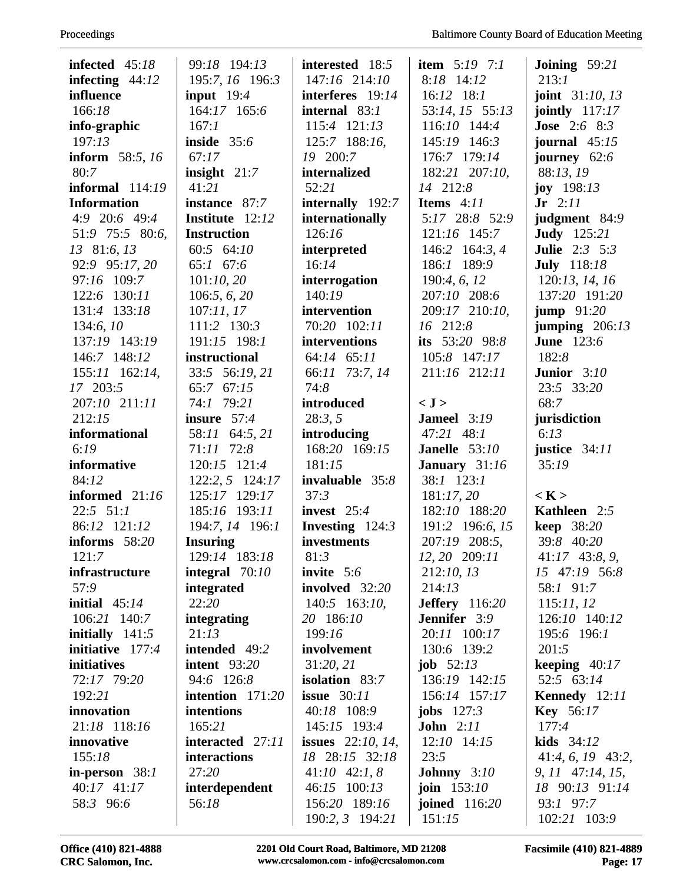| infected $45:18$   | 99:18 194:13       | interested 18:5       | <b>item</b> $5:19$ $7:1$ | <b>Joining</b> $59:21$   |
|--------------------|--------------------|-----------------------|--------------------------|--------------------------|
| infecting $44:12$  | 195:7, 16 196:3    | 147:16 214:10         | 8:18 14:12               | 213:1                    |
| influence          | input $19:4$       | interferes 19:14      | $16:12$ 18:1             | <b>joint</b> $31:10, 13$ |
| 166:18             | 164:17 165:6       | internal 83:1         | 53:14, 15 55:13          | jointly $117:17$         |
| info-graphic       | 167:1              | 115:4 121:13          | 116:10 144:4             | <b>Jose</b> 2:6 8:3      |
| 197:13             | inside $35:6$      | 125:7 188:16,         | 145:19 146:3             | journal $45:15$          |
| inform 58:5, 16    | 67:17              | 19 200:7              | 176:7 179:14             | journey 62:6             |
| 80:7               | insight $21:7$     | internalized          | 182:21 207:10,           | 88:13, 19                |
| informal $114:19$  | 41:21              | 52:21                 | 14 212:8                 | <b>joy</b> $198:13$      |
| <b>Information</b> | instance 87:7      | internally 192:7      | Items $4:11$             | $Jr$ 2:11                |
| 4:9 20:6 49:4      | Institute 12:12    | internationally       | 5:17 28:8 52:9           | judgment 84:9            |
| 51:9 75:5 80:6,    | <b>Instruction</b> | 126:16                | 121:16 145:7             | <b>Judy</b> 125:21       |
| 13 81:6, 13        | 60:5 64:10         | interpreted           | 146:2 164:3, 4           | <b>Julie</b> 2:3 5:3     |
| 92:9 95:17, 20     | 65:1 67:6          | 16:14                 | 186:1 189:9              | <b>July</b> 118:18       |
| 97:16 109:7        | 101:10,20          | interrogation         | 190:4, 6, 12             | 120:13, 14, 16           |
| 122:6 130:11       | 106:5, 6, 20       | 140:19                | 207:10 208:6             | 137:20 191:20            |
| 131:4 133:18       | 107:11,17          | intervention          | 209:17 210:10,           | jump $91:20$             |
| 134:6, 10          | 111:2 130:3        | 70:20 102:11          | 16 212:8                 | jumping $206:13$         |
| 137:19 143:19      | 191:15 198:1       | interventions         | its 53:20 98:8           | <b>June</b> 123:6        |
| 146:7 148:12       | instructional      | 64:14 65:11           | 105:8 147:17             | 182:8                    |
| 155:11 162:14,     | 33:5 56:19, 21     | 66:11 73:7, 14        | 211:16 212:11            | <b>Junior</b> $3:10$     |
| 17 203:5           | 65:7<br>67:15      | 74:8                  |                          | 23:5 33:20               |
| 207:10 211:11      | 74:1 79:21         | introduced            | < J >                    | 68:7                     |
| 212:15             | insure $57:4$      | 28:3, 5               | <b>Jameel</b> 3:19       | jurisdiction             |
| informational      | 58:11 64:5, 21     | introducing           | 47:21 48:1               | 6:13                     |
| 6:19               | 71:11 72:8         | 168:20 169:15         | <b>Janelle</b> $53:10$   | justice $34:11$          |
| informative        | 120:15 121:4       | 181:15                | January 31:16            | 35:19                    |
| 84:12              | 122:2, 5 124:17    | invaluable 35:8       | $38:1$ 123:1             |                          |
| informed 21:16     | 125:17 129:17      | 37:3                  | 181:17,20                | < K >                    |
| $22:5$ $51:1$      | 185:16 193:11      | invest $25:4$         | 182:10 188:20            | Kathleen 2:5             |
| 86:12 121:12       | 194:7, 14 196:1    | Investing 124:3       | 191:2 196:6, 15          | keep 38:20               |
| informs $58:20$    | <b>Insuring</b>    | investments           | 207:19 208:5,            | 39:8 40:20               |
| 121:7              | 129:14 183:18      | 81:3                  | 12, 20 209:11            | $41:17$ 43:8, 9,         |
| infrastructure     | integral $70:10$   | invite $5:6$          | 212:10, 13               | 15 47:19 56:8            |
| 57:9               | integrated         | involved 32:20        | 214:13                   | 58:1 91:7                |
| initial $45:14$    | 22:20              | $140:5$ 163:10,       | <b>Jeffery</b> 116:20    | 115:11,12                |
| 106:21 140:7       | integrating        | 20 186:10             | <b>Jennifer</b> 3:9      | 126:10 140:12            |
| initially $141:5$  | 21:13              | 199:16                | 20:11 100:17             | 195:6 196:1              |
| initiative 177:4   | intended 49:2      | involvement           | 130:6 139:2              | 201:5                    |
| initiatives        | intent $93:20$     | 31:20, 21             | <b>job</b> $52:13$       | keeping $40:17$          |
| 72:17 79:20        | 94:6 126:8         | <b>isolation</b> 83:7 | 136:19 142:15            | 52:5 63:14               |
| 192:21             | intention $171:20$ | <b>issue</b> 30:11    | 156:14 157:17            | Kennedy 12:11            |
| innovation         | intentions         | 40:18 108:9           | jobs $127:3$             | <b>Key</b> 56:17         |
| 21:18 118:16       | 165:21             | 145:15 193:4          | <b>John</b> $2:11$       | 177:4                    |
| innovative         | interacted 27:11   | issues $22:10, 14$ ,  | $12:10$ $14:15$          | kids $34:12$             |
| 155:18             | interactions       | 18 28:15 32:18        | 23:5                     | $41:4, 6, 19$ $43:2,$    |
| in-person $38:1$   | 27:20              | $41:10$ $42:1, 8$     | <b>Johnny</b> $3:10$     | $9, 11$ 47:14, 15,       |
| 40:17 41:17        | interdependent     | 46:15 100:13          | <b>join</b> $153:10$     | 18 90:13 91:14           |
| 58:3 96:6          | 56:18              | 156:20 189:16         | joined 116:20            | 93:1 97:7                |
|                    |                    | 190:2, 3 194:21       | 151:15                   | 102:21 103:9             |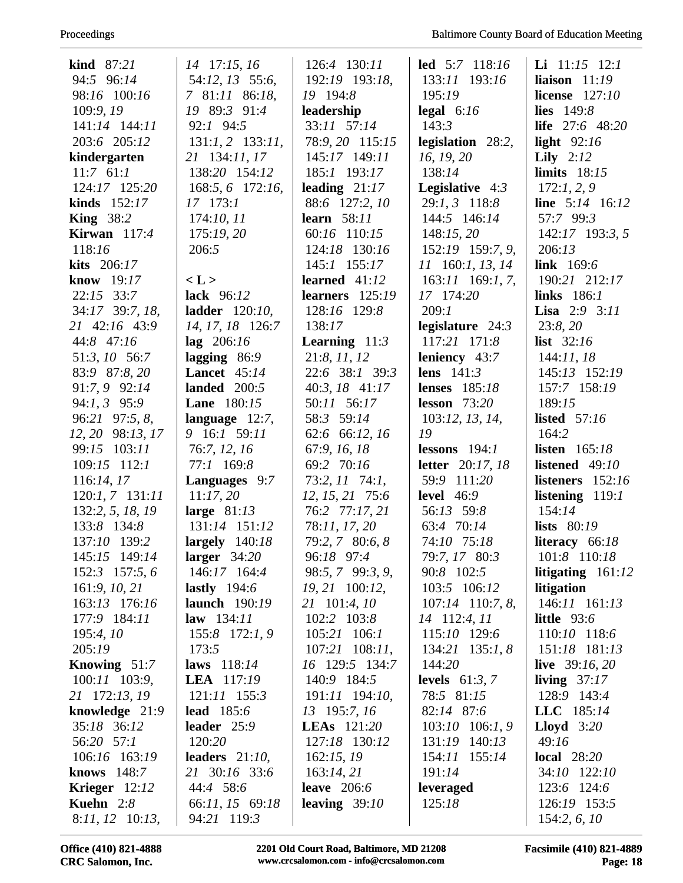# Proceedings

| kind $87:21$                      | $14$ 17:15, 16                 | 126:4 130:11                      | <b>led</b> $5:7$ $118:16$ | <b>Li</b> $11:15$ $12:1$     |
|-----------------------------------|--------------------------------|-----------------------------------|---------------------------|------------------------------|
| 94:5 96:14                        | 54:12, 13 55:6,                | 192:19 193:18,                    | 133:11 193:16             | liaison $11:19$              |
| 98:16 100:16                      | 7 81:11 86:18,                 | 19 194:8                          | 195:19                    | license $127:10$             |
| 109:9, 19                         | 19 89:3 91:4                   | leadership                        | legal $6:16$              | lies $149:8$                 |
| 141:14 144:11                     | 92:1 94:5                      | 33:11 57:14                       | 143:3                     | <b>life</b> $27:6$ 48:20     |
| 203:6 205:12                      | $131:1, 2$ 133:11,             | 78:9, 20 115:15                   | legislation $28:2$ ,      | light $92:16$                |
| kindergarten                      | 21 134:11, 17                  | 145:17 149:11                     | 16, 19, 20                | Lily $2:12$                  |
| $11:7$ 61:1                       | 138:20 154:12                  | 185:1 193:17                      | 138:14                    | limits $18:15$               |
| 124:17 125:20                     | 168:5, 6 172:16,               | leading $21:17$                   | <b>Legislative</b> $4:3$  | 172:1, 2, 9                  |
| kinds $152:17$                    | 17 173:1                       | 88:6 127:2, 10                    | $29:1, 3$ 118:8           | <b>line</b> $5:14$ 16:12     |
| <b>King</b> $38:2$                | 174:10, 11                     | <b>learn</b> 58:11                | 144:5 146:14              | 57:7 99:3                    |
| Kirwan $117:4$                    | 175:19,20                      | 60:16 110:15                      | 148:15,20                 | $142:17$ 193:3, 5            |
| 118:16                            | 206:5                          | 124:18 130:16                     | 152:19 159:7, 9,          | 206:13                       |
| kits 206:17                       |                                | 145:1 155:17                      | 11 160:1, 13, 14          | link $169:6$                 |
| know 19:17                        | < L >                          | learned $41:12$                   | $163:11$ 169:1, 7,        | 190:21 212:17                |
| $22:15$ 33:7                      | lack 96:12                     | learners 125:19                   | 17 174:20                 | links 186:1                  |
| 34:17 39:7, 18,                   | ladder $120:10$ ,              | 128:16 129:8                      | 209:1                     | <b>Lisa</b> 2:9 3:11         |
| 21 42:16 43:9                     | 14, 17, 18 126:7               | 138:17                            | legislature $24:3$        | 23:8,20                      |
| 44:8 47:16                        | $\log 206:16$                  | <b>Learning</b> $11:3$            | 117:21 171:8              | list $32:16$                 |
| 51:3, 10 56:7                     | lagging $86:9$                 | 21:8, 11, 12                      | leniency 43:7             | 144:11,18                    |
| 83:9 87:8, 20                     | <b>Lancet</b> $45:14$          | 22:6 38:1 39:3                    | lens $141:3$              | 145:13 152:19                |
| 91:7, 9 92:14                     | landed $200:5$                 | $40:3, 18$ $41:17$                | <b>lenses</b> 185:18      | 157:7 158:19                 |
| 94:1, 3 95:9                      | <b>Lane</b> 180:15             | 50:11 56:17                       | lesson $73:20$            | 189:15                       |
| 96:21 97:5, 8,                    | language $12:7$ ,              | 58:3 59:14                        | 103:12, 13, 14,           | <b>listed</b> 57:16          |
| 12, 20 98:13, 17                  | 9 16:1 59:11                   | 62:6 66:12, 16                    | 19                        | 164:2                        |
| 99:15 103:11                      | 76:7, 12, 16                   | 67:9, 16, 18                      | lessons $194:1$           | <b>listen</b> 165:18         |
|                                   |                                |                                   |                           |                              |
| 109:15 112:1                      | 77:1 169:8                     | 69:2 70:16                        | <b>letter</b> 20:17, 18   | listened $49:10$             |
|                                   |                                |                                   | 59:9 111:20               | listeners $152:16$           |
| 116:14, 17<br>$120:1, 7$ $131:11$ | Languages 9:7                  | $73:2, 11$ $74:1,$                | level $46:9$              |                              |
|                                   | 11:17,20                       | 12, 15, 21 75:6<br>76:2 77:17, 21 | 56:13 59:8                | listening $119:1$<br>154:14  |
| 132:2, 5, 18, 19<br>133:8 134:8   | large $81:13$<br>131:14 151:12 | 78:11, 17, 20                     | 63:4 70:14                | lists $80:19$                |
| 137:10 139:2                      | largely $140:18$               | 79:2, 7 80:6, 8                   | 74:10 75:18               | literacy $66:18$             |
| 145:15 149:14                     | larger $34:20$                 | 96:18 97:4                        | 79:7, 17 80:3             | 101:8 110:18                 |
| $152:3$ 157:5, 6                  | 146:17 164:4                   | 98:5, 7 99:3, 9,                  | 90:8 102:5                | litigating $161:12$          |
| 161:9, 10, 21                     | lastly $194:6$                 | 19, 21 100:12,                    | 103:5 106:12              | litigation                   |
| 163:13 176:16                     | <b>launch</b> 190:19           | 21 101:4, 10                      | $107:14$ 110:7, 8,        | 146:11 161:13                |
| 177:9 184:11                      | <b>law</b> $134:11$            | 102:2 103:8                       | 14 112:4, 11              | little $93:6$                |
| 195:4,10                          | $155:8$ 172:1, 9               | $105:21$ 106:1                    | 115:10 129:6              | 110:10 118:6                 |
| 205:19                            | 173:5                          | $107:21$ $108:11$ ,               | $134:21$ $135:1, 8$       | 151:18 181:13                |
| <b>Knowing</b> $51:7$             | laws 118:14                    | 16 129:5 134:7                    | 144:20                    | live $39:16,20$              |
| $100:11$ $103:9$ ,                | <b>LEA</b> 117:19              | 140:9 184:5                       | levels $61:3, 7$          | living $37:17$               |
| 21 172:13, 19                     | $121:11$ $155:3$               | 191:11 194:10,                    | 78:5 81:15                | 128:9 143:4                  |
| knowledge $21:9$                  | <b>lead</b> 185:6              | 13 195:7, 16                      | 82:14 87:6                | LLC 185:14                   |
| 35:18 36:12                       | leader $25:9$                  | <b>LEAs</b> 121:20                | $103:10$ $106:1, 9$       | <b>Lloyd</b> $3:20$          |
| 56:20 57:1                        | 120:20                         | 127:18 130:12                     | 131:19 140:13             | 49:16                        |
| 106:16 163:19                     | leaders $21:10$ ,              | 162:15,19                         | 154:11 155:14             | local $28:20$                |
| knows $148:7$                     | 21 30:16 33:6                  | 163:14,21                         | 191:14                    | 34:10 122:10                 |
| Krieger $12:12$                   | 44:4 58:6                      | leave $206:6$                     | leveraged                 | 123:6 124:6                  |
| <b>Kuehn</b> $2:8$                | 66:11, 15 69:18                | leaving $39:10$                   | 125:18                    | 126:19 153:5<br>154:2, 6, 10 |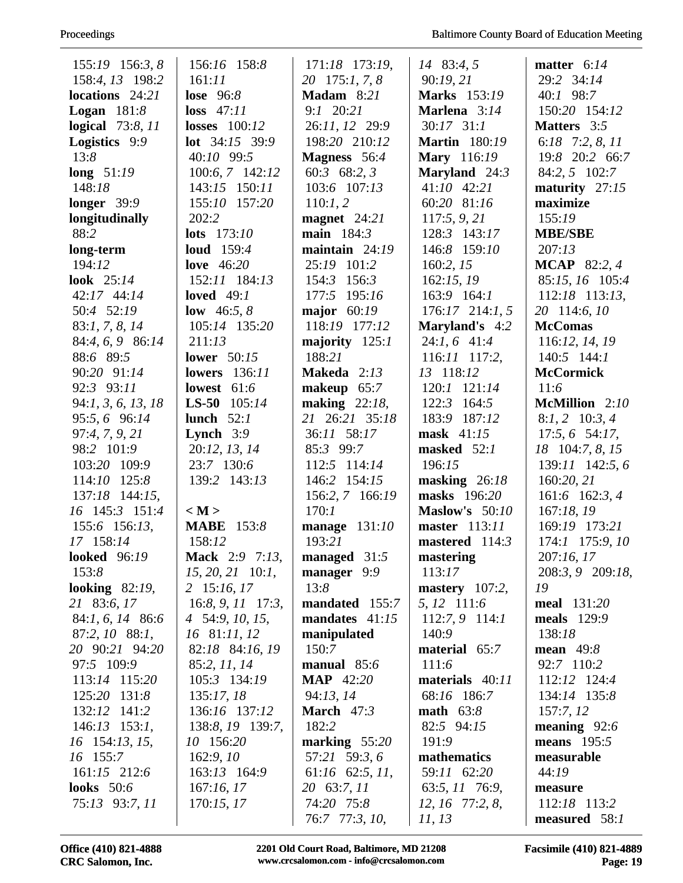| 155:19 156:3, 8         | 156:16 158:8              | 171:18 173:19,       | 14 83:4, 5            | matter $6:14$       |
|-------------------------|---------------------------|----------------------|-----------------------|---------------------|
| 158:4, 13 198:2         | 161:11                    | 20 175:1, 7, 8       | 90:19,21              | 29:2 34:14          |
| locations 24:21         | lose $96:8$               | Madam 8:21           | <b>Marks</b> 153:19   | 40:1 98:7           |
| <b>Logan</b> $181:8$    | $loss$ 47:11              | $9:1$ 20:21          | Marlena 3:14          | 150:20 154:12       |
| <b>logical</b> 73:8, 11 | losses $100:12$           | 26:11, 12 29:9       | $30:17$ $31:1$        | <b>Matters</b> 3:5  |
| Logistics 9:9           | <b>lot</b> $34:15$ $39:9$ | 198:20 210:12        | <b>Martin</b> 180:19  | 6:18 7:2, 8, 11     |
| 13:8                    | 40:10 99:5                | <b>Magness</b> 56:4  | <b>Mary</b> 116:19    | 19:8 20:2 66:7      |
| long $51:19$            | 100:6, 7 142:12           | 60:3 68:2, 3         | Maryland 24:3         | 84:2, 5 102:7       |
| 148:18                  | 143:15 150:11             | 103:6 107:13         | $41:10$ $42:21$       | maturity $27:15$    |
| longer $39:9$           | 155:10 157:20             | 110:1,2              | 60:20 81:16           | maximize            |
| longitudinally          | 202:2                     | magnet $24:21$       | 117:5, 9, 21          | 155:19              |
| 88:2                    | <b>lots</b> $173:10$      | main 184:3           | 128:3 143:17          | <b>MBE/SBE</b>      |
| long-term               | <b>loud</b> 159:4         | maintain $24:19$     | 146:8 159:10          | 207:13              |
| 194:12                  | love $46:20$              | 25:19 101:2          | 160:2, 15             | <b>MCAP</b> 82:2, 4 |
| look $25:14$            | 152:11 184:13             | 154:3 156:3          | 162:15,19             | 85:15, 16 105:4     |
| $42:17$ $44:14$         | loved $49:1$              | 177:5 195:16         | $163:9$ $164:1$       | 112:18 113:13,      |
| 50:4 52:19              | <b>low</b> 46:5, 8        | major $60:19$        | $176:17$ $214:1, 5$   | 20 114:6, 10        |
| 83:1, 7, 8, 14          | 105:14 135:20             | 118:19 177:12        | <b>Maryland's</b> 4:2 | <b>McComas</b>      |
| 84:4, 6, 9 86:14        | 211:13                    | majority 125:1       | $24:1, 6$ 41:4        | 116:12, 14, 19      |
| 88:6 89:5               | lower $50:15$             | 188:21               | $116:11$ $117:2$ ,    | $140:5$ $144:1$     |
| 90:20 91:14             | <b>lowers</b> 136:11      | Makeda 2:13          | 13 118:12             | <b>McCormick</b>    |
| 92:3 93:11              | lowest $61:6$             | makeup $65:7$        | 120:1 121:14          | 11:6                |
| 94:1, 3, 6, 13, 18      | <b>LS-50</b> $105:14$     | making $22:18$ ,     | 122:3<br>164:5        | McMillion 2:10      |
| 95:5, 6 96:14           | lunch $52:1$              | 21 26:21 35:18       | 183:9 187:12          | $8:1, 2$ 10:3, 4    |
| 97:4, 7, 9, 21          | <b>Lynch</b> $3:9$        | 36:11 58:17          | mask $41:15$          | $17:5, 6$ 54:17,    |
| 98:2 101:9              | 20:12, 13, 14             | 85:3 99:7            | masked $52:1$         | 18 104:7, 8, 15     |
| 103:20 109:9            | 23:7 130:6                | 112:5 114:14         | 196:15                | 139:11 142:5,6      |
| 114:10 125:8            | 139:2 143:13              | 146:2 154:15         | masking $26:18$       | 160:20, 21          |
| 137:18 144:15,          |                           | 156:2, 7 166:19      | masks 196:20          | 161:6 162:3, 4      |
| 16 145:3 151:4          | < M >                     | 170:1                | <b>Maslow's</b> 50:10 | 167:18, 19          |
| 155:6 156:13,           | <b>MABE</b><br>153:8      | manage $131:10$      | master $113:11$       | 169:19 173:21       |
| 17 158:14               | 158:12                    | 193:21               | mastered 114:3        | 174:1 175:9, 10     |
| <b>looked</b> 96:19     | Mack 2:9 7:13,            | managed 31:5         | mastering             | 207:16,17           |
| 153:8                   | $15, 20, 21$ 10:1,        | manager 9:9          | 113:17                | 208:3, 9 209:18,    |
| looking $82:19$ ,       | 2 15:16, 17               | 13:8                 | mastery $107:2$ ,     | 19                  |
| 21 83:6, 17             | $16:8, 9, 11$ 17:3,       | mandated 155:7       | 5, 12 111:6           | <b>meal</b> 131:20  |
| 84:1, 6, 14 86:6        | 4 54:9, 10, 15,           | mandates $41:15$     | $112:7,9$ 114:1       | meals 129:9         |
| 87:2, 10 88:1,          | 16 81:11, 12              | manipulated          | 140:9                 | 138:18              |
| 20 90:21 94:20          | 82:18 84:16, 19           | 150:7                | material 65:7         | mean $49:8$         |
| 97:5 109:9              | 85:2, 11, 14              | manual $85:6$        | 111:6                 | 92:7 110:2          |
| 113:14 115:20           | 105:3 134:19              | <b>MAP</b> 42:20     | materials 40:11       | 112:12 124:4        |
| 125:20 131:8            | 135:17, 18                | 94:13, 14            | 68:16 186:7           | 134:14 135:8        |
| 132:12 141:2            | 136:16 137:12             | March $47:3$         | <b>math</b> $63:8$    | 157:7, 12           |
| $146:13$ 153:1,         | 138:8, 19 139:7,          | 182:2                | 82:5 94:15            | meaning $92:6$      |
| 16 154:13, 15,          | 10 156:20                 | marking $55:20$      | 191:9                 | means $195:5$       |
| 16 155:7                | 162:9,10                  | 57:21 59:3, 6        | mathematics           | measurable          |
| 161:15 212:6            | 163:13 164:9              | $61:16$ $62:5$ , 11, | 59:11 62:20           | 44:19               |
| <b>looks</b> 50:6       | 167:16,17                 | 20 63:7, 11          | 63:5, 11 76:9,        | measure             |
| 75:13 93:7, 11          | 170:15, 17                | 74:20 75:8           | 12, 16 77:2, 8,       | 112:18 113:2        |
|                         |                           | 76:7 77:3, 10,       | 11, 13                | measured 58:1       |
|                         |                           |                      |                       |                     |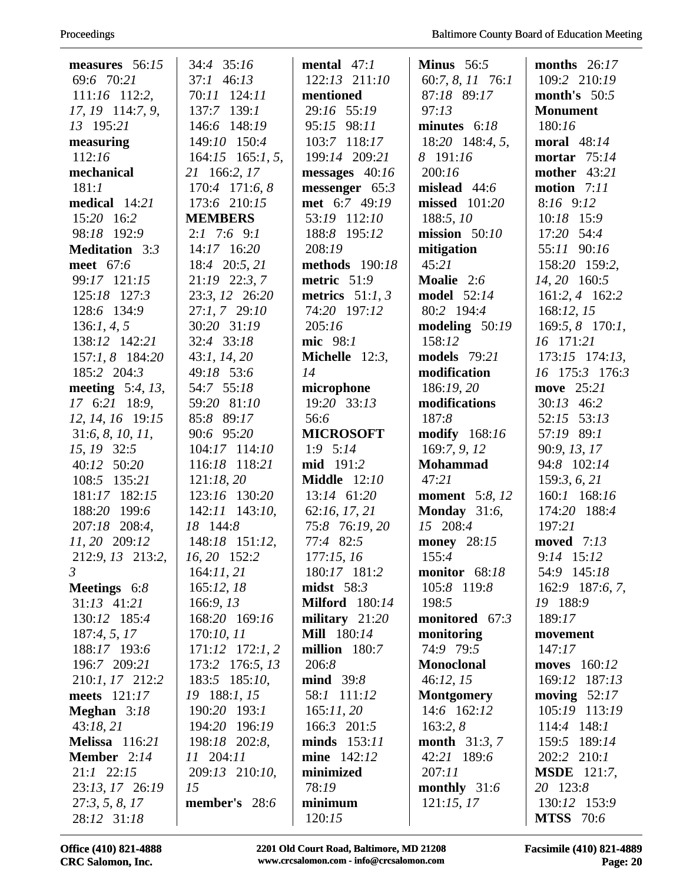| measures $56:15$      | 34:4 35:16            | mental $47:1$         | Minus $56:5$           | months $26:17$      |
|-----------------------|-----------------------|-----------------------|------------------------|---------------------|
| 69:6 70:21            | $37:1$ 46:13          | 122:13 211:10         | 60:7, 8, 11 76:1       | 109:2 210:19        |
| 111:16 112:2,         | 70:11 124:11          | mentioned             | 87:18 89:17            | month's $50:5$      |
| 17, 19 114:7, 9,      | $137:7$ $139:1$       | 29:16 55:19           | 97:13                  | <b>Monument</b>     |
| 13 195:21             | 146:6 148:19          | 95:15 98:11           | minutes $6:18$         | 180:16              |
| measuring             | 149:10 150:4          | 103:7 118:17          | $18:20$ 148:4, 5,      | <b>moral</b> 48:14  |
| 112:16                | $164:15$ $165:1, 5$ , | 199:14 209:21         | 8 191:16               | mortar 75:14        |
| mechanical            | 21 166:2, 17          | messages 40:16        | 200:16                 | <b>mother</b> 43:21 |
| 181:1                 | 170:4 171:6, 8        | messenger 65:3        | mislead $44:6$         | motion $7:11$       |
| medical 14:21         | 173:6 210:15          | met 6:7 49:19         | missed 101:20          | 8:16 9:12           |
| 15:20 16:2            | <b>MEMBERS</b>        | 53:19 112:10          | 188:5, 10              | 10:18 15:9          |
| 98:18 192:9           | $2:1$ 7:6 9:1         | 188:8 195:12          | mission $50:10$        | 17:20 54:4          |
| <b>Meditation</b> 3:3 | 14:17 16:20           | 208:19                | mitigation             | 55:11 90:16         |
| meet 67:6             | 18:4 20:5, 21         | methods 190:18        | 45:21                  | 158:20 159:2,       |
| 99:17 121:15          | 21:19 22:3, 7         | metric 51:9           | Moalie 2:6             | 14, 20 160:5        |
| 125:18 127:3          | 23:3, 12 26:20        | metrics $51:1, 3$     | <b>model</b> 52:14     | 161:2, 4 162:2      |
| 128:6 134:9           | $27:1, 7$ $29:10$     | 74:20 197:12          | 80:2 194:4             | 168:12, 15          |
| 136:1, 4, 5           | 30:20 31:19           | 205:16                | modeling $50:19$       | $169:5, 8$ 170:1,   |
| 138:12 142:21         | 32:4 33:18            | mic 98:1              | 158:12                 | 16 171:21           |
| 157:1, 8 184:20       | 43:1, 14, 20          | Michelle $12:3$ ,     | models 79:21           | $173:15$ $174:13$ , |
| 185:2 204:3           | 49:18 53:6            | 14                    | modification           | 16 175:3 176:3      |
| meeting $5:4$ , 13,   | 54:7 55:18            | microphone            | 186:19, 20             | move 25:21          |
| 17 6:21 18:9,         | 59:20 81:10           | 19:20 33:13           | modifications          | $30:13$ 46:2        |
| 12, 14, 16 19:15      | 85:8 89:17            | 56:6                  | 187:8                  | 52:15 53:13         |
| 31:6, 8, 10, 11,      | 90:6 95:20            | <b>MICROSOFT</b>      | <b>modify</b> 168:16   | 57:19 89:1          |
| 15, 19 32:5           | 104:17 114:10         | $1:9$ 5:14            | 169:7, 9, 12           | 90:9, 13, 17        |
| 40:12 50:20           | 116:18 118:21         | <b>mid</b> 191:2      | <b>Mohammad</b>        | 94:8 102:14         |
| 108:5 135:21          | 121:18,20             | <b>Middle</b> 12:10   | 47:21                  | 159:3, 6, 21        |
| 181:17 182:15         | 123:16 130:20         | 13:14 61:20           | <b>moment</b> 5:8, 12  | 160:1 168:16        |
| 188:20 199:6          | 142:11 143:10,        | 62:16, 17, 21         | Monday $31:6$ ,        | 174:20 188:4        |
| 207:18 208:4,         | 18 144:8              | 75:8 76:19, 20        | 15 208:4               | 197:21              |
| 11, 20 209:12         | 148:18 151:12,        | 77:4 82:5             | <b>money</b> 28:15     | <b>moved</b> 7:13   |
| 212:9, 13 213:2,      | 16, 20 152:2          | 177:15,16             | 155:4                  | 9:14 15:12          |
| $\mathfrak{Z}$        | 164:11,21             | 180:17 181:2          | monitor 68:18          | 54:9 145:18         |
| Meetings 6:8          | 165:12,18             | midst $58:3$          | 105:8 119:8            | 162:9 187:6, 7,     |
| $31:13$ $41:21$       | 166:9, 13             | <b>Milford</b> 180:14 | 198:5                  | 19 188:9            |
| 130:12 185:4          | 168:20 169:16         | military $21:20$      | monitored 67:3         | 189:17              |
| 187:4, 5, 17          | 170:10, 11            | <b>Mill</b> 180:14    | monitoring             | movement            |
| 188:17 193:6          | $171:12$ $172:1,2$    | million 180:7         | 74:9 79:5              | 147:17              |
| 196:7 209:21          | 173:2 176:5, 13       | 206:8                 | <b>Monoclonal</b>      | moves $160:12$      |
| 210:1, 17 212:2       | 183:5 185:10,         | mid 39:8              | 46:12, 15              | 169:12 187:13       |
| meets $121:17$        | 19 188:1, 15          | 58:1 111:12           | <b>Montgomery</b>      | moving $52:17$      |
| Meghan $3:18$         | 190:20 193:1          | 165:11,20             | 14:6 162:12            | 105:19 113:19       |
| 43:18,21              | 194:20 196:19         | 166:3 201:5           | 163:2, 8               | $114:4$ $148:1$     |
| <b>Melissa</b> 116:21 | 198:18 202:8,         | minds $153:11$        | <b>month</b> $31:3, 7$ | 159:5 189:14        |
| <b>Member</b> $2:14$  | 11 204:11             | <b>mine</b> 142:12    | 42:21 189:6            | $202:2$ $210:1$     |
| $21:1$ $22:15$        | 209:13 210:10,        | minimized             | 207:11                 | <b>MSDE</b> 121:7,  |
| 23:13, 17 26:19       | 15                    | 78:19                 | monthly $31:6$         | 20 123:8            |
| 27:3, 5, 8, 17        | member's 28:6         | minimum               | 121:15,17              | 130:12 153:9        |
| 28:12 31:18           |                       | 120:15                |                        | <b>MTSS</b> 70:6    |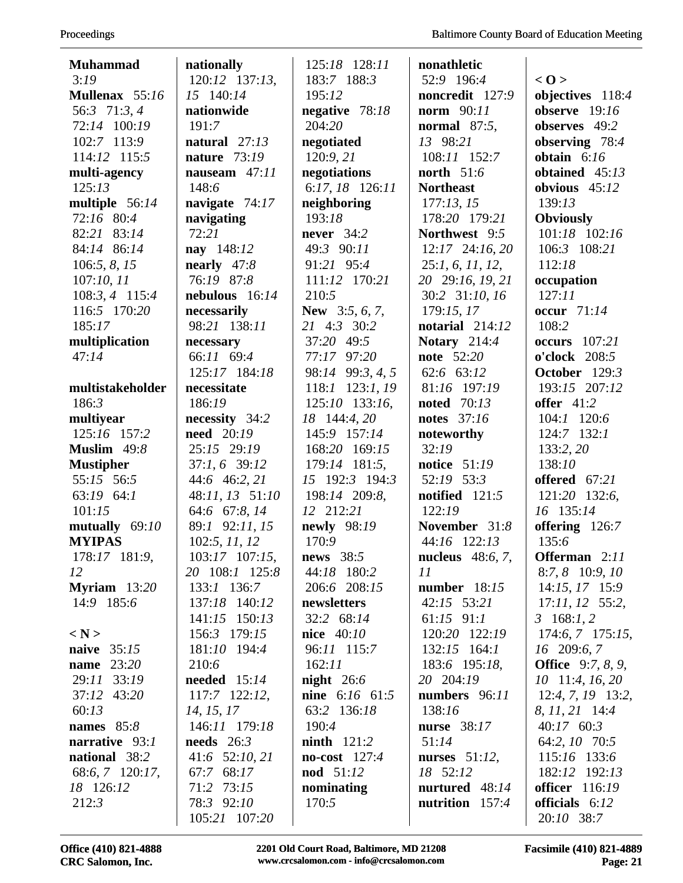| <b>Muhammad</b>   | nationally                  | 125:18 128:11     | nonathletic               |                              |
|-------------------|-----------------------------|-------------------|---------------------------|------------------------------|
| 3:19              | 120:12 137:13,              | 183:7 188:3       | 52:9 196:4                | < 0>                         |
| Mullenax 55:16    | 15 140:14                   | 195:12            | noncredit 127:9           | objectives 118:4             |
| 56:3 71:3, 4      | nationwide                  | negative 78:18    | <b>norm</b> 90:11         | observe $19:16$              |
| 72:14 100:19      | 191:7                       | 204:20            | normal $87:5$ ,           | observes 49:2                |
| 102:7 113:9       | natural $27:13$             | negotiated        | 13 98:21                  | observing 78:4               |
| 114:12 115:5      | nature 73:19                | 120:9, 21         | 108:11 152:7              | obtain $6:16$                |
| multi-agency      | nauseam 47:11               | negotiations      | <b>north</b> 51:6         | obtained $45:13$             |
| 125:13            | 148:6                       | $6:17, 18$ 126:11 | <b>Northeast</b>          | obvious $45:12$              |
| multiple 56:14    | navigate 74:17              | neighboring       | 177:13, 15                | 139:13                       |
| 72:16 80:4        | navigating                  | 193:18            | 178:20 179:21             | <b>Obviously</b>             |
| 82:21 83:14       | 72:21                       | never $34:2$      | Northwest 9:5             | 101:18 102:16                |
| 84:14 86:14       | nay 148:12                  | 49:3 90:11        | $12:17$ $24:16,20$        | 106:3 108:21                 |
| 106:5, 8, 15      | nearly $47:8$               | 91:21 95:4        | 25:1, 6, 11, 12,          | 112:18                       |
| 107:10, 11        | 76:19 87:8                  | 111:12 170:21     | 20 29:16, 19, 21          | occupation                   |
| 108:3, 4 115:4    | nebulous $16:14$            | 210:5             | 30:2 31:10, 16            | 127:11                       |
| 116:5 170:20      | necessarily                 | New $3:5, 6, 7$ , | 179:15, 17                | occur $71:14$                |
| 185:17            | 98:21 138:11                | 21 4:3 30:2       | notarial $214:12$         | 108:2                        |
| multiplication    | necessary                   | 37:20 49:5        | Notary $214:4$            | <b>occurs</b> 107:21         |
| 47:14             | 66:11 69:4                  | 77:17 97:20       | <b>note</b> 52:20         | o'clock 208:5                |
|                   | 125:17 184:18               | 98:14 99:3, 4, 5  | 62:6 63:12                | October 129:3                |
| multistakeholder  | necessitate                 | 118:1 123:1, 19   | 81:16 197:19              | 193:15 207:12                |
| 186:3             | 186:19                      | 125:10 133:16,    | <b>noted</b> 70:13        | offer $41:2$                 |
| multiyear         | necessity 34:2              | 18 144:4, 20      | <b>notes</b> 37:16        | $104:1$ $120:6$              |
| 125:16 157:2      | <b>need</b> 20:19           | 145:9 157:14      | noteworthy                | $124:7$ $132:1$              |
| Muslim 49:8       | 25:15 29:19                 | 168:20 169:15     | 32:19                     | 133:2, 20                    |
| <b>Mustipher</b>  | 37:1, 6 39:12               | 179:14 181:5,     | <b>notice</b> 51:19       | 138:10                       |
| 55:15 56:5        | 44:6 46:2, 21               | 15 192:3 194:3    | 52:19 53:3                | offered 67:21                |
| 63:19 64:1        | 48:11, 13 51:10             | 198:14 209:8,     | notified $121:5$          | 121:20 132:6,                |
| 101:15            | 64:6 67:8, 14               | 12 212:21         | 122:19                    | 16 135:14                    |
| mutually $69:10$  | 89:1 92:11, 15              | newly 98:19       | November 31:8             | offering 126:7               |
| <b>MYIPAS</b>     | 102:5, 11, 12               | 170:9             | 44:16 122:13              | 135:6                        |
| 178:17 181:9,     | 103:17 107:15,              | <b>news</b> 38:5  | <b>nucleus</b> $48:6, 7,$ | Offerman 2:11                |
| 12                | 20 108:1 125:8              | 44:18 180:2       | 11                        | 8:7, 8 10:9, 10              |
| Myriam $13:20$    | 133:1 136:7                 | 206:6 208:15      | number $18:15$            | $14:15, 17$ 15:9             |
| 14:9 185:6        | 137:18 140:12               | newsletters       | $42:15$ 53:21             | $17:11, 12$ 55:2,            |
|                   | 141:15 150:13               | 32:2 68:14        | $61:15$ $91:1$            | $3\quad 168:1, 2$            |
| $<$ N $>$         | 156:3 179:15                | nice $40:10$      | 120:20 122:19             | 174:6, 7 175:15,             |
| naive 35:15       | 181:10 194:4                | 96:11 115:7       | $132:15$ $164:1$          | $16\quad 209:6, 7$           |
| <b>name</b> 23:20 | 210:6                       | 162:11            | 183:6 195:18,             | <b>Office</b> 9:7, 8, 9,     |
| 29:11 33:19       | needed $15:14$              | night $26:6$      | 20 204:19                 | $10$ 11:4, 16, 20            |
| 37:12 43:20       | 117:7 122:12,               | nine 6:16 61:5    | numbers 96:11             | $12:4, 7, 19$ 13:2,          |
| 60:13             | 14, 15, 17                  | 63:2 136:18       | 138:16                    | 8, 11, 21 14:4               |
| names $85:8$      | 146:11 179:18               | 190:4             | nurse 38:17               | $40:17$ 60:3                 |
| narrative 93:1    | needs $26:3$                | $ninth$ 121:2     | 51:14                     | 64:2, 10 70:5                |
| national 38:2     | 41:6 52:10, 21              | no-cost 127:4     | nurses $51:12$ ,          | 115:16 133:6                 |
| 68:6, 7 120:17,   | 67:7 68:17                  | nod 51:12         | 18 52:12                  | 182:12 192:13                |
| 18 126:12         | 71:2 73:15                  | nominating        | nurtured 48:14            | <b>officer</b> 116:19        |
| 212:3             | 78:3 92:10<br>105:21 107:20 | 170:5             | nutrition 157:4           | officials 6:12<br>20:10 38:7 |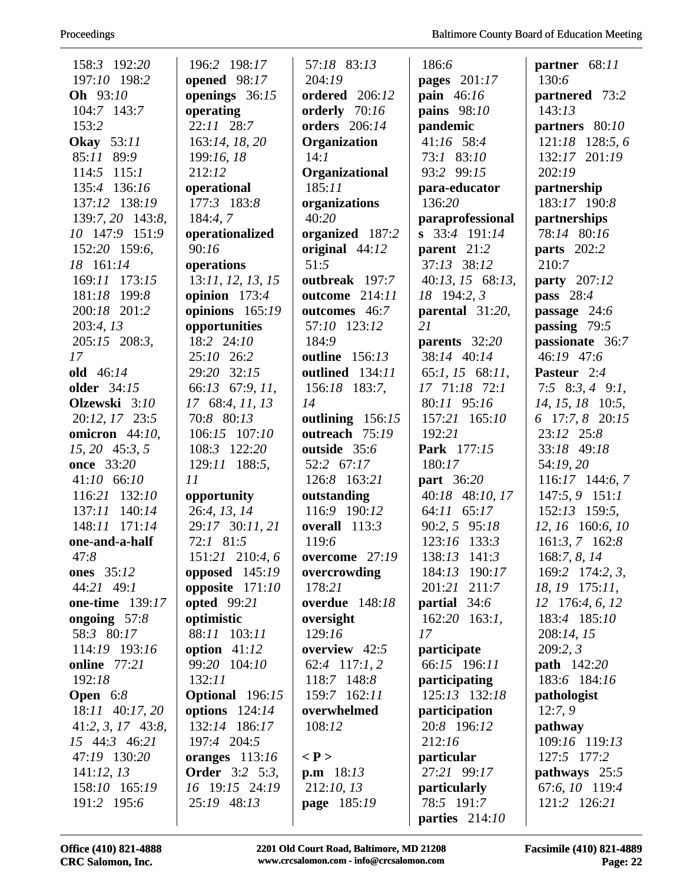| 158:3 192:20           | 196:2 198:17                          | 57:18 83:13               | 186:6                        | partner 68:11                   |
|------------------------|---------------------------------------|---------------------------|------------------------------|---------------------------------|
| 197:10 198:2           | opened 98:17                          | 204:19                    | pages $201:17$               | 130:6                           |
| Oh 93:10               | openings 36:15                        | <b>ordered</b> 206:12     | pain $46:16$                 | partnered 73:2                  |
| 104:7 143:7            | operating                             | orderly 70:16             | pains 98:10                  | 143:13                          |
| 153:2                  | $22:11$ $28:7$                        | orders 206:14             | pandemic                     | partners $80:10$                |
| <b>Okay</b> 53:11      | 163:14, 18, 20                        | Organization              | 41:16 58:4                   | $121:18$ 128:5, 6               |
| 85:11 89:9             | 199:16, 18                            | 14:1                      | 73:1 83:10                   | 132:17 201:19                   |
| $114:5$ $115:1$        | 212:12                                | Organizational            | 93:2 99:15                   | 202:19                          |
| 135:4 136:16           | operational                           | 185:11                    | para-educator                | partnership                     |
| 137:12 138:19          | 177:3 183:8                           | organizations             | 136:20                       | 183:17 190:8                    |
| 139:7, 20 143:8,       | 184:4,7                               | 40:20                     | paraprofessional             | partnerships                    |
| 10 147:9 151:9         | operationalized                       | organized 187:2           | s 33:4 191:14                | 78:14 80:16                     |
| 152:20 159:6,          | 90:16                                 | original 44:12            | parent 21:2                  | <b>parts</b> 202:2              |
| 18 161:14              | operations                            | 51:5                      | 37:13 38:12                  | 210:7                           |
| 169:11 173:15          | 13:11, 12, 13, 15                     | outbreak 197:7            | 40:13, 15 68:13,             | party 207:12                    |
| 181:18 199:8           | opinion $173:4$                       | outcome 214:11            | 18 194:2, 3                  | pass $28:4$                     |
| 200:18 201:2           | opinions 165:19                       | outcomes 46:7             | parental $31:20$ ,           | passage $24:6$                  |
| 203:4, 13              | opportunities                         | 57:10 123:12              | 21                           | passing $79:5$                  |
| 205:15 208:3,          | 18:2 24:10                            | 184:9                     | parents 32:20                | passionate 36:7                 |
| 17                     | 25:10 26:2                            | outline 156:13            | 38:14 40:14                  | 46:19 47:6                      |
| old 46:14              | 29:20 32:15                           | outlined 134:11           | 65:1, 15 68:11,              | Pasteur 2:4                     |
| <b>older</b> 34:15     | 66:13 67:9, 11,                       | 156:18 183:7,             | 17 71:18 72:1                | 7:5 8:3, 4 9:1,                 |
| Olzewski 3:10          | 17 68:4, 11, 13                       | 14                        | 80:11 95:16                  | $14, 15, 18$ 10:5,              |
| 20:12, 17 23:5         | 70:8 80:13                            | outlining $156:15$        | 157:21 165:10                | 6 17:7, 8 20:15                 |
| omicron 44:10,         | 106:15 107:10                         | outreach 75:19            | 192:21                       | 23:12 25:8                      |
| $15, 20$ 45:3, 5       | 108:3 122:20                          | outside 35:6              | Park 177:15                  | 33:18 49:18                     |
| <b>once</b> 33:20      | 129:11 188:5,                         | 52:2 67:17                | 180:17                       | 54:19, 20                       |
| 41:10 66:10            | 11                                    | 126:8 163:21              | <b>part</b> 36:20            | $116:17$ 144:6, 7               |
| 116:21 132:10          | opportunity                           | outstanding               | 40:18 48:10, 17              | $147:5, 9$ 151:1                |
| 137:11 140:14          | 26:4, 13, 14                          | 116:9 190:12              | 64:11 65:17                  | 152:13 159:5,                   |
| 148:11 171:14          | 29:17 30:11, 21<br>72:1 81:5          | overall $113:3$           | 90:2, 5 95:18                | 12, 16 160:6, 10                |
| one-and-a-half<br>47:8 | 151:21 210:4,6                        | 119:6<br>overcome $27:19$ | 123:16 133:3<br>138:13 141:3 | $161:3, 7$ 162:8                |
| <b>ones</b> 35:12      |                                       |                           | 184:13 190:17                | 168:7, 8, 14<br>169:2 174:2, 3, |
| 44:21 49:1             | opposed $145:19$<br>opposite $171:10$ | overcrowding<br>178:21    | 201:21 211:7                 | 18, 19 175:11,                  |
| <b>one-time</b> 139:17 | <b>opted</b> 99:21                    | <b>overdue</b> 148:18     | partial 34:6                 | $12 \quad 176:4, 6, 12$         |
| ongoing $57:8$         | optimistic                            | oversight                 | $162:20$ 163:1,              | 183:4 185:10                    |
| 58:3 80:17             | 88:11 103:11                          | 129:16                    | 17                           | 208:14, 15                      |
| 114:19 193:16          | option $41:12$                        | overview 42:5             | participate                  | 209:2,3                         |
| online 77:21           | 99:20 104:10                          | 62:4 117:1, 2             | 66:15 196:11                 | <b>path</b> 142:20              |
| 192:18                 | 132:11                                | 118:7 148:8               | participating                | 183:6 184:16                    |
| <b>Open</b> $6:8$      | <b>Optional</b> 196:15                | 159:7 162:11              | 125:13 132:18                | pathologist                     |
| 18:11 40:17, 20        | options $124:14$                      | overwhelmed               | participation                | 12:7,9                          |
| $41:2, 3, 17$ $43:8,$  | 132:14 186:17                         | 108:12                    | 20:8 196:12                  | pathway                         |
| 15 44:3 46:21          | 197:4 204:5                           |                           | 212:16                       | 109:16 119:13                   |
| 47:19 130:20           | oranges $113:16$                      | $\langle P \rangle$       | particular                   | 127:5 177:2                     |
| 141:12,13              | <b>Order</b> 3:2 5:3,                 | <b>p.m</b> $18:13$        | 27:21 99:17                  | pathways 25:5                   |
| 158:10 165:19          | 16 19:15 24:19                        | 212:10, 13                | <i>particularly</i>          | 67:6, 10 119:4                  |
| 191:2 195:6            | 25:19 48:13                           | page 185:19               | 78:5 191:7                   | 121:2 126:21                    |
|                        |                                       |                           | parties $214:10$             |                                 |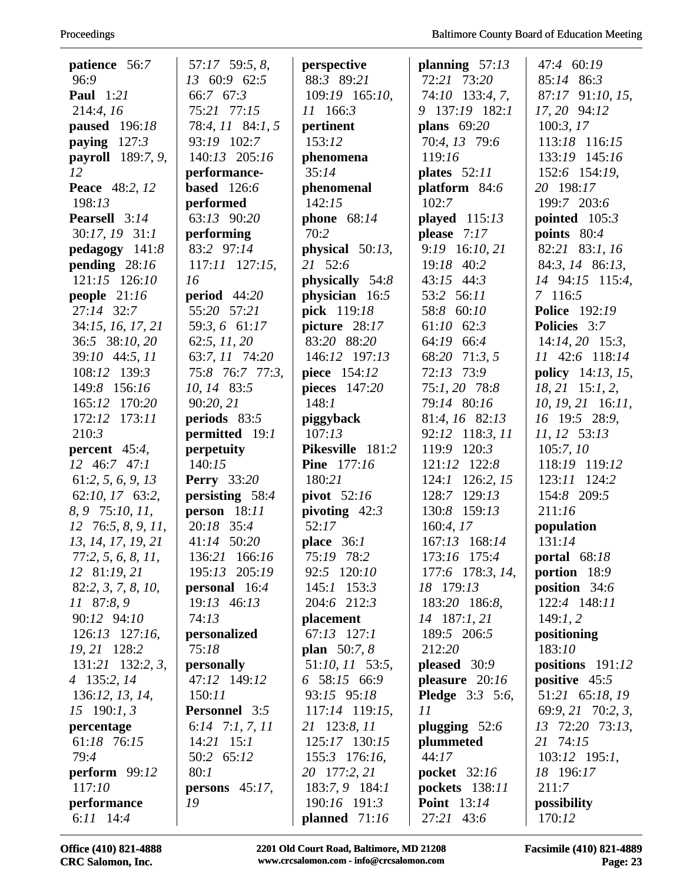| patience 56:7             | 57:17 59:5, 8,                  | perspective                   | planning $57:13$             | 47:4 60:19                  |
|---------------------------|---------------------------------|-------------------------------|------------------------------|-----------------------------|
| 96:9                      | 13 60:9 62:5                    | 88:3 89:21                    | 72:21 73:20                  | 85:14 86:3                  |
| <b>Paul</b> 1:21          | 66:7 67:3                       | 109:19 165:10,                | 74:10 133:4, 7,              | 87:17 91:10, 15,            |
| 214:4, 16                 | 75:21 77:15                     | 11 166:3                      | 9 137:19 182:1               | 17, 20 94:12                |
| <b>paused</b> 196:18      | 78:4, 11 84:1, 5                | pertinent                     | plans $69:20$                | 100:3, 17                   |
| paying $127:3$            | 93:19 102:7                     | 153:12                        | 70:4, 13 79:6                | 113:18 116:15               |
| <b>payroll</b> 189:7, 9,  | 140:13 205:16                   | phenomena                     | 119:16                       | 133:19 145:16               |
| 12                        | performance-                    | 35:14                         | plates $52:11$               | 152:6 154:19,               |
| <b>Peace</b> 48:2, 12     | <b>based</b> 126:6              | phenomenal                    | platform 84:6                | 20 198:17                   |
| 198:13                    | performed                       | 142:15                        | 102:7                        | 199:7 203:6                 |
| <b>Pearsell</b> 3:14      | 63:13 90:20                     | phone $68:14$                 | played $115:13$              | pointed $105:3$             |
| 30:17, 19 31:1            | performing                      | 70:2                          | please 7:17                  | points $80:4$               |
| $pedagogy$ 141:8          | 83:2 97:14                      | physical $50:13$ ,            | 9:19 16:10, 21               | 82:21 83:1, 16              |
| pending $28:16$           | $117:11$ $127:15$ ,             | 21 52:6                       | 19:18 40:2                   | 84:3, 14 86:13,             |
| 121:15 126:10             | 16                              | physically 54:8               | $43:15$ $44:3$               | 14 94:15 115:4,             |
| people $21:16$            | period $44:20$                  | physician 16:5                | 53:2 56:11                   | 7 116:5                     |
| 27:14 32:7                | 55:20 57:21                     | pick 119:18                   | 58:8 60:10                   | <b>Police</b> 192:19        |
| 34:15, 16, 17, 21         | 59:3, 6 61:17                   | picture $28:17$               | 61:10 62:3                   | <b>Policies</b> 3:7         |
| 36:5 38:10, 20            | 62:5, 11, 20                    | 83:20 88:20                   | 64:19 66:4                   | $14:14, 20$ 15:3,           |
| 39:10 44:5, 11            | 63:7, 11 74:20                  | 146:12 197:13                 | 68:20 71:3, 5                | 11 42:6 118:14              |
| 108:12 139:3              | 75:8 76:7 77:3,                 | piece 154:12                  | 72:13 73:9                   | <b>policy</b> $14:13, 15,$  |
| 149:8 156:16              | 10, 14 83:5                     | pieces $147:20$               | 75:1, 20 78:8                | $18, 21$ 15:1, 2,           |
| 165:12 170:20             | 90:20,21                        | 148:1                         | 79:14 80:16                  | $10, 19, 21$ 16:11,         |
| 172:12 173:11             | periods 83:5                    | piggyback                     | 81:4, 16 82:13               | 16 19:5 28:9,               |
| 210:3                     | permitted 19:1                  | 107:13                        | 92:12 118:3, 11              | 11, 12 53:13                |
| percent $45:4$ ,          | perpetuity                      | Pikesville 181:2              | 119:9 120:3                  | 105:7,10                    |
| $12 \t 46:7 \t 47:1$      | 140:15                          | <b>Pine</b> 177:16            | 121:12 122:8                 | 118:19 119:12               |
| 61:2, 5, 6, 9, 13         | <b>Perry</b> 33:20              | 180:21                        | 124:1 126:2, 15              | 123:11 124:2                |
| 62:10, 17 63:2,           | persisting 58:4                 | pivot $52:16$                 | 128:7 129:13                 | 154:8 209:5                 |
| 8, 9 75:10, 11,           | person $18:11$                  | pivoting $42:3$               | 130:8 159:13                 | 211:16                      |
| $12\quad76:5, 8, 9, 11,$  | 20:18 35:4                      | 52:17                         | 160:4, 17                    | population                  |
| 13, 14, 17, 19, 21        | 41:14 50:20                     | place $36:1$                  | 167:13 168:14                | 131:14                      |
| 77:2, 5, 6, 8, 11,        | 136:21 166:16                   | 75:19 78:2                    | 173:16 175:4                 | <b>portal</b> 68:18         |
| 12 81:19, 21              | 195:13 205:19                   | 92:5 120:10                   | 177:6 178:3, 14,             | portion 18:9                |
| 82:2, 3, 7, 8, 10,        | <b>personal</b> 16:4            | $145:1$ 153:3                 | 18 179:13                    | <b>position</b> $34:6$      |
| 11 87:8, 9                | 19:13 46:13                     | 204:6 212:3                   | 183:20 186:8,                | 122:4 148:11                |
| 90:12 94:10               | 74:13                           | placement                     | 14 187:1, 21                 | 149:1,2                     |
| 126:13 127:16,            | personalized                    | $67:13$ $127:1$               | 189:5 206:5                  | positioning                 |
| 19, 21 128:2              | 75:18                           | <b>plan</b> 50:7, 8           | 212:20                       | 183:10                      |
| 131:21 132:2, 3,          | personally                      | 51:10, 11 53:5,               | pleased 30:9                 | positions $191:12$          |
| 4 135:2, 14               | 47:12 149:12                    | 6 58:15 66:9                  | pleasure $20:16$             | positive 45:5               |
| 136:12, 13, 14,           | 150:11                          | 93:15 95:18                   | <b>Pledge</b> 3:3 5:6,       | 51:21 65:18, 19             |
| $15 \quad 190:1, 3$       | <b>Personnel</b> 3:5            | 117:14 119:15,                | 11                           | 69:9, 21 70:2, 3,           |
| percentage<br>61:18 76:15 | 6:14 7:1, 7, 11<br>$14:21$ 15:1 | 21 123:8, 11<br>125:17 130:15 | plugging $52:6$<br>plummeted | 13 72:20 73:13,<br>21 74:15 |
| 79:4                      | 50:2 65:12                      | 155:3 176:16,                 | 44:17                        | 103:12 195:1,               |
| perform $99:12$           | 80:1                            | 20 177:2, 21                  | <b>pocket</b> 32:16          | 18 196:17                   |
| 117:10                    | persons $45:17$ ,               | 183:7, 9 184:1                | pockets 138:11               | 211:7                       |
| performance               | 19                              | 190:16 191:3                  | <b>Point</b> 13:14           | possibility                 |
| 6:11 14:4                 |                                 | planned $71:16$               | 27:21 43:6                   | 170:12                      |
|                           |                                 |                               |                              |                             |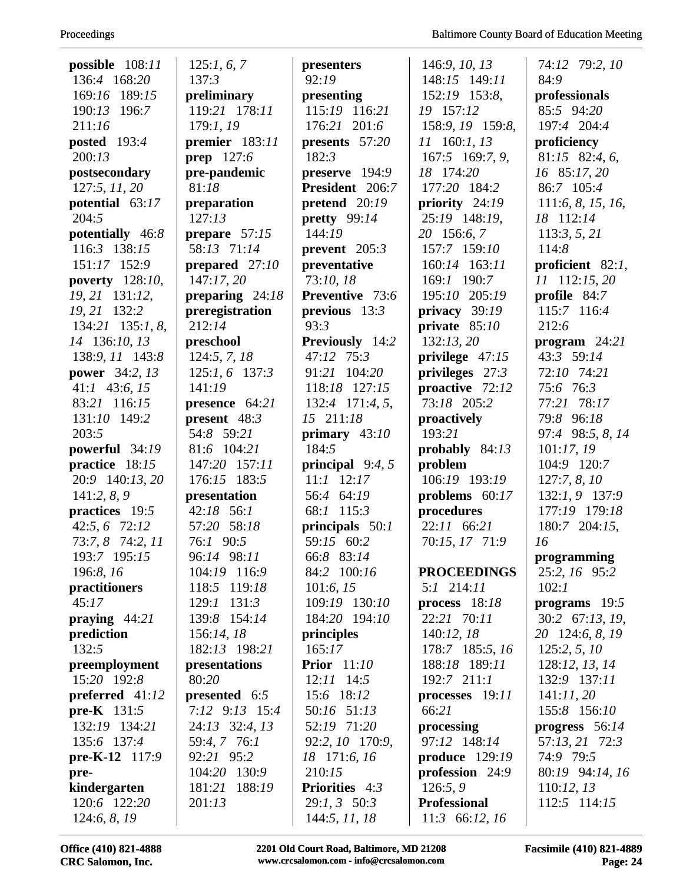| possible $108:11$     | 125:1, 6, 7       | presenters            | 146:9, 10, 13         | 74:12 79:2, 10      |
|-----------------------|-------------------|-----------------------|-----------------------|---------------------|
| 136:4 168:20          | 137:3             | 92:19                 | 148:15 149:11         | 84:9                |
| 169:16 189:15         | preliminary       | presenting            | 152:19 153:8,         | professionals       |
| 190:13 196:7          | 119:21 178:11     | 115:19 116:21         | 19 157:12             | 85:5 94:20          |
| 211:16                | 179:1, 19         | 176:21 201:6          | 158:9, 19 159:8,      | 197:4 204:4         |
| posted 193:4          | premier 183:11    | presents 57:20        | 11 160:1, 13          | proficiency         |
| 200:13                | <b>prep</b> 127:6 | 182:3                 | 167:5 169:7, 9,       | 81:15 82:4, 6,      |
| postsecondary         | pre-pandemic      | preserve 194:9        | 18 174:20             | 16 85:17, 20        |
| 127:5, 11, 20         | 81:18             | President 206:7       | 177:20 184:2          | 86:7 105:4          |
| potential 63:17       | preparation       | pretend $20:19$       | priority $24:19$      | 111:6, 8, 15, 16,   |
| 204:5                 | 127:13            | pretty $99:14$        | 25:19 148:19,         | 18 112:14           |
| potentially $46:8$    | prepare $57:15$   | 144:19                | 20 156:6, 7           | 113:3, 5, 21        |
| 116:3 138:15          | 58:13 71:14       | prevent $205:3$       | 157:7 159:10          | 114:8               |
| 151:17 152:9          | prepared $27:10$  | preventative          | 160:14 163:11         | proficient $82:1$ , |
| poverty 128:10,       | 147:17,20         | 73:10, 18             | 169:1 190:7           | 11 112:15, 20       |
| 19, 21 131:12,        | preparing $24:18$ | Preventive 73:6       | 195:10 205:19         | profile 84:7        |
| 19, 21 132:2          | preregistration   | previous $13:3$       | privacy $39:19$       | 115:7 116:4         |
| $134:21$ $135:1, 8$ , | 212:14            | 93:3                  | private $85:10$       | 212:6               |
| 14 136:10, 13         | preschool         | Previously 14:2       | 132:13,20             | program $24:21$     |
| 138:9, 11 143:8       | 124:5, 7, 18      | 47:12 75:3            | privilege $47:15$     | 43:3 59:14          |
| power 34:2, 13        | $125:1, 6$ 137:3  | 91:21 104:20          | privileges $27:3$     | 72:10 74:21         |
| $41:1$ 43:6, 15       | 141:19            | 118:18 127:15         | proactive 72:12       | 75:6 76:3           |
| 83:21 116:15          | presence $64:21$  | 132:4 171:4, 5,       | 73:18 205:2           | 77:21 78:17         |
| 131:10 149:2          | present $48:3$    | 15 211:18             | proactively           | 79:8 96:18          |
| 203:5                 | 54:8 59:21        | primary $43:10$       | 193:21                | 97:4 98:5, 8, 14    |
| powerful 34:19        | 81:6 104:21       | 184:5                 | probably 84:13        | 101:17, 19          |
| practice 18:15        | 147:20 157:11     | principal $9:4,5$     | problem               | 104:9 120:7         |
| 20:9 140:13, 20       | 176:15 183:5      | $11:1$ $12:17$        | 106:19 193:19         | 127:7, 8, 10        |
| 141:2, 8, 9           | presentation      | 56:4 64:19            | problems $60:17$      | 132:1, 9 137:9      |
| practices 19:5        | 42:18 56:1        | 68:1 115:3            | procedures            | 177:19 179:18       |
| 42:5, 6 72:12         | 57:20 58:18       | principals $50:1$     | 22:11 66:21           | 180:7 204:15,       |
| 73:7, 8 74:2, 11      | 76:1 90:5         | 59:15 60:2            | 70:15, 17 71:9        | 16                  |
| 193:7 195:15          | 96:14 98:11       | 66:8 83:14            |                       | programming         |
| 196:8, 16             | 104:19 116:9      | 84:2 100:16           | <b>PROCEEDINGS</b>    | 25:2, 16 95:2       |
| practitioners         | 118:5 119:18      | 101:6, 15             | $5:1$ 214:11          | 102:1               |
| 45:17                 | 129:1 131:3       | 109:19 130:10         | process $18:18$       | programs 19:5       |
| praying $44:21$       | 139:8 154:14      | 184:20 194:10         | 22:21 70:11           | 30:2 67:13, 19,     |
| prediction            | 156:14, 18        | principles            | 140:12, 18            | 20 124:6, 8, 19     |
| 132:5                 | 182:13 198:21     | 165:17                | 178:7 185:5, 16       | 125:2, 5, 10        |
| preemployment         | presentations     | <b>Prior</b> 11:10    | 188:18 189:11         | 128:12, 13, 14      |
| 15:20 192:8           | 80:20             | $12:11$ 14:5          | $192:7$ $211:1$       | 132:9 137:11        |
| preferred 41:12       | presented 6:5     | 15:6 18:12            | processes 19:11       | 141:11,20           |
| <b>pre-K</b> $131:5$  | 7:12 9:13 15:4    | 50:16 51:13           | 66:21                 | 155:8 156:10        |
| 132:19 134:21         | 24:13 32:4, 13    | 52:19 71:20           | processing            | progress $56:14$    |
| 135:6 137:4           | 59:4, 7 76:1      | 92:2, 10 170:9,       | 97:12 148:14          | 57:13, 21 72:3      |
| pre-K-12 $117:9$      | 92:21 95:2        | 18 171:6, 16          | <b>produce</b> 129:19 | 74:9 79:5           |
| pre-                  | 104:20 130:9      | 210:15                | profession 24:9       | 80:19 94:14, 16     |
| kindergarten          | 188:19<br>181:21  | <b>Priorities</b> 4:3 | 126:5, 9              | 110:12, 13          |
| 120:6 122:20          | 201:13            | $29:1, 3$ 50:3        | <b>Professional</b>   | 112:5 114:15        |
| 124:6, 8, 19          |                   | 144:5, 11, 18         | 11:3 66:12, 16        |                     |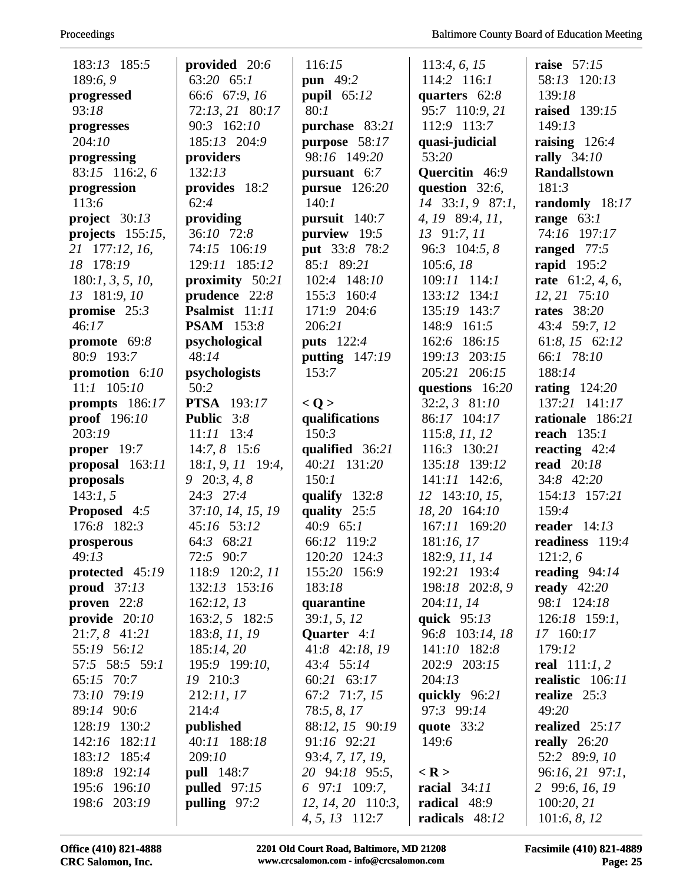| 183:13 185:5               | provided 20:6             | 116:15                         | 113:4, 6, 15        | <b>raise</b> 57:15               |
|----------------------------|---------------------------|--------------------------------|---------------------|----------------------------------|
| 189:6,9                    | 63:20 65:1                | pun 49:2                       | 114:2 116:1         | 58:13 120:13                     |
| progressed                 | 66:6 67:9, 16             | pupil $65:12$                  | quarters $62:8$     | 139:18                           |
| 93:18                      | 72:13, 21 80:17           | 80:1                           | 95:7 110:9, 21      | <b>raised</b> 139:15             |
| progresses                 | 90:3 162:10               | purchase 83:21                 | 112:9 113:7         | 149:13                           |
| 204:10                     | 185:13 204:9              | purpose 58:17                  | quasi-judicial      | raising $126:4$                  |
| progressing                | providers                 | 98:16 149:20                   | 53:20               | rally 34:10                      |
| 83:15 116:2, 6             | 132:13                    | pursuant 6:7                   | Quercitin 46:9      | <b>Randallstown</b>              |
| progression                | provides 18:2             | <b>pursue</b> 126:20           | question $32:6$ ,   | 181:3                            |
| 113:6                      | 62:4                      | 140:1                          | 14 33:1, 9 87:1,    | randomly 18:17                   |
| project $30:13$            | providing                 | pursuit 140:7                  | 4, 19 89:4, 11,     | range $63:1$                     |
| projects $155:15$ ,        | 36:10 72:8                | purview 19:5                   | 13 91:7, 11         | 74:16 197:17                     |
| 21 177:12, 16,             | 74:15 106:19              | put 33:8 78:2                  | 96:3 104:5, 8       | ranged 77:5                      |
| 18 178:19                  | 129:11 185:12             | 85:1 89:21                     | 105:6, 18           | rapid 195:2                      |
| 180:1, 3, 5, 10,           | proximity 50:21           | 102:4 148:10                   | $109:11$ $114:1$    | rate $61:2, 4, 6$ ,              |
| 13 181:9, 10               | prudence 22:8             | 155:3 160:4                    | 133:12 134:1        | 12, 21 75:10                     |
| promise $25:3$             | Psalmist 11:11            | 171:9 204:6                    | 135:19 143:7        | <b>rates</b> 38:20               |
| 46:17                      | <b>PSAM</b> 153:8         | 206:21                         | 148:9 161:5         | 43:4 59:7, 12                    |
| promote $69:8$             | psychological             | <b>puts</b> 122:4              | 162:6 186:15        | 61:8, 15 62:12                   |
| 80:9 193:7                 | 48:14                     | putting $147:19$               | 199:13 203:15       | 66:1 78:10                       |
| promotion $6:10$           | psychologists             | 153:7                          | 205:21 206:15       | 188:14                           |
| $11:1$ $105:10$            | 50:2                      |                                | questions 16:20     | <b>rating</b> 124:20             |
| prompts $186:17$           | <b>PTSA</b> 193:17        | < Q >                          | 32:2, 3 81:10       | 137:21 141:17                    |
| proof 196:10               | Public 3:8                | qualifications                 | 86:17 104:17        | rationale 186:21                 |
| 203:19                     | $11:11$ $13:4$            | 150:3                          | 115:8, 11, 12       | reach $135:1$                    |
| proper $19:7$              | $14:7, 8$ 15:6            | qualified 36:21                | 116:3 130:21        | reacting $42:4$                  |
| proposal 163:11            | 18:1, 9, 11 19:4,         | 40:21 131:20                   | 135:18 139:12       | <b>read</b> 20:18                |
| proposals                  | $9\quad 20:3, 4, 8$       | 150:1                          | $141:11$ $142:6$ ,  | 34:8 42:20                       |
| 143:1, 5                   | 24:3 27:4                 | qualify $132:8$                | 12 143:10, 15,      | 154:13 157:21                    |
| <b>Proposed</b> 4:5        | 37:10, 14, 15, 19         | quality $25:5$                 | 18, 20 164:10       | 159:4                            |
| 176:8 182:3                | 45:16 53:12               | 40:9 65:1                      | 167:11 169:20       | reader $14:13$                   |
| prosperous                 | 64:3 68:21                | 66:12 119:2                    | 181:16,17           | readiness 119:4                  |
| 49:13                      | 72:5 90:7                 | 120:20 124:3                   | 182:9, 11, 14       | 121:2,6                          |
| protected 45:19            | 118:9 120:2, 11           | 155:20 156:9                   | 192:21 193:4        | reading $94:14$                  |
| proud $37:13$              | 132:13 153:16             | 183:18                         | 198:18 202:8, 9     | ready $42:20$                    |
| proven $22:8$              | 162:12, 13                | quarantine                     | 204:11, 14          | 98:1 124:18                      |
| provide $20:10$            | 163:2, 5 182:5            | 39:1, 5, 12                    | quick $95:13$       | 126:18 159:1,                    |
| 21:7, 8 41:21              | 183:8, 11, 19             | <b>Quarter</b> 4:1             | 96:8 103:14, 18     | 17 160:17                        |
| 55:19 56:12                | 185:14,20                 | 41:8 42:18, 19                 | 141:10 182:8        | 179:12                           |
| 57:5 58:5 59:1             | 195:9 199:10,             | 43:4 55:14                     | 202:9 203:15        | real $111:1, 2$                  |
| 65:15 70:7                 | 19 210:3                  | 60:21 63:17                    | 204:13              | realistic 106:11                 |
| 73:10 79:19                | 212:11, 17                | 67:2 71:7, 15                  | quickly 96:21       | realize $25:3$                   |
| 89:14 90:6<br>128:19 130:2 | 214:4                     | 78:5, 8, 17                    | 97:3 99:14          | 49:20                            |
| 142:16 182:11              | published<br>40:11 188:18 | 88:12, 15 90:19<br>91:16 92:21 | quote 33:2<br>149:6 | realized 25:17<br>really $26:20$ |
| 183:12 185:4               | 209:10                    | 93:4, 7, 17, 19,               |                     | 52:2 89:9, 10                    |
| 189:8 192:14               | <b>pull</b> 148:7         | 20 94:18 95:5,                 | $<$ R $>$           | 96:16, 21 97:1,                  |
| 195:6 196:10               | pulled $97:15$            | 6 97:1 109:7,                  | racial $34:11$      | 2 99:6, 16, 19                   |
| 198:6 203:19               | pulling 97:2              | $12, 14, 20$ 110:3,            | radical 48:9        | 100:20, 21                       |
|                            |                           | 4, 5, 13 112:7                 | radicals 48:12      | 101:6, 8, 12                     |
|                            |                           |                                |                     |                                  |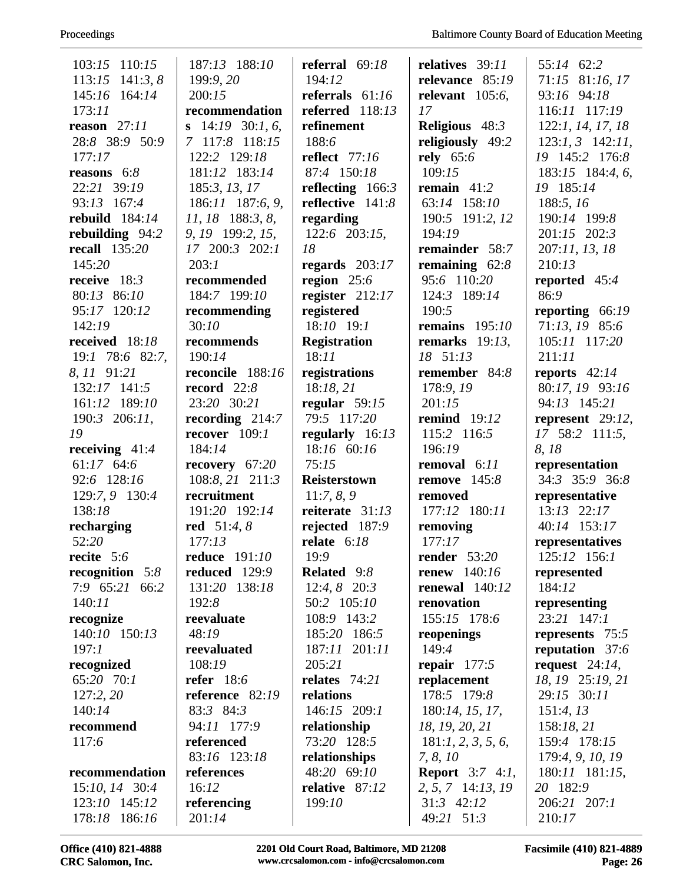| 103:15 110:15                  | 187:13 188:10         | referral $69:18$     | relatives 39:11            | 55:14 62:2             |
|--------------------------------|-----------------------|----------------------|----------------------------|------------------------|
| 113:15<br>141:3, 8             | 199:9, 20             | 194:12               | relevance 85:19            | 71:15 81:16, 17        |
| 145:16 164:14                  | 200:15                | referrals $61:16$    | relevant $105:6$ ,         | 93:16 94:18            |
| 173:11                         | recommendation        | referred $118:13$    | 17                         | 116:11 117:19          |
| reason $27:11$                 | s $14:19$ 30:1, 6,    | refinement           | <b>Religious</b> 48:3      | 122:1, 14, 17, 18      |
| 28:8 38:9 50:9                 | 7 117:8 118:15        | 188:6                | religiously 49:2           | $123:1, 3$ $142:11,$   |
| 177:17                         | 122:2 129:18          | <b>reflect</b> 77:16 | rely 65:6                  | 19 145:2 176:8         |
| reasons $6:8$                  | 181:12 183:14         | 87:4 150:18          | 109:15                     | 183:15 184:4, 6,       |
| 22:21 39:19                    | 185:3, 13, 17         | reflecting $166:3$   | remain $41:2$              | 19 185:14              |
| 93:13 167:4                    | 186:11 187:6, 9,      | reflective 141:8     | 63:14 158:10               | 188:5, 16              |
| rebuild $184:14$               | $11, 18$ 188:3, 8,    | regarding            | 190:5 191:2, 12            | 190:14 199:8           |
| rebuilding 94:2                | 9, 19 199:2, 15,      | 122:6 203:15,        | 194:19                     | 201:15 202:3           |
| <b>recall</b> 135:20           | 17 200:3 202:1        | 18                   | remainder 58:7             | 207:11, 13, 18         |
| 145:20                         | 203:1                 | regards $203:17$     | remaining $62:8$           | 210:13                 |
| receive $18:3$                 | recommended           | region $25:6$        | 95:6 110:20                | reported $45:4$        |
| 80:13 86:10                    | 184:7 199:10          | register $212:17$    | 124:3 189:14               | 86:9                   |
| 95:17 120:12                   | recommending          | registered           | 190:5                      | reporting $66:19$      |
| 142:19                         | 30:10                 | $18:10$ 19:1         | remains $195:10$           | 71:13, 19 85:6         |
| received 18:18                 | recommends            | <b>Registration</b>  | remarks $19:13$ ,          | 105:11 117:20          |
| 19:1 78:6 82:7,                | 190:14                | 18:11                | 18 51:13                   | 211:11                 |
| 8, 11 91:21                    | reconcile 188:16      | registrations        | remember 84:8              | reports $42:14$        |
| 132:17 141:5                   | record $22:8$         | 18:18, 21            | 178:9, 19                  | 80:17, 19 93:16        |
| 161:12 189:10                  | 23:20 30:21           | regular $59:15$      | 201:15                     | 94:13 145:21           |
| 190:3 206:11,                  | recording $214:7$     | 79:5 117:20          | remind $19:12$             | represent $29:12$ ,    |
| 19                             | recover $109:1$       | regularly $16:13$    | 115:2 116:5                | 17 58:2 111:5,         |
|                                | 184:14                | 18:16 60:16          | 196:19                     | 8,18                   |
| receiving $41:4$               |                       |                      |                            |                        |
| $61:17$ $64:6$                 | recovery 67:20        | 75:15                | removal 6:11               | representation         |
| 92:6 128:16                    | 108:8, 21 211:3       | <b>Reisterstown</b>  | <b>remove</b> 145:8        | 34:3 35:9 36:8         |
| 129:7, 9 130:4                 | recruitment           | 11:7, 8, 9           | removed                    | representative         |
| 138:18                         | 191:20 192:14         | reiterate 31:13      | 177:12 180:11              | $13:13$ $22:17$        |
| recharging                     | red $51:4,8$          | rejected 187:9       | removing                   | 40:14 153:17           |
| 52:20                          | 177:13                | relate $6:18$        | 177:17                     | representatives        |
| recite 5:6                     | <b>reduce</b> 191:10  | 19:9                 | <b>render</b> 53:20        | 125:12 156:1           |
| recognition $5:8$              | reduced 129:9         | <b>Related</b> 9:8   | renew $140:16$             | represented            |
| 7:9 65:21 66:2                 | 131:20 138:18         | $12:4, 8$ 20:3       | renewal $140:12$           | 184:12                 |
| 140:11                         | 192:8                 | 50:2 105:10          | renovation                 | representing           |
| recognize                      | reevaluate            | 108:9 143:2          | 155:15 178:6               | $23:21$ 147:1          |
| 140:10 150:13                  | 48:19                 | 185:20 186:5         | reopenings                 | represents 75:5        |
| 197:1                          | reevaluated           | 187:11 201:11        | 149:4                      | <b>reputation</b> 37:6 |
| recognized                     | 108:19                | 205:21               | repair $177:5$             | request $24:14$ ,      |
| 65:20 70:1                     | refer $18:6$          | relates $74:21$      | replacement                | 18, 19 25:19, 21       |
| 127:2,20                       | reference 82:19       | relations            | 178:5 179:8                | 29:15 30:11            |
| 140:14                         | 83:3 84:3             | $146:15$ 209:1       | 180:14, 15, 17,            | 151:4, 13              |
| recommend                      | 94:11 177:9           | relationship         | 18, 19, 20, 21             | 158:18, 21             |
| 117:6                          | referenced            | 73:20 128:5          | 181:1, 2, 3, 5, 6,         | 159:4 178:15           |
|                                | 83:16 123:18          | relationships        | 7, 8, 10                   | 179:4, 9, 10, 19       |
| recommendation                 | references            | 48:20 69:10          | <b>Report</b> $3:7$ 4:1,   | 180:11 181:15,         |
| 15:10, 14 30:4                 | 16:12                 | relative 87:12       | 2, 5, 7 14:13, 19          | 20 182:9               |
| 123:10 145:12<br>178:18 186:16 | referencing<br>201:14 | 199:10               | $31:3$ 42:12<br>49:21 51:3 | 206:21 207:1<br>210:17 |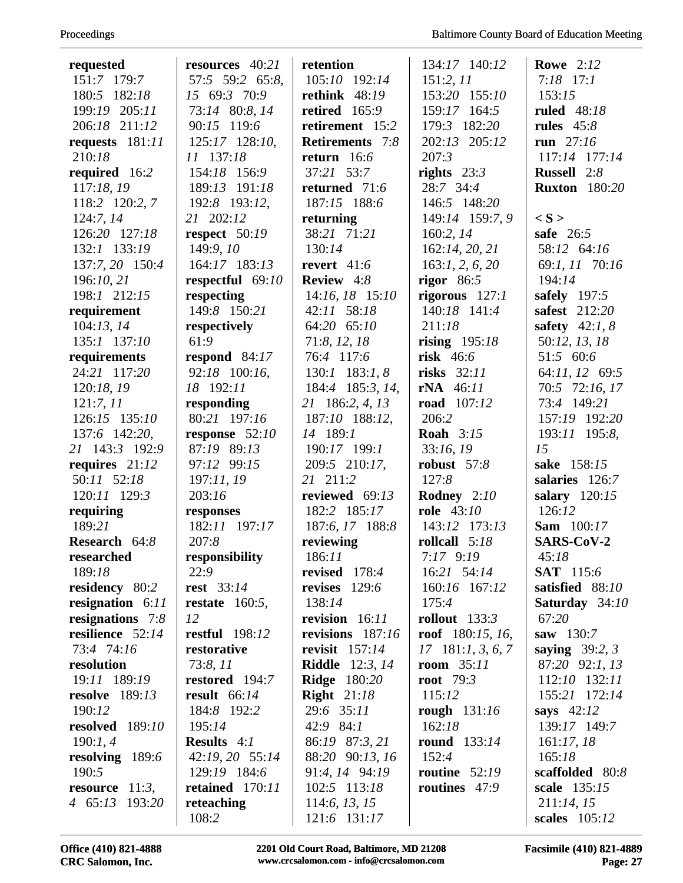| requested                            | resources 40:21                   | retention                       | 134:17 140:12                    | <b>Rowe</b> 2:12                    |
|--------------------------------------|-----------------------------------|---------------------------------|----------------------------------|-------------------------------------|
| 151:7 179:7                          | 57:5 59:2 65:8,                   | 105:10 192:14                   | 151:2, 11                        | $7:18$ 17:1                         |
| 180:5 182:18                         | 15 69:3 70:9                      | rethink $48:19$                 | 153:20 155:10                    | 153:15                              |
| 199:19 205:11                        | 73:14 80:8, 14                    | retired $165:9$                 | 159:17 164:5                     | <b>ruled</b> 48:18                  |
| 206:18 211:12                        | 90:15 119:6                       | retirement 15:2                 | 179:3 182:20                     | rules $45:8$                        |
| requests 181:11                      | 125:17 128:10,                    | <b>Retirements</b> 7:8          | 202:13 205:12                    | run $27:16$                         |
| 210:18                               | 11 137:18                         | return $16:6$                   | 207:3                            | 117:14 177:14                       |
| required 16:2                        | 154:18 156:9                      | 37:21 53:7                      | rights $23:3$                    | Russell 2:8                         |
| 117:18, 19                           | 189:13 191:18                     | returned 71:6                   | 28:7 34:4<br>146:5 148:20        | <b>Ruxton</b> 180:20                |
| 118:2 120:2, 7                       | 192:8 193:12,<br>21 202:12        | 187:15 188:6                    |                                  | $\langle S \rangle$                 |
| 124:7,14                             |                                   | returning                       | 149:14 159:7, 9                  |                                     |
| 126:20 127:18                        | respect $50:19$                   | 38:21 71:21                     | 160:2, 14                        | safe $26:5$                         |
| 132:1 133:19                         | 149:9, 10                         | 130:14<br>revert $41:6$         | 162:14, 20, 21                   | 58:12 64:16                         |
| 137:7, 20 150:4<br>196:10, 21        | 164:17 183:13<br>respectful 69:10 | <b>Review</b> $4:8$             | 163:1, 2, 6, 20                  | 69:1, 11 70:16<br>194:14            |
| 198:1 212:15                         |                                   |                                 | rigor $86:5$                     | safely 197:5                        |
|                                      | respecting<br>149:8 150:21        | 14:16, 18 15:10<br>42:11 58:18  | rigorous $127:1$<br>140:18 141:4 | safest 212:20                       |
| requirement                          |                                   | 64:20 65:10                     | 211:18                           | safety $42:1, 8$                    |
| 104:13, 14                           | respectively<br>61:9              |                                 |                                  |                                     |
| 135:1 137:10                         |                                   | 71:8, 12, 18                    | rising $195:18$<br>risk $46:6$   | 50:12, 13, 18<br>51:5 60:6          |
| requirements<br>24:21 117:20         | respond $84:17$<br>92:18 100:16,  | 76:4 117:6                      | risks $32:11$                    |                                     |
|                                      | 18 192:11                         | $130:1$ 183:1, 8                |                                  | 64:11, 12 69:5                      |
| 120:18, 19                           |                                   | 184:4 185:3, 14,                | $rNA$ 46:11<br>road 107:12       | 70:5 72:16, 17<br>73:4 149:21       |
| 121:7, 11<br>126:15 135:10           | responding<br>80:21 197:16        | 21 186:2, 4, 13                 | 206:2                            | 157:19 192:20                       |
|                                      |                                   | 187:10 188:12,<br>14 189:1      | <b>Roah</b> 3:15                 |                                     |
| 137:6 142:20,                        | response $52:10$<br>87:19 89:13   |                                 |                                  | 193:11 195:8,<br>15                 |
| 21 143:3 192:9                       |                                   | 190:17 199:1                    | 33:16, 19                        |                                     |
| requires $21:12$                     | 97:12 99:15                       | 209:5 210:17,                   | robust $57:8$                    | sake 158:15                         |
| 50:11 52:18                          | 197:11, 19                        | 21 211:2                        | 127:8                            | salaries 126:7                      |
| 120:11 129:3                         | 203:16                            | reviewed 69:13                  | Rodney 2:10<br>role 43:10        | salary $120:15$<br>126:12           |
| requiring<br>189:21                  | responses                         | 182:2 185:17<br>187:6, 17 188:8 | 143:12 173:13                    |                                     |
|                                      | 182:11 197:17                     |                                 |                                  | <b>Sam</b> 100:17<br>SARS-CoV-2     |
| Research 64:8                        | 207:8                             | reviewing                       | rollcall 5:18                    |                                     |
| researched                           | responsibility<br>22:9            | 186:11<br>revised $178:4$       | $7:17$ 9:19<br>16:21 54:14       | 45:18                               |
| 189:18                               |                                   | revises $129:6$                 |                                  | <b>SAT</b> 115:6<br>satisfied 88:10 |
| residency 80:2<br>resignation $6:11$ | <b>rest</b> 33:14                 | 138:14                          | 160:16 167:12<br>175:4           |                                     |
| resignations $7:8$                   | restate $160:5$ ,<br>12           | revision 16:11                  | rollout $133:3$                  | <b>Saturday</b> 34:10<br>67:20      |
| resilience 52:14                     | <b>restful</b> 198:12             | revisions 187:16                | roof $180:15, 16,$               | saw $130:7$                         |
| 73:4 74:16                           | restorative                       | revisit $157:14$                | $17 \quad 181:1, 3, 6, 7$        | saying $39:2, 3$                    |
| resolution                           | 73:8,11                           | <b>Riddle</b> 12:3, 14          | room $35:11$                     | 87:20 92:1, 13                      |
| 19:11 189:19                         | restored 194:7                    | <b>Ridge</b> 180:20             | root $79:3$                      | 112:10 132:11                       |
| <b>resolve</b> 189:13                | <b>result</b> 66:14               | <b>Right</b> $21:18$            | 115:12                           | 155:21 172:14                       |
| 190:12                               | 184:8 192:2                       | 29:6 35:11                      |                                  | says $42:12$                        |
| resolved 189:10                      | 195:14                            | 42:9 84:1                       | rough 131:16<br>162:18           | 139:17 149:7                        |
| 190:1, 4                             | <b>Results</b> $4:1$              | 86:19 87:3, 21                  | round $133:14$                   | 161:17,18                           |
|                                      |                                   |                                 | 152:4                            | 165:18                              |
| resolving 189:6<br>190:5             | 42:19, 20 55:14<br>129:19 184:6   | 88:20 90:13, 16                 | routine $52:19$                  |                                     |
| resource $11:3$ ,                    | retained 170:11                   | 91:4, 14 94:19<br>102:5 113:18  | routines 47:9                    | scaffolded 80:8<br>scale 135:15     |
| 4 65:13 193:20                       | reteaching                        | 114:6, 13, 15                   |                                  | 211:14, 15                          |
|                                      | 108:2                             | 121:6 131:17                    |                                  | <b>scales</b> 105:12                |
|                                      |                                   |                                 |                                  |                                     |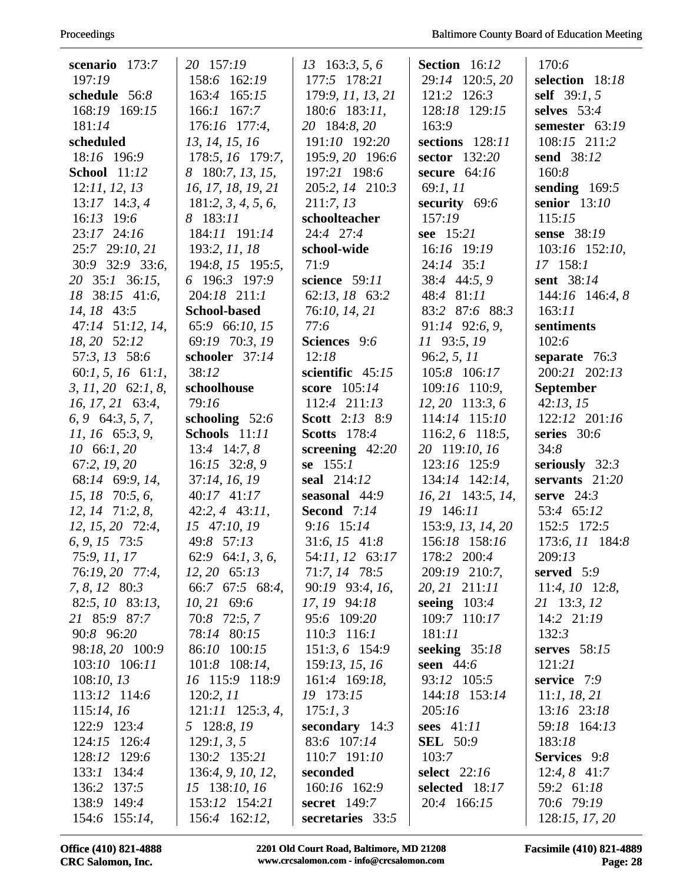| Proceedings |
|-------------|
|-------------|

| scenario 173:7                | 20 157:19             | $13\quad163:3, 5, 6$                | <b>Section</b> 16:12          | 170:6                    |
|-------------------------------|-----------------------|-------------------------------------|-------------------------------|--------------------------|
| 197:19                        | 158:6 162:19          | 177:5 178:21                        | 29:14 120:5, 20               | selection 18:18          |
| schedule 56:8                 | 163:4 165:15          | 179:9, 11, 13, 21                   | 121:2 126:3                   | self $39:1, 5$           |
| 168:19 169:15                 | 166:1 167:7           | $180:6$ 183:11,                     | 128:18 129:15                 | selves $53:4$            |
| 181:14                        | 176:16 177:4,         | 20 184:8, 20                        | 163:9                         | semester $63:19$         |
| scheduled                     | 13, 14, 15, 16        | 191:10 192:20                       | sections 128:11               | 108:15 211:2             |
| 18:16 196:9                   | 178:5, 16 179:7,      | 195:9, 20 196:6                     | sector 132:20                 | send 38:12               |
| <b>School</b> 11:12           | 8 180:7, 13, 15,      | 197:21 198:6                        | secure $64:16$                | 160:8                    |
| 12:11, 12, 13                 | 16, 17, 18, 19, 21    | 205:2, 14 210:3                     | 69:1, 11                      | sending $169:5$          |
| $13:17$ 14:3, 4               | 181:2, 3, 4, 5, 6,    | 211:7, 13                           | security $69:6$               | senior $13:10$           |
| 16:13 19:6                    | 8 183:11              | schoolteacher                       | 157:19                        | 115:15                   |
| 23:17 24:16                   | 184:11 191:14         | 24:4 27:4                           | see 15:21                     | sense 38:19              |
| 25:7 29:10, 21                | 193:2, 11, 18         | school-wide                         | 16:16 19:19                   | 103:16 152:10,           |
| 30:9 32:9 33:6,               | 194:8, 15 195:5,      | 71:9                                | $24:14$ 35:1                  | 17 158:1                 |
| 20 35:1 36:15,                | 6 196:3 197:9         | science 59:11                       | 38:4 44:5, 9                  | sent 38:14               |
| 18 38:15 41:6,                | 204:18 211:1          | 62:13, 18 63:2                      | 48:4 81:11                    | $144:16$ 146:4, 8        |
| 14, 18 43:5                   | <b>School-based</b>   | 76:10, 14, 21                       | 83:2 87:6 88:3                | 163:11                   |
| 47:14 51:12, 14,              | 65:9 66:10, 15        | 77:6                                | 91:14 92:6, 9,                | sentiments               |
| 18, 20 52:12                  | 69:19 70:3, 19        | Sciences 9:6                        | 11 93:5, 19                   | 102:6                    |
| 57:3, 13 58:6                 | schooler 37:14        | 12:18                               | 96:2, 5, 11                   | separate $76:3$          |
| 60:1, 5, 16 61:1,             | 38:12                 | scientific 45:15                    | 105:8 106:17                  | 200:21 202:13            |
| $3, 11, 20$ 62:1, 8,          | schoolhouse           | score 105:14                        | 109:16 110:9,                 | September                |
| $16, 17, 21$ 63:4,            | 79:16                 | 112:4 211:13                        | $12, 20$ 113:3, 6             | 42:13, 15                |
| $6, 9 \quad 64:3, 5, 7,$      | schooling $52:6$      | <b>Scott</b> 2:13 8:9               | 114:14 115:10                 | 122:12 201:16            |
| $11, 16$ 65:3, 9,             | Schools 11:11         | <b>Scotts</b> 178:4                 | 116:2, 6 118:5,               | series $30:6$            |
| $10\quad 66:1, 20$            | $13:4$ 14:7, 8        | screening $42:20$                   | 20 119:10, 16                 | 34:8                     |
| 67:2, 19, 20                  | 16:15 32:8, 9         | se $155:1$                          | 123:16 125:9                  | seriously $32:3$         |
| 68:14 69:9, 14,               | 37:14, 16, 19         | seal 214:12                         | 134:14 142:14,                | servants $21:20$         |
| $15, 18$ 70:5, 6,             | 40:17 41:17           | seasonal 44:9                       | 16, 21 143:5, 14,             | serve $24:3$             |
| $12, 14$ $71:2, 8$ ,          | $42:2, 4$ $43:11,$    | Second 7:14                         | 19 146:11                     | 53:4 65:12               |
| $12, 15, 20$ 72:4,            | 15 47:10, 19          | $9:16$ 15:14                        | 153:9, 13, 14, 20             | 152:5 172:5              |
| $6, 9, 15$ 73:5               | 49:8 57:13            | $31:6, 15$ 41:8                     | 156:18 158:16                 | 173:6, 11 184:8          |
| 75:9, 11, 17                  | 62:9 64:1, 3, 6,      | 54:11, 12 63:17                     | 178:2 200:4                   | 209:13                   |
| 76:19, 20 77:4,               | $12, 20$ 65:13        | 71:7, 14 78:5                       | 209:19 210:7,                 | served $5:9$             |
| 7, 8, 12 80:3                 | 66:7 67:5 68:4,       | 90:19 93:4, 16,                     | 20, 21 211:11                 | $11:4, 10$ 12:8,         |
| 82:5, 10 83:13,               | $10, 21$ 69:6         | 17, 19 94:18                        | seeing $103:4$                | 21 13:3, 12              |
| 21 85:9 87:7                  | 70:8 72:5, 7          | 95:6 109:20                         | 109:7 110:17                  | $14:2$ $21:19$           |
| 90:8 96:20                    | 78:14 80:15           | $110:3$ 116:1                       | 181:11                        | 132:3                    |
| 98:18, 20 100:9               | 86:10 100:15          | 151:3, 6 154:9                      | seeking $35:18$               | serves $58:15$           |
| 103:10 106:11                 | $101:8$ 108:14,       | 159:13, 15, 16                      | seen $44:6$                   | 121:21                   |
| 108:10, 13                    | 16 115:9 118:9        | 161:4 169:18,                       | 93:12 105:5                   | service 7:9              |
| 113:12 114:6                  | 120:2, 11             | 19 173:15                           | 144:18 153:14                 | 11:1, 18, 21             |
| 115:14, 16                    | $121:11$ $125:3, 4$ , | 175:1,3                             | 205:16                        | 13:16 23:18              |
| 122:9 123:4                   | 5 128:8, 19           | secondary $14:3$                    | sees $41:11$                  | 59:18 164:13             |
| 124:15 126:4                  | 129:1, 3, 5           | 83:6 107:14                         | <b>SEL</b> 50:9               | 183:18                   |
| 128:12 129:6                  | 130:2 135:21          | 110:7 191:10                        | 103:7                         | Services 9:8             |
| 133:1 134:4                   | 136:4, 9, 10, 12,     | seconded                            | <b>select</b> 22:16           | $12:4, 8$ 41:7           |
| 136:2<br>137:5<br>138:9 149:4 | 15 138:10, 16         | 160:16 162:9<br><b>secret</b> 149:7 | selected 18:17<br>20:4 166:15 | 59:2 61:18<br>70:6 79:19 |
|                               | 153:12 154:21         |                                     |                               |                          |
| 154:6 155:14,                 | 156:4 162:12,         | secretaries 33:5                    |                               | 128:15, 17, 20           |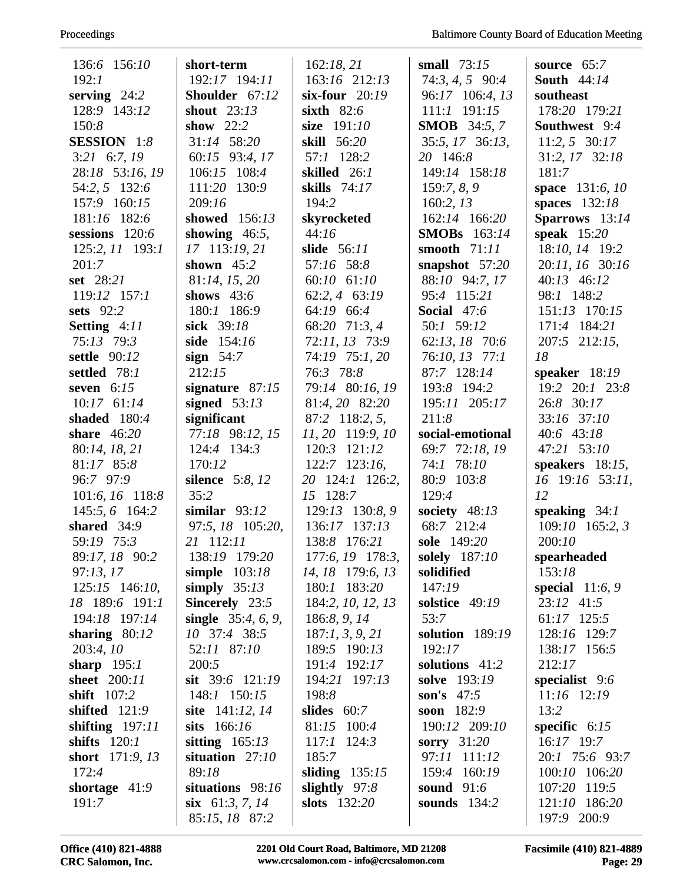| 136:6 156:10       | short-term                          | 162:18, 21        | small $73:15$       | source $65:7$                |
|--------------------|-------------------------------------|-------------------|---------------------|------------------------------|
| 192:1              | 192:17 194:11                       | 163:16 212:13     | $74:3, 4, 5$ 90:4   | <b>South</b> 44:14           |
| serving $24:2$     | Shoulder 67:12                      | six-four $20:19$  | 96:17 106:4, 13     | southeast                    |
| 128:9 143:12       | shout $23:13$                       | sixth $82:6$      | $111:1$ $191:15$    | 178:20 179:21                |
| 150:8              | show $22:2$                         | size 191:10       | <b>SMOB</b> 34:5, 7 | Southwest 9:4                |
| <b>SESSION</b> 1:8 | 31:14 58:20                         | skill 56:20       | 35:5, 17 36:13,     | $11:2, 5$ 30:17              |
| $3:21$ 6:7, 19     | 60:15 93:4, 17                      | 57:1 128:2        | 20 146:8            | 31:2, 17 32:18               |
| 28:18 53:16, 19    | 106:15 108:4                        | skilled 26:1      | 149:14 158:18       | 181:7                        |
| 54:2, 5 132:6      | 111:20 130:9                        | skills 74:17      | 159:7, 8, 9         | space 131:6, 10              |
| 157:9 160:15       | 209:16                              | 194:2             | 160:2, 13           | spaces $132:18$              |
| 181:16 182:6       | showed $156:13$                     | skyrocketed       | 162:14 166:20       | Sparrows 13:14               |
| sessions 120:6     | showing $46:5$ ,                    | 44:16             | <b>SMOBs</b> 163:14 | speak $15:20$                |
| 125:2, 11 193:1    | 17 113:19, 21                       | slide 56:11       | smooth $71:11$      | 18:10, 14 19:2               |
| 201:7              | shown $45:2$                        | 57:16 58:8        | snapshot $57:20$    | 20:11, 16 30:16              |
| set 28:21          | 81:14, 15, 20                       | 60:10 61:10       | 88:10 94:7, 17      | 40:13 46:12                  |
| 119:12 157:1       | shows $43:6$                        | 62:2, 4 63:19     | 95:4 115:21         | 98:1 148:2                   |
| sets $92:2$        | 180:1 186:9                         | 64:19 66:4        | Social 47:6         | 151:13 170:15                |
| Setting 4:11       | sick 39:18                          | 68:20 71:3, 4     | 50:1 59:12          | 171:4 184:21                 |
| 75:13 79:3         | side 154:16                         | 72:11, 13 73:9    | 62:13, 18 70:6      | 207:5 212:15,                |
| settle 90:12       | sign $54:7$                         | 74:19 75:1, 20    | 76:10, 13 77:1      | 18                           |
| settled 78:1       | 212:15                              | 76:3 78:8         | 87:7 128:14         | speaker $18:19$              |
| seven $6:15$       | signature $87:15$                   | 79:14 80:16, 19   | 193:8 194:2         | 19:2 20:1 23:8               |
| $10:17$ 61:14      | signed $53:13$                      | 81:4, 20 82:20    | 195:11 205:17       | 26:8 30:17                   |
| shaded $180:4$     | significant                         | 87:2 118:2, 5,    | 211:8               | 33:16 37:10                  |
| share $46:20$      | 77:18 98:12, 15                     | 11, 20 119:9, 10  | social-emotional    | 40:6 43:18                   |
| 80:14, 18, 21      | 124:4 134:3                         | 120:3 121:12      | 69:7 72:18, 19      | 47:21 53:10                  |
| 81:17 85:8         | 170:12                              | $122:7$ 123:16,   | 74:1 78:10          | speakers $18:15$ ,           |
| 96:7 97:9          | <b>silence</b> 5:8, 12              | 20 124:1 126:2,   | 80:9 103:8          | 16 19:16 53:11,              |
| 101:6, 16 118:8    | 35:2                                | 15 128:7          | 129:4               | 12                           |
| 145:5, 6 164:2     | similar $93:12$                     | 129:13 130:8, 9   | society $48:13$     | speaking $34:1$              |
| shared $34:9$      | 97:5, 18 105:20,                    | 136:17 137:13     | 68:7 212:4          | $109:10$ 165:2, 3            |
| 59:19 75:3         | 21 112:11                           | 138:8 176:21      | sole 149:20         | 200:10                       |
| 89:17, 18 90:2     | 138:19 179:20                       | 177:6, 19 178:3,  | solely 187:10       | spearheaded                  |
| 97:13,17           | simple $103:18$                     | 14, 18 179:6, 13  | solidified          | 153:18                       |
| $125:15$ 146:10,   | simply $35:13$                      | 180:1 183:20      | 147:19              | special $11:6, 9$            |
| 18 189:6 191:1     | <b>Sincerely</b> 23:5               | 184:2, 10, 12, 13 | solstice 49:19      | 23:12 41:5                   |
| 194:18 197:14      | single $35:4, 6, 9$ ,               | 186:8, 9, 14      | 53:7                | $61:17$ 125:5                |
| sharing $80:12$    | 10 37:4 38:5                        | 187:1, 3, 9, 21   | solution 189:19     | 128:16 129:7                 |
| 203:4,10           | 52:11 87:10                         | 189:5 190:13      | 192:17              | 138:17 156:5                 |
| sharp $195:1$      | 200:5                               | 191:4 192:17      | solutions 41:2      | 212:17                       |
| sheet 200:11       | sit $39:6$ $121:19$                 | 194:21 197:13     | solve 193:19        | specialist 9:6               |
| shift 107:2        | 148:1 150:15                        | 198:8             | son's $47:5$        | $11:16$ 12:19                |
| shifted $121:9$    | site 141:12, 14                     | slides $60:7$     | soon 182:9          | 13:2                         |
| shifting $197:11$  | sits $166:16$                       | 81:15 100:4       | 190:12 209:10       | specific $6:15$              |
| shifts $120:1$     | sitting $165:13$                    | $117:1$ $124:3$   | sorry $31:20$       | $16:17$ 19:7                 |
| short $171:9, 13$  | situation $27:10$                   | 185:7             | 97:11 111:12        | 20:1 75:6 93:7               |
| 172:4              | 89:18                               | sliding $135:15$  | 159:4 160:19        | 100:10 106:20                |
| shortage $41:9$    | situations 98:16                    | slightly $97:8$   | <b>sound</b> 91:6   | 107:20 119:5                 |
| 191:7              | six $61:3, 7, 14$<br>85:15, 18 87:2 | slots $132:20$    | sounds $134:2$      | 121:10 186:20<br>197:9 200:9 |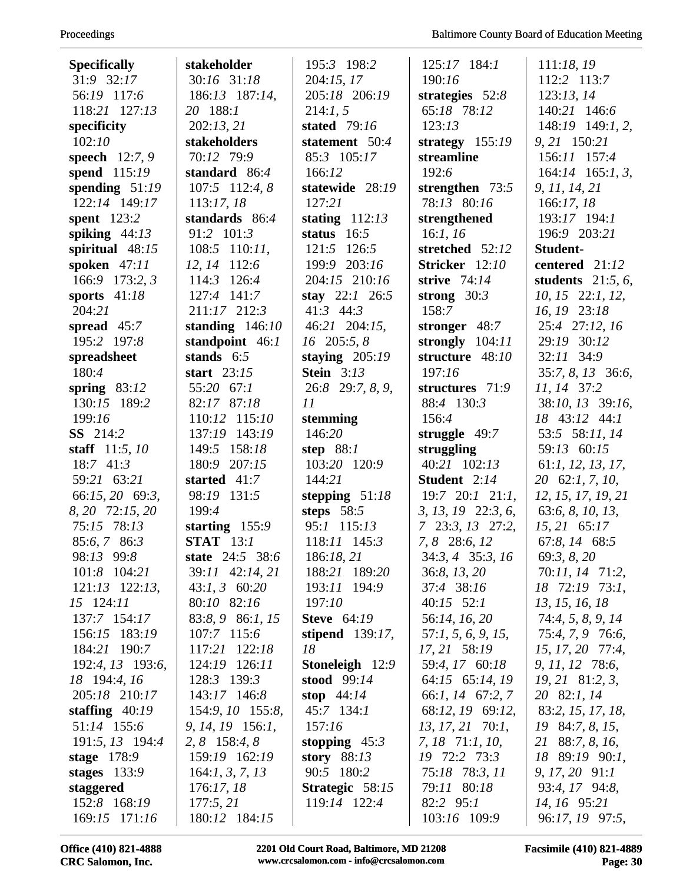| <b>Specifically</b>           | stakeholder                       | 195:3 198:2                   | $125:17$ 184:1                            | 111:18,19                             |
|-------------------------------|-----------------------------------|-------------------------------|-------------------------------------------|---------------------------------------|
| 31:9 32:17                    | 30:16 31:18                       | 204:15, 17                    | 190:16                                    | 112:2 113:7                           |
| 56:19 117:6                   | 186:13 187:14,                    | 205:18 206:19                 | strategies $52:8$                         | 123:13,14                             |
| 118:21 127:13                 | 20 188:1                          | 214:1, 5                      | 65:18 78:12                               | 140:21 146:6                          |
| specificity                   | 202:13,21                         | <b>stated</b> 79:16           | 123:13                                    | 148:19 149:1, 2,                      |
| 102:10                        | stakeholders                      | statement 50:4                | strategy $155:19$                         | 9, 21 150:21                          |
| <b>speech</b> $12:7, 9$       | 70:12 79:9                        | 85:3 105:17                   | streamline                                | 156:11 157:4                          |
| spend 115:19                  | standard 86:4                     | 166:12                        | 192:6                                     | $164:14$ $165:1, 3,$                  |
| spending $51:19$              | 107:5 112:4, 8                    | statewide 28:19               | strengthen $73:5$                         | 9, 11, 14, 21                         |
| 122:14 149:17                 | 113:17,18                         | 127:21                        | 78:13 80:16                               | 166:17,18                             |
| spent $123:2$                 | standards 86:4                    | stating $112:13$              | strengthened                              | 193:17 194:1                          |
| spiking $44:13$               | 91:2 101:3                        | status $16:5$                 | 16:1, 16                                  | 196:9 203:21                          |
| spiritual $48:15$             | $108:5$ 110:11,                   | 121:5 126:5                   | stretched 52:12                           | Student-                              |
| spoken $47:11$                | 12, 14 112:6                      | 199:9 203:16                  | Stricker 12:10                            | centered 21:12                        |
| 166:9 173:2, 3                | 114:3 126:4                       | 204:15 210:16                 | strive 74:14                              | students $21:5, 6$ ,                  |
| sports $41:18$                | 127:4 141:7                       | stay $22:1$ 26:5              | strong $30:3$                             | 10, 15 22:1, 12,                      |
| 204:21                        | 211:17 212:3                      | $41:3$ $44:3$                 | 158:7                                     | 16, 19 23:18                          |
| spread $45:7$                 | standing $146:10$                 | 46:21 204:15,                 | stronger 48:7                             | 25:4 27:12, 16                        |
| 195:2 197:8                   | standpoint 46:1                   | 16 205:5, 8                   | strongly $104:11$                         | 29:19 30:12                           |
| spreadsheet                   | stands $6:5$                      | staying $205:19$              | structure 48:10                           | 32:11 34:9                            |
| 180:4                         | start $23:15$                     | <b>Stein</b> 3:13             | 197:16                                    | $35:7, 8, 13$ 36:6,                   |
| spring $83:12$                | 55:20 67:1                        | 26:8 29:7, 8, 9,              | structures 71:9                           | 11, 14 37:2                           |
| 130:15 189:2                  | 82:17 87:18                       | 11                            | 88:4 130:3                                | 38:10, 13 39:16,                      |
| 199:16                        | 110:12 115:10                     | stemming                      | 156:4                                     | 18 43:12 44:1                         |
| <b>SS</b> 214:2               | 137:19 143:19                     | 146:20                        | struggle $49:7$                           | 53:5 58:11, 14                        |
| staff $11:5, 10$              | 149:5 158:18                      | step $88:1$                   | struggling                                | 59:13 60:15                           |
| 18:7 41:3                     | 180:9 207:15                      | 103:20 120:9                  | 40:21 102:13                              | 61:1, 12, 13, 17,                     |
| 59:21 63:21                   | started 41:7                      | 144:21                        | Student 2:14                              | 20 62:1, 7, 10,                       |
| 66:15, 20 69:3,               | 98:19 131:5                       | stepping $51:18$              | $19:7$ $20:1$ $21:1$ ,                    | 12, 15, 17, 19, 21                    |
| 8, 20 72:15, 20               | 199:4                             | steps $58:5$                  | $3, 13, 19$ $22:3, 6$ ,                   | 63:6, 8, 10, 13,                      |
| 75:15 78:13                   | starting $155:9$                  | 95:1 115:13                   | $7\quad 23:3, 13\quad 27:2,$              | $15, 21$ 65:17                        |
| 85:6, 7 86:3                  | <b>STAT</b> 13:1                  | 118:11 145:3                  | 7, 8 28:6, 12                             | 67:8, 14 68:5                         |
| 98:13 99:8                    | state 24:5 38:6                   | 186:18, 21                    | $34:3, 4$ 35:3, 16                        | 69:3, 8, 20                           |
| 101:8 104:21                  | 39:11 42:14, 21                   | 188:21 189:20                 | 36:8, 13, 20                              | 70:11, 14 71:2,                       |
| $121:13$ $122:13$ ,           | $43:1, 3$ 60:20                   | 193:11 194:9                  | 37:4 38:16                                | 18 72:19 73:1,                        |
| 15 124:11                     | 80:10 82:16                       | 197:10                        | $40:15$ 52:1                              | 13, 15, 16, 18                        |
| 137:7 154:17                  | 83:8, 9 86:1, 15                  | <b>Steve</b> 64:19            | 56:14, 16, 20                             | 74:4, 5, 8, 9, 14                     |
| 156:15 183:19                 | 107:7 115:6                       | stipend $139:17$ ,            | 57:1, 5, 6, 9, 15,                        | 75:4, 7, 9 76:6,                      |
| 184:21 190:7                  | 117:21 122:18                     | 18                            | 17, 21 58:19                              | 15, 17, 20 77:4,                      |
| 192:4, 13 193:6,              | 124:19 126:11                     | <b>Stoneleigh</b> 12:9        | 59:4, 17 60:18                            | 9, 11, 12 78:6,                       |
| 18 194:4, 16<br>205:18 210:17 | 128:3 139:3<br>143:17 146:8       | stood $99:14$<br>stop $44:14$ | 64:15 65:14, 19                           | $19, 21$ 81:2, 3,                     |
| staffing $40:19$              | 154:9, 10 155:8,                  | $45:7$ 134:1                  | 66:1, 14 67:2, 7<br>68:12, 19 69:12,      | 20 82:1, 14                           |
| 51:14 155:6                   |                                   | 157:16                        |                                           | 83:2, 15, 17, 18,                     |
| 191:5, 13 194:4               | 9, 14, 19 156:1,<br>2, 8 158:4, 8 | stopping $45:3$               | $13, 17, 21$ 70:1,<br>$7, 18$ $71:1, 10,$ | $19\,84:7, 8, 15,$<br>21 88:7, 8, 16, |
| stage $178:9$                 | 159:19 162:19                     | story $88:13$                 | 19 72:2 73:3                              | 18 89:19 90:1,                        |
| stages $133:9$                | 164:1, 3, 7, 13                   | 90:5 180:2                    | 75:18 78:3, 11                            | 9, 17, 20, 91:1                       |
| staggered                     | 176:17,18                         | Strategic 58:15               | 79:11 80:18                               | 93:4, 17 94:8,                        |
| 152:8 168:19                  | 177:5, 21                         | 119:14 122:4                  | 82:2 95:1                                 | 14, 16 95:21                          |
| 169:15 171:16                 | 180:12 184:15                     |                               | 103:16 109:9                              | 96:17, 19 97:5,                       |
|                               |                                   |                               |                                           |                                       |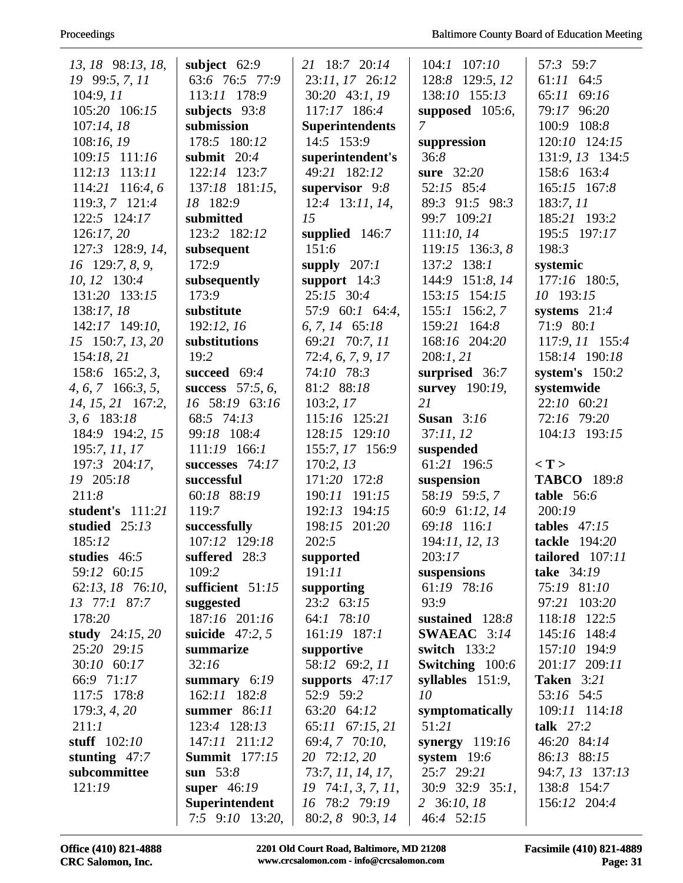## Proceedings

| 13, 18 98:13, 18,          | subject $62:9$       | 21 18:7 20:14                  | $104:1$ $107:10$     | 57:3 59:7           |
|----------------------------|----------------------|--------------------------------|----------------------|---------------------|
|                            | 63:6 76:5 77:9       |                                | 128:8<br>129:5, 12   | $61:11$ $64:5$      |
| 19 99:5, 7, 11             | 113:11 178:9         | 23:11, 17 26:12                | 138:10 155:13        | 65:11 69:16         |
| 104:9, 11                  | subjects 93:8        | 30:20 43:1, 19<br>117:17 186:4 |                      | 79:17 96:20         |
| 105:20 106:15<br>107:14.18 | submission           |                                | supposed 105:6,<br>7 | 100:9 108:8         |
|                            | 178:5 180:12         | <b>Superintendents</b>         |                      |                     |
| 108:16, 19                 |                      | 14:5 153:9                     | suppression          | 120:10 124:15       |
| 109:15 111:16              | submit $20:4$        | superintendent's               | 36:8                 | 131:9, 13 134:5     |
| 112:13 113:11              | $122:14$ $123:7$     | 49:21 182:12                   | sure 32:20           | 158:6 163:4         |
| 114:21 116:4, 6            | 137:18 181:15,       | supervisor 9:8                 | 52:15 85:4           | 165:15 167:8        |
| 119:3, 7 121:4             | 18 182:9             | 12:4 13:11, 14,                | 89:3 91:5 98:3       | 183:7,11            |
| 122:5 124:17               | submitted            | 15                             | 99:7 109:21          | 185:21 193:2        |
| 126:17,20                  | 123:2 182:12         | supplied $146:7$               | 111:10, 14           | 195:5 197:17        |
| 127:3 128:9, 14,           | subsequent           | 151:6                          | 119:15 136:3, 8      | 198:3               |
| 16 129:7, 8, 9,            | 172:9                | supply $207:1$                 | 137:2 138:1          | systemic            |
| 10, 12 130:4               | subsequently         | support $14:3$                 | 144:9 151:8, 14      | 177:16 180:5,       |
| 131:20 133:15              | 173:9                | 25:15 30:4                     | 153:15 154:15        | 10 193:15           |
| 138:17, 18                 | substitute           | 57:9 60:1 64:4,                | 155:1 156:2, 7       | systems $21:4$      |
| 142:17 149:10,             | 192:12,16            | 6, 7, 14 65:18                 | 159:21 164:8         | 71:9 80:1           |
| 15 150:7, 13, 20           | substitutions        | 69:21 70:7, 11                 | 168:16 204:20        | 117:9, 11 155:4     |
| 154:18,21                  | 19:2                 | 72:4, 6, 7, 9, 17              | 208:1, 21            | 158:14 190:18       |
| 158:6 165:2, 3,            | succeed 69:4         | 74:10 78:3                     | surprised 36:7       | system's $150:2$    |
| $4, 6, 7$ 166:3, 5,        | success $57:5, 6$ ,  | 81:2 88:18                     | survey 190:19,       | systemwide          |
| 14, 15, 21 167:2,          | 16 58:19 63:16       | 103:2, 17                      | 21                   | 22:10 60:21         |
| 3, 6 183:18                | 68:5 74:13           | 115:16 125:21                  | Susan $3:16$         | 72:16 79:20         |
| 184:9 194:2, 15            | 99:18 108:4          | 128:15 129:10                  | 37:11,12             | 104:13 193:15       |
| 195:7, 11, 17              | 111:19 166:1         | 155:7, 17 156:9                | suspended            |                     |
| 197:3 204:17,              | successes 74:17      | 170:2, 13                      | 61:21 196:5          | $\langle T \rangle$ |
| 19 205:18                  | successful           | 171:20 172:8                   | suspension           | <b>TABCO</b> 189:8  |
| 211:8                      | 60:18 88:19          | 190:11 191:15                  | 58:19 59:5,7         | table $56:6$        |
| student's 111:21           | 119:7                | 192:13 194:15                  | 60:9 61:12, 14       | 200:19              |
| studied $25:13$            | successfully         | 198:15 201:20                  | 69:18 116:1          | tables $47:15$      |
| 185:12                     | 107:12 129:18        | 202:5                          | 194:11, 12, 13       | tackle 194:20       |
| studies 46:5               | suffered $28:3$      | supported                      | 203:17               | tailored 107:11     |
| 59:12 60:15                | 109:2                | 191:11                         | suspensions          | take 34:19          |
| 62:13, 18 76:10,           | sufficient 51:15     | supporting                     | 61:19 78:16          | 75:19 81:10         |
| 13 77:1 87:7               | suggested            | 23:2 63:15                     | 93:9                 | 97:21 103:20        |
| 178:20                     | 187:16 201:16        | 64:1 78:10                     | sustained $128:8$    | 118:18 122:5        |
| study $24:15, 20$          | suicide $47:2, 5$    | 161:19 187:1                   | SWAEAC 3:14          | 145:16 148:4        |
| 25:20 29:15                | summarize            | supportive                     | switch 133:2         | 157:10 194:9        |
| 30:10 60:17                | 32:16                | 58:12 69:2, 11                 | Switching 100:6      | 201:17 209:11       |
| 66:9 71:17                 | summary $6:19$       | supports $47:17$               | syllables $151:9$ ,  | <b>Taken</b> 3:21   |
| 117:5 178:8                | 162:11 182:8         | 52:9 59:2                      | 10                   | 53:16 54:5          |
| 179:3, 4, 20               | summer 86:11         | 63:20 64:12                    | symptomatically      | 109:11 114:18       |
| 211:1                      | 123:4 128:13         | 65:11 67:15, 21                | 51:21                | talk $27:2$         |
| stuff $102:10$             | 147:11 211:12        | 69:4, 7 70:10,                 | synergy $119:16$     | 46:20 84:14         |
| stunting $47:7$            | <b>Summit</b> 177:15 | 20 72:12, 20                   | system $19:6$        | 86:13 88:15         |
| subcommittee               | sun $53:8$           | 73:7, 11, 14, 17,              | 25:7 29:21           | 94:7, 13 137:13     |
| 121:19                     | super $46:19$        | $19 \quad 74:1, 3, 7, 11,$     | 30:9 32:9 35:1,      | 138:8 154:7         |
|                            | Superintendent       | 16 78:2 79:19                  | 2 36:10, 18          | 156:12 204:4        |
|                            | $7:5$ 9:10 13:20,    | 80:2, 8 90:3, 14               | 46:4 52:15           |                     |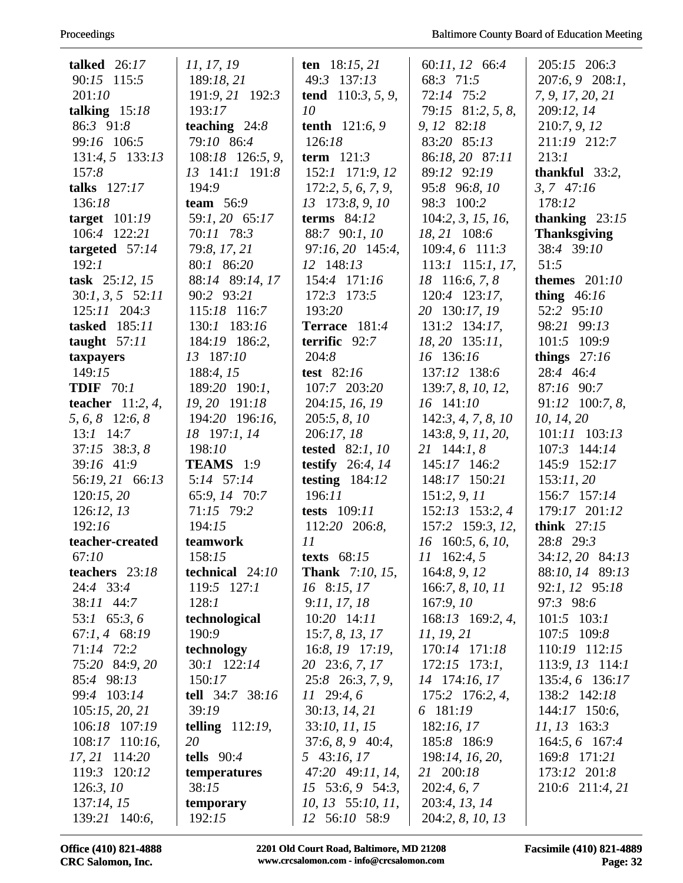| talked $26:17$       | 11, 17, 19         | ten $18:15, 21$         | 60:11, 12 66:4      | $205:15$ $206:3$    |
|----------------------|--------------------|-------------------------|---------------------|---------------------|
| 90:15 115:5          | 189:18, 21         | 49:3 137:13             | 68:3 71:5           | 207:6, 9 208:1,     |
| 201:10               | 191:9, 21 192:3    | tend $110:3, 5, 9$ ,    | 72:14 75:2          | 7, 9, 17, 20, 21    |
| talking $15:18$      | 193:17             | 10                      | 79:15 81:2, 5, 8,   | 209:12, 14          |
| 86:3 91:8            | teaching $24:8$    | <b>tenth</b> $121:6, 9$ | 9, 12 82:18         | 210:7, 9, 12        |
| 99:16 106:5          | 79:10 86:4         | 126:18                  | 83:20 85:13         | 211:19 212:7        |
| 131:4, 5 133:13      | 108:18 126:5, 9,   | term $121:3$            | 86:18, 20 87:11     | 213:1               |
| 157:8                | 13 141:1 191:8     | 152:1 171:9, 12         | 89:12 92:19         | thankful $33:2$ ,   |
| talks $127:17$       | 194:9              | 172:2, 5, 6, 7, 9,      | 95:8 96:8, 10       | $3, 7$ 47:16        |
| 136:18               | team $56:9$        | 13 173:8, 9, 10         | 98:3 100:2          | 178:12              |
| target $101:19$      | 59:1, 20 65:17     | terms $84:12$           | 104:2, 3, 15, 16,   | thanking $23:15$    |
| 106:4 122:21         | 70:11 78:3         | 88:7 90:1, 10           | 18, 21 108:6        | <b>Thanksgiving</b> |
| targeted $57:14$     | 79:8, 17, 21       | 97:16, 20 145:4,        | 109:4, 6 111:3      | 38:4 39:10          |
| 192:1                | 80:1 86:20         | 12 148:13               | 113:1 115:1, 17,    | 51:5                |
| task $25:12, 15$     | 88:14 89:14, 17    | 154:4 171:16            | 18 116:6, 7, 8      | themes $201:10$     |
| $30:1, 3, 5$ $52:11$ | 90:2 93:21         | 172:3 173:5             | 120:4 123:17,       | thing $46:16$       |
| $125:11$ $204:3$     | 115:18 116:7       | 193:20                  | 20 130:17, 19       | 52:2 95:10          |
| tasked 185:11        | 130:1 183:16       | Terrace 181:4           | 131:2 134:17,       | 98:21 99:13         |
| taught $57:11$       | 184:19 186:2,      | terrific 92:7           | $18, 20$ 135:11,    | 101:5 109:9         |
| taxpayers            | 13 187:10          | 204:8                   | 16 136:16           | things $27:16$      |
| 149:15               | 188:4, 15          | test $82:16$            | 137:12 138:6        | 28:4 46:4           |
| <b>TDIF</b> 70:1     | 189:20 190:1,      | 107:7 203:20            | 139:7, 8, 10, 12,   | 87:16 90:7          |
| teacher $11:2, 4$ ,  | 19, 20 191:18      | 204:15, 16, 19          | 16 141:10           | 91:12 100:7, 8,     |
| 5, 6, 8 12:6, 8      | 194:20 196:16,     | 205:5, 8, 10            | 142:3, 4, 7, 8, 10  | 10, 14, 20          |
| $13:1$ 14:7          | 18 197:1, 14       | 206:17, 18              | 143:8, 9, 11, 20,   | 101:11 103:13       |
| $37:15$ $38:3, 8$    | 198:10             | tested $82:1, 10$       | $21 \quad 144:1, 8$ | 107:3 144:14        |
| 39:16 41:9           | TEAMS 1:9          | testify $26:4, 14$      | 145:17 146:2        | 145:9 152:17        |
| 56:19, 21 66:13      | 5:14 57:14         | testing $184:12$        | 148:17 150:21       | 153:11,20           |
| 120:15,20            | 65:9, 14 70:7      | 196:11                  | 151:2, 9, 11        | 156:7 157:14        |
| 126:12,13            | 71:15 79:2         | <b>tests</b> 109:11     | 152:13 153:2, 4     | 179:17 201:12       |
| 192:16               | 194:15             | 112:20 206:8,           | 157:2 159:3, 12,    | think $27:15$       |
| teacher-created      | teamwork           | 11                      | 16 160:5, 6, 10,    | 28:8 29:3           |
| 67:10                | 158:15             | texts $68:15$           | $11 \quad 162:4,5$  | 34:12, 20 84:13     |
| teachers 23:18       | technical $24:10$  | <b>Thank</b> 7:10, 15,  | 164:8, 9, 12        | 88:10, 14 89:13     |
| 24:4 33:4            | $119:5$ $127:1$    | 16 8:15, 17             | 166:7, 8, 10, 11    | 92:1, 12 95:18      |
| 38:11 44:7           | 128:1              | 9:11, 17, 18            | 167:9,10            | 97:3 98:6           |
| 53:1 65:3, 6         | technological      | 10:20 14:11             | 168:13 169:2, 4,    | $101:5$ $103:1$     |
| $67:1, 4$ $68:19$    | 190:9              | 15:7, 8, 13, 17         | 11, 19, 21          | 107:5 109:8         |
| 71:14 72:2           | technology         | $16:8$ , $19$ $17:19$ , | 170:14 171:18       | 110:19 112:15       |
| 75:20 84:9, 20       | 30:1 122:14        | 20 23:6, 7, 17          | $172:15$ $173:1$ ,  | $113:9, 13$ 114:1   |
| 85:4 98:13           | 150:17             | 25:8 26:3, 7, 9,        | 14 174:16, 17       | 135:4, 6 136:17     |
| 99:4 103:14          | tell 34:7 38:16    | $11 \quad 29:4,6$       | 175:2 176:2, 4,     | 138:2 142:18        |
| 105:15, 20, 21       | 39:19              | 30:13, 14, 21           | 6 181:19            | $144:17$ 150:6,     |
| 106:18 107:19        | telling $112:19$ , | 33:10, 11, 15           | 182:16, 17          | $11, 13$ 163:3      |
| 108:17 110:16,       | 20                 | $37:6, 8, 9$ 40:4,      | 185:8 186:9         | 164:5, 6 167:4      |
| 17, 21 114:20        | tells $90:4$       | 5 43:16, 17             | 198:14, 16, 20,     | 169:8 171:21        |
| 119:3 120:12         | temperatures       | 47:20 49:11, 14,        | 21 200:18           | 173:12 201:8        |
| 126:3, 10            | 38:15              | $15$ 53:6, 9 54:3,      | 202:4, 6, 7         | 210:6 211:4, 21     |
| 137:14, 15           | temporary          | $10, 13$ 55:10, 11,     | 203:4, 13, 14       |                     |
| 139:21 140:6,        | 192:15             | 12 56:10 58:9           | 204:2, 8, 10, 13    |                     |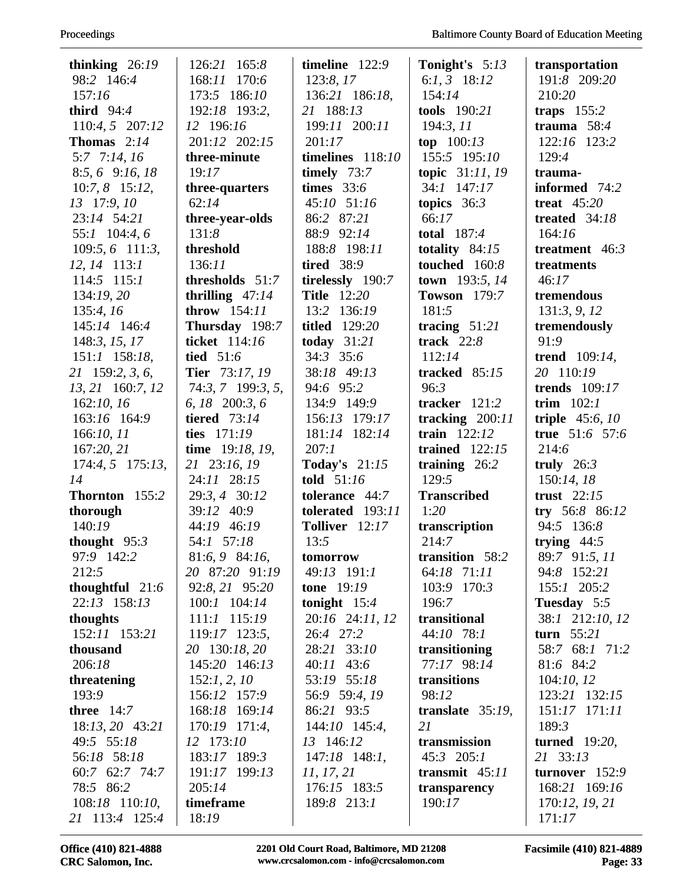| thinking $26:19$     | 126:21 165:8          | timeline $122:9$     | Tonight's 5:13      | transportation       |
|----------------------|-----------------------|----------------------|---------------------|----------------------|
| 98:2 146:4           | 170:6<br>168:11       | 123:8, 17            | 6: $1, 3$ 18:12     | 191:8 209:20         |
| 157:16               | 173:5 186:10          | 136:21 186:18,       | 154:14              | 210:20               |
| third $94:4$         | 192:18 193:2,         | 21 188:13            | tools 190:21        | traps $155:2$        |
| 110:4, 5 207:12      | 12 196:16             | 199:11 200:11        | 194:3, 11           | trauma $58:4$        |
| Thomas $2:14$        | 201:12 202:15         | 201:17               | top $100:13$        | 122:16 123:2         |
| 5:7 7:14, 16         | three-minute          | timelines 118:10     | 155:5 195:10        | 129:4                |
| $8:5, 6$ 9:16, 18    | 19:17                 | timely $73:7$        | topic 31:11, 19     | trauma-              |
| $10:7, 8$ 15:12,     | three-quarters        | times $33:6$         | $34:1$ $147:17$     | informed 74:2        |
| 13 17:9, 10          | 62:14                 | 45:10 51:16          | topics $36:3$       | treat $45:20$        |
| 23:14 54:21          | three-year-olds       | 86:2 87:21           | 66:17               | treated 34:18        |
| 55:1 104:4, 6        | 131:8                 | 88:9 92:14           | total $187:4$       | 164:16               |
| $109:5, 6$ 111:3,    | threshold             | 188:8 198:11         | totality $84:15$    | treatment $46:3$     |
| 12, 14 113:1         | 136:11                | <b>tired</b> 38:9    | touched 160:8       | treatments           |
| $114:5$ $115:1$      | thresholds 51:7       | tirelessly 190:7     | town 193:5, 14      | 46:17                |
| 134:19, 20           | thrilling $47:14$     | <b>Title</b> 12:20   | <b>Towson</b> 179:7 | tremendous           |
| 135:4, 16            | throw $154:11$        | 13:2 136:19          | 181:5               | 131:3, 9, 12         |
| 145:14 146:4         | Thursday 198:7        | <b>titled</b> 129:20 | tracing $51:21$     | tremendously         |
| 148:3, 15, 17        | ticket 114:16         | today $31:21$        | track $22:8$        | 91:9                 |
| 151:1 158:18,        | tied 51:6             | 34:3 35:6            | 112:14              | trend $109:14$ ,     |
| 21 159:2, 3, 6,      | <b>Tier</b> 73:17, 19 | 38:18 49:13          | tracked $85:15$     | 20 110:19            |
| 13, 21 160:7, 12     | $74:3, 7$ 199:3, 5,   | 94:6 95:2            | 96:3                | <b>trends</b> 109:17 |
| 162:10, 16           | 6, 18 200:3, 6        | 134:9 149:9          | tracker $121:2$     | trim $102:1$         |
| 163:16 164:9         | <b>tiered</b> 73:14   | 156:13 179:17        | tracking $200:11$   | triple $45:6, 10$    |
| 166:10, 11           | ties 171:19           | 181:14 182:14        | train $122:12$      | true $51:6$ 57:6     |
| 167:20, 21           | time 19:18, 19,       | 207:1                | trained $122:15$    | 214:6                |
| $174:4, 5$ $175:13,$ | 21 23:16, 19          | <b>Today's</b> 21:15 | training $26:2$     | truly $26:3$         |
| 14                   | 24:11 28:15           | told $51:16$         | 129:5               | 150:14, 18           |
| Thornton 155:2       | 29:3, 4 30:12         | tolerance 44:7       | <b>Transcribed</b>  | trust $22:15$        |
| thorough             | 39:12 40:9            | tolerated 193:11     | 1:20                | try 56:8 86:12       |
| 140:19               | 44:19 46:19           | Tolliver 12:17       | transcription       | 94:5 136:8           |
| thought $95:3$       | 54:1 57:18            | 13:5                 | 214:7               | trying $44:5$        |
| 97:9 142:2           | 81:6, 9 84:16,        | tomorrow             | transition 58:2     | 89:7 91:5, 11        |
| 212:5                | 20 87:20 91:19        | 49:13 191:1          | 64:18 71:11         | 94:8 152:21          |
| thoughtful $21:6$    | 92:8, 21 95:20        | <b>tone</b> 19:19    | 103:9 170:3         | 155:1 205:2          |
| 22:13 158:13         | 100:1 104:14          | tonight $15:4$       | 196:7               | Tuesday 5:5          |
| thoughts             | $111:1$ $115:19$      | 20:16 24:11, 12      | transitional        | 38:1 212:10, 12      |
| 152:11 153:21        | 119:17 123:5,         | 26:4 27:2            | 44:10 78:1          | turn $55:21$         |
| thousand             | 20 130:18, 20         | 28:21 33:10          | transitioning       | 58:7 68:1 71:2       |
| 206:18               | 145:20 146:13         | $40:11$ 43:6         | 77:17 98:14         | 81:6 84:2            |
| threatening          | 152:1, 2, 10          | 53:19 55:18          | transitions         | 104:10, 12           |
| 193:9                | 156:12 157:9          | 56:9 59:4, 19        | 98:12               | 123:21 132:15        |
| three $14:7$         | 168:18 169:14         | 86:21 93:5           | translate $35:19$ , | 151:17 171:11        |
| 18:13, 20 43:21      | 170:19 171:4,         | 144:10 145:4,        | 21                  | 189:3                |
| 49:5 55:18           | 12 173:10             | 13 146:12            | transmission        | turned $19:20$ ,     |
| 56:18 58:18          | 183:17 189:3          | $147:18$ 148:1,      | $45:3$ 205:1        | 21 33:13             |
| 60:7 62:7 74:7       | 191:17 199:13         | 11, 17, 21           | transmit $45:11$    | turnover $152:9$     |
| 78:5 86:2            | 205:14                | 176:15 183:5         | transparency        | 168:21 169:16        |
| 108:18 110:10,       | timeframe             | 189:8 213:1          | 190:17              | 170:12, 19, 21       |
| 21 113:4 125:4       | 18:19                 |                      |                     | 171:17               |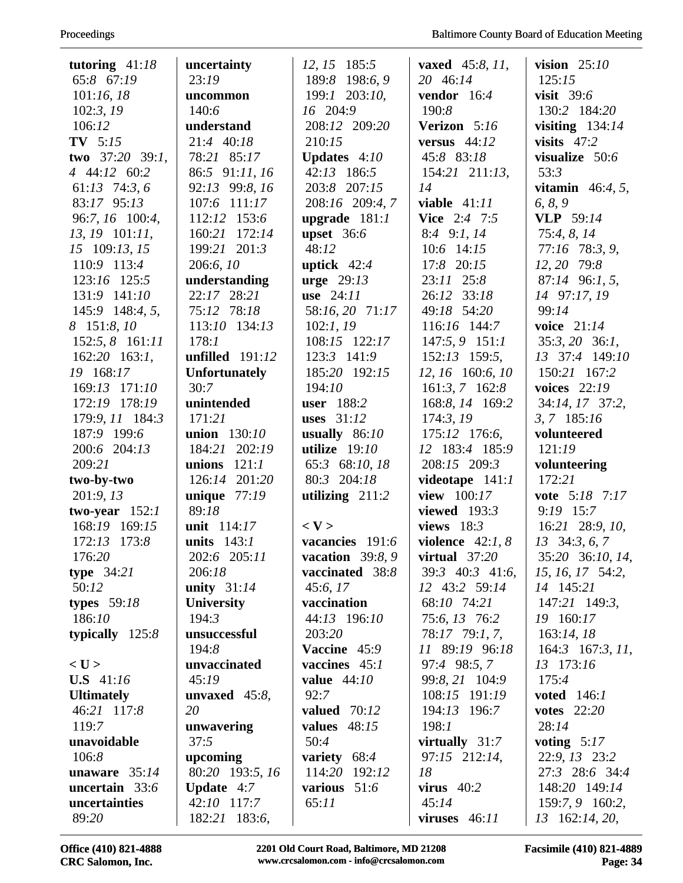| tutoring $41:18$   | uncertainty          | 12, 15 185:5        | <b>vaxed</b> $45:8, 11,$ | vision $25:10$          |
|--------------------|----------------------|---------------------|--------------------------|-------------------------|
| 65:8 67:19         | 23:19                | 198:6,9<br>189:8    | 20 46:14                 | 125:15                  |
| 101:16, 18         | uncommon             | 199:1 203:10,       | vendor $16:4$            | visit $39:6$            |
| 102:3, 19          | 140:6                | 16 204:9            | 190:8                    | 130:2 184:20            |
| 106:12             | understand           | 208:12 209:20       | Verizon 5:16             | visiting $134:14$       |
| $TV$ 5:15          | 21:4 40:18           | 210:15              | versus $44:12$           | visits $47:2$           |
| two $37:20$ 39:1,  | 78:21 85:17          | Updates 4:10        | 45:8 83:18               | visualize 50:6          |
| 4 44:12 60:2       | 86:5 91:11, 16       | 42:13 186:5         | $154:21$ $211:13$ ,      | 53:3                    |
| 61:13 74:3, 6      | 92:13 99:8, 16       | 203:8 207:15        | 14                       | <b>vitamin</b> 46:4, 5, |
| 83:17 95:13        | 107:6 111:17         | 208:16 209:4, 7     | viable $41:11$           | 6, 8, 9                 |
| 96:7, 16 100:4,    | 112:12 153:6         | upgrade $181:1$     | <b>Vice</b> 2:4 7:5      | <b>VLP</b> 59:14        |
| 13, 19 101:11,     | 160:21 172:14        | upset $36:6$        | 8:4 9:1, 14              | 75:4, 8, 14             |
| 15 109:13, 15      | 199:21 201:3         | 48:12               | 10:6 14:15               | 77:16 78:3, 9,          |
| 110:9 113:4        | 206:6, 10            | uptick $42:4$       | 17:8 20:15               | 12, 20 79:8             |
| 123:16 125:5       | understanding        | urge $29:13$        | 23:11 25:8               | 87:14 96:1, 5,          |
| 131:9 141:10       | 22:17 28:21          | use $24:11$         | 26:12 33:18              | 14 97:17, 19            |
| 145:9 148:4, 5,    | 75:12 78:18          | 58:16, 20 71:17     | 49:18 54:20              | 99:14                   |
| 8 151:8, 10        | 113:10 134:13        | 102:1, 19           | 116:16 144:7             | voice 21:14             |
| 152:5, 8 161:11    | 178:1                | 108:15 122:17       | $147:5, 9$ 151:1         | $35:3, 20$ 36:1,        |
| $162:20$ 163:1,    | unfilled $191:12$    | 123:3 141:9         | 152:13 159:5,            | 13 37:4 149:10          |
| 19 168:17          | <b>Unfortunately</b> | 185:20 192:15       | 12, 16 160:6, 10         | 150:21 167:2            |
| 169:13 171:10      | 30:7                 | 194:10              | $161:3, 7$ 162:8         | voices $22:19$          |
| 172:19 178:19      | unintended           | user 188:2          | 168:8, 14 169:2          | 34:14, 17 37:2,         |
| 179:9, 11 184:3    | 171:21               | uses $31:12$        | 174:3,19                 | $3, 7$ 185:16           |
| 187:9 199:6        | union 130:10         | usually $86:10$     | 175:12 176:6,            | volunteered             |
| 200:6 204:13       | 184:21 202:19        | utilize $19:10$     | 12 183:4 185:9           | 121:19                  |
| 209:21             | 121:1<br>unions      | 65:3 68:10, 18      | 208:15 209:3             | volunteering            |
| two-by-two         | 126:14 201:20        | 80:3 204:18         | videotape 141:1          | 172:21                  |
| 201:9,13           | unique $77:19$       | utilizing $211:2$   | view 100:17              | vote 5:18 7:17          |
| two-year $152:1$   | 89:18                |                     | viewed $193:3$           | $9:19$ 15:7             |
| 168:19 169:15      | unit 114:17          | $<$ V $>$           | views $18:3$             | 16:21 28:9, 10,         |
| 172:13 173:8       | units $143:1$        | vacancies 191:6     | violence $42:1, 8$       | $13\quad 34:3, 6, 7$    |
| 176:20             | 202:6 205:11         | vacation $39:8,9$   | virtual $37:20$          | 35:20 36:10, 14,        |
| type $34:21$       | 206:18               | vaccinated 38:8     | 39:3 40:3 41:6,          | 15, 16, 17, 54:2,       |
| 50:12              | unity $31:14$        | 45:6, 17            | 12 43:2 59:14            | 14 145:21               |
| types $59:18$      | University           | vaccination         | 68:10 74:21              | 147:21 149:3,           |
| 186:10             | 194:3                | 44:13 196:10        | 75:6, 13 76:2            | 19 160:17               |
| typically $125:8$  | unsuccessful         | 203:20              | 78:17 79:1, 7,           | 163:14,18               |
|                    | 194:8                | Vaccine 45:9        | 11 89:19 96:18           | $164:3$ 167:3, 11,      |
| $<$ U $>$          | unvaccinated         | vaccines $45:1$     | 97:4 98:5, 7             | 13 173:16               |
| <b>U.S</b> $41:16$ | 45:19                | value $44:10$       | 99:8, 21 104:9           | 175:4                   |
| <b>Ultimately</b>  | unvaxed $45:8$ ,     | 92:7                | 108:15 191:19            | <b>voted</b> 146:1      |
| 46:21 117:8        | 20                   | <b>valued</b> 70:12 | 194:13 196:7             | votes $22:20$           |
| 119:7              | unwavering           | values $48:15$      | 198:1                    | 28:14                   |
| unavoidable        | 37:5                 | 50:4                | virtually $31:7$         | voting $5:17$           |
| 106:8              | upcoming             | variety 68:4        | 97:15 212:14,            | 22:9, 13 23:2           |
| unaware $35:14$    | 80:20 193:5, 16      | 114:20 192:12       | 18                       | 27:3 28:6 34:4          |
| uncertain 33:6     | <b>Update</b> $4:7$  | various 51:6        | virus $40:2$             | 148:20 149:14           |
| uncertainties      | 42:10 117:7          | 65:11               | 45:14                    | 159:7, 9 160:2,         |
| 89:20              | 182:21 183:6,        |                     | viruses $46:11$          | 13 162:14, 20,          |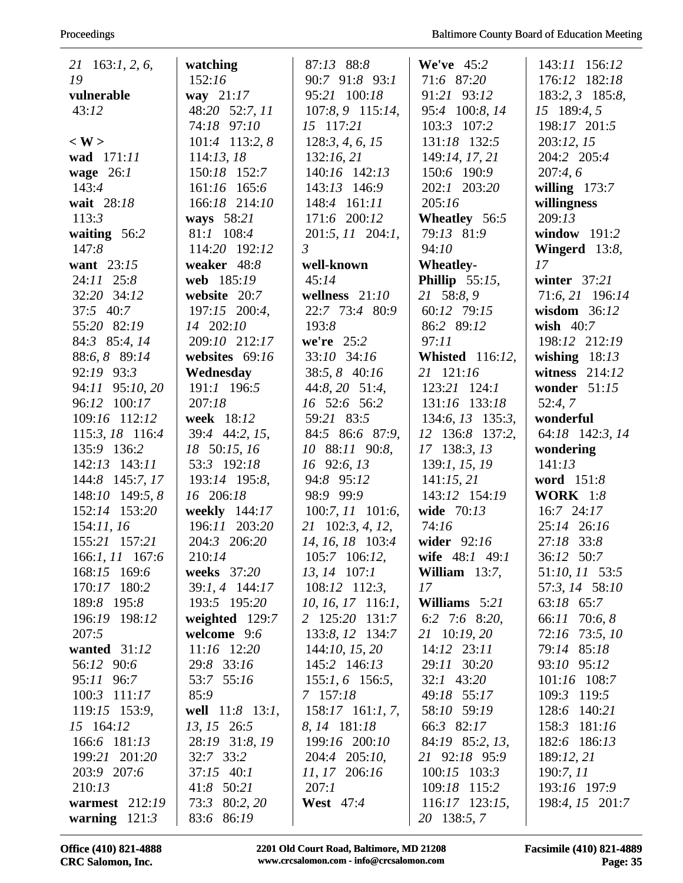| $21 \quad 163:1, 2, 6,$ | watching         | 87:13 88:8               | We've $45:2$           | 143:11 156:12    |
|-------------------------|------------------|--------------------------|------------------------|------------------|
| 19                      | 152:16           | 90:7 91:8 93:1           | 71:6 87:20             | 176:12 182:18    |
| vulnerable              | way $21:17$      | 95:21 100:18             | 91:21 93:12            | 183:2, 3 185:8,  |
| 43:12                   | 48:20 52:7, 11   | 107:8, 9 115:14,         | 95:4 100:8, 14         | 15 189:4, 5      |
|                         | 74:18 97:10      | 15 117:21                | 103:3 107:2            | 198:17 201:5     |
| $\langle W \rangle$     | $101:4$ 113:2, 8 | 128:3, 4, 6, 15          | 131:18 132:5           | 203:12, 15       |
| wad 171:11              | 114:13, 18       | 132:16,21                | 149:14, 17, 21         | 204:2 205:4      |
| wage $26:1$             | 150:18 152:7     | 140:16 142:13            | 150:6 190:9            | 207:4,6          |
| 143:4                   | 161:16 165:6     | 143:13 146:9             | 202:1 203:20           | willing $173:7$  |
| wait 28:18              | 166:18 214:10    | 148:4 161:11             | 205:16                 | willingness      |
| 113:3                   | ways 58:21       | 171:6 200:12             | Wheatley 56:5          | 209:13           |
| waiting $56:2$          | 81:1 108:4       | 201:5, 11 204:1,         | 79:13 81:9             | window $191:2$   |
| 147:8                   | 114:20 192:12    | $\mathfrak{Z}$           | 94:10                  | Wingerd 13:8,    |
| want 23:15              | weaker 48:8      | well-known               | <b>Wheatley-</b>       | 17               |
| 24:11 25:8              | web 185:19       | 45:14                    | Phillip $55:15$ ,      | winter $37:21$   |
| 32:20 34:12             | website 20:7     | wellness $21:10$         | 21 58:8, 9             | 71:6, 21 196:14  |
| 37:5 40:7               | 197:15 200:4,    | 22:7 73:4 80:9           | 60:12 79:15            | wisdom $36:12$   |
| 55:20 82:19             | 14 202:10        | 193:8                    | 86:2 89:12             | wish $40:7$      |
| 84:3 85:4, 14           | 209:10 212:17    | we're 25:2               | 97:11                  | 198:12 212:19    |
| 88:6, 8 89:14           | websites 69:16   | 33:10 34:16              | <b>Whisted</b> 116:12, | wishing $18:13$  |
| 92:19 93:3              | Wednesday        | 38:5, 8 40:16            | 21 121:16              | witness $214:12$ |
| 95:10,20<br>94:11       | 191:1 196:5      | $44:8,20$ 51:4,          | $123:21$ $124:1$       | wonder $51:15$   |
| 96:12 100:17            | 207:18           | 16 52:6 56:2             | 131:16 133:18          | 52:4,7           |
| 109:16 112:12           | week 18:12       | 59:21 83:5               | 134:6, 13 135:3,       | wonderful        |
| 115:3, 18 116:4         | 39:4 44:2, 15,   | 84:5 86:6 87:9,          | 12 136:8 137:2,        | 64:18 142:3, 14  |
| 135:9 136:2             | 18 50:15, 16     | 10 88:11 90:8,           | 17 138:3, 13           | wondering        |
| 142:13 143:11           | 53:3 192:18      | 16 92:6, 13              | 139:1, 15, 19          | 141:13           |
| 144:8 145:7, 17         | 193:14 195:8,    | 94:8 95:12               | 141:15,21              | word 151:8       |
| 148:10 149:5, 8         | 16 206:18        | 98:9 99:9                | 143:12 154:19          | <b>WORK</b> 1:8  |
| 152:14 153:20           | weekly 144:17    | $100:7$ , $11$ $101:6$ , | wide 70:13             | $16:7$ 24:17     |
| 154:11,16               | 196:11 203:20    | 21 102:3, 4, 12,         | 74:16                  | 25:14 26:16      |
| 155:21 157:21           | 204:3 206:20     | 14, 16, 18 103:4         | wider 92:16            | 27:18 33:8       |
| 166:1, 11 167:6         | 210:14           | 105:7 106:12,            | wife 48:1 49:1         | 36:12 50:7       |
| 168:15 169:6            | weeks $37:20$    | $13, 14$ 107:1           | William $13:7$ ,       | 51:10, 11 53:5   |
| 170:17 180:2            | 39:1, 4 144:17   | $108:12$ 112:3,          | 17                     | 57:3, 14 58:10   |
| 189:8 195:8             | 193:5 195:20     | $10, 16, 17$ 116:1,      | Williams 5:21          | 63:18 65:7       |
| 196:19 198:12           | weighted $129:7$ | 2 125:20 131:7           | 6:2 7:6 8:20,          | 66:11 70:6, 8    |
| 207:5                   | welcome 9:6      | 133:8, 12 134:7          | 21 10:19, 20           | 72:16 73:5, 10   |
| wanted $31:12$          | 11:16 12:20      | 144:10, 15, 20           | 14:12 23:11            | 79:14 85:18      |
| 56:12 90:6              | 29:8 33:16       | 145:2 146:13             | 29:11 30:20            | 93:10 95:12      |
| 95:11 96:7              | 53:7 55:16       | $155:1, 6$ 156:5,        | $32:1$ 43:20           | $101:16$ $108:7$ |
| $100:3$ $111:17$        | 85:9             | $7 \quad 157:18$         | 49:18 55:17            | 109:3 119:5      |
| 119:15 153:9,           | well 11:8 13:1,  | $158:17$ 161:1, 7,       | 58:10 59:19            | 128:6 140:21     |
| 15 164:12               | 13, 15 26:5      | 8, 14 181:18             | 66:3 82:17             | 158:3 181:16     |
| 166:6 181:13            | 28:19 31:8, 19   | 199:16 200:10            | 84:19 85:2, 13,        | 182:6 186:13     |
| 199:21 201:20           | 32:7 33:2        | $204:4$ $205:10$ ,       | 21 92:18 95:9          | 189:12, 21       |
| 203:9 207:6             | $37:15$ 40:1     | $11, 17$ 206:16          | $100:15$ $103:3$       | 190:7,11         |
| 210:13                  | 41:8 50:21       | 207:1                    | 109:18 115:2           | 193:16 197:9     |
| warmest $212:19$        | 73:3 80:2, 20    | <b>West</b> 47:4         | $116:17$ 123:15,       | 198:4, 15 201:7  |
| warning $121:3$         | 83:6 86:19       |                          | 20 138:5, 7            |                  |